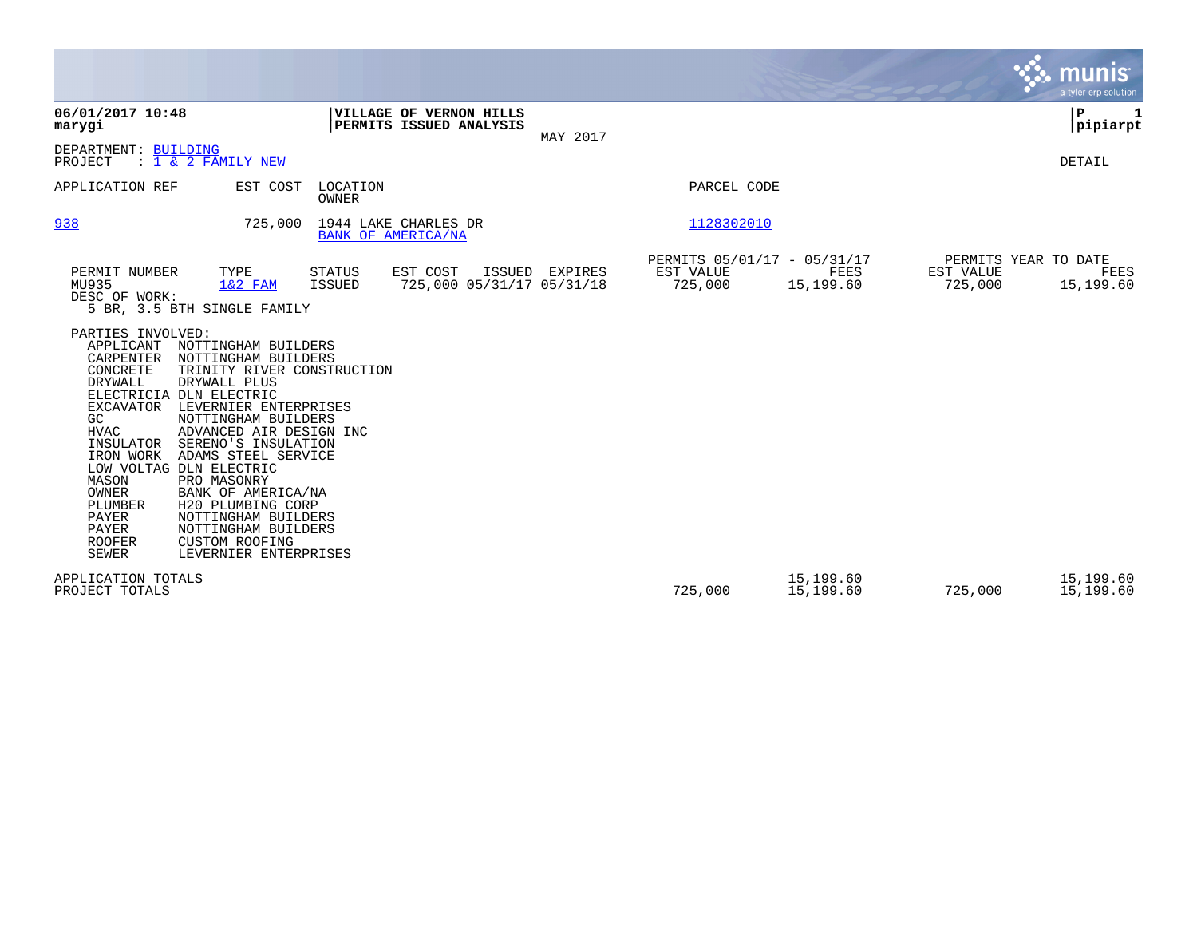|                                                                                                                                                                                                                                                                                                                                                                                                                                                                                                                                                                                                                                                            |                           |                                                    |                |                                                     |                        |                                              | <b>munis</b><br>a tyler erp solution     |
|------------------------------------------------------------------------------------------------------------------------------------------------------------------------------------------------------------------------------------------------------------------------------------------------------------------------------------------------------------------------------------------------------------------------------------------------------------------------------------------------------------------------------------------------------------------------------------------------------------------------------------------------------------|---------------------------|----------------------------------------------------|----------------|-----------------------------------------------------|------------------------|----------------------------------------------|------------------------------------------|
| 06/01/2017 10:48<br>marygi                                                                                                                                                                                                                                                                                                                                                                                                                                                                                                                                                                                                                                 |                           | VILLAGE OF VERNON HILLS<br>PERMITS ISSUED ANALYSIS | MAY 2017       |                                                     |                        |                                              | $\mathbf{P}$<br>$\mathbf 1$<br> pipiarpt |
| DEPARTMENT: BUILDING<br>PROJECT<br>$: 1 \& 2$ FAMILY NEW                                                                                                                                                                                                                                                                                                                                                                                                                                                                                                                                                                                                   |                           |                                                    |                |                                                     |                        |                                              | DETAIL                                   |
| EST COST<br>APPLICATION REF                                                                                                                                                                                                                                                                                                                                                                                                                                                                                                                                                                                                                                | LOCATION<br>OWNER         |                                                    |                | PARCEL CODE                                         |                        |                                              |                                          |
| 938<br>725,000                                                                                                                                                                                                                                                                                                                                                                                                                                                                                                                                                                                                                                             | <b>BANK OF AMERICA/NA</b> | 1944 LAKE CHARLES DR                               |                | 1128302010                                          |                        |                                              |                                          |
| TYPE<br>PERMIT NUMBER<br>MU935<br>$1&2$ FAM<br>DESC OF WORK:<br>5 BR, 3.5 BTH SINGLE FAMILY                                                                                                                                                                                                                                                                                                                                                                                                                                                                                                                                                                | STATUS<br>ISSUED          | EST COST<br>725,000 05/31/17 05/31/18              | ISSUED EXPIRES | PERMITS 05/01/17 - 05/31/17<br>EST VALUE<br>725,000 | FEES<br>15,199.60      | PERMITS YEAR TO DATE<br>EST VALUE<br>725,000 | <b>FEES</b><br>15,199.60                 |
| PARTIES INVOLVED:<br>NOTTINGHAM BUILDERS<br>APPLICANT<br>CARPENTER<br>NOTTINGHAM BUILDERS<br>CONCRETE<br>TRINITY RIVER CONSTRUCTION<br>DRYWALL<br>DRYWALL PLUS<br>ELECTRICIA DLN ELECTRIC<br><b>EXCAVATOR</b><br>LEVERNIER ENTERPRISES<br>GC<br>NOTTINGHAM BUILDERS<br><b>HVAC</b><br>ADVANCED AIR DESIGN INC<br>SERENO'S INSULATION<br>INSULATOR<br>IRON WORK<br>ADAMS STEEL SERVICE<br>LOW VOLTAG DLN ELECTRIC<br>MASON<br>PRO MASONRY<br>OWNER<br>BANK OF AMERICA/NA<br>PLUMBER<br>H20 PLUMBING CORP<br>PAYER<br>NOTTINGHAM BUILDERS<br>PAYER<br>NOTTINGHAM BUILDERS<br><b>ROOFER</b><br><b>CUSTOM ROOFING</b><br><b>SEWER</b><br>LEVERNIER ENTERPRISES |                           |                                                    |                |                                                     |                        |                                              |                                          |
| APPLICATION TOTALS<br>PROJECT TOTALS                                                                                                                                                                                                                                                                                                                                                                                                                                                                                                                                                                                                                       |                           |                                                    |                | 725,000                                             | 15,199.60<br>15,199.60 | 725,000                                      | 15,199.60<br>15,199.60                   |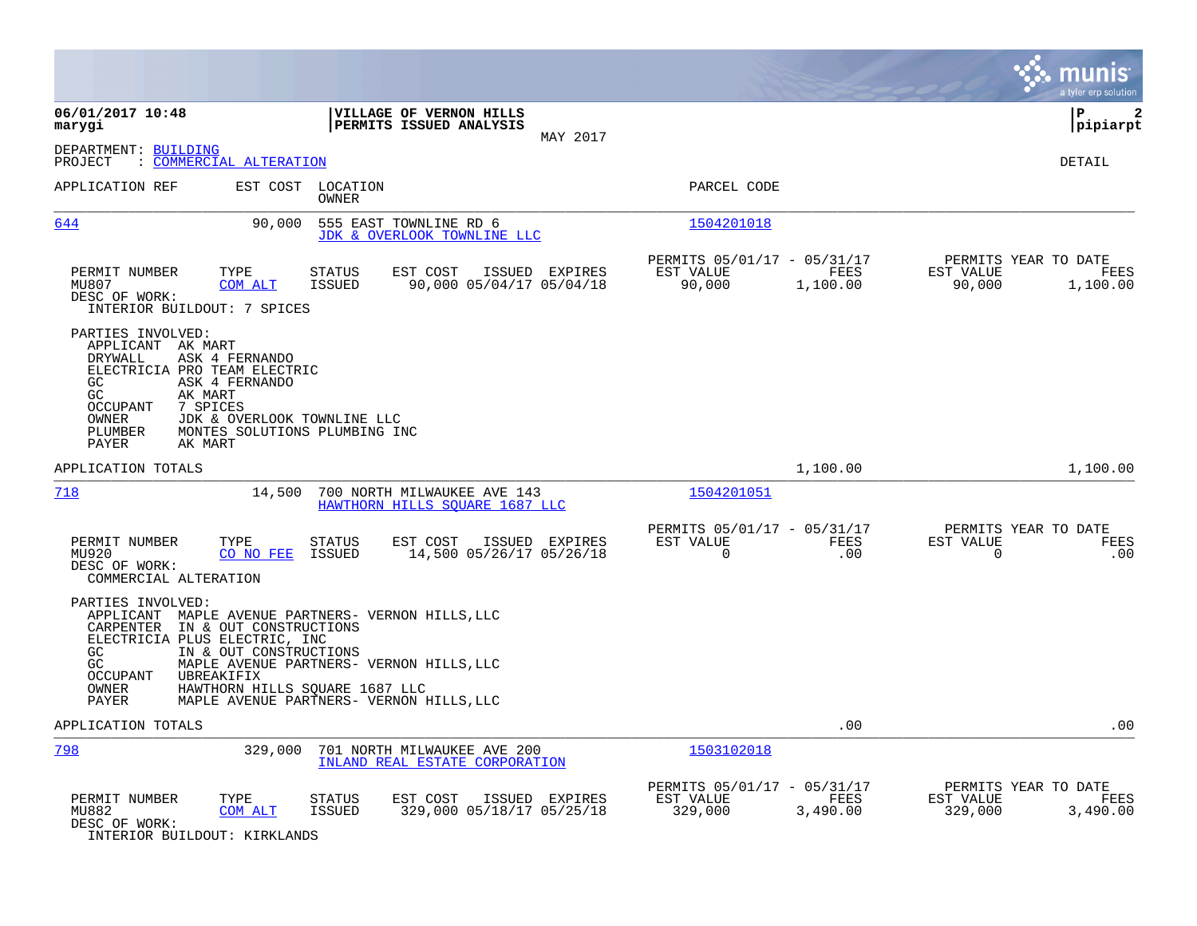|                                                                                                                                                                                                                                                    |                                                                                                                        |                                                                               | munis<br>a tyler erp solution                                    |
|----------------------------------------------------------------------------------------------------------------------------------------------------------------------------------------------------------------------------------------------------|------------------------------------------------------------------------------------------------------------------------|-------------------------------------------------------------------------------|------------------------------------------------------------------|
| 06/01/2017 10:48<br>marygi                                                                                                                                                                                                                         | VILLAGE OF VERNON HILLS<br>PERMITS ISSUED ANALYSIS<br>MAY 2017                                                         |                                                                               | IΡ<br>2<br>pipiarpt                                              |
| DEPARTMENT: BUILDING<br>COMMERCIAL ALTERATION<br>PROJECT<br>$\ddot{\cdot}$                                                                                                                                                                         |                                                                                                                        |                                                                               | <b>DETAIL</b>                                                    |
| APPLICATION REF                                                                                                                                                                                                                                    | EST COST LOCATION<br>OWNER                                                                                             | PARCEL CODE                                                                   |                                                                  |
| 644<br>90,000                                                                                                                                                                                                                                      | 555 EAST TOWNLINE RD 6<br>JDK & OVERLOOK TOWNLINE LLC                                                                  | 1504201018                                                                    |                                                                  |
| PERMIT NUMBER<br>TYPE<br>MU807<br>COM ALT<br>DESC OF WORK:<br>INTERIOR BUILDOUT: 7 SPICES                                                                                                                                                          | EST COST<br><b>STATUS</b><br>ISSUED EXPIRES<br>90,000 05/04/17 05/04/18<br><b>ISSUED</b>                               | PERMITS 05/01/17 - 05/31/17<br>FEES<br>EST VALUE<br>90,000<br>1,100.00        | PERMITS YEAR TO DATE<br>EST VALUE<br>FEES<br>90,000<br>1,100.00  |
| PARTIES INVOLVED:<br>APPLICANT AK MART<br>ASK 4 FERNANDO<br>DRYWALL<br>ELECTRICIA PRO TEAM ELECTRIC<br>GC<br>ASK 4 FERNANDO<br>GC<br>AK MART<br><b>OCCUPANT</b><br>7 SPICES<br>OWNER<br>JDK & OVERLOOK TOWNLINE LLC<br>PLUMBER<br>PAYER<br>AK MART | MONTES SOLUTIONS PLUMBING INC                                                                                          |                                                                               |                                                                  |
| APPLICATION TOTALS                                                                                                                                                                                                                                 |                                                                                                                        | 1,100.00                                                                      | 1,100.00                                                         |
| 718<br>14,500                                                                                                                                                                                                                                      | 700 NORTH MILWAUKEE AVE 143<br>HAWTHORN HILLS SOUARE 1687 LLC                                                          | 1504201051                                                                    |                                                                  |
| PERMIT NUMBER<br>TYPE<br>CO NO FEE<br>MU920<br>DESC OF WORK:<br>COMMERCIAL ALTERATION                                                                                                                                                              | <b>STATUS</b><br>EST COST<br>ISSUED EXPIRES<br>14,500 05/26/17 05/26/18<br>ISSUED                                      | PERMITS 05/01/17 - 05/31/17<br>EST VALUE<br><b>FEES</b><br>$\mathbf 0$<br>.00 | PERMITS YEAR TO DATE<br>EST VALUE<br>FEES<br>0<br>.00            |
| PARTIES INVOLVED:<br>APPLICANT MAPLE AVENUE PARTNERS- VERNON HILLS, LLC<br>IN & OUT CONSTRUCTIONS<br>CARPENTER<br>ELECTRICIA PLUS ELECTRIC, INC<br>GC<br>IN & OUT CONSTRUCTIONS<br>GC<br><b>OCCUPANT</b><br>UBREAKIFIX<br>OWNER<br><b>PAYER</b>    | MAPLE AVENUE PARTNERS- VERNON HILLS, LLC<br>HAWTHORN HILLS SQUARE 1687 LLC<br>MAPLE AVENUE PARTNERS- VERNON HILLS, LLC |                                                                               |                                                                  |
| APPLICATION TOTALS                                                                                                                                                                                                                                 |                                                                                                                        | .00                                                                           | .00                                                              |
| 798<br>329,000                                                                                                                                                                                                                                     | 701 NORTH MILWAUKEE AVE 200<br>INLAND REAL ESTATE CORPORATION                                                          | 1503102018                                                                    |                                                                  |
| PERMIT NUMBER<br>TYPE<br>MU882<br>COM ALT<br>DESC OF WORK:<br>INTERIOR BUILDOUT: KIRKLANDS                                                                                                                                                         | EST COST<br><b>STATUS</b><br>ISSUED EXPIRES<br>329,000 05/18/17 05/25/18<br><b>ISSUED</b>                              | PERMITS 05/01/17 - 05/31/17<br>EST VALUE<br>FEES<br>329,000<br>3,490.00       | PERMITS YEAR TO DATE<br>EST VALUE<br>FEES<br>329,000<br>3,490.00 |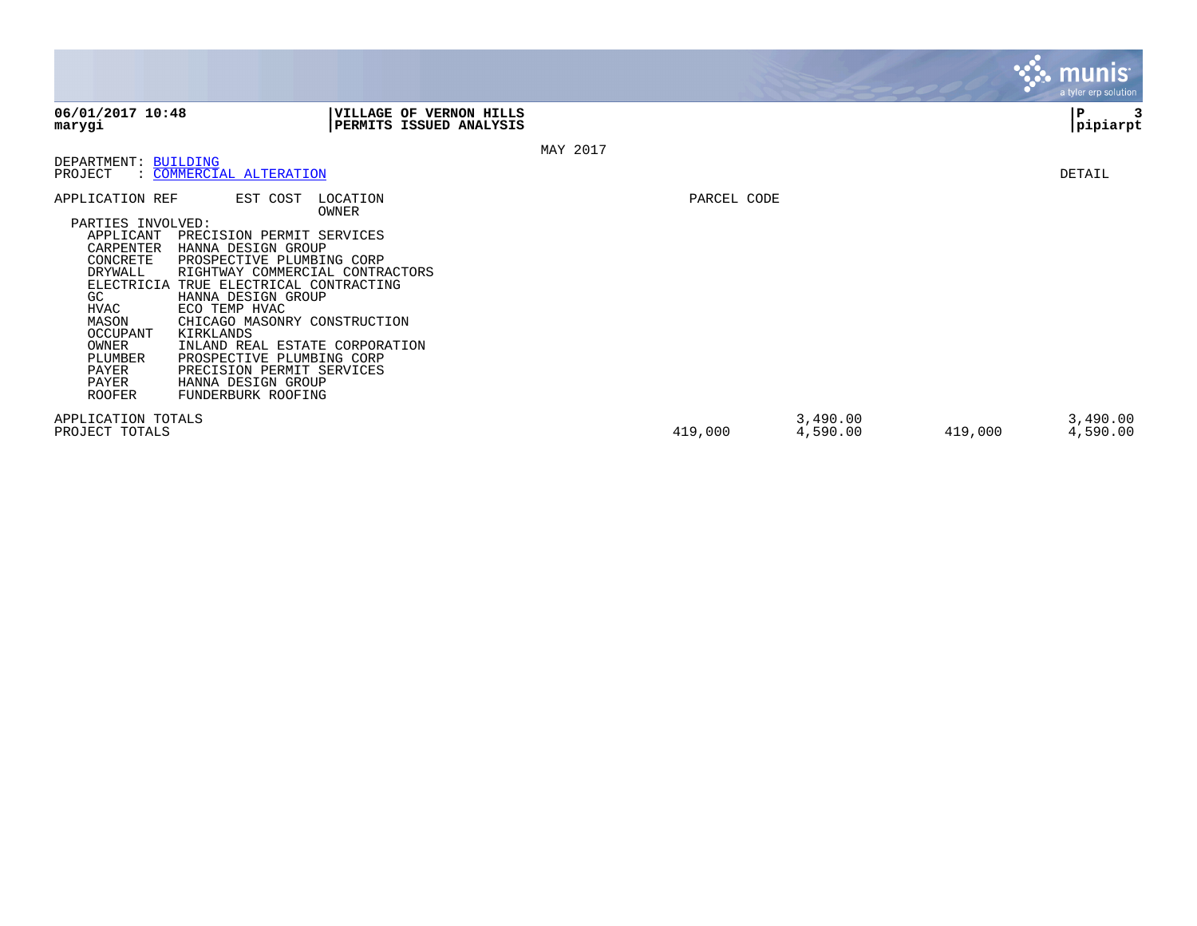|                                                                                                                                                                                          |                                                                                                                                                                                                                                                                                                                                                                            |             |                      |              | munis <sup>®</sup><br>a tyler erp solution |
|------------------------------------------------------------------------------------------------------------------------------------------------------------------------------------------|----------------------------------------------------------------------------------------------------------------------------------------------------------------------------------------------------------------------------------------------------------------------------------------------------------------------------------------------------------------------------|-------------|----------------------|--------------|--------------------------------------------|
| 06/01/2017 10:48<br>marygi                                                                                                                                                               | VILLAGE OF VERNON HILLS<br>PERMITS ISSUED ANALYSIS                                                                                                                                                                                                                                                                                                                         |             |                      | $\mathbf{P}$ | pipiarpt                                   |
|                                                                                                                                                                                          |                                                                                                                                                                                                                                                                                                                                                                            | MAY 2017    |                      |              |                                            |
| DEPARTMENT:<br>PROJECT                                                                                                                                                                   | <b>BUILDING</b><br><b>COMMERCIAL ALTERATION</b>                                                                                                                                                                                                                                                                                                                            |             |                      | DETAIL       |                                            |
| APPLICATION REF                                                                                                                                                                          | LOCATION<br>EST COST<br>OWNER                                                                                                                                                                                                                                                                                                                                              | PARCEL CODE |                      |              |                                            |
| PARTIES INVOLVED:<br>APPLICANT<br>CARPENTER<br>CONCRETE<br>DRYWALL<br>ELECTRICIA<br>GC<br><b>HVAC</b><br>MASON<br>OCCUPANT<br>OWNER<br>PLUMBER<br>PAYER<br><b>PAYER</b><br><b>ROOFER</b> | PRECISION PERMIT SERVICES<br>HANNA DESIGN GROUP<br>PROSPECTIVE PLUMBING CORP<br>RIGHTWAY COMMERCIAL CONTRACTORS<br>TRUE ELECTRICAL CONTRACTING<br>HANNA DESIGN GROUP<br>ECO TEMP HVAC<br>CHICAGO MASONRY CONSTRUCTION<br>KIRKLANDS<br>INLAND REAL ESTATE CORPORATION<br>PROSPECTIVE PLUMBING CORP<br>PRECISION PERMIT SERVICES<br>HANNA DESIGN GROUP<br>FUNDERBURK ROOFING |             |                      |              |                                            |
| APPLICATION TOTALS<br>PROJECT TOTALS                                                                                                                                                     |                                                                                                                                                                                                                                                                                                                                                                            | 419,000     | 3,490.00<br>4,590.00 | 419,000      | 3,490.00<br>4,590.00                       |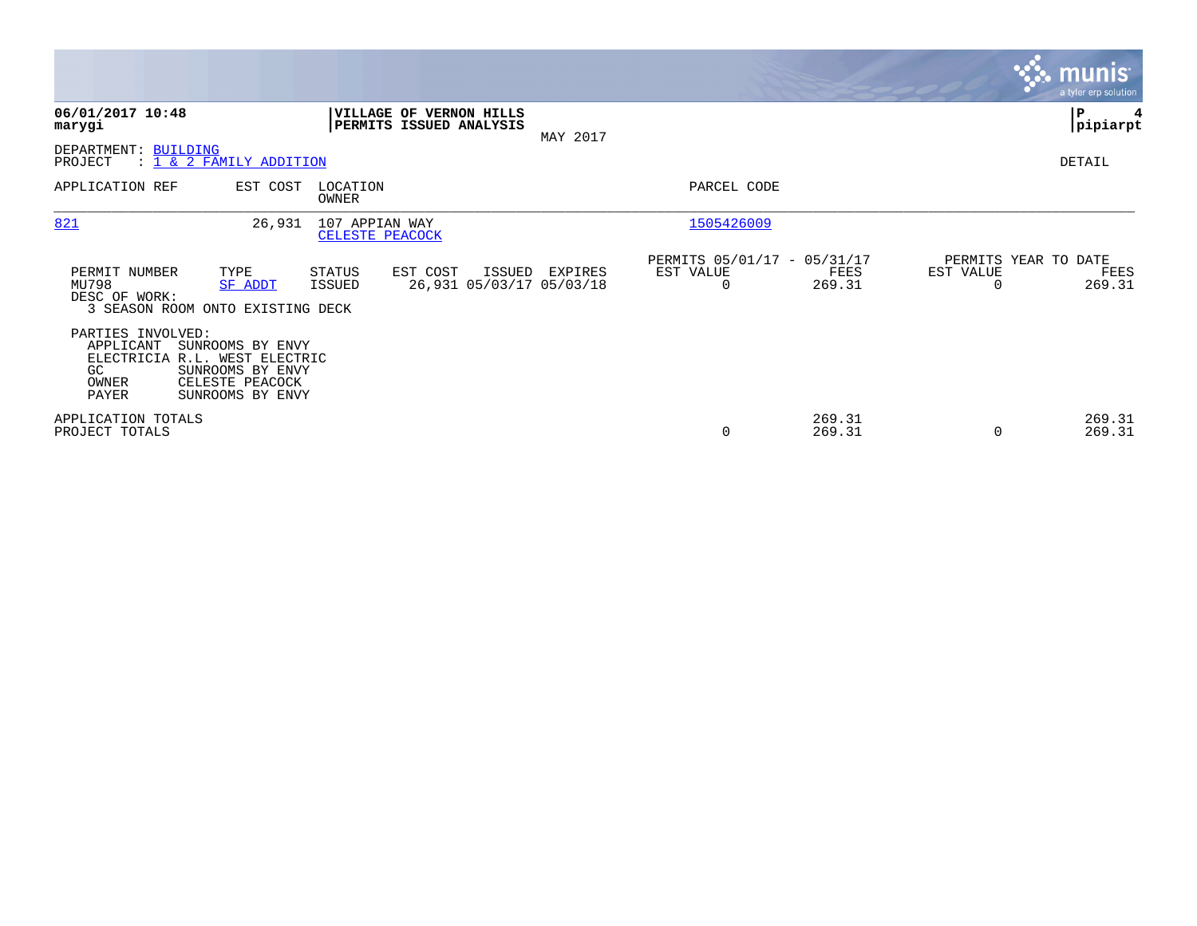|                                                                                         |                                                                             |                                   |                                                    |          |                                                      |                  |                                   | <b>munis</b><br>a tyler erp solution |
|-----------------------------------------------------------------------------------------|-----------------------------------------------------------------------------|-----------------------------------|----------------------------------------------------|----------|------------------------------------------------------|------------------|-----------------------------------|--------------------------------------|
| 06/01/2017 10:48<br>marygi                                                              |                                                                             |                                   | VILLAGE OF VERNON HILLS<br>PERMITS ISSUED ANALYSIS | MAY 2017 |                                                      |                  |                                   | ∣P<br> pipiarpt                      |
| DEPARTMENT: BUILDING<br>PROJECT                                                         | : 1 & 2 FAMILY ADDITION                                                     |                                   |                                                    |          |                                                      |                  |                                   | DETAIL                               |
| APPLICATION REF                                                                         | EST COST                                                                    | LOCATION<br>OWNER                 |                                                    |          | PARCEL CODE                                          |                  |                                   |                                      |
| 821                                                                                     | 26,931                                                                      | 107 APPIAN WAY<br>CELESTE PEACOCK |                                                    |          | 1505426009                                           |                  |                                   |                                      |
| PERMIT NUMBER<br>MU798<br>DESC OF WORK:<br>3 SEASON ROOM ONTO EXISTING DECK             | TYPE<br><b>SF ADDT</b>                                                      | STATUS<br>ISSUED                  | EST COST<br>ISSUED<br>26,931 05/03/17 05/03/18     | EXPIRES  | PERMITS 05/01/17 - 05/31/17<br>EST VALUE<br>$\Omega$ | FEES<br>269.31   | PERMITS YEAR TO DATE<br>EST VALUE | FEES<br>269.31                       |
| PARTIES INVOLVED:<br>APPLICANT<br>ELECTRICIA R.L. WEST ELECTRIC<br>GC<br>OWNER<br>PAYER | SUNROOMS BY ENVY<br>SUNROOMS BY ENVY<br>CELESTE PEACOCK<br>SUNROOMS BY ENVY |                                   |                                                    |          |                                                      |                  |                                   |                                      |
| APPLICATION TOTALS<br>PROJECT TOTALS                                                    |                                                                             |                                   |                                                    |          | 0                                                    | 269.31<br>269.31 |                                   | 269.31<br>269.31                     |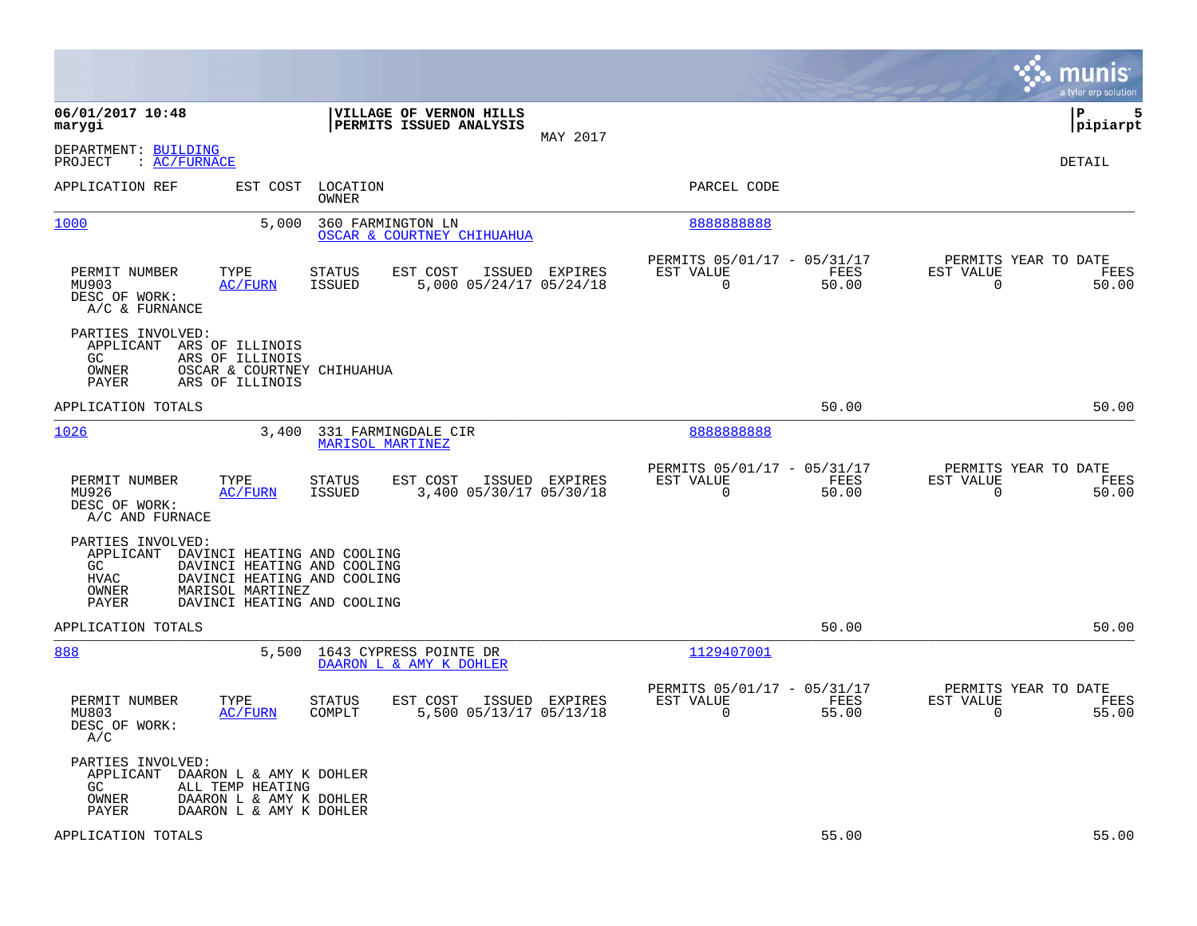|                                                                                                                                                             |                                                                                                                          |                                                                          | munis<br>a tyler erp solution                                     |
|-------------------------------------------------------------------------------------------------------------------------------------------------------------|--------------------------------------------------------------------------------------------------------------------------|--------------------------------------------------------------------------|-------------------------------------------------------------------|
| 06/01/2017 10:48<br>marygi                                                                                                                                  | VILLAGE OF VERNON HILLS<br>PERMITS ISSUED ANALYSIS<br>MAY 2017                                                           |                                                                          | lР<br>5<br> pipiarpt                                              |
| DEPARTMENT: BUILDING<br>PROJECT<br>$\therefore$ AC/FURNACE                                                                                                  |                                                                                                                          |                                                                          | DETAIL                                                            |
| APPLICATION REF<br>EST COST                                                                                                                                 | LOCATION<br>OWNER                                                                                                        | PARCEL CODE                                                              |                                                                   |
| 1000                                                                                                                                                        | 5,000<br>360 FARMINGTON LN<br>OSCAR & COURTNEY CHIHUAHUA                                                                 | 8888888888                                                               |                                                                   |
| TYPE<br>PERMIT NUMBER<br>MU903<br><b>AC/FURN</b><br>DESC OF WORK:<br>A/C & FURNANCE                                                                         | EST COST<br>ISSUED EXPIRES<br><b>STATUS</b><br><b>ISSUED</b><br>5,000 05/24/17 05/24/18                                  | PERMITS 05/01/17 - 05/31/17<br>EST VALUE<br>FEES<br>$\mathbf 0$<br>50.00 | PERMITS YEAR TO DATE<br>EST VALUE<br>FEES<br>$\mathbf 0$<br>50.00 |
| PARTIES INVOLVED:<br>APPLICANT ARS OF ILLINOIS<br>GC<br>ARS OF ILLINOIS<br>OWNER<br>PAYER<br>ARS OF ILLINOIS                                                | OSCAR & COURTNEY CHIHUAHUA                                                                                               |                                                                          |                                                                   |
| APPLICATION TOTALS                                                                                                                                          |                                                                                                                          | 50.00                                                                    | 50.00                                                             |
| 1026                                                                                                                                                        | 3,400<br>331 FARMINGDALE CIR<br><b>MARISOL MARTINEZ</b>                                                                  | 8888888888                                                               |                                                                   |
| TYPE<br>PERMIT NUMBER<br>MU926<br>AC/FURN<br>DESC OF WORK:<br>A/C AND FURNACE                                                                               | EST COST<br>ISSUED EXPIRES<br>STATUS<br>3,400 05/30/17 05/30/18<br><b>ISSUED</b>                                         | PERMITS 05/01/17 - 05/31/17<br>EST VALUE<br>FEES<br>$\Omega$<br>50.00    | PERMITS YEAR TO DATE<br>EST VALUE<br>FEES<br>$\Omega$<br>50.00    |
| PARTIES INVOLVED:<br>APPLICANT<br>GC<br><b>HVAC</b><br>MARISOL MARTINEZ<br>OWNER<br>PAYER                                                                   | DAVINCI HEATING AND COOLING<br>DAVINCI HEATING AND COOLING<br>DAVINCI HEATING AND COOLING<br>DAVINCI HEATING AND COOLING |                                                                          |                                                                   |
| APPLICATION TOTALS                                                                                                                                          |                                                                                                                          | 50.00                                                                    | 50.00                                                             |
| 888                                                                                                                                                         | 5,500<br>1643 CYPRESS POINTE DR<br>DAARON L & AMY K DOHLER                                                               | 1129407001                                                               |                                                                   |
| PERMIT NUMBER<br>TYPE<br>MU803<br>AC/FURN<br>DESC OF WORK:<br>A/C                                                                                           | STATUS<br>EST COST<br>ISSUED EXPIRES<br>COMPLT<br>5,500 05/13/17 05/13/18                                                | PERMITS 05/01/17 - 05/31/17<br>EST VALUE<br>FEES<br>$\mathbf 0$<br>55.00 | PERMITS YEAR TO DATE<br>EST VALUE<br>FEES<br>$\mathbf 0$<br>55.00 |
| PARTIES INVOLVED:<br>APPLICANT<br>DAARON L & AMY K DOHLER<br>GC<br>ALL TEMP HEATING<br>OWNER<br>DAARON L & AMY K DOHLER<br>DAARON L & AMY K DOHLER<br>PAYER |                                                                                                                          |                                                                          |                                                                   |
| APPLICATION TOTALS                                                                                                                                          |                                                                                                                          | 55.00                                                                    | 55.00                                                             |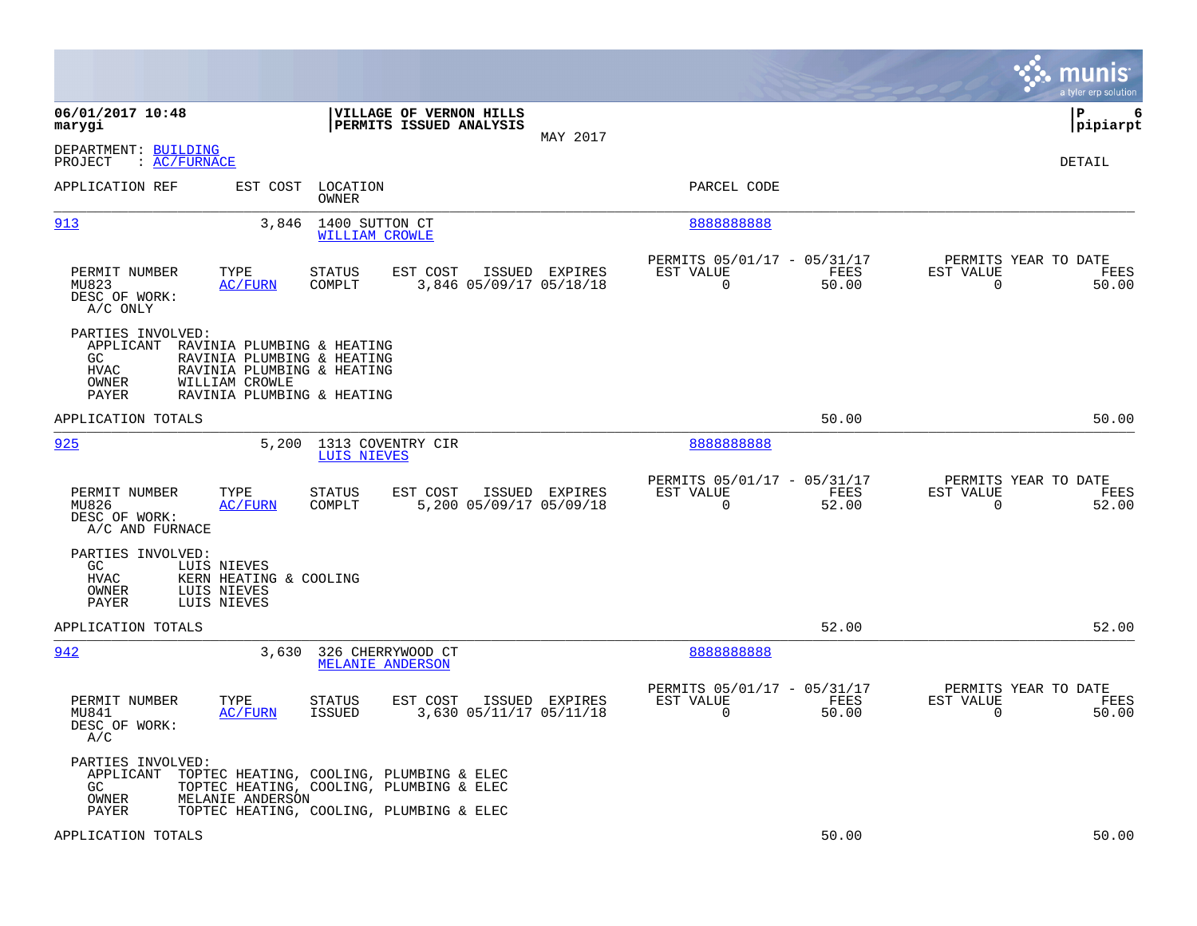|                                                                                                                          |                                                                                                                                  |                                                                          | munis<br>a tyler erp solution                                     |
|--------------------------------------------------------------------------------------------------------------------------|----------------------------------------------------------------------------------------------------------------------------------|--------------------------------------------------------------------------|-------------------------------------------------------------------|
| 06/01/2017 10:48<br>marygi                                                                                               | VILLAGE OF VERNON HILLS<br>PERMITS ISSUED ANALYSIS<br>MAY 2017                                                                   |                                                                          | lР<br>6<br> pipiarpt                                              |
| DEPARTMENT: BUILDING<br>PROJECT<br>$\colon$ AC/FURNACE                                                                   |                                                                                                                                  |                                                                          | DETAIL                                                            |
| APPLICATION REF                                                                                                          | EST COST<br>LOCATION<br>OWNER                                                                                                    | PARCEL CODE                                                              |                                                                   |
| 913                                                                                                                      | 3,846<br>1400 SUTTON CT<br>WILLIAM CROWLE                                                                                        | 888888888                                                                |                                                                   |
| TYPE<br>PERMIT NUMBER<br>MU823<br><b>AC/FURN</b><br>DESC OF WORK:<br>A/C ONLY                                            | EST COST<br>STATUS<br>ISSUED EXPIRES<br>COMPLT<br>3,846 05/09/17 05/18/18                                                        | PERMITS 05/01/17 - 05/31/17<br>EST VALUE<br>FEES<br>$\mathbf 0$<br>50.00 | PERMITS YEAR TO DATE<br>EST VALUE<br>FEES<br>50.00<br>0           |
| PARTIES INVOLVED:<br>APPLICANT<br>GC<br><b>HVAC</b><br>WILLIAM CROWLE<br>OWNER<br>PAYER                                  | RAVINIA PLUMBING & HEATING<br>RAVINIA PLUMBING & HEATING<br>RAVINIA PLUMBING & HEATING<br>RAVINIA PLUMBING & HEATING             |                                                                          |                                                                   |
| APPLICATION TOTALS                                                                                                       |                                                                                                                                  | 50.00                                                                    | 50.00                                                             |
| <u>925</u>                                                                                                               | 5,200 1313 COVENTRY CIR<br><b>LUIS NIEVES</b>                                                                                    | 8888888888                                                               |                                                                   |
| PERMIT NUMBER<br>TYPE<br>MU826<br><b>AC/FURN</b><br>DESC OF WORK:<br>A/C AND FURNACE                                     | EST COST<br>STATUS<br>ISSUED EXPIRES<br>COMPLT<br>5,200 05/09/17 05/09/18                                                        | PERMITS 05/01/17 - 05/31/17<br>EST VALUE<br>FEES<br>$\mathbf 0$<br>52.00 | PERMITS YEAR TO DATE<br>EST VALUE<br>FEES<br>52.00<br>$\mathbf 0$ |
| PARTIES INVOLVED:<br>GC<br>LUIS NIEVES<br>HVAC<br>KERN HEATING & COOLING<br>OWNER<br>LUIS NIEVES<br>LUIS NIEVES<br>PAYER |                                                                                                                                  |                                                                          |                                                                   |
| APPLICATION TOTALS                                                                                                       |                                                                                                                                  | 52.00                                                                    | 52.00                                                             |
| 942                                                                                                                      | 326 CHERRYWOOD CT<br>3,630<br><b>MELANIE ANDERSON</b>                                                                            | 888888888                                                                |                                                                   |
| PERMIT NUMBER<br>TYPE<br>MU841<br>AC/FURN<br>DESC OF WORK:<br>A/C                                                        | STATUS<br>EST COST<br>ISSUED EXPIRES<br><b>ISSUED</b><br>3,630 05/11/17 05/11/18                                                 | PERMITS 05/01/17 - 05/31/17<br>EST VALUE<br>FEES<br>$\mathbf 0$<br>50.00 | PERMITS YEAR TO DATE<br>EST VALUE<br>FEES<br>$\mathbf 0$<br>50.00 |
| PARTIES INVOLVED:<br>APPLICANT<br>GC<br>OWNER<br>MELANIE ANDERSON<br>PAYER                                               | TOPTEC HEATING, COOLING, PLUMBING & ELEC<br>TOPTEC HEATING, COOLING, PLUMBING & ELEC<br>TOPTEC HEATING, COOLING, PLUMBING & ELEC |                                                                          |                                                                   |
| APPLICATION TOTALS                                                                                                       |                                                                                                                                  | 50.00                                                                    | 50.00                                                             |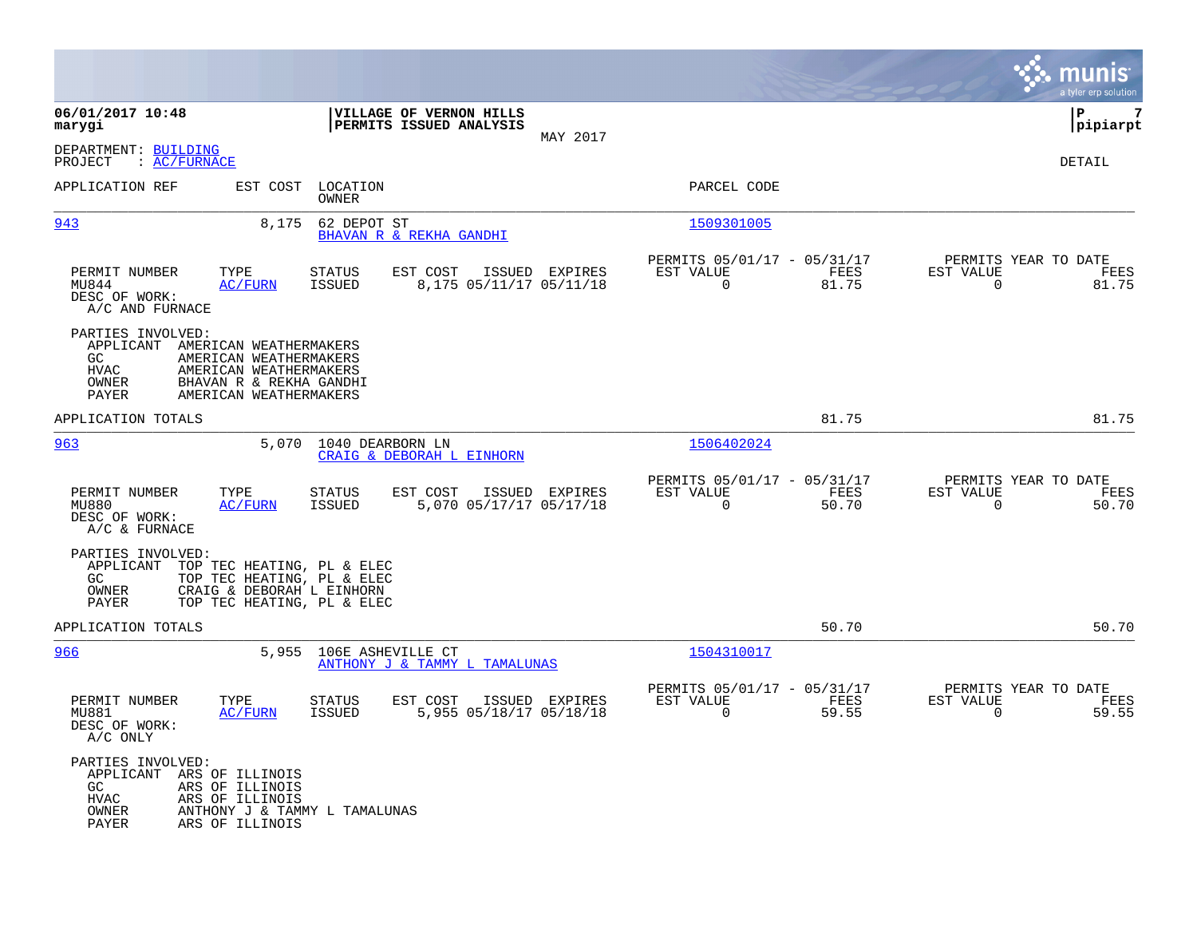|                                                                                                                                                                                                       |                                                                                 |                |                                                         |               | munis<br>a tyler erp solution                       |               |
|-------------------------------------------------------------------------------------------------------------------------------------------------------------------------------------------------------|---------------------------------------------------------------------------------|----------------|---------------------------------------------------------|---------------|-----------------------------------------------------|---------------|
| 06/01/2017 10:48<br>marygi                                                                                                                                                                            | VILLAGE OF VERNON HILLS<br>PERMITS ISSUED ANALYSIS                              | MAY 2017       |                                                         |               | ΙP<br> pipiarpt                                     | 7             |
| DEPARTMENT: BUILDING<br>: AC/FURNACE<br>PROJECT                                                                                                                                                       |                                                                                 |                |                                                         |               | DETAIL                                              |               |
| APPLICATION REF<br>EST COST                                                                                                                                                                           | LOCATION<br>OWNER                                                               |                | PARCEL CODE                                             |               |                                                     |               |
| 943<br>8,175                                                                                                                                                                                          | 62 DEPOT ST<br>BHAVAN R & REKHA GANDHI                                          |                | 1509301005                                              |               |                                                     |               |
| PERMIT NUMBER<br>TYPE<br>MU844<br><b>AC/FURN</b><br>DESC OF WORK:<br>A/C AND FURNACE                                                                                                                  | <b>STATUS</b><br>EST COST<br>8,175 05/11/17 05/11/18<br><b>ISSUED</b>           | ISSUED EXPIRES | PERMITS 05/01/17 - 05/31/17<br>EST VALUE<br>$\mathbf 0$ | FEES<br>81.75 | PERMITS YEAR TO DATE<br>EST VALUE<br>$\mathbf 0$    | FEES<br>81.75 |
| PARTIES INVOLVED:<br>APPLICANT AMERICAN WEATHERMAKERS<br>GC<br>AMERICAN WEATHERMAKERS<br><b>HVAC</b><br>AMERICAN WEATHERMAKERS<br>OWNER<br>BHAVAN R & REKHA GANDHI<br>PAYER<br>AMERICAN WEATHERMAKERS |                                                                                 |                |                                                         |               |                                                     |               |
| APPLICATION TOTALS                                                                                                                                                                                    |                                                                                 |                |                                                         | 81.75         |                                                     | 81.75         |
| <u>963</u><br>5,070                                                                                                                                                                                   | 1040 DEARBORN LN<br>CRAIG & DEBORAH L EINHORN                                   |                | 1506402024                                              |               |                                                     |               |
| PERMIT NUMBER<br>TYPE<br>MU880<br><b>AC/FURN</b><br>DESC OF WORK:<br>A/C & FURNACE                                                                                                                    | EST COST<br>ISSUED<br><b>STATUS</b><br><b>ISSUED</b><br>5,070 05/17/17 05/17/18 | EXPIRES        | PERMITS 05/01/17 - 05/31/17<br>EST VALUE<br>$\Omega$    | FEES<br>50.70 | PERMITS YEAR TO DATE<br>EST VALUE<br>$\Omega$       | FEES<br>50.70 |
| PARTIES INVOLVED:<br>APPLICANT<br>TOP TEC HEATING, PL & ELEC<br>GC.<br>TOP TEC HEATING, PL & ELEC<br>OWNER<br>CRAIG & DEBORAH L EINHORN<br>PAYER<br>TOP TEC HEATING, PL & ELEC                        |                                                                                 |                |                                                         |               |                                                     |               |
| APPLICATION TOTALS                                                                                                                                                                                    |                                                                                 |                |                                                         | 50.70         |                                                     | 50.70         |
| 966<br>5,955                                                                                                                                                                                          | 106E ASHEVILLE CT<br>ANTHONY J & TAMMY L TAMALUNAS                              |                | 1504310017                                              |               |                                                     |               |
| PERMIT NUMBER<br>TYPE<br>MU881<br>AC/FURN<br>DESC OF WORK:<br>A/C ONLY                                                                                                                                | EST COST<br>STATUS<br><b>ISSUED</b><br>5,955 05/18/17 05/18/18                  | ISSUED EXPIRES | PERMITS 05/01/17 - 05/31/17<br>EST VALUE<br>$\mathbf 0$ | FEES<br>59.55 | PERMITS YEAR TO DATE<br>EST VALUE<br>$\overline{0}$ | FEES<br>59.55 |
| PARTIES INVOLVED:<br>APPLICANT<br>ARS OF ILLINOIS<br>ARS OF ILLINOIS<br>GC.<br>HVAC<br>ARS OF ILLINOIS<br>OWNER<br>ARS OF ILLINOIS<br>PAYER                                                           | ANTHONY J & TAMMY L TAMALUNAS                                                   |                |                                                         |               |                                                     |               |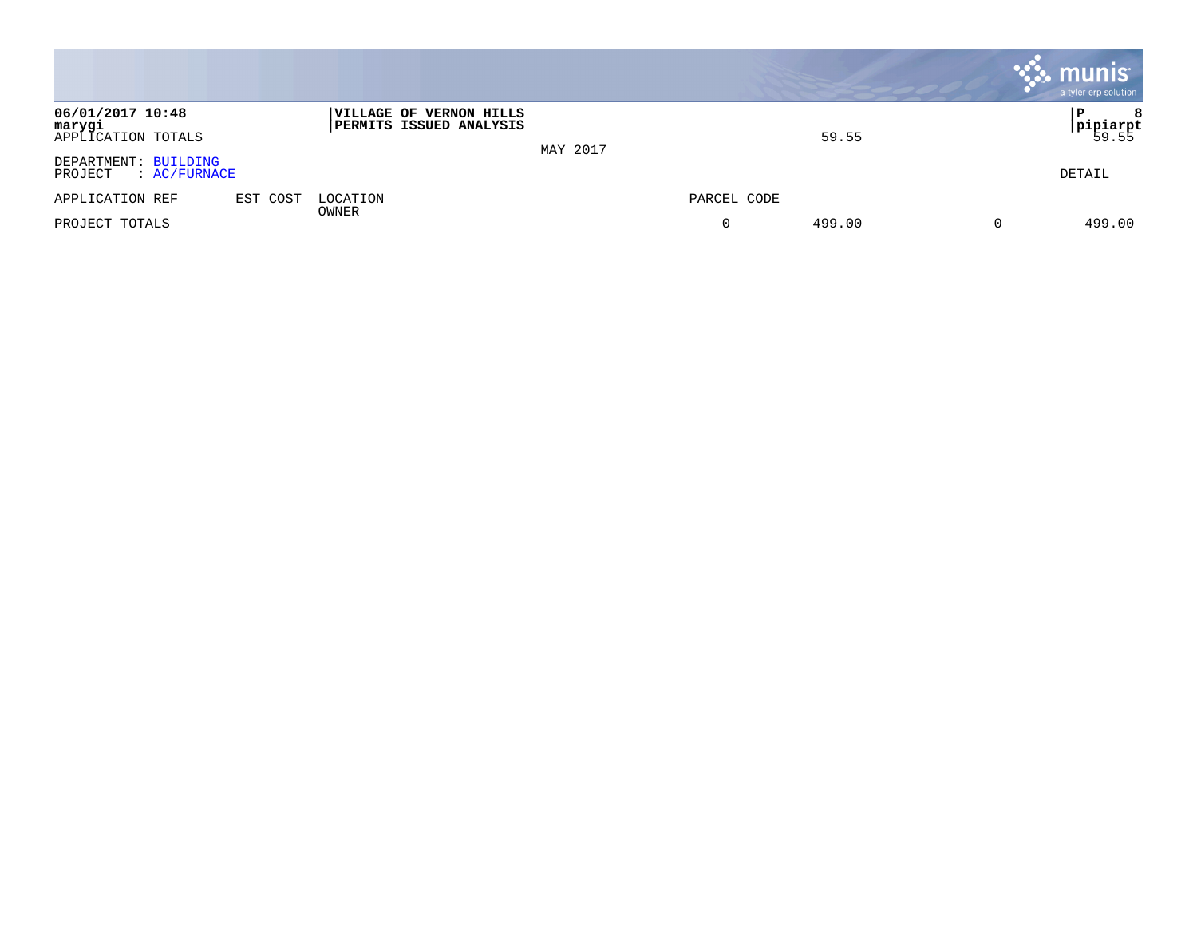|                                                        |          |                                                                  |          |             |        | $\mathbf{\ddot{\cdot}}$ munis<br>a tyler erp solution |
|--------------------------------------------------------|----------|------------------------------------------------------------------|----------|-------------|--------|-------------------------------------------------------|
| 06/01/2017 10:48<br>marygi<br>APPLICATION TOTALS       |          | <b>VILLAGE OF VERNON HILLS</b><br><b>PERMITS ISSUED ANALYSIS</b> | MAY 2017 |             | 59.55  | 8<br>l P<br> pipiarpt<br>59.55                        |
| DEPARTMENT: BUILDING<br>$\colon$ AC/FURNACE<br>PROJECT |          |                                                                  |          |             |        | DETAIL                                                |
| APPLICATION REF                                        | EST COST | LOCATION<br>OWNER                                                |          | PARCEL CODE |        |                                                       |
| PROJECT TOTALS                                         |          |                                                                  |          |             | 499.00 | 499.00                                                |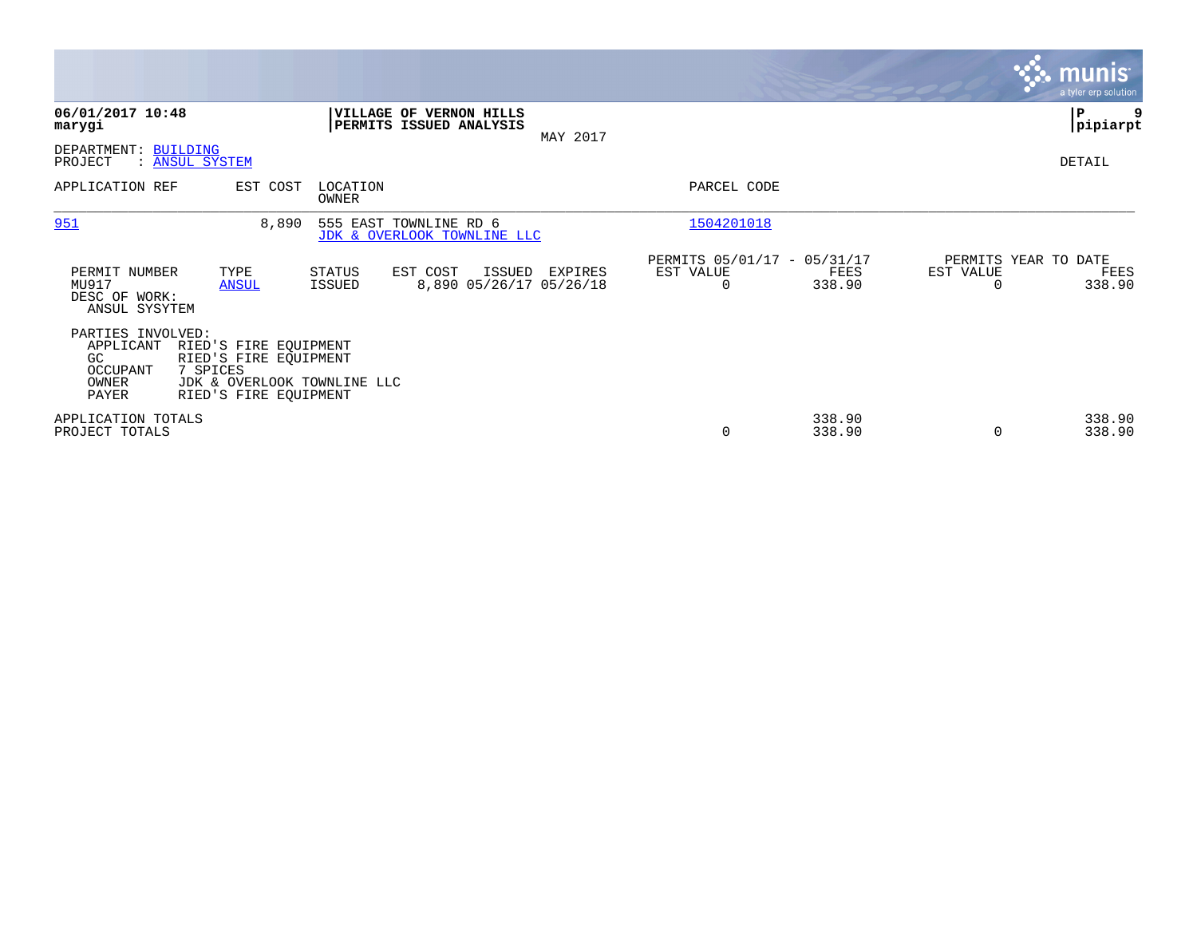|                                                                     |                                                                                                                    |                   |                                                       |          |                                               |                  |                                        | <b>munis</b><br>a tyler erp solution |
|---------------------------------------------------------------------|--------------------------------------------------------------------------------------------------------------------|-------------------|-------------------------------------------------------|----------|-----------------------------------------------|------------------|----------------------------------------|--------------------------------------|
| 06/01/2017 10:48<br>marygi                                          |                                                                                                                    |                   | VILLAGE OF VERNON HILLS<br>PERMITS ISSUED ANALYSIS    | MAY 2017 |                                               |                  |                                        | P<br> pipiarpt                       |
| DEPARTMENT: BUILDING<br>PROJECT                                     | : ANSUL SYSTEM                                                                                                     |                   |                                                       |          |                                               |                  |                                        | DETAIL                               |
| APPLICATION REF                                                     | EST COST                                                                                                           | LOCATION<br>OWNER |                                                       |          | PARCEL CODE                                   |                  |                                        |                                      |
| 951                                                                 | 8,890                                                                                                              |                   | 555 EAST TOWNLINE RD 6<br>JDK & OVERLOOK TOWNLINE LLC |          | 1504201018                                    |                  |                                        |                                      |
| PERMIT NUMBER<br>MU917<br>DESC OF WORK:<br>ANSUL SYSYTEM            | TYPE<br><b>ANSUL</b>                                                                                               | STATUS<br>ISSUED  | EST COST<br>ISSUED<br>8,890 05/26/17 05/26/18         | EXPIRES  | PERMITS 05/01/17 - 05/31/17<br>EST VALUE<br>0 | FEES<br>338.90   | PERMITS YEAR TO DATE<br>EST VALUE<br>0 | FEES<br>338.90                       |
| PARTIES INVOLVED:<br>APPLICANT<br>GC.<br>OCCUPANT<br>OWNER<br>PAYER | RIED'S FIRE EQUIPMENT<br>RIED'S FIRE EQUIPMENT<br>7 SPICES<br>JDK & OVERLOOK TOWNLINE LLC<br>RIED'S FIRE EQUIPMENT |                   |                                                       |          |                                               |                  |                                        |                                      |
| APPLICATION TOTALS<br>PROJECT TOTALS                                |                                                                                                                    |                   |                                                       |          | 0                                             | 338.90<br>338.90 | 0                                      | 338.90<br>338.90                     |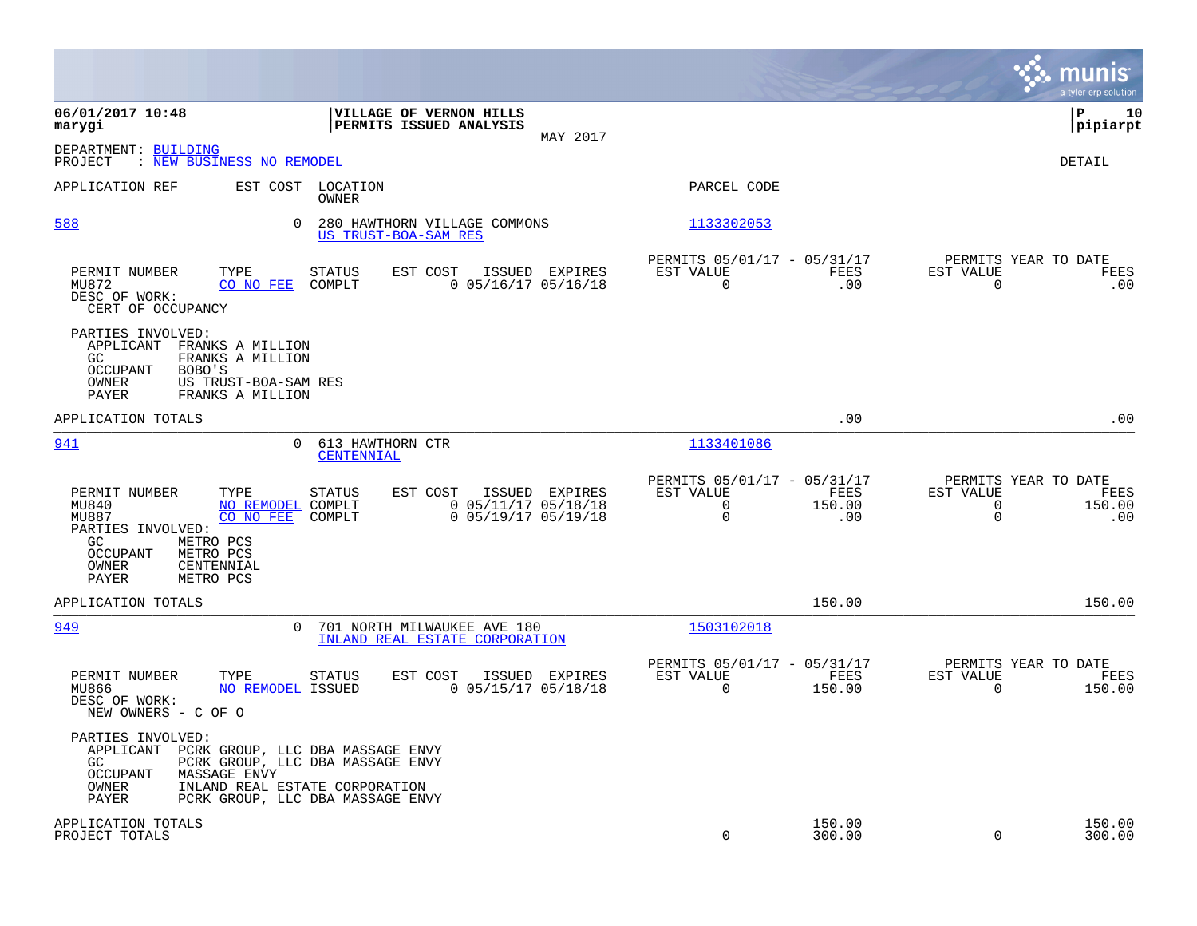|                                                                                                                                                                                                                                                |                                                                      |                                                                  |                       |                                                           | mu<br>a tyler erp solution   |
|------------------------------------------------------------------------------------------------------------------------------------------------------------------------------------------------------------------------------------------------|----------------------------------------------------------------------|------------------------------------------------------------------|-----------------------|-----------------------------------------------------------|------------------------------|
| 06/01/2017 10:48<br>VILLAGE OF VERNON HILLS<br>PERMITS ISSUED ANALYSIS<br>marygi                                                                                                                                                               | MAY 2017                                                             |                                                                  |                       |                                                           | l P<br>10<br> pipiarpt       |
| DEPARTMENT: BUILDING<br>: NEW BUSINESS NO REMODEL<br>PROJECT                                                                                                                                                                                   |                                                                      |                                                                  |                       |                                                           | DETAIL                       |
| EST COST LOCATION<br>APPLICATION REF<br>OWNER                                                                                                                                                                                                  |                                                                      | PARCEL CODE                                                      |                       |                                                           |                              |
| 588<br>$\Omega$<br>280 HAWTHORN VILLAGE COMMONS<br>US TRUST-BOA-SAM RES                                                                                                                                                                        |                                                                      | 1133302053                                                       |                       |                                                           |                              |
| PERMIT NUMBER<br>TYPE<br>EST COST<br>STATUS<br>MU872<br>CO NO FEE<br>COMPLT<br>DESC OF WORK:<br>CERT OF OCCUPANCY                                                                                                                              | ISSUED EXPIRES<br>$0$ 05/16/17 05/16/18                              | PERMITS 05/01/17 - 05/31/17<br>EST VALUE<br>$\mathbf 0$          | FEES<br>.00           | PERMITS YEAR TO DATE<br>EST VALUE<br>$\mathbf 0$          | FEES<br>.00                  |
| PARTIES INVOLVED:<br>APPLICANT<br>FRANKS A MILLION<br>GC<br>FRANKS A MILLION<br><b>OCCUPANT</b><br>BOBO'S<br>US TRUST-BOA-SAM RES<br>OWNER<br>PAYER<br>FRANKS A MILLION                                                                        |                                                                      |                                                                  |                       |                                                           |                              |
| APPLICATION TOTALS                                                                                                                                                                                                                             |                                                                      |                                                                  | .00                   |                                                           | .00                          |
| 941<br>$\Omega$<br>613 HAWTHORN CTR<br>CENTENNIAL                                                                                                                                                                                              |                                                                      | 1133401086                                                       |                       |                                                           |                              |
| PERMIT NUMBER<br>TYPE<br><b>STATUS</b><br>EST COST<br>MU840<br>NO REMODEL COMPLT<br>MU887<br>CO NO FEE<br>COMPLT<br>PARTIES INVOLVED:<br>METRO PCS<br>GC.<br><b>OCCUPANT</b><br>METRO PCS<br>CENTENNIAL<br>OWNER<br>PAYER<br>METRO PCS         | ISSUED EXPIRES<br>$0$ $05/11/17$ $05/18/18$<br>$0$ 05/19/17 05/19/18 | PERMITS 05/01/17 - 05/31/17<br>EST VALUE<br>$\Omega$<br>$\Omega$ | FEES<br>150.00<br>.00 | PERMITS YEAR TO DATE<br>EST VALUE<br>$\Omega$<br>$\Omega$ | <b>FEES</b><br>150.00<br>.00 |
| APPLICATION TOTALS                                                                                                                                                                                                                             |                                                                      |                                                                  | 150.00                |                                                           | 150.00                       |
| 949<br>$\Omega$<br>701 NORTH MILWAUKEE AVE 180<br>INLAND REAL ESTATE CORPORATION                                                                                                                                                               |                                                                      | 1503102018                                                       |                       |                                                           |                              |
| PERMIT NUMBER<br>TYPE<br><b>STATUS</b><br>EST COST<br>MU866<br>NO REMODEL ISSUED<br>DESC OF WORK:<br>NEW OWNERS - C OF O                                                                                                                       | ISSUED EXPIRES<br>$0$ 05/15/17 05/18/18                              | PERMITS 05/01/17 - 05/31/17<br>EST VALUE<br>$\Omega$             | FEES<br>150.00        | PERMITS YEAR TO DATE<br>EST VALUE<br>$\Omega$             | FEES<br>150.00               |
| PARTIES INVOLVED:<br>APPLICANT<br>PCRK GROUP, LLC DBA MASSAGE ENVY<br>PCRK GROUP, LLC DBA MASSAGE ENVY<br>GC<br><b>OCCUPANT</b><br><b>MASSAGE ENVY</b><br>OWNER<br>INLAND REAL ESTATE CORPORATION<br>PAYER<br>PCRK GROUP, LLC DBA MASSAGE ENVY |                                                                      |                                                                  |                       |                                                           |                              |
| APPLICATION TOTALS<br>PROJECT TOTALS                                                                                                                                                                                                           |                                                                      | $\mathbf 0$                                                      | 150.00<br>300.00      | $\mathbf 0$                                               | 150.00<br>300.00             |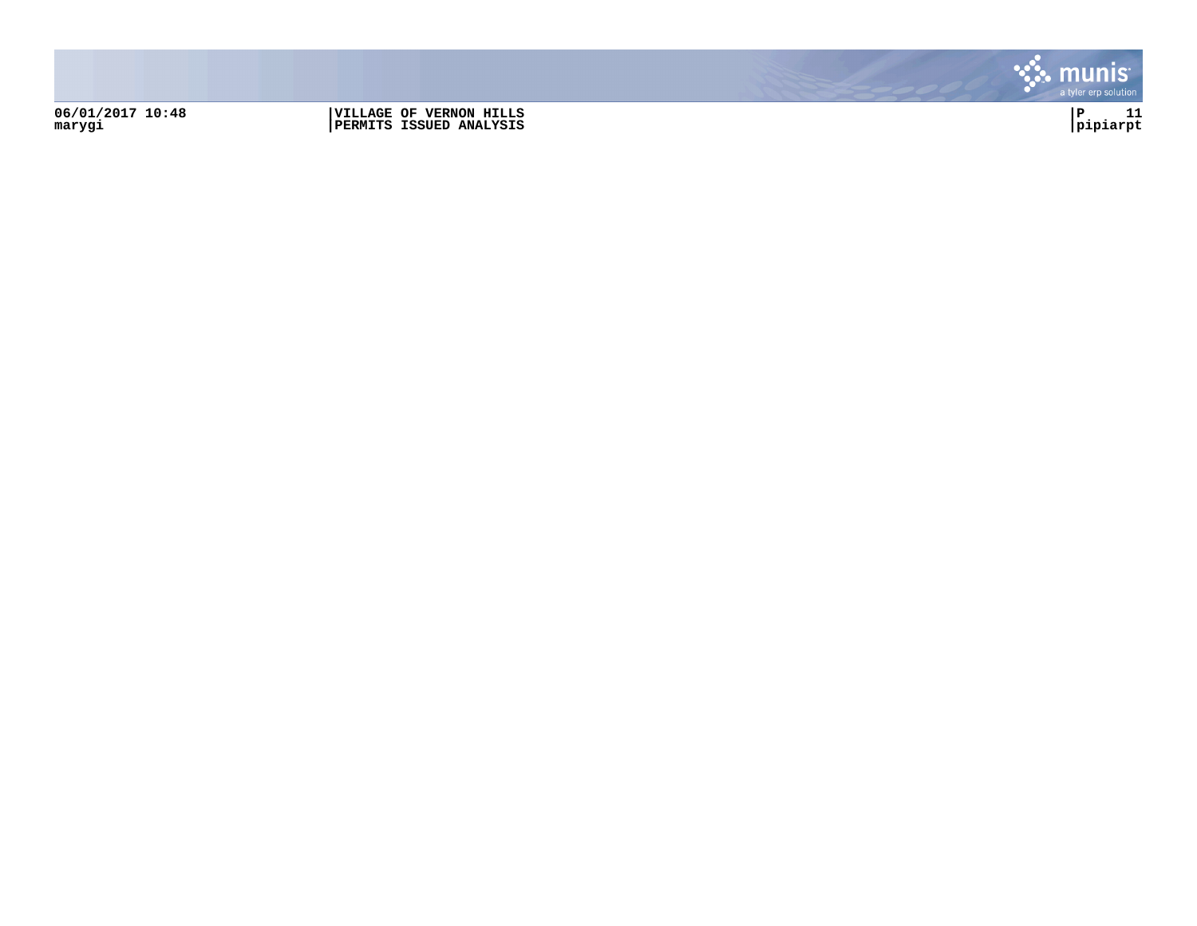**06/01/2017 10:48 |VILLAGE OF VERNON HILLS |P 11 marygi |PERMITS ISSUED ANALYSIS |pipiarpt**

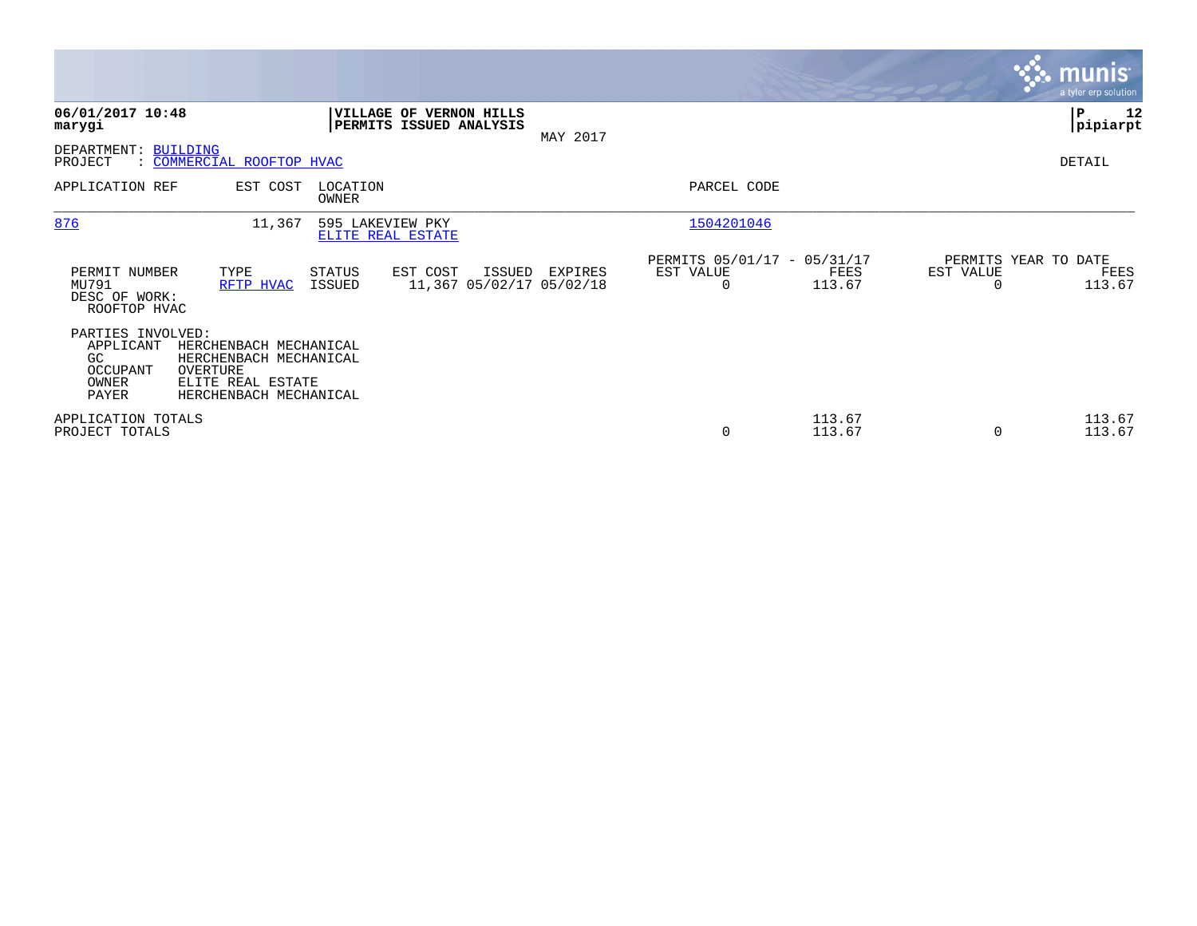|                                                                     |                                                                                                             |                                       |                                                    |          |                                               |                  |                                   | <b>munis</b><br>a tyler erp solution |
|---------------------------------------------------------------------|-------------------------------------------------------------------------------------------------------------|---------------------------------------|----------------------------------------------------|----------|-----------------------------------------------|------------------|-----------------------------------|--------------------------------------|
| 06/01/2017 10:48<br>marygi                                          |                                                                                                             |                                       | VILLAGE OF VERNON HILLS<br>PERMITS ISSUED ANALYSIS | MAY 2017 |                                               |                  |                                   | 12<br>∣₽<br> pipiarpt                |
| DEPARTMENT:<br>PROJECT                                              | BUILDING<br>: COMMERCIAL ROOFTOP HVAC                                                                       |                                       |                                                    |          |                                               |                  |                                   | DETAIL                               |
| APPLICATION REF                                                     | EST COST                                                                                                    | LOCATION<br>OWNER                     |                                                    |          | PARCEL CODE                                   |                  |                                   |                                      |
| 876                                                                 | 11,367                                                                                                      | 595 LAKEVIEW PKY<br>ELITE REAL ESTATE |                                                    |          | 1504201046                                    |                  |                                   |                                      |
| PERMIT NUMBER<br>MU791<br>DESC OF WORK:<br>ROOFTOP HVAC             | TYPE<br>RFTP HVAC                                                                                           | STATUS<br>ISSUED                      | EST COST<br>ISSUED<br>11,367 05/02/17 05/02/18     | EXPIRES  | PERMITS 05/01/17 - 05/31/17<br>EST VALUE<br>0 | FEES<br>113.67   | PERMITS YEAR TO DATE<br>EST VALUE | FEES<br>113.67                       |
| PARTIES INVOLVED:<br>APPLICANT<br>GC.<br>OCCUPANT<br>OWNER<br>PAYER | HERCHENBACH MECHANICAL<br>HERCHENBACH MECHANICAL<br>OVERTURE<br>ELITE REAL ESTATE<br>HERCHENBACH MECHANICAL |                                       |                                                    |          |                                               |                  |                                   |                                      |
| APPLICATION TOTALS<br>PROJECT TOTALS                                |                                                                                                             |                                       |                                                    |          | 0                                             | 113.67<br>113.67 | $\Omega$                          | 113.67<br>113.67                     |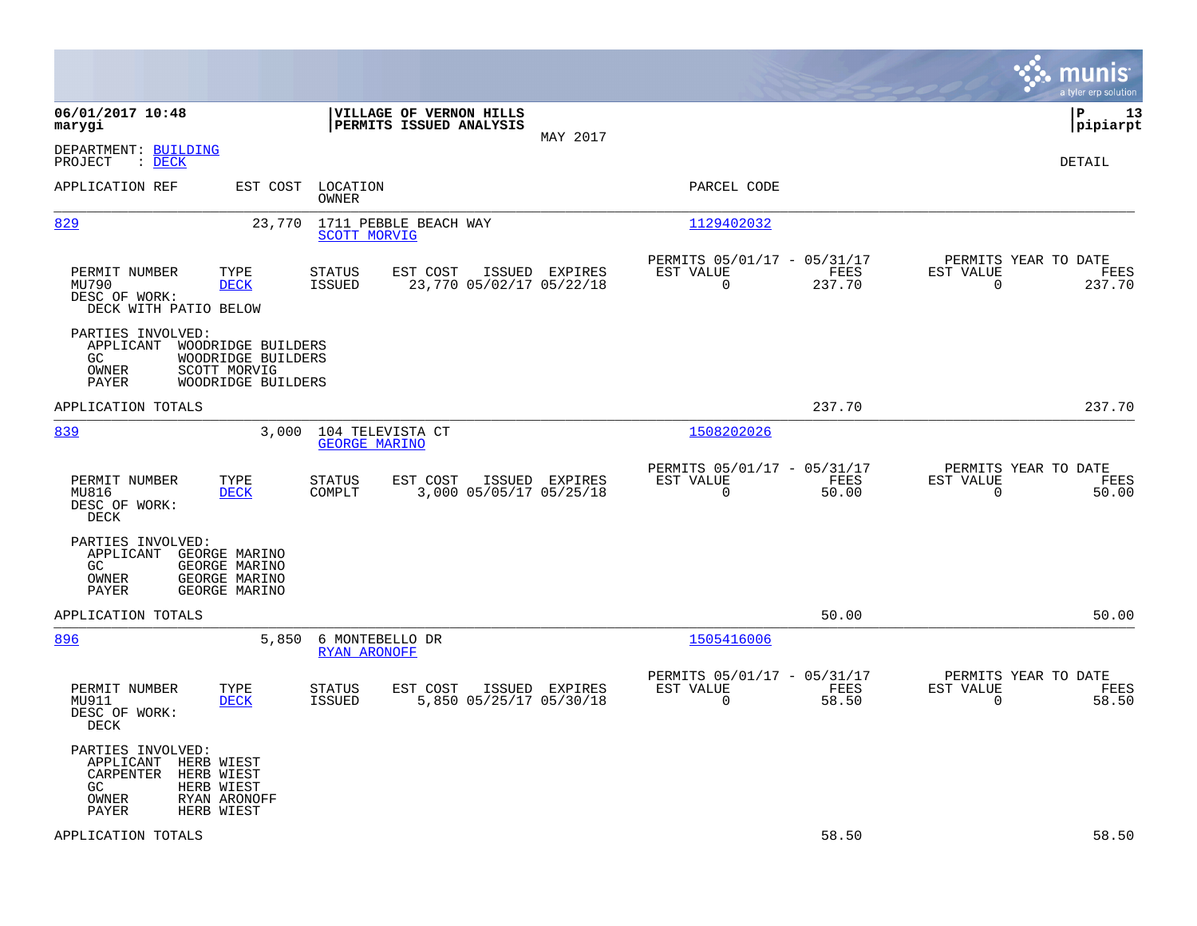|                                                                                                                                              |                                                                 |                |                                                                           | munis<br>a tyler erp solution                                      |
|----------------------------------------------------------------------------------------------------------------------------------------------|-----------------------------------------------------------------|----------------|---------------------------------------------------------------------------|--------------------------------------------------------------------|
| 06/01/2017 10:48<br>marygi                                                                                                                   | VILLAGE OF VERNON HILLS<br>PERMITS ISSUED ANALYSIS              | MAY 2017       |                                                                           | lР<br>13<br> pipiarpt                                              |
| DEPARTMENT: BUILDING<br>PROJECT<br>$\therefore$ DECK                                                                                         |                                                                 |                |                                                                           | DETAIL                                                             |
| APPLICATION REF<br>EST COST                                                                                                                  | LOCATION<br>OWNER                                               |                | PARCEL CODE                                                               |                                                                    |
| 829<br>23,770                                                                                                                                | 1711 PEBBLE BEACH WAY<br><b>SCOTT MORVIG</b>                    |                | 1129402032                                                                |                                                                    |
| PERMIT NUMBER<br>TYPE<br>MU790<br><b>DECK</b><br>DESC OF WORK:<br>DECK WITH PATIO BELOW                                                      | STATUS<br>EST COST<br>23,770 05/02/17 05/22/18<br><b>ISSUED</b> | ISSUED EXPIRES | PERMITS 05/01/17 - 05/31/17<br>EST VALUE<br>FEES<br>$\mathbf 0$<br>237.70 | PERMITS YEAR TO DATE<br>EST VALUE<br>FEES<br>$\mathbf 0$<br>237.70 |
| PARTIES INVOLVED:<br>APPLICANT<br>WOODRIDGE BUILDERS<br>GC.<br>WOODRIDGE BUILDERS<br>OWNER<br>SCOTT MORVIG<br>WOODRIDGE BUILDERS<br>PAYER    |                                                                 |                |                                                                           |                                                                    |
| APPLICATION TOTALS                                                                                                                           |                                                                 |                | 237.70                                                                    | 237.70                                                             |
| 839<br>3,000                                                                                                                                 | 104 TELEVISTA CT<br><b>GEORGE MARINO</b>                        |                | 1508202026                                                                |                                                                    |
| PERMIT NUMBER<br>TYPE<br>MU816<br><b>DECK</b><br>DESC OF WORK:<br>DECK                                                                       | STATUS<br>EST COST<br>COMPLT<br>3,000 05/05/17 05/25/18         | ISSUED EXPIRES | PERMITS 05/01/17 - 05/31/17<br>EST VALUE<br>FEES<br>$\mathbf 0$<br>50.00  | PERMITS YEAR TO DATE<br>EST VALUE<br>FEES<br>$\mathbf 0$<br>50.00  |
| PARTIES INVOLVED:<br>APPLICANT<br>GEORGE MARINO<br>GC<br>GEORGE MARINO<br>GEORGE MARINO<br>OWNER<br>PAYER<br>GEORGE MARINO                   |                                                                 |                |                                                                           |                                                                    |
| APPLICATION TOTALS                                                                                                                           |                                                                 |                | 50.00                                                                     | 50.00                                                              |
| 896<br>5,850                                                                                                                                 | 6 MONTEBELLO DR<br><b>RYAN ARONOFF</b>                          |                | 1505416006                                                                |                                                                    |
| TYPE<br>PERMIT NUMBER<br>MU911<br><b>DECK</b><br>DESC OF WORK:<br>DECK                                                                       | STATUS<br>EST COST<br><b>ISSUED</b><br>5,850 05/25/17 05/30/18  | ISSUED EXPIRES | PERMITS 05/01/17 - 05/31/17<br>EST VALUE<br>FEES<br>$\Omega$<br>58.50     | PERMITS YEAR TO DATE<br>EST VALUE<br>FEES<br>$\Omega$<br>58.50     |
| PARTIES INVOLVED:<br>APPLICANT<br>HERB WIEST<br>CARPENTER<br>HERB WIEST<br>GC.<br>HERB WIEST<br>OWNER<br>RYAN ARONOFF<br>PAYER<br>HERB WIEST |                                                                 |                |                                                                           |                                                                    |
| APPLICATION TOTALS                                                                                                                           |                                                                 |                | 58.50                                                                     | 58.50                                                              |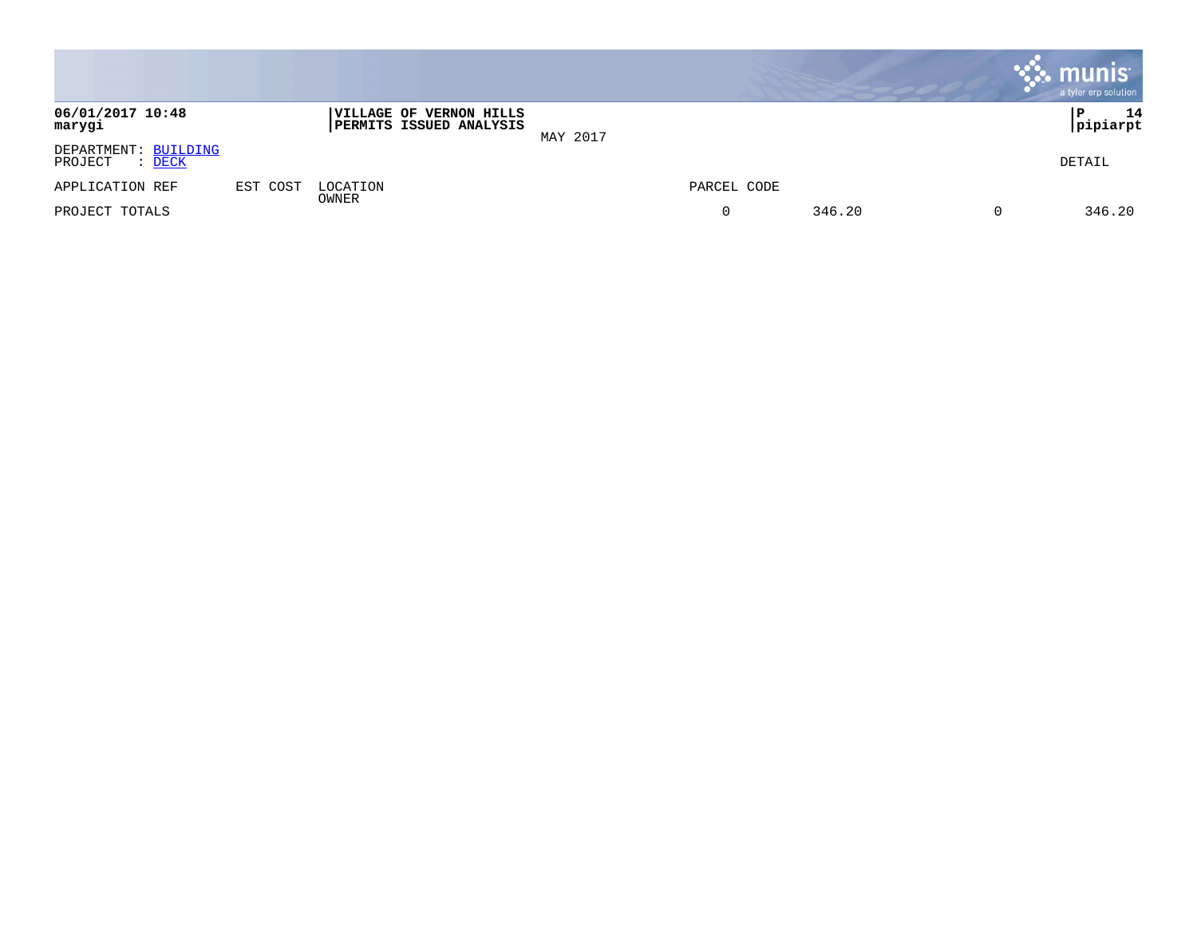|                                                  |          |                                                                  |          |             |        | munis<br>a tyler erp solution |
|--------------------------------------------------|----------|------------------------------------------------------------------|----------|-------------|--------|-------------------------------|
| 06/01/2017 10:48<br>marygi                       |          | <b>VILLAGE OF VERNON HILLS</b><br><b>PERMITS ISSUED ANALYSIS</b> | MAY 2017 |             |        | 14<br>P<br>pipiarpt           |
| DEPARTMENT: BUILDING<br>PROJECT<br>: <u>DECK</u> |          |                                                                  |          |             |        | DETAIL                        |
| APPLICATION REF                                  | EST COST | LOCATION                                                         |          | PARCEL CODE |        |                               |
| PROJECT TOTALS                                   |          | OWNER                                                            |          |             | 346.20 | 346.20                        |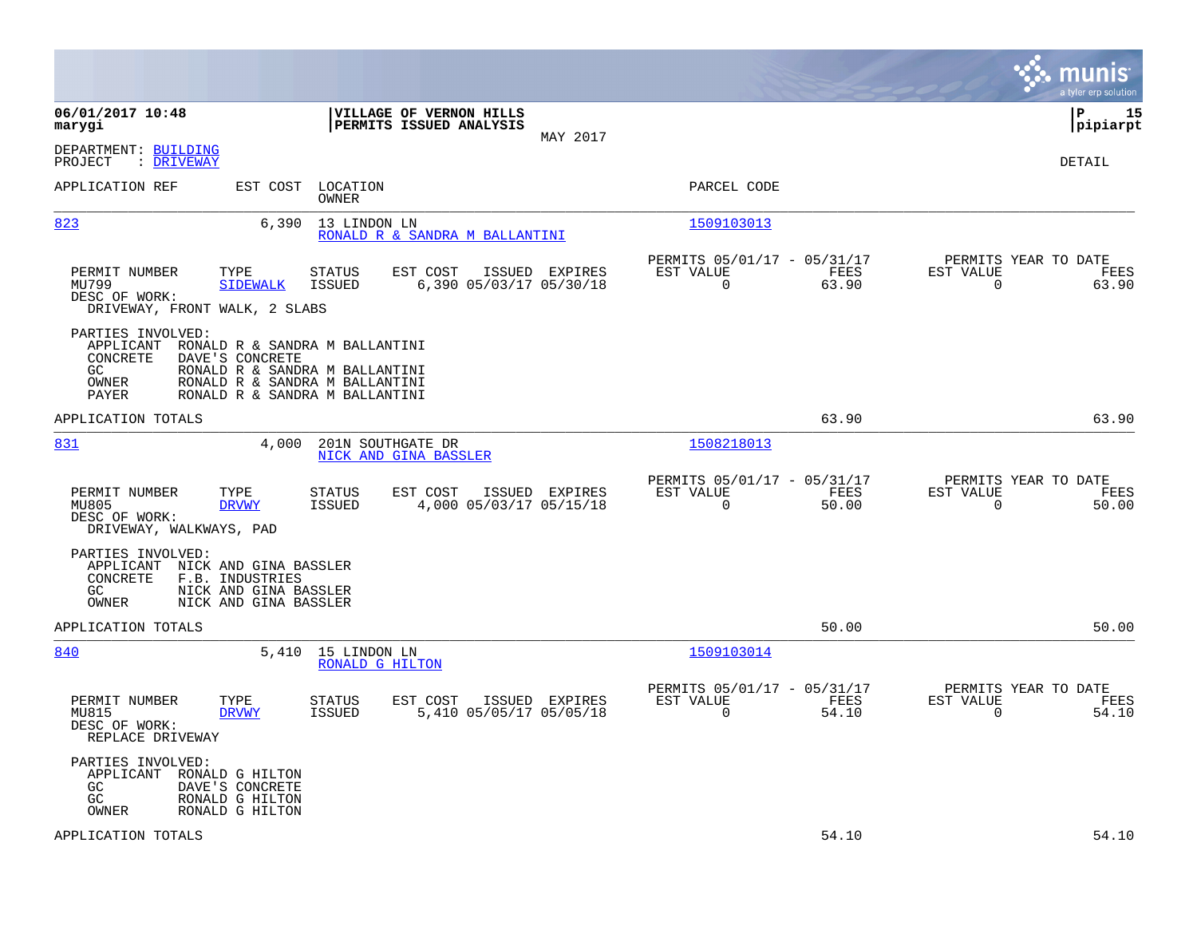|                                                                                                                                                                                                                                |                                                                                  |                                                                             | munis<br>a tyler erp solution                                     |
|--------------------------------------------------------------------------------------------------------------------------------------------------------------------------------------------------------------------------------|----------------------------------------------------------------------------------|-----------------------------------------------------------------------------|-------------------------------------------------------------------|
| 06/01/2017 10:48<br>marygi                                                                                                                                                                                                     | VILLAGE OF VERNON HILLS<br>PERMITS ISSUED ANALYSIS<br>MAY 2017                   |                                                                             | 15<br>l P<br> pipiarpt                                            |
| DEPARTMENT: BUILDING<br>PROJECT<br>: DRIVEWAY                                                                                                                                                                                  |                                                                                  |                                                                             | DETAIL                                                            |
| APPLICATION REF<br>EST COST                                                                                                                                                                                                    | LOCATION<br>OWNER                                                                | PARCEL CODE                                                                 |                                                                   |
| 823<br>6,390                                                                                                                                                                                                                   | 13 LINDON LN<br>RONALD R & SANDRA M BALLANTINI                                   | 1509103013                                                                  |                                                                   |
| TYPE<br>PERMIT NUMBER<br>MU799<br><b>SIDEWALK</b><br>DESC OF WORK:<br>DRIVEWAY, FRONT WALK, 2 SLABS                                                                                                                            | STATUS<br>ISSUED EXPIRES<br>EST COST<br>6,390 05/03/17 05/30/18<br>ISSUED        | PERMITS 05/01/17 - 05/31/17<br>FEES<br>EST VALUE<br>$\overline{0}$<br>63.90 | PERMITS YEAR TO DATE<br>EST VALUE<br>FEES<br>$\mathbf 0$<br>63.90 |
| PARTIES INVOLVED:<br>APPLICANT<br>RONALD R & SANDRA M BALLANTINI<br>CONCRETE<br>DAVE'S CONCRETE<br>GC.<br>RONALD R & SANDRA M BALLANTINI<br>RONALD R & SANDRA M BALLANTINI<br>OWNER<br>PAYER<br>RONALD R & SANDRA M BALLANTINI |                                                                                  |                                                                             |                                                                   |
| APPLICATION TOTALS                                                                                                                                                                                                             |                                                                                  | 63.90                                                                       | 63.90                                                             |
| 831<br>4,000                                                                                                                                                                                                                   | 201N SOUTHGATE DR<br>NICK AND GINA BASSLER                                       | 1508218013                                                                  |                                                                   |
| PERMIT NUMBER<br>TYPE<br>MU805<br><b>DRVWY</b><br>DESC OF WORK:<br>DRIVEWAY, WALKWAYS, PAD                                                                                                                                     | STATUS<br>EST COST<br>ISSUED EXPIRES<br>4,000 05/03/17 05/15/18<br><b>ISSUED</b> | PERMITS 05/01/17 - 05/31/17<br>EST VALUE<br>FEES<br>$\mathbf 0$<br>50.00    | PERMITS YEAR TO DATE<br>EST VALUE<br>FEES<br>0<br>50.00           |
| PARTIES INVOLVED:<br>APPLICANT NICK AND GINA BASSLER<br>CONCRETE<br>F.B. INDUSTRIES<br>NICK AND GINA BASSLER<br>GC.<br>OWNER<br>NICK AND GINA BASSLER                                                                          |                                                                                  |                                                                             |                                                                   |
| APPLICATION TOTALS                                                                                                                                                                                                             |                                                                                  | 50.00                                                                       | 50.00                                                             |
| 840<br>5,410                                                                                                                                                                                                                   | 15 LINDON LN<br>RONALD G HILTON                                                  | 1509103014                                                                  |                                                                   |
| PERMIT NUMBER<br>TYPE<br>MU815<br><b>DRVWY</b><br>DESC OF WORK:<br>REPLACE DRIVEWAY                                                                                                                                            | ISSUED EXPIRES<br>STATUS<br>EST COST<br>5,410 05/05/17 05/05/18<br><b>ISSUED</b> | PERMITS 05/01/17 - 05/31/17<br>EST VALUE<br>FEES<br>$\Omega$<br>54.10       | PERMITS YEAR TO DATE<br>EST VALUE<br>FEES<br>$\mathbf 0$<br>54.10 |
| PARTIES INVOLVED:<br>APPLICANT RONALD G HILTON<br>DAVE'S CONCRETE<br>GC.<br>GC<br>RONALD G HILTON<br>OWNER<br>RONALD G HILTON                                                                                                  |                                                                                  |                                                                             |                                                                   |
| APPLICATION TOTALS                                                                                                                                                                                                             |                                                                                  | 54.10                                                                       | 54.10                                                             |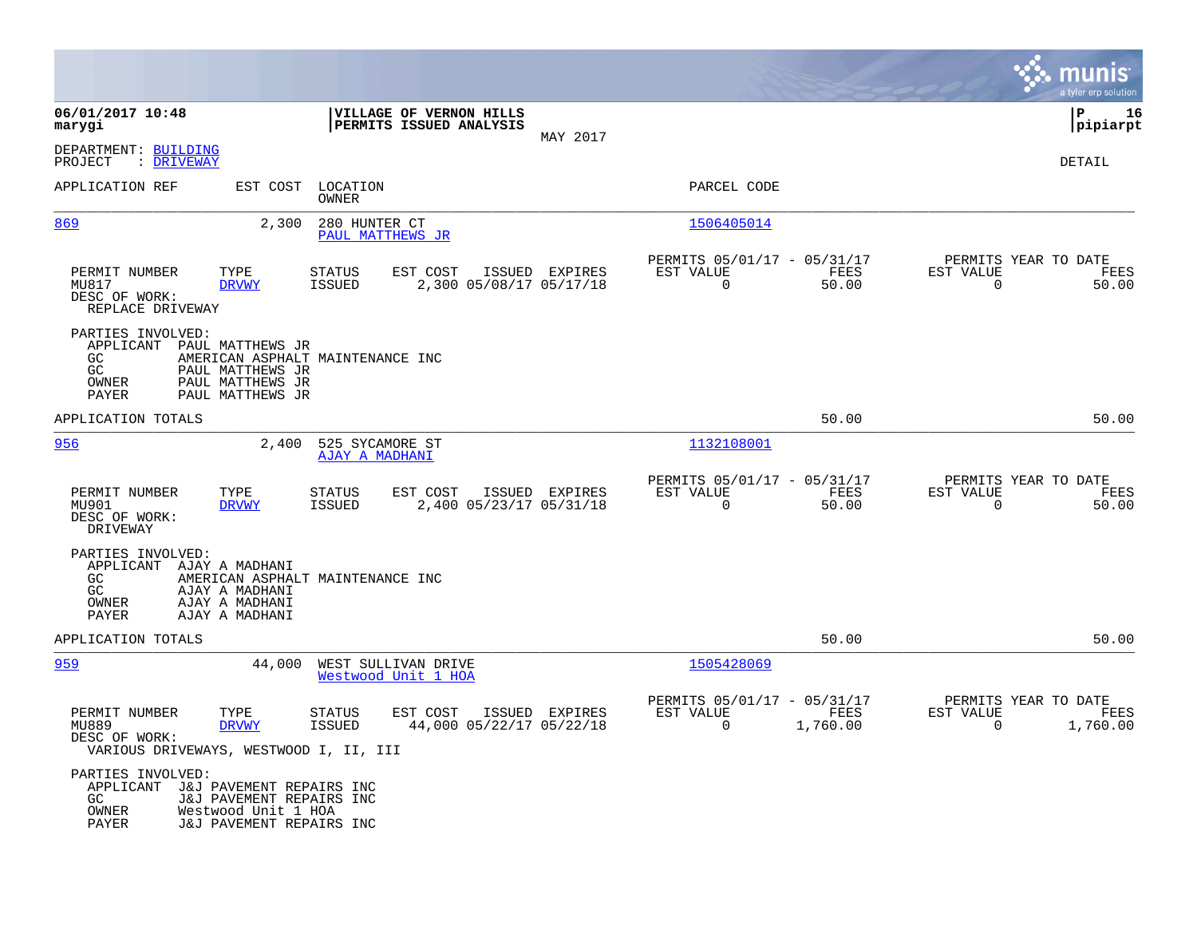|                                                                                   |                                                                                                                  |                                            |                                                    |                |                                                         |                  |                                                     | munis<br>a tyler erp solution |
|-----------------------------------------------------------------------------------|------------------------------------------------------------------------------------------------------------------|--------------------------------------------|----------------------------------------------------|----------------|---------------------------------------------------------|------------------|-----------------------------------------------------|-------------------------------|
| 06/01/2017 10:48<br>marygi                                                        |                                                                                                                  |                                            | VILLAGE OF VERNON HILLS<br>PERMITS ISSUED ANALYSIS | MAY 2017       |                                                         |                  |                                                     | P<br>16<br> pipiarpt          |
| DEPARTMENT: BUILDING<br>PROJECT<br>: DRIVEWAY                                     |                                                                                                                  |                                            |                                                    |                |                                                         |                  |                                                     | DETAIL                        |
| APPLICATION REF                                                                   | EST COST                                                                                                         | LOCATION<br>OWNER                          |                                                    |                | PARCEL CODE                                             |                  |                                                     |                               |
| 869                                                                               | 2,300                                                                                                            | 280 HUNTER CT<br>PAUL MATTHEWS JR          |                                                    |                | 1506405014                                              |                  |                                                     |                               |
| PERMIT NUMBER<br>MU817<br>DESC OF WORK:<br>REPLACE DRIVEWAY                       | TYPE<br><b>DRVWY</b>                                                                                             | <b>STATUS</b><br><b>ISSUED</b>             | EST COST<br>2,300 05/08/17 05/17/18                | ISSUED EXPIRES | PERMITS 05/01/17 - 05/31/17<br>EST VALUE<br>$\mathbf 0$ | FEES<br>50.00    | PERMITS YEAR TO DATE<br>EST VALUE<br>$\overline{0}$ | FEES<br>50.00                 |
| PARTIES INVOLVED:<br>APPLICANT<br>GC.<br>GC<br>OWNER<br>PAYER                     | PAUL MATTHEWS JR<br>AMERICAN ASPHALT MAINTENANCE INC<br>PAUL MATTHEWS JR<br>PAUL MATTHEWS JR<br>PAUL MATTHEWS JR |                                            |                                                    |                |                                                         |                  |                                                     |                               |
| APPLICATION TOTALS                                                                |                                                                                                                  |                                            |                                                    |                |                                                         | 50.00            |                                                     | 50.00                         |
| 956                                                                               | 2,400                                                                                                            | 525 SYCAMORE ST<br>AJAY A MADHANI          |                                                    |                | 1132108001                                              |                  |                                                     |                               |
| PERMIT NUMBER<br>MU901<br>DESC OF WORK:<br>DRIVEWAY                               | TYPE<br><b>DRVWY</b>                                                                                             | <b>STATUS</b><br><b>ISSUED</b>             | EST COST<br>2,400 05/23/17 05/31/18                | ISSUED EXPIRES | PERMITS 05/01/17 - 05/31/17<br>EST VALUE<br>$\mathbf 0$ | FEES<br>50.00    | PERMITS YEAR TO DATE<br>EST VALUE<br>$\overline{0}$ | FEES<br>50.00                 |
| PARTIES INVOLVED:<br>APPLICANT AJAY A MADHANI<br>GC.<br>GC<br>OWNER<br>PAYER      | AMERICAN ASPHALT MAINTENANCE INC<br>AJAY A MADHANI<br>AJAY A MADHANI<br>AJAY A MADHANI                           |                                            |                                                    |                |                                                         |                  |                                                     |                               |
| APPLICATION TOTALS                                                                |                                                                                                                  |                                            |                                                    |                |                                                         | 50.00            |                                                     | 50.00                         |
| 959                                                                               | 44,000                                                                                                           | WEST SULLIVAN DRIVE<br>Westwood Unit 1 HOA |                                                    |                | 1505428069                                              |                  |                                                     |                               |
| PERMIT NUMBER<br>MU889<br>DESC OF WORK:<br>VARIOUS DRIVEWAYS, WESTWOOD I, II, III | TYPE<br><b>DRVWY</b>                                                                                             | STATUS<br>ISSUED                           | EST COST<br>44,000 05/22/17 05/22/18               | ISSUED EXPIRES | PERMITS 05/01/17 - 05/31/17<br>EST VALUE<br>$\mathbf 0$ | FEES<br>1,760.00 | PERMITS YEAR TO DATE<br>EST VALUE<br>$\overline{0}$ | FEES<br>1,760.00              |
| PARTIES INVOLVED:<br>APPLICANT<br>GC.<br>OWNER<br>PAYER                           | J&J PAVEMENT REPAIRS INC<br>J&J PAVEMENT REPAIRS INC<br>Westwood Unit 1 HOA<br>J&J PAVEMENT REPAIRS INC          |                                            |                                                    |                |                                                         |                  |                                                     |                               |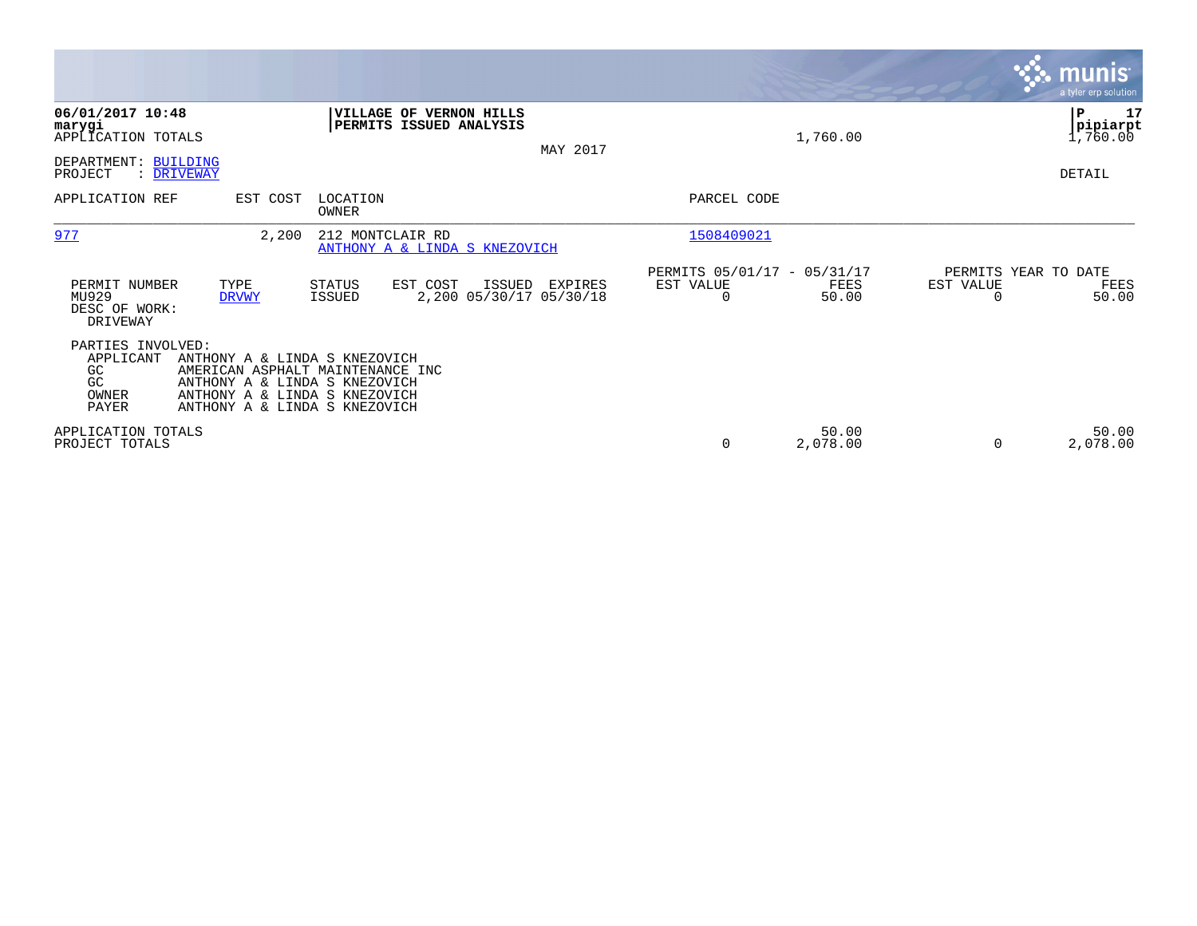|                                                                                     |                                                                                                                                                                      |                         |                                                   |          |                                               |                   |           | munis <sup>.</sup><br>a tyler erp solution |
|-------------------------------------------------------------------------------------|----------------------------------------------------------------------------------------------------------------------------------------------------------------------|-------------------------|---------------------------------------------------|----------|-----------------------------------------------|-------------------|-----------|--------------------------------------------|
| 06/01/2017 10:48<br>marygi<br>APPLICATION TOTALS<br>DEPARTMENT: BUILDING<br>PROJECT | : DRIVEWAY                                                                                                                                                           | VILLAGE OF              | <b>VERNON HILLS</b><br>PERMITS ISSUED ANALYSIS    | MAY 2017 |                                               | 1,760.00          |           | 17<br>P<br>pipiarpt<br>1,760.00<br>DETAIL  |
| APPLICATION REF                                                                     | EST COST                                                                                                                                                             | LOCATION<br>OWNER       |                                                   |          | PARCEL CODE                                   |                   |           |                                            |
| 977                                                                                 | 2,200                                                                                                                                                                |                         | 212 MONTCLAIR RD<br>ANTHONY A & LINDA S KNEZOVICH |          | 1508409021                                    |                   |           |                                            |
| PERMIT NUMBER<br>MU929<br>DESC OF WORK:<br>DRIVEWAY                                 | TYPE<br><b>DRVWY</b>                                                                                                                                                 | <b>STATUS</b><br>ISSUED | EST COST<br>ISSUED<br>2,200 05/30/17 05/30/18     | EXPIRES  | PERMITS 05/01/17 - 05/31/17<br>EST VALUE<br>0 | FEES<br>50.00     | EST VALUE | PERMITS YEAR TO DATE<br>FEES<br>50.00      |
| PARTIES INVOLVED:<br>APPLICANT<br>GC<br>GC<br>OWNER<br><b>PAYER</b>                 | ANTHONY A & LINDA S KNEZOVICH<br>AMERICAN ASPHALT MAINTENANCE INC<br>ANTHONY A & LINDA S KNEZOVICH<br>ANTHONY A & LINDA S KNEZOVICH<br>ANTHONY A & LINDA S KNEZOVICH |                         |                                                   |          |                                               |                   |           |                                            |
| APPLICATION TOTALS<br>PROJECT TOTALS                                                |                                                                                                                                                                      |                         |                                                   |          | 0                                             | 50.00<br>2,078.00 | 0         | 50.00<br>2,078.00                          |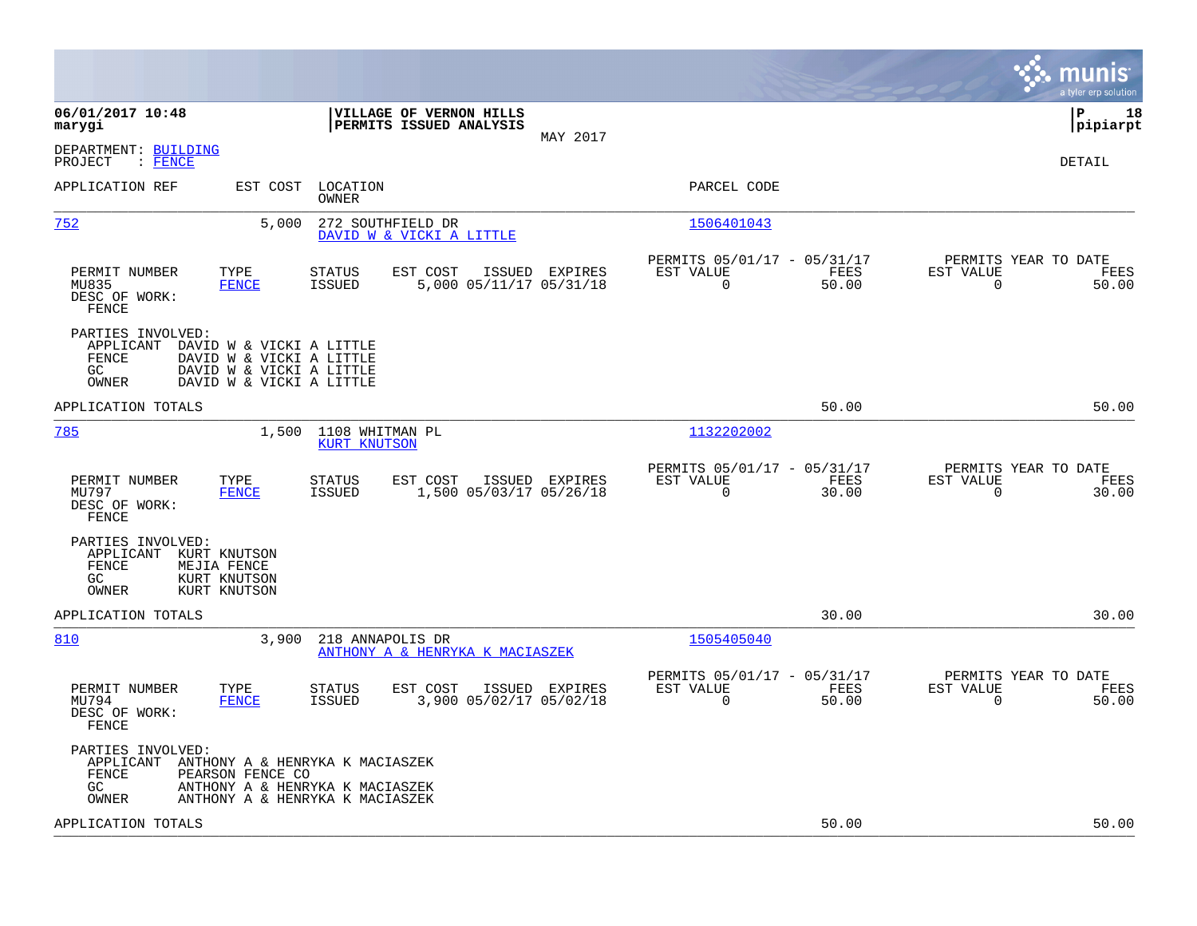|                                                                                                                                                                         |                                                                                                       |                |                                                         |               | munis<br>a tyler erp solution                                     |
|-------------------------------------------------------------------------------------------------------------------------------------------------------------------------|-------------------------------------------------------------------------------------------------------|----------------|---------------------------------------------------------|---------------|-------------------------------------------------------------------|
| 06/01/2017 10:48<br>marygi                                                                                                                                              | VILLAGE OF VERNON HILLS<br>PERMITS ISSUED ANALYSIS                                                    | MAY 2017       |                                                         |               | l P<br>18<br> pipiarpt                                            |
| DEPARTMENT: BUILDING<br>: FENCE<br>PROJECT                                                                                                                              |                                                                                                       |                |                                                         |               | DETAIL                                                            |
| APPLICATION REF<br>EST COST                                                                                                                                             | LOCATION<br>OWNER                                                                                     |                | PARCEL CODE                                             |               |                                                                   |
| 752<br>5,000                                                                                                                                                            | 272 SOUTHFIELD DR<br>DAVID W & VICKI A LITTLE                                                         |                | 1506401043                                              |               |                                                                   |
| PERMIT NUMBER<br>TYPE<br>MU835<br><b>FENCE</b><br>DESC OF WORK:<br>FENCE                                                                                                | EST COST<br>STATUS<br>5,000 05/11/17 05/31/18<br><b>ISSUED</b>                                        | ISSUED EXPIRES | PERMITS 05/01/17 - 05/31/17<br>EST VALUE<br>$\mathbf 0$ | FEES<br>50.00 | PERMITS YEAR TO DATE<br>EST VALUE<br>FEES<br>$\mathbf 0$<br>50.00 |
| PARTIES INVOLVED:<br>APPLICANT<br>DAVID W & VICKI A LITTLE<br>FENCE<br>DAVID W & VICKI A LITTLE<br>GC.<br>DAVID W & VICKI A LITTLE<br>OWNER<br>DAVID W & VICKI A LITTLE |                                                                                                       |                |                                                         |               |                                                                   |
| APPLICATION TOTALS                                                                                                                                                      |                                                                                                       |                |                                                         | 50.00         | 50.00                                                             |
| 785<br>1,500                                                                                                                                                            | 1108 WHITMAN PL<br><b>KURT KNUTSON</b>                                                                |                | 1132202002                                              |               |                                                                   |
| PERMIT NUMBER<br>TYPE<br>MU797<br><b>FENCE</b><br>DESC OF WORK:<br>FENCE                                                                                                | <b>STATUS</b><br>EST COST<br><b>ISSUED</b><br>1,500 05/03/17 05/26/18                                 | ISSUED EXPIRES | PERMITS 05/01/17 - 05/31/17<br>EST VALUE<br>$\Omega$    | FEES<br>30.00 | PERMITS YEAR TO DATE<br>EST VALUE<br>FEES<br>$\Omega$<br>30.00    |
| PARTIES INVOLVED:<br>APPLICANT<br>KURT KNUTSON<br>FENCE<br>MEJIA FENCE<br>GC<br>KURT KNUTSON<br>OWNER<br>KURT KNUTSON                                                   |                                                                                                       |                |                                                         |               |                                                                   |
| APPLICATION TOTALS                                                                                                                                                      |                                                                                                       |                |                                                         | 30.00         | 30.00                                                             |
| 810<br>3,900                                                                                                                                                            | 218 ANNAPOLIS DR<br>ANTHONY A & HENRYKA K MACIASZEK                                                   |                | 1505405040                                              |               |                                                                   |
| PERMIT NUMBER<br>TYPE<br>MU794<br><b>FENCE</b><br>DESC OF WORK:<br>FENCE                                                                                                | EST COST<br>STATUS<br>ISSUED<br>3,900 05/02/17 05/02/18                                               | ISSUED EXPIRES | PERMITS 05/01/17 - 05/31/17<br>EST VALUE<br>$\mathbf 0$ | FEES<br>50.00 | PERMITS YEAR TO DATE<br>EST VALUE<br>FEES<br>$\mathbf 0$<br>50.00 |
| PARTIES INVOLVED:<br>APPLICANT<br><b>FENCE</b><br>PEARSON FENCE CO<br>GC<br>OWNER                                                                                       | ANTHONY A & HENRYKA K MACIASZEK<br>ANTHONY A & HENRYKA K MACIASZEK<br>ANTHONY A & HENRYKA K MACIASZEK |                |                                                         |               |                                                                   |
| APPLICATION TOTALS                                                                                                                                                      |                                                                                                       |                |                                                         | 50.00         | 50.00                                                             |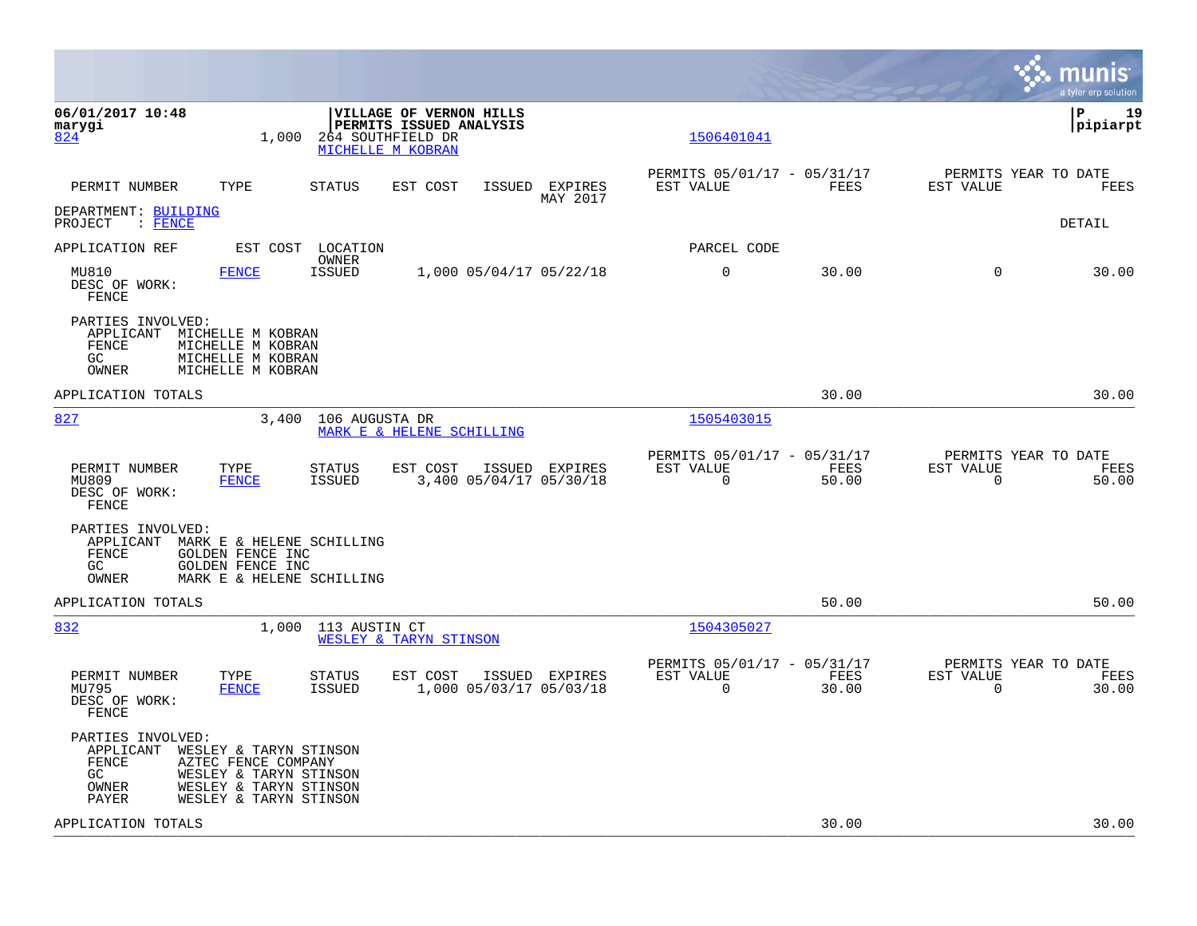|                                                                                                                                            |                                                                                                                             |                                                    |                            |                                                         |               |                          | munis<br>a tyler erp solution         |
|--------------------------------------------------------------------------------------------------------------------------------------------|-----------------------------------------------------------------------------------------------------------------------------|----------------------------------------------------|----------------------------|---------------------------------------------------------|---------------|--------------------------|---------------------------------------|
| 06/01/2017 10:48<br>marygi<br>824                                                                                                          | 1,000<br>264 SOUTHFIELD DR<br>MICHELLE M KOBRAN                                                                             | VILLAGE OF VERNON HILLS<br>PERMITS ISSUED ANALYSIS |                            | 1506401041                                              |               |                          | l P<br>19<br> pipiarpt                |
| TYPE<br>PERMIT NUMBER                                                                                                                      | <b>STATUS</b>                                                                                                               | EST COST                                           | ISSUED EXPIRES<br>MAY 2017 | PERMITS 05/01/17 - 05/31/17<br>EST VALUE                | FEES          | EST VALUE                | PERMITS YEAR TO DATE<br>FEES          |
| DEPARTMENT: BUILDING<br>: FENCE<br>PROJECT                                                                                                 |                                                                                                                             |                                                    |                            |                                                         |               |                          | DETAIL                                |
| APPLICATION REF                                                                                                                            | EST COST<br>LOCATION<br>OWNER                                                                                               |                                                    |                            | PARCEL CODE                                             |               |                          |                                       |
| MU810<br><b>FENCE</b><br>DESC OF WORK:<br>FENCE                                                                                            | <b>ISSUED</b>                                                                                                               | 1,000 05/04/17 05/22/18                            |                            | 0                                                       | 30.00         | 0                        | 30.00                                 |
| PARTIES INVOLVED:<br>APPLICANT<br>MICHELLE M KOBRAN<br>FENCE<br>MICHELLE M KOBRAN<br>GC<br>MICHELLE M KOBRAN<br>OWNER<br>MICHELLE M KOBRAN |                                                                                                                             |                                                    |                            |                                                         |               |                          |                                       |
| APPLICATION TOTALS                                                                                                                         |                                                                                                                             |                                                    |                            |                                                         | 30.00         |                          | 30.00                                 |
| 827                                                                                                                                        | 3,400<br>106 AUGUSTA DR                                                                                                     | MARK E & HELENE SCHILLING                          |                            | 1505403015                                              |               |                          |                                       |
| TYPE<br>PERMIT NUMBER<br>MU809<br><b>FENCE</b><br>DESC OF WORK:<br>FENCE                                                                   | <b>STATUS</b><br><b>ISSUED</b>                                                                                              | EST COST<br>3,400 05/04/17 05/30/18                | ISSUED EXPIRES             | PERMITS 05/01/17 - 05/31/17<br>EST VALUE<br>$\mathbf 0$ | FEES<br>50.00 | EST VALUE<br>$\mathbf 0$ | PERMITS YEAR TO DATE<br>FEES<br>50.00 |
| PARTIES INVOLVED:<br>APPLICANT<br>FENCE<br>GOLDEN FENCE INC<br>GC<br>GOLDEN FENCE INC<br>OWNER                                             | MARK E & HELENE SCHILLING<br>MARK E & HELENE SCHILLING                                                                      |                                                    |                            |                                                         |               |                          |                                       |
| APPLICATION TOTALS                                                                                                                         |                                                                                                                             |                                                    |                            |                                                         | 50.00         |                          | 50.00                                 |
| 832                                                                                                                                        | 1,000<br>113 AUSTIN CT                                                                                                      | WESLEY & TARYN STINSON                             |                            | 1504305027                                              |               |                          |                                       |
| PERMIT NUMBER<br>TYPE<br>MU795<br><b>FENCE</b><br>DESC OF WORK:<br>FENCE                                                                   | <b>STATUS</b><br><b>ISSUED</b>                                                                                              | EST COST<br>1,000 05/03/17 05/03/18                | ISSUED EXPIRES             | PERMITS 05/01/17 - 05/31/17<br>EST VALUE<br>$\mathbf 0$ | FEES<br>30.00 | EST VALUE<br>$\mathbf 0$ | PERMITS YEAR TO DATE<br>FEES<br>30.00 |
| PARTIES INVOLVED:<br>APPLICANT<br>FENCE<br>GC<br>OWNER<br>PAYER                                                                            | WESLEY & TARYN STINSON<br>AZTEC FENCE COMPANY<br>WESLEY & TARYN STINSON<br>WESLEY & TARYN STINSON<br>WESLEY & TARYN STINSON |                                                    |                            |                                                         |               |                          |                                       |
| APPLICATION TOTALS                                                                                                                         |                                                                                                                             |                                                    |                            |                                                         | 30.00         |                          | 30.00                                 |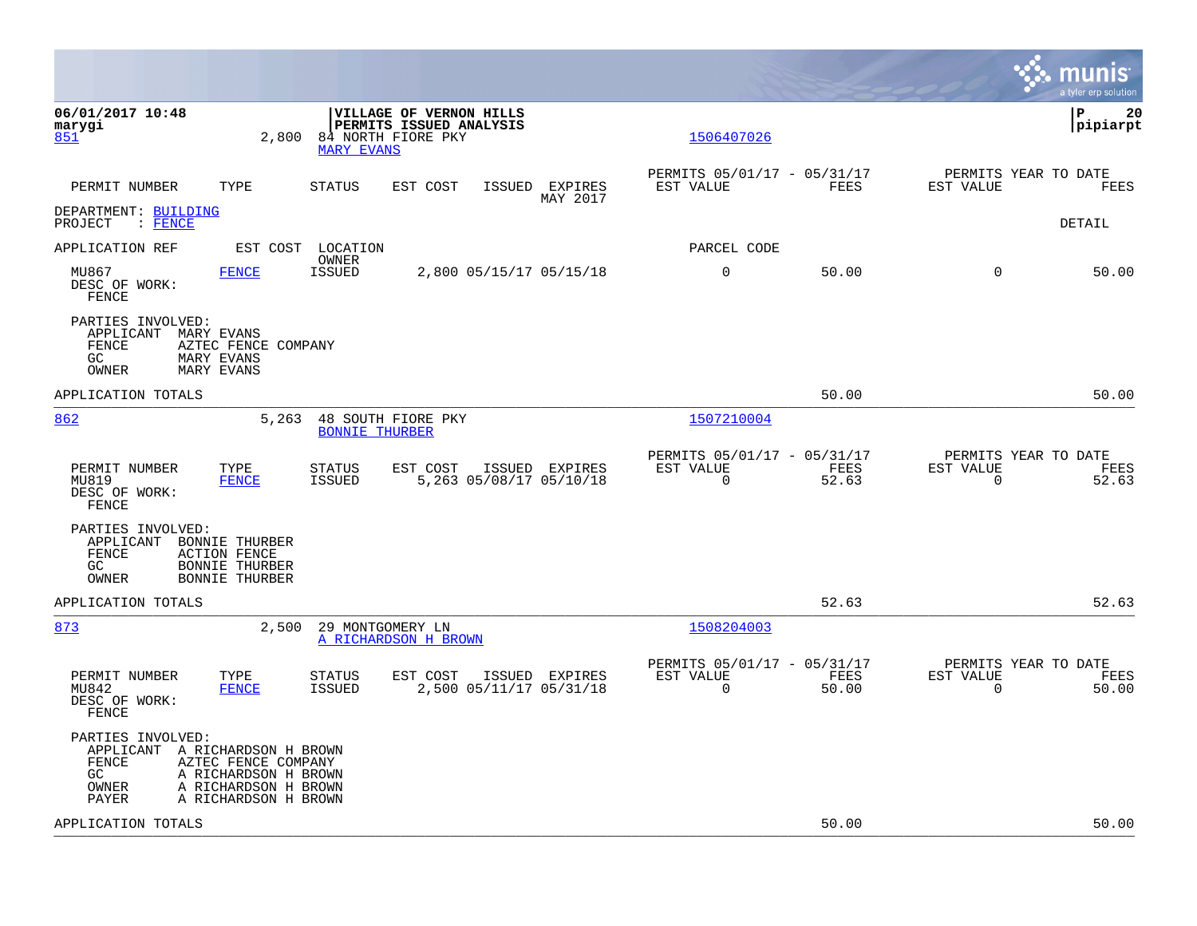|                                                                                      |                                                                                                |                                |                                                                                 |                            |                                                      |               |                                               | munis<br>a tyler erp solution |
|--------------------------------------------------------------------------------------|------------------------------------------------------------------------------------------------|--------------------------------|---------------------------------------------------------------------------------|----------------------------|------------------------------------------------------|---------------|-----------------------------------------------|-------------------------------|
| 06/01/2017 10:48<br>marygi<br>851                                                    | 2,800                                                                                          | <b>MARY EVANS</b>              | VILLAGE OF VERNON HILLS<br><b>PERMITS ISSUED ANALYSIS</b><br>84 NORTH FIORE PKY |                            | 1506407026                                           |               |                                               | l P<br>20<br> pipiarpt        |
| PERMIT NUMBER                                                                        | TYPE                                                                                           | STATUS                         | EST COST                                                                        | ISSUED EXPIRES<br>MAY 2017 | PERMITS 05/01/17 - 05/31/17<br>EST VALUE             | FEES          | PERMITS YEAR TO DATE<br>EST VALUE             | FEES                          |
| DEPARTMENT: BUILDING<br>: FENCE<br>PROJECT                                           |                                                                                                |                                |                                                                                 |                            |                                                      |               |                                               | DETAIL                        |
| APPLICATION REF                                                                      | EST COST                                                                                       | LOCATION<br>OWNER              |                                                                                 |                            | PARCEL CODE                                          |               |                                               |                               |
| MU867<br>DESC OF WORK:<br>FENCE                                                      | FENCE                                                                                          | <b>ISSUED</b>                  | 2,800 05/15/17 05/15/18                                                         |                            | 0                                                    | 50.00         | 0                                             | 50.00                         |
| PARTIES INVOLVED:<br>APPLICANT<br>FENCE<br>GC.<br>OWNER                              | MARY EVANS<br>AZTEC FENCE COMPANY<br><b>MARY EVANS</b><br><b>MARY EVANS</b>                    |                                |                                                                                 |                            |                                                      |               |                                               |                               |
| APPLICATION TOTALS                                                                   |                                                                                                |                                |                                                                                 |                            |                                                      | 50.00         |                                               | 50.00                         |
| 862                                                                                  | 5,263                                                                                          | <b>BONNIE THURBER</b>          | 48 SOUTH FIORE PKY                                                              |                            | 1507210004                                           |               |                                               |                               |
| PERMIT NUMBER<br>MU819<br>DESC OF WORK:<br>FENCE                                     | TYPE<br><b>FENCE</b>                                                                           | <b>STATUS</b><br><b>ISSUED</b> | EST COST<br>5,263 05/08/17 05/10/18                                             | ISSUED EXPIRES             | PERMITS 05/01/17 - 05/31/17<br>EST VALUE<br>0        | FEES<br>52.63 | PERMITS YEAR TO DATE<br>EST VALUE<br>0        | FEES<br>52.63                 |
| PARTIES INVOLVED:<br>APPLICANT<br>FENCE<br>GC.<br>OWNER                              | <b>BONNIE THURBER</b><br><b>ACTION FENCE</b><br><b>BONNIE THURBER</b><br><b>BONNIE THURBER</b> |                                |                                                                                 |                            |                                                      |               |                                               |                               |
| APPLICATION TOTALS                                                                   |                                                                                                |                                |                                                                                 |                            |                                                      | 52.63         |                                               | 52.63                         |
| 873                                                                                  | 2,500                                                                                          | 29 MONTGOMERY LN               | A RICHARDSON H BROWN                                                            |                            | 1508204003                                           |               |                                               |                               |
| PERMIT NUMBER<br>MU842<br>DESC OF WORK:<br>FENCE                                     | TYPE<br><b>FENCE</b>                                                                           | <b>STATUS</b><br><b>ISSUED</b> | EST COST<br>2,500 05/11/17 05/31/18                                             | ISSUED EXPIRES             | PERMITS 05/01/17 - 05/31/17<br>EST VALUE<br>$\Omega$ | FEES<br>50.00 | PERMITS YEAR TO DATE<br>EST VALUE<br>$\Omega$ | FEES<br>50.00                 |
| PARTIES INVOLVED:<br>APPLICANT A RICHARDSON H BROWN<br>FENCE<br>GC<br>OWNER<br>PAYER | AZTEC FENCE COMPANY<br>A RICHARDSON H BROWN<br>A RICHARDSON H BROWN<br>A RICHARDSON H BROWN    |                                |                                                                                 |                            |                                                      |               |                                               |                               |
| APPLICATION TOTALS                                                                   |                                                                                                |                                |                                                                                 |                            |                                                      | 50.00         |                                               | 50.00                         |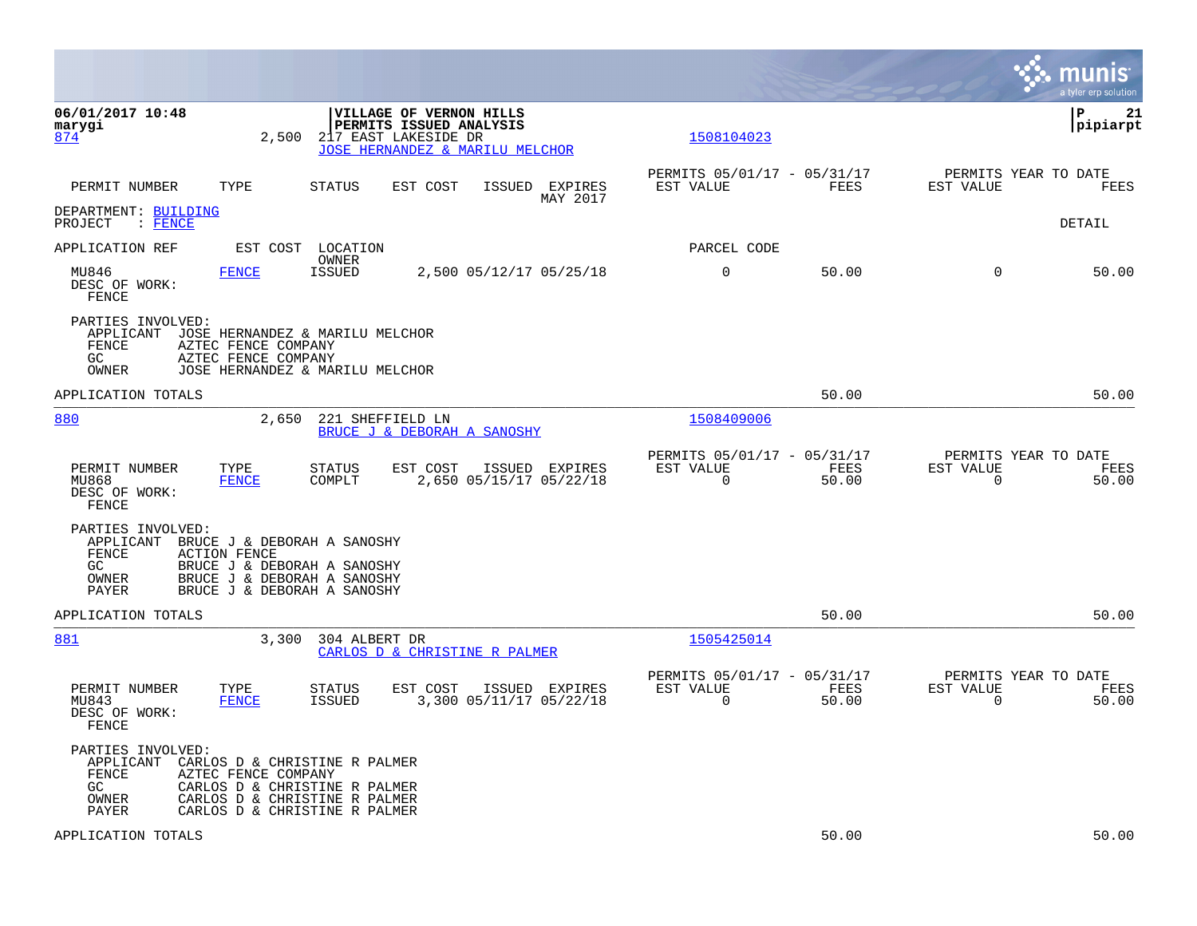|                                                                                                                                                                                                                            |                            |                                                      |               |                                               | munis<br>a tyler erp solution |
|----------------------------------------------------------------------------------------------------------------------------------------------------------------------------------------------------------------------------|----------------------------|------------------------------------------------------|---------------|-----------------------------------------------|-------------------------------|
| 06/01/2017 10:48<br>VILLAGE OF VERNON HILLS<br>PERMITS ISSUED ANALYSIS<br>marygi<br>874<br>2,500<br>217 EAST LAKESIDE DR<br>JOSE HERNANDEZ & MARILU MELCHOR                                                                |                            | 1508104023                                           |               |                                               | ΙP<br>21<br> pipiarpt         |
| PERMIT NUMBER<br>TYPE<br><b>STATUS</b><br>EST COST                                                                                                                                                                         | ISSUED EXPIRES<br>MAY 2017 | PERMITS 05/01/17 - 05/31/17<br>EST VALUE             | FEES          | PERMITS YEAR TO DATE<br>EST VALUE             | FEES                          |
| DEPARTMENT: BUILDING<br>PROJECT<br>$\colon$ FENCE                                                                                                                                                                          |                            |                                                      |               |                                               | DETAIL                        |
| EST COST LOCATION<br>APPLICATION REF<br>OWNER                                                                                                                                                                              |                            | PARCEL CODE                                          |               |                                               |                               |
| 2,500 05/12/17 05/25/18<br>MU846<br><b>FENCE</b><br><b>ISSUED</b><br>DESC OF WORK:<br>FENCE                                                                                                                                |                            | $\mathbf 0$                                          | 50.00         | $\Omega$                                      | 50.00                         |
| PARTIES INVOLVED:<br>JOSE HERNANDEZ & MARILU MELCHOR<br>APPLICANT<br><b>FENCE</b><br>AZTEC FENCE COMPANY<br>GC<br>AZTEC FENCE COMPANY<br><b>OWNER</b><br>JOSE HERNANDEZ & MARILU MELCHOR                                   |                            |                                                      |               |                                               |                               |
| APPLICATION TOTALS                                                                                                                                                                                                         |                            |                                                      | 50.00         |                                               | 50.00                         |
| 880<br>221 SHEFFIELD LN<br>2,650<br>BRUCE J & DEBORAH A SANOSHY                                                                                                                                                            |                            | 1508409006                                           |               |                                               |                               |
| PERMIT NUMBER<br>TYPE<br><b>STATUS</b><br>EST COST<br>COMPLT<br>2,650 05/15/17 05/22/18<br>MU868<br><b>FENCE</b><br>DESC OF WORK:<br>FENCE                                                                                 | ISSUED EXPIRES             | PERMITS 05/01/17 - 05/31/17<br>EST VALUE<br>$\Omega$ | FEES<br>50.00 | PERMITS YEAR TO DATE<br>EST VALUE<br>$\Omega$ | FEES<br>50.00                 |
| PARTIES INVOLVED:<br>APPLICANT<br>BRUCE J & DEBORAH A SANOSHY<br>FENCE<br><b>ACTION FENCE</b><br>GC<br>BRUCE J & DEBORAH A SANOSHY<br>OWNER<br>BRUCE J & DEBORAH A SANOSHY<br>PAYER<br>BRUCE J & DEBORAH A SANOSHY         |                            |                                                      |               |                                               |                               |
| APPLICATION TOTALS                                                                                                                                                                                                         |                            |                                                      | 50.00         |                                               | 50.00                         |
| 881<br>3,300<br>304 ALBERT DR<br>CARLOS D & CHRISTINE R PALMER                                                                                                                                                             |                            | 1505425014                                           |               |                                               |                               |
| TYPE<br>PERMIT NUMBER<br><b>STATUS</b><br>EST COST<br>MU843<br><b>FENCE</b><br><b>ISSUED</b><br>3,300 05/11/17 05/22/18<br>DESC OF WORK:<br>FENCE                                                                          | ISSUED EXPIRES             | PERMITS 05/01/17 - 05/31/17<br>EST VALUE<br>$\Omega$ | FEES<br>50.00 | PERMITS YEAR TO DATE<br>EST VALUE<br>$\Omega$ | FEES<br>50.00                 |
| PARTIES INVOLVED:<br>CARLOS D & CHRISTINE R PALMER<br>APPLICANT<br>FENCE<br>AZTEC FENCE COMPANY<br>GC<br>CARLOS D & CHRISTINE R PALMER<br>OWNER<br>CARLOS D & CHRISTINE R PALMER<br>CARLOS D & CHRISTINE R PALMER<br>PAYER |                            |                                                      |               |                                               |                               |
| APPLICATION TOTALS                                                                                                                                                                                                         |                            |                                                      | 50.00         |                                               | 50.00                         |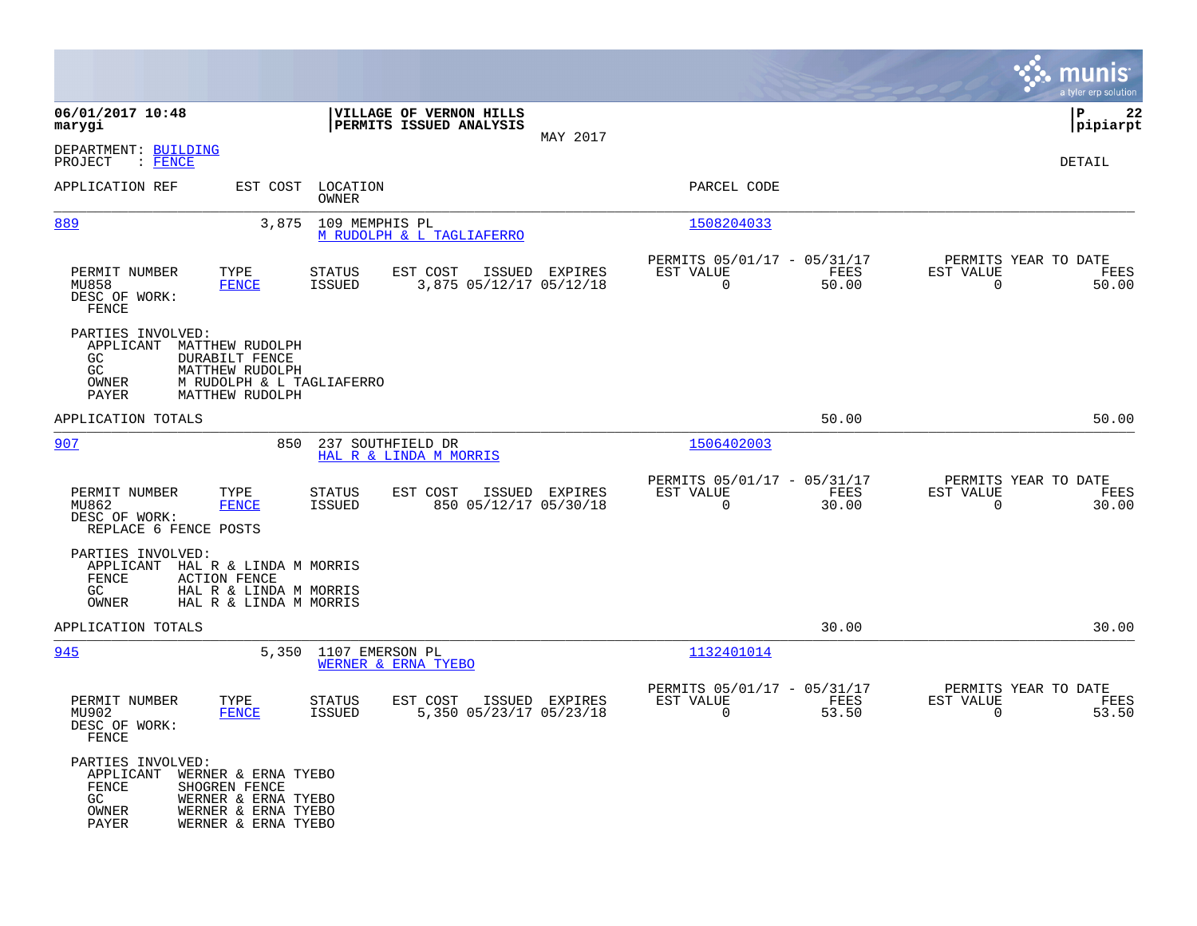|                                                                                                                                                 |                                                                                          |                                                    |                |                                                         |               |                                               | munis<br>a tyler erp solution |
|-------------------------------------------------------------------------------------------------------------------------------------------------|------------------------------------------------------------------------------------------|----------------------------------------------------|----------------|---------------------------------------------------------|---------------|-----------------------------------------------|-------------------------------|
| 06/01/2017 10:48<br>marygi                                                                                                                      |                                                                                          | VILLAGE OF VERNON HILLS<br>PERMITS ISSUED ANALYSIS | MAY 2017       |                                                         |               |                                               | lР<br>22<br> pipiarpt         |
| DEPARTMENT: BUILDING<br>PROJECT<br>$\therefore$ FENCE                                                                                           |                                                                                          |                                                    |                |                                                         |               |                                               | DETAIL                        |
| APPLICATION REF                                                                                                                                 | EST COST<br>LOCATION<br><b>OWNER</b>                                                     |                                                    |                | PARCEL CODE                                             |               |                                               |                               |
| 889                                                                                                                                             | 109 MEMPHIS PL<br>3,875                                                                  | M RUDOLPH & L TAGLIAFERRO                          |                | 1508204033                                              |               |                                               |                               |
| PERMIT NUMBER<br>TYPE<br>MU858<br><b>FENCE</b><br>DESC OF WORK:<br>FENCE                                                                        | <b>STATUS</b><br>ISSUED                                                                  | EST COST<br>ISSUED<br>3,875 05/12/17 05/12/18      | EXPIRES        | PERMITS 05/01/17 - 05/31/17<br>EST VALUE<br>$\mathbf 0$ | FEES<br>50.00 | PERMITS YEAR TO DATE<br>EST VALUE<br>0        | FEES<br>50.00                 |
| PARTIES INVOLVED:<br>APPLICANT<br>MATTHEW RUDOLPH<br><b>DURABILT FENCE</b><br>GC.<br>GC<br>MATTHEW RUDOLPH<br>OWNER<br>PAYER<br>MATTHEW RUDOLPH | M RUDOLPH & L TAGLIAFERRO                                                                |                                                    |                |                                                         |               |                                               |                               |
| APPLICATION TOTALS                                                                                                                              |                                                                                          |                                                    |                |                                                         | 50.00         |                                               | 50.00                         |
| 907                                                                                                                                             | 850                                                                                      | 237 SOUTHFIELD DR<br>HAL R & LINDA M MORRIS        |                | 1506402003                                              |               |                                               |                               |
| PERMIT NUMBER<br>TYPE<br>MU862<br><b>FENCE</b><br>DESC OF WORK:<br>REPLACE 6 FENCE POSTS                                                        | <b>STATUS</b><br><b>ISSUED</b>                                                           | EST COST<br>850 05/12/17 05/30/18                  | ISSUED EXPIRES | PERMITS 05/01/17 - 05/31/17<br>EST VALUE<br>$\mathbf 0$ | FEES<br>30.00 | PERMITS YEAR TO DATE<br>EST VALUE<br>0        | FEES<br>30.00                 |
| PARTIES INVOLVED:<br>APPLICANT<br>FENCE<br><b>ACTION FENCE</b><br>GC<br>OWNER                                                                   | HAL R & LINDA M MORRIS<br>HAL R & LINDA M MORRIS<br>HAL R & LINDA M MORRIS               |                                                    |                |                                                         |               |                                               |                               |
| APPLICATION TOTALS                                                                                                                              |                                                                                          |                                                    |                |                                                         | 30.00         |                                               | 30.00                         |
| 945                                                                                                                                             | 5,350<br>1107 EMERSON PL                                                                 | WERNER & ERNA TYEBO                                |                | 1132401014                                              |               |                                               |                               |
| PERMIT NUMBER<br>TYPE<br>MU902<br><b>FENCE</b><br>DESC OF WORK:<br>FENCE                                                                        | <b>STATUS</b><br><b>ISSUED</b>                                                           | EST COST<br>5,350 05/23/17 05/23/18                | ISSUED EXPIRES | PERMITS 05/01/17 - 05/31/17<br>EST VALUE<br>$\Omega$    | FEES<br>53.50 | PERMITS YEAR TO DATE<br>EST VALUE<br>$\Omega$ | FEES<br>53.50                 |
| PARTIES INVOLVED:<br>APPLICANT<br>FENCE<br>SHOGREN FENCE<br>GC<br>OWNER<br>PAYER                                                                | WERNER & ERNA TYEBO<br>WERNER & ERNA TYEBO<br>WERNER & ERNA TYEBO<br>WERNER & ERNA TYEBO |                                                    |                |                                                         |               |                                               |                               |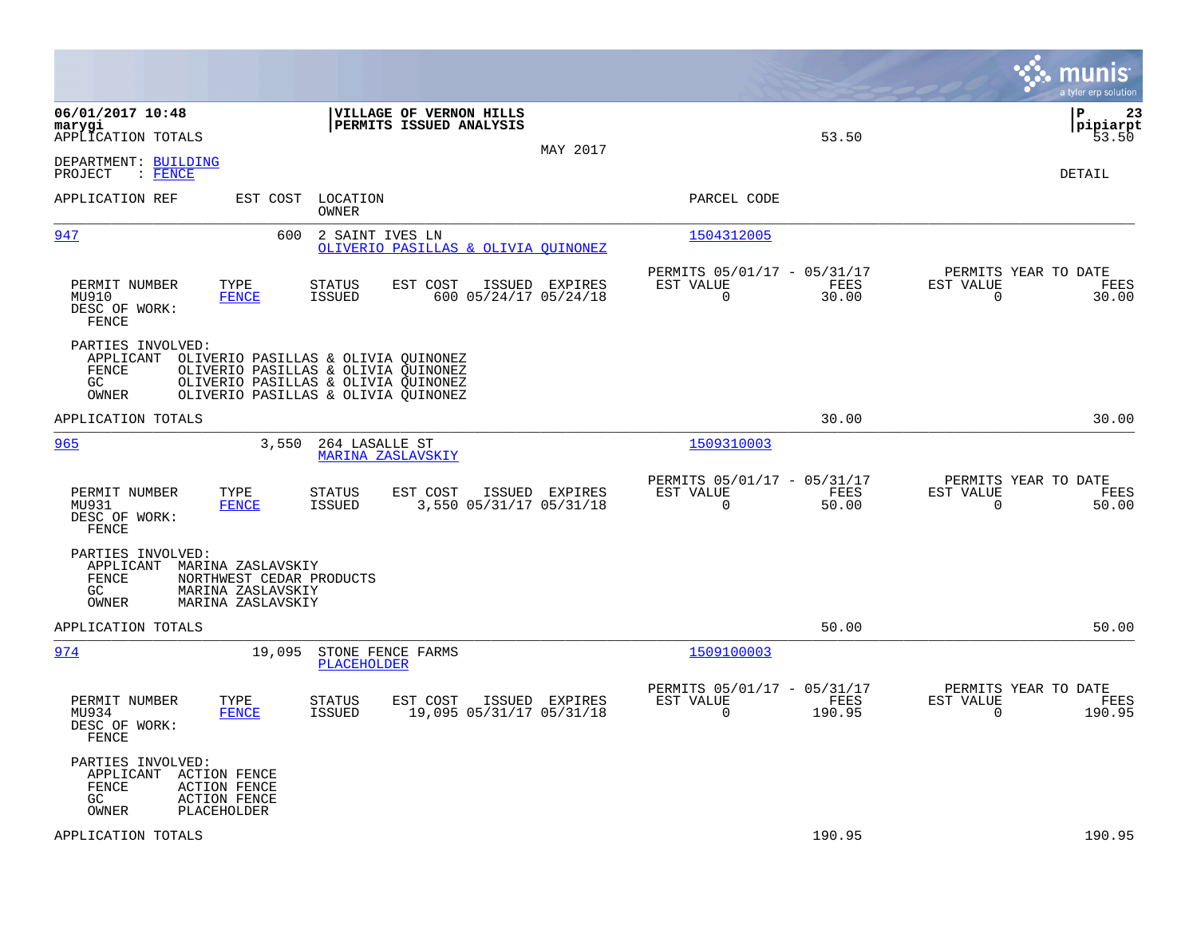|                                                                                                                                                    |                                                                                                                                                          |                |                                                         |                | munis<br>a tyler erp solution                                     |
|----------------------------------------------------------------------------------------------------------------------------------------------------|----------------------------------------------------------------------------------------------------------------------------------------------------------|----------------|---------------------------------------------------------|----------------|-------------------------------------------------------------------|
| 06/01/2017 10:48<br>marygi<br>APPLICATION TOTALS                                                                                                   | VILLAGE OF VERNON HILLS<br>PERMITS ISSUED ANALYSIS                                                                                                       | MAY 2017       |                                                         | 53.50          | P<br>23<br> pipiarpt<br>53.50                                     |
| DEPARTMENT: BUILDING<br>: FENCE<br>PROJECT                                                                                                         |                                                                                                                                                          |                |                                                         |                | <b>DETAIL</b>                                                     |
| APPLICATION REF<br>EST COST                                                                                                                        | LOCATION<br>OWNER                                                                                                                                        |                | PARCEL CODE                                             |                |                                                                   |
| 947<br>600                                                                                                                                         | 2 SAINT IVES LN<br>OLIVERIO PASILLAS & OLIVIA QUINONEZ                                                                                                   |                | 1504312005                                              |                |                                                                   |
| PERMIT NUMBER<br>TYPE<br>MU910<br><b>FENCE</b><br>DESC OF WORK:<br>FENCE                                                                           | STATUS<br>EST COST<br><b>ISSUED</b><br>600 05/24/17 05/24/18                                                                                             | ISSUED EXPIRES | PERMITS 05/01/17 - 05/31/17<br>EST VALUE<br>$\Omega$    | FEES<br>30.00  | PERMITS YEAR TO DATE<br>EST VALUE<br>FEES<br>$\mathbf 0$<br>30.00 |
| PARTIES INVOLVED:<br>APPLICANT<br>FENCE<br>GC<br>OWNER                                                                                             | OLIVERIO PASILLAS & OLIVIA QUINONEZ<br>OLIVERIO PASILLAS & OLIVIA OUINONEZ<br>OLIVERIO PASILLAS & OLIVIA QUINONEZ<br>OLIVERIO PASILLAS & OLIVIA QUINONEZ |                |                                                         |                |                                                                   |
| APPLICATION TOTALS                                                                                                                                 |                                                                                                                                                          |                |                                                         | 30.00          | 30.00                                                             |
| 965<br>3,550                                                                                                                                       | 264 LASALLE ST<br>MARINA ZASLAVSKIY                                                                                                                      |                | 1509310003                                              |                |                                                                   |
| PERMIT NUMBER<br>TYPE<br>MU931<br><b>FENCE</b><br>DESC OF WORK:<br>FENCE                                                                           | STATUS<br>EST COST<br>3,550 05/31/17 05/31/18<br>ISSUED                                                                                                  | ISSUED EXPIRES | PERMITS 05/01/17 - 05/31/17<br>EST VALUE<br>$\mathbf 0$ | FEES<br>50.00  | PERMITS YEAR TO DATE<br>EST VALUE<br>FEES<br>$\mathbf 0$<br>50.00 |
| PARTIES INVOLVED:<br>APPLICANT<br>MARINA ZASLAVSKIY<br>FENCE<br>NORTHWEST CEDAR PRODUCTS<br>MARINA ZASLAVSKIY<br>GC.<br>OWNER<br>MARINA ZASLAVSKIY |                                                                                                                                                          |                |                                                         |                |                                                                   |
| APPLICATION TOTALS                                                                                                                                 |                                                                                                                                                          |                |                                                         | 50.00          | 50.00                                                             |
| 974<br>19,095                                                                                                                                      | STONE FENCE FARMS<br>PLACEHOLDER                                                                                                                         |                | 1509100003                                              |                |                                                                   |
| PERMIT NUMBER<br>TYPE<br>MU934<br><b>FENCE</b><br>DESC OF WORK:<br>FENCE                                                                           | EST COST<br><b>STATUS</b><br>19,095 05/31/17 05/31/18<br><b>ISSUED</b>                                                                                   | ISSUED EXPIRES | PERMITS 05/01/17 - 05/31/17<br>EST VALUE<br>$\Omega$    | FEES<br>190.95 | PERMITS YEAR TO DATE<br>EST VALUE<br>FEES<br>0<br>190.95          |
| PARTIES INVOLVED:<br>APPLICANT<br><b>ACTION FENCE</b><br>FENCE<br><b>ACTION FENCE</b><br>GC.<br><b>ACTION FENCE</b><br>OWNER<br>PLACEHOLDER        |                                                                                                                                                          |                |                                                         |                |                                                                   |
| APPLICATION TOTALS                                                                                                                                 |                                                                                                                                                          |                |                                                         | 190.95         | 190.95                                                            |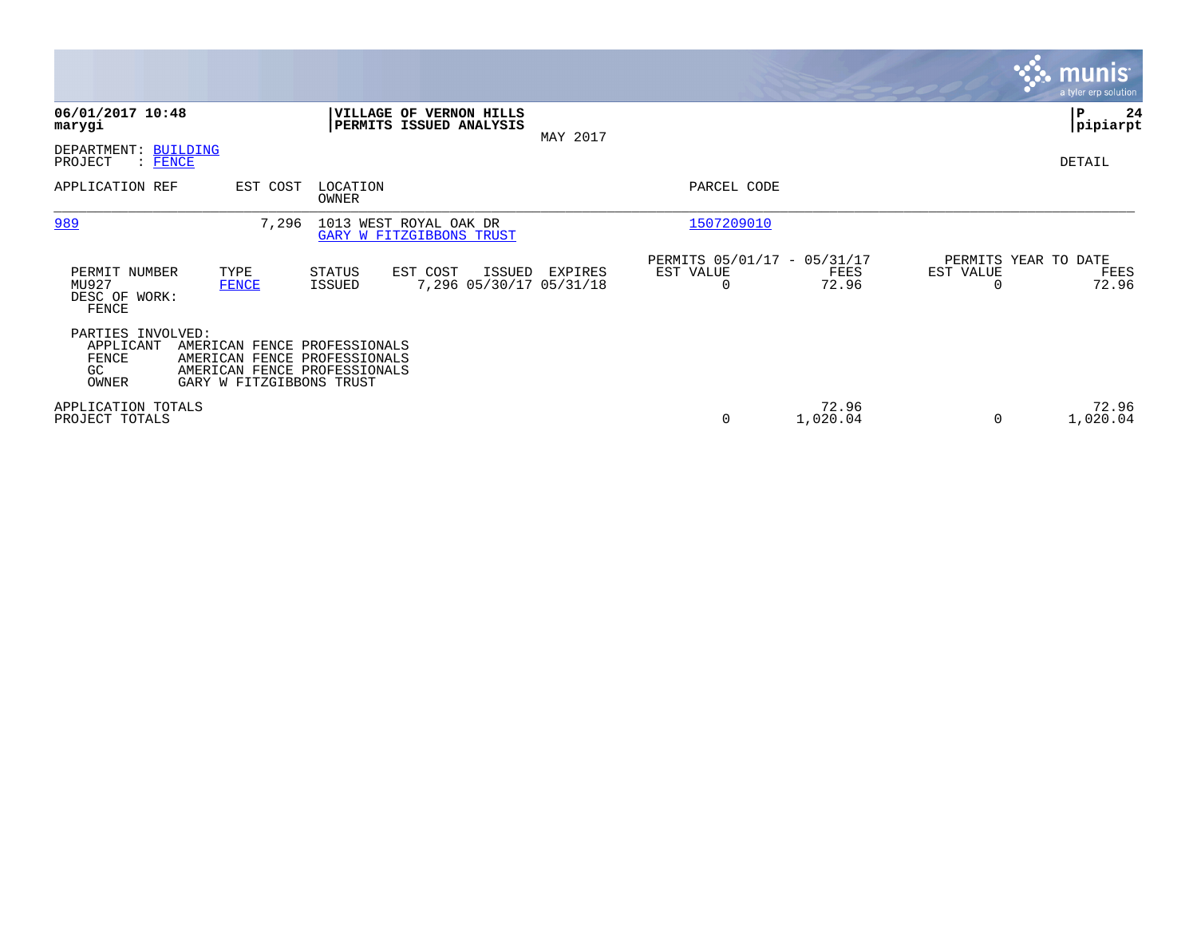|                                                        |                                                                                                                          |                   |                                                           |          |                                                      |                   |                                   | $\overline{\mathsf{m} \mathsf{u}}$ nıs $\overline{\mathsf{m} \mathsf{u}}$<br>a tyler erp solution |
|--------------------------------------------------------|--------------------------------------------------------------------------------------------------------------------------|-------------------|-----------------------------------------------------------|----------|------------------------------------------------------|-------------------|-----------------------------------|---------------------------------------------------------------------------------------------------|
| 06/01/2017 10:48<br>marygi                             |                                                                                                                          |                   | <b>VILLAGE OF VERNON HILLS</b><br>PERMITS ISSUED ANALYSIS | MAY 2017 |                                                      |                   |                                   | 24<br>∣₽<br> pipiarpt                                                                             |
| DEPARTMENT: BUILDING<br>PROJECT<br>$\colon$ FENCE      |                                                                                                                          |                   |                                                           |          |                                                      |                   |                                   | DETAIL                                                                                            |
| APPLICATION REF                                        | EST COST                                                                                                                 | LOCATION<br>OWNER |                                                           |          | PARCEL CODE                                          |                   |                                   |                                                                                                   |
| 989                                                    | 7,296                                                                                                                    |                   | 1013 WEST ROYAL OAK DR<br>GARY W FITZGIBBONS TRUST        |          | 1507209010                                           |                   |                                   |                                                                                                   |
| PERMIT NUMBER<br>MU927<br>DESC OF WORK:<br>FENCE       | TYPE<br><b>FENCE</b>                                                                                                     | STATUS<br>ISSUED  | EST COST<br>ISSUED<br>7,296 05/30/17 05/31/18             | EXPIRES  | PERMITS 05/01/17 - 05/31/17<br>EST VALUE<br>$\Omega$ | FEES<br>72.96     | PERMITS YEAR TO DATE<br>EST VALUE | FEES<br>72.96                                                                                     |
| PARTIES INVOLVED:<br>APPLICANT<br>FENCE<br>GC<br>OWNER | AMERICAN FENCE PROFESSIONALS<br>AMERICAN FENCE PROFESSIONALS<br>AMERICAN FENCE PROFESSIONALS<br>GARY W FITZGIBBONS TRUST |                   |                                                           |          |                                                      |                   |                                   |                                                                                                   |
| APPLICATION TOTALS<br>PROJECT TOTALS                   |                                                                                                                          |                   |                                                           |          | 0                                                    | 72.96<br>1,020.04 |                                   | 72.96<br>1,020.04                                                                                 |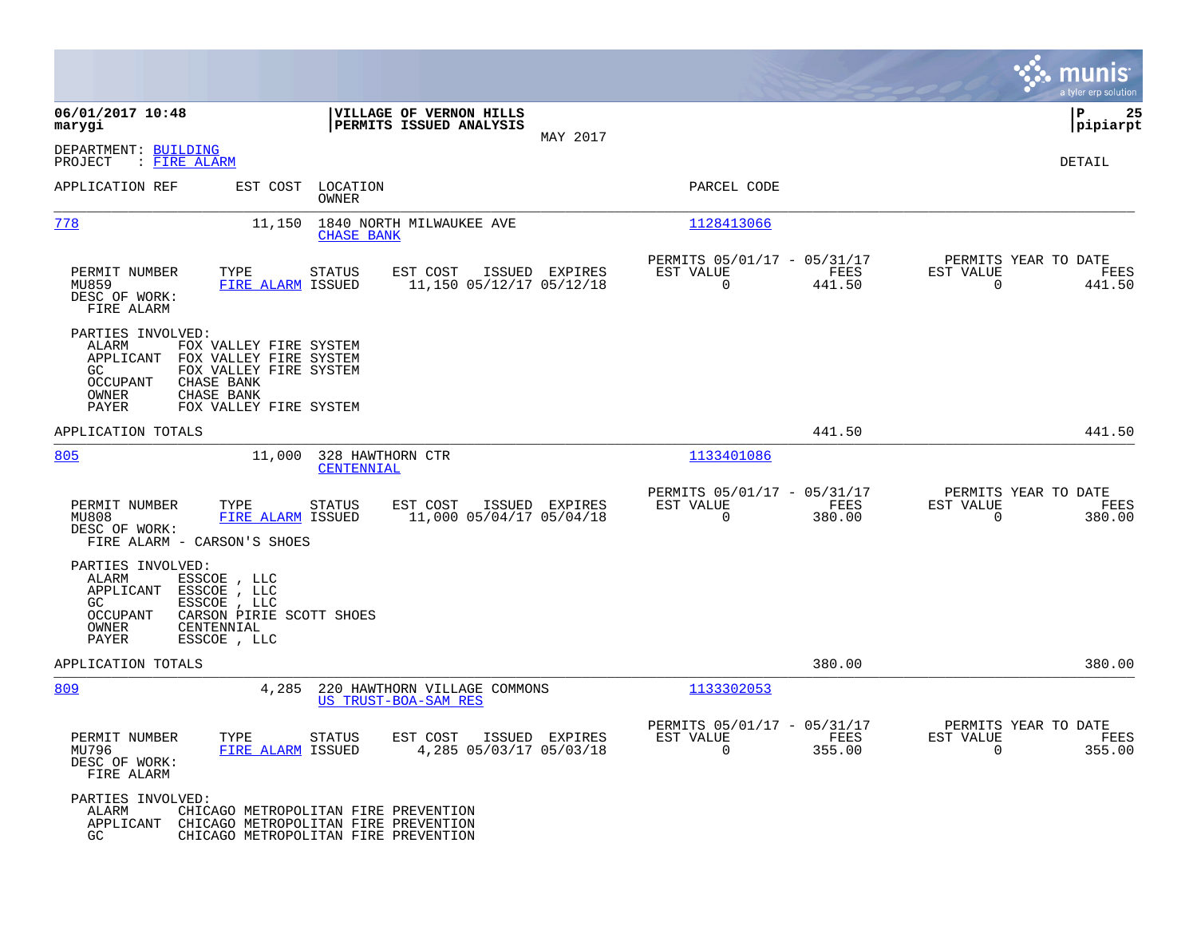|                                                                                                                                                                                                                         |                                                                                                                      |                                                                           | munis<br>a tyler erp solut <u>ion</u>                              |
|-------------------------------------------------------------------------------------------------------------------------------------------------------------------------------------------------------------------------|----------------------------------------------------------------------------------------------------------------------|---------------------------------------------------------------------------|--------------------------------------------------------------------|
| 06/01/2017 10:48<br>marygi                                                                                                                                                                                              | VILLAGE OF VERNON HILLS<br>PERMITS ISSUED ANALYSIS                                                                   |                                                                           | ΙP<br>25<br> pipiarpt                                              |
| DEPARTMENT: BUILDING<br>PROJECT<br>: FIRE ALARM                                                                                                                                                                         | MAY 2017                                                                                                             |                                                                           | DETAIL                                                             |
| APPLICATION REF<br>EST COST                                                                                                                                                                                             | LOCATION<br>OWNER                                                                                                    | PARCEL CODE                                                               |                                                                    |
| 778<br>11,150                                                                                                                                                                                                           | 1840 NORTH MILWAUKEE AVE<br><b>CHASE BANK</b>                                                                        | 1128413066                                                                |                                                                    |
| PERMIT NUMBER<br>TYPE<br>MU859<br>DESC OF WORK:<br>FIRE ALARM                                                                                                                                                           | <b>STATUS</b><br>EST COST<br>ISSUED EXPIRES<br>FIRE ALARM ISSUED<br>11,150 05/12/17 05/12/18                         | PERMITS 05/01/17 - 05/31/17<br>EST VALUE<br>FEES<br>$\mathbf 0$<br>441.50 | PERMITS YEAR TO DATE<br>EST VALUE<br>FEES<br>$\mathbf 0$<br>441.50 |
| PARTIES INVOLVED:<br>ALARM<br>FOX VALLEY FIRE SYSTEM<br>APPLICANT<br>FOX VALLEY FIRE SYSTEM<br>GC.<br>FOX VALLEY FIRE SYSTEM<br><b>OCCUPANT</b><br>CHASE BANK<br>CHASE BANK<br>OWNER<br>PAYER<br>FOX VALLEY FIRE SYSTEM |                                                                                                                      |                                                                           |                                                                    |
| APPLICATION TOTALS                                                                                                                                                                                                      |                                                                                                                      | 441.50                                                                    | 441.50                                                             |
| 805<br>11,000                                                                                                                                                                                                           | 328 HAWTHORN CTR<br>CENTENNIAL                                                                                       | 1133401086                                                                |                                                                    |
| PERMIT NUMBER<br>TYPE<br>MU808<br>DESC OF WORK:<br>FIRE ALARM - CARSON'S SHOES                                                                                                                                          | EST COST<br>ISSUED EXPIRES<br><b>STATUS</b><br>11,000 05/04/17 05/04/18<br>FIRE ALARM ISSUED                         | PERMITS 05/01/17 - 05/31/17<br>EST VALUE<br>FEES<br>$\Omega$<br>380.00    | PERMITS YEAR TO DATE<br>EST VALUE<br>FEES<br>380.00<br>$\Omega$    |
| PARTIES INVOLVED:<br>ESSCOE , LLC<br>ALARM<br>APPLICANT<br>ESSCOE , LLC<br>GC<br>ESSCOE , LLC<br>OCCUPANT<br>CARSON PIRIE SCOTT SHOES<br>OWNER<br>CENTENNIAL<br>PAYER<br>ESSCOE , LLC                                   |                                                                                                                      |                                                                           |                                                                    |
| APPLICATION TOTALS                                                                                                                                                                                                      |                                                                                                                      | 380.00                                                                    | 380.00                                                             |
| <u>809</u><br>4,285                                                                                                                                                                                                     | 220 HAWTHORN VILLAGE COMMONS<br>US TRUST-BOA-SAM RES                                                                 | 1133302053                                                                |                                                                    |
| PERMIT NUMBER<br>TYPE<br>MU796<br>DESC OF WORK:<br>FIRE ALARM                                                                                                                                                           | EST COST<br>ISSUED EXPIRES<br><b>STATUS</b><br>4,285 05/03/17 05/03/18<br>FIRE ALARM ISSUED                          | PERMITS 05/01/17 - 05/31/17<br>EST VALUE<br>FEES<br>0<br>355.00           | PERMITS YEAR TO DATE<br>EST VALUE<br>FEES<br>355.00<br>0           |
| PARTIES INVOLVED:<br>ALARM<br>APPLICANT<br>GC.                                                                                                                                                                          | CHICAGO METROPOLITAN FIRE PREVENTION<br>CHICAGO METROPOLITAN FIRE PREVENTION<br>CHICAGO METROPOLITAN FIRE PREVENTION |                                                                           |                                                                    |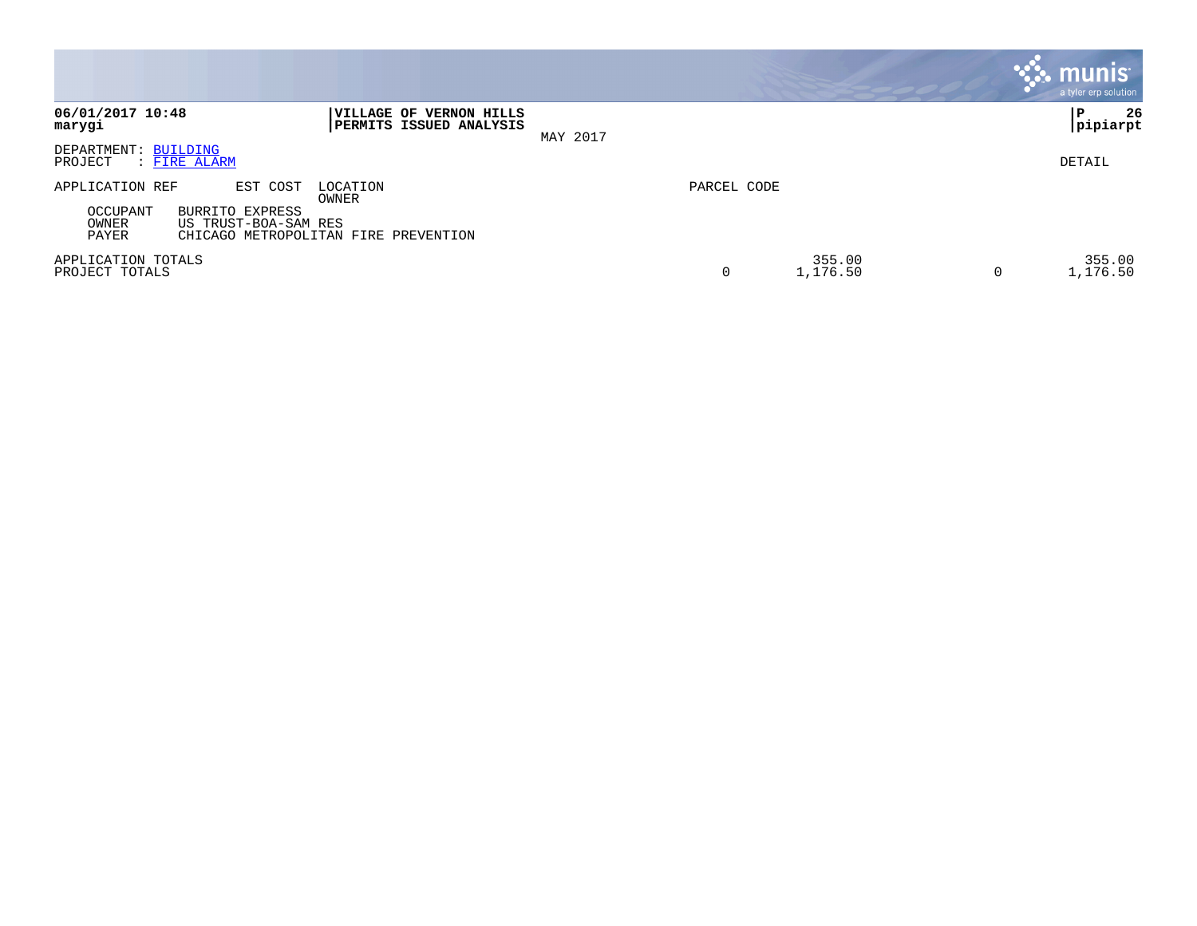|                                                                                                                                                                   |                              | <b>munis</b><br>a tyler erp solution |
|-------------------------------------------------------------------------------------------------------------------------------------------------------------------|------------------------------|--------------------------------------|
| 06/01/2017 10:48<br><b> VILLAGE OF VERNON HILLS</b><br><b>PERMITS ISSUED ANALYSIS</b><br>marygi                                                                   | MAY 2017                     | 26<br>l P<br> pipiarpt               |
| DEPARTMENT: BUILDING<br>: FIRE ALARM<br>PROJECT                                                                                                                   |                              | DETAIL                               |
| APPLICATION REF<br>EST COST<br>LOCATION<br>OWNER<br>OCCUPANT<br>BURRITO EXPRESS<br>US TRUST-BOA-SAM RES<br>OWNER<br>PAYER<br>CHICAGO METROPOLITAN FIRE PREVENTION | PARCEL CODE                  |                                      |
| APPLICATION TOTALS<br>PROJECT TOTALS                                                                                                                              | 355.00<br>0<br>1,176.50<br>0 | 355.00<br>1,176.50                   |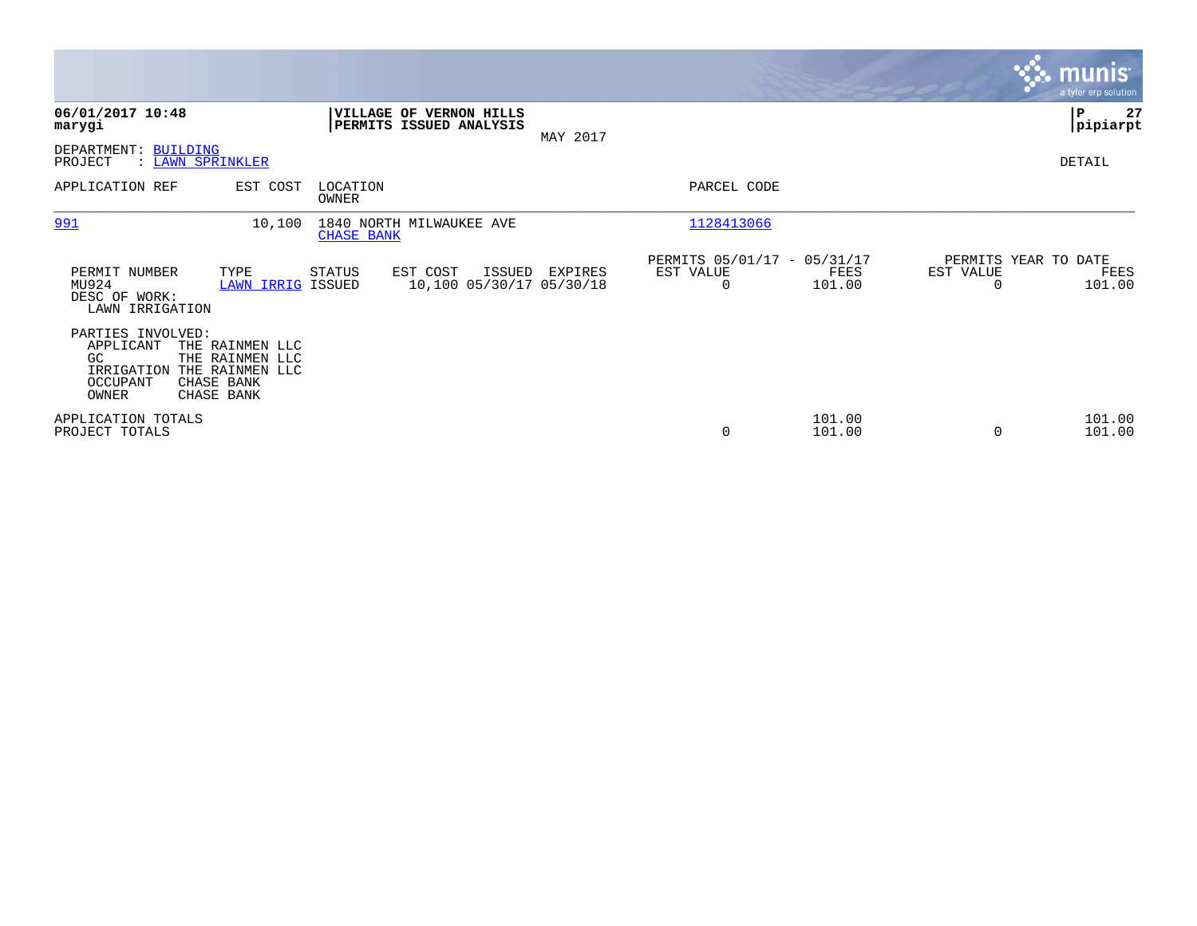|                                                                                         |                                                                |                   |                                                    |          |                                                      |                  |                                   | <b>munis</b><br>a tyler erp solution |
|-----------------------------------------------------------------------------------------|----------------------------------------------------------------|-------------------|----------------------------------------------------|----------|------------------------------------------------------|------------------|-----------------------------------|--------------------------------------|
| 06/01/2017 10:48<br>marygi                                                              |                                                                |                   | VILLAGE OF VERNON HILLS<br>PERMITS ISSUED ANALYSIS |          |                                                      |                  |                                   | l P<br>27<br> pipiarpt               |
| DEPARTMENT: BUILDING<br>PROJECT<br>: LAWN SPRINKLER                                     |                                                                |                   |                                                    | MAY 2017 |                                                      |                  |                                   | DETAIL                               |
| APPLICATION REF                                                                         | EST COST                                                       | LOCATION<br>OWNER |                                                    |          | PARCEL CODE                                          |                  |                                   |                                      |
| 991                                                                                     | 10,100                                                         | <b>CHASE BANK</b> | 1840 NORTH MILWAUKEE AVE                           |          | 1128413066                                           |                  |                                   |                                      |
| PERMIT NUMBER<br>MU924<br>DESC OF WORK:<br>LAWN IRRIGATION                              | TYPE<br>LAWN IRRIG ISSUED                                      | STATUS            | EST COST<br>ISSUED<br>10,100 05/30/17 05/30/18     | EXPIRES  | PERMITS 05/01/17 - 05/31/17<br>EST VALUE<br>$\Omega$ | FEES<br>101.00   | PERMITS YEAR TO DATE<br>EST VALUE | FEES<br>101.00                       |
| PARTIES INVOLVED:<br>APPLICANT<br>GC<br>IRRIGATION THE RAINMEN LLC<br>OCCUPANT<br>OWNER | THE RAINMEN LLC<br>THE RAINMEN LLC<br>CHASE BANK<br>CHASE BANK |                   |                                                    |          |                                                      |                  |                                   |                                      |
| APPLICATION TOTALS<br>PROJECT TOTALS                                                    |                                                                |                   |                                                    |          | 0                                                    | 101.00<br>101.00 |                                   | 101.00<br>101.00                     |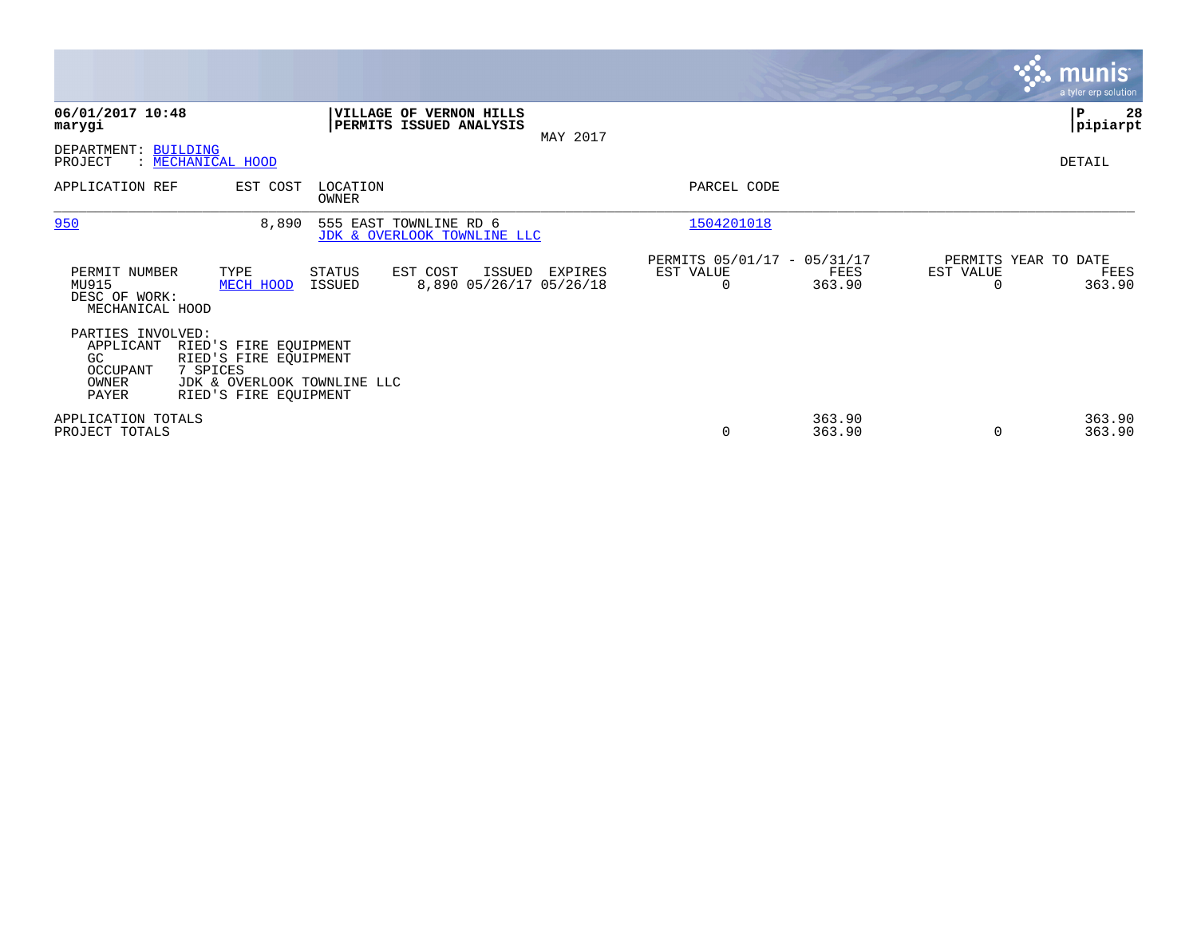|                                                                     |                                                                                                                    |                         |                                                       |          |                                               |                  |                                   | <b>munis</b><br>a tyler erp solution |
|---------------------------------------------------------------------|--------------------------------------------------------------------------------------------------------------------|-------------------------|-------------------------------------------------------|----------|-----------------------------------------------|------------------|-----------------------------------|--------------------------------------|
| 06/01/2017 10:48<br>marygi                                          |                                                                                                                    |                         | VILLAGE OF VERNON HILLS<br>PERMITS ISSUED ANALYSIS    | MAY 2017 |                                               |                  |                                   | P<br>28<br> pipiarpt                 |
| DEPARTMENT: BUILDING<br>PROJECT                                     | : MECHANICAL HOOD                                                                                                  |                         |                                                       |          |                                               |                  |                                   | DETAIL                               |
| APPLICATION REF                                                     | EST COST                                                                                                           | LOCATION<br>OWNER       |                                                       |          | PARCEL CODE                                   |                  |                                   |                                      |
| 950                                                                 | 8,890                                                                                                              |                         | 555 EAST TOWNLINE RD 6<br>JDK & OVERLOOK TOWNLINE LLC |          | 1504201018                                    |                  |                                   |                                      |
| PERMIT NUMBER<br>MU915<br>DESC OF WORK:<br>MECHANICAL HOOD          | TYPE<br>MECH HOOD                                                                                                  | <b>STATUS</b><br>ISSUED | EST COST<br>ISSUED<br>8,890 05/26/17 05/26/18         | EXPIRES  | PERMITS 05/01/17 - 05/31/17<br>EST VALUE<br>0 | FEES<br>363.90   | PERMITS YEAR TO DATE<br>EST VALUE | FEES<br>363.90                       |
| PARTIES INVOLVED:<br>APPLICANT<br>GC.<br>OCCUPANT<br>OWNER<br>PAYER | RIED'S FIRE EQUIPMENT<br>RIED'S FIRE EQUIPMENT<br>7 SPICES<br>JDK & OVERLOOK TOWNLINE LLC<br>RIED'S FIRE EQUIPMENT |                         |                                                       |          |                                               |                  |                                   |                                      |
| APPLICATION TOTALS<br>PROJECT TOTALS                                |                                                                                                                    |                         |                                                       |          | 0                                             | 363.90<br>363.90 | $\Omega$                          | 363.90<br>363.90                     |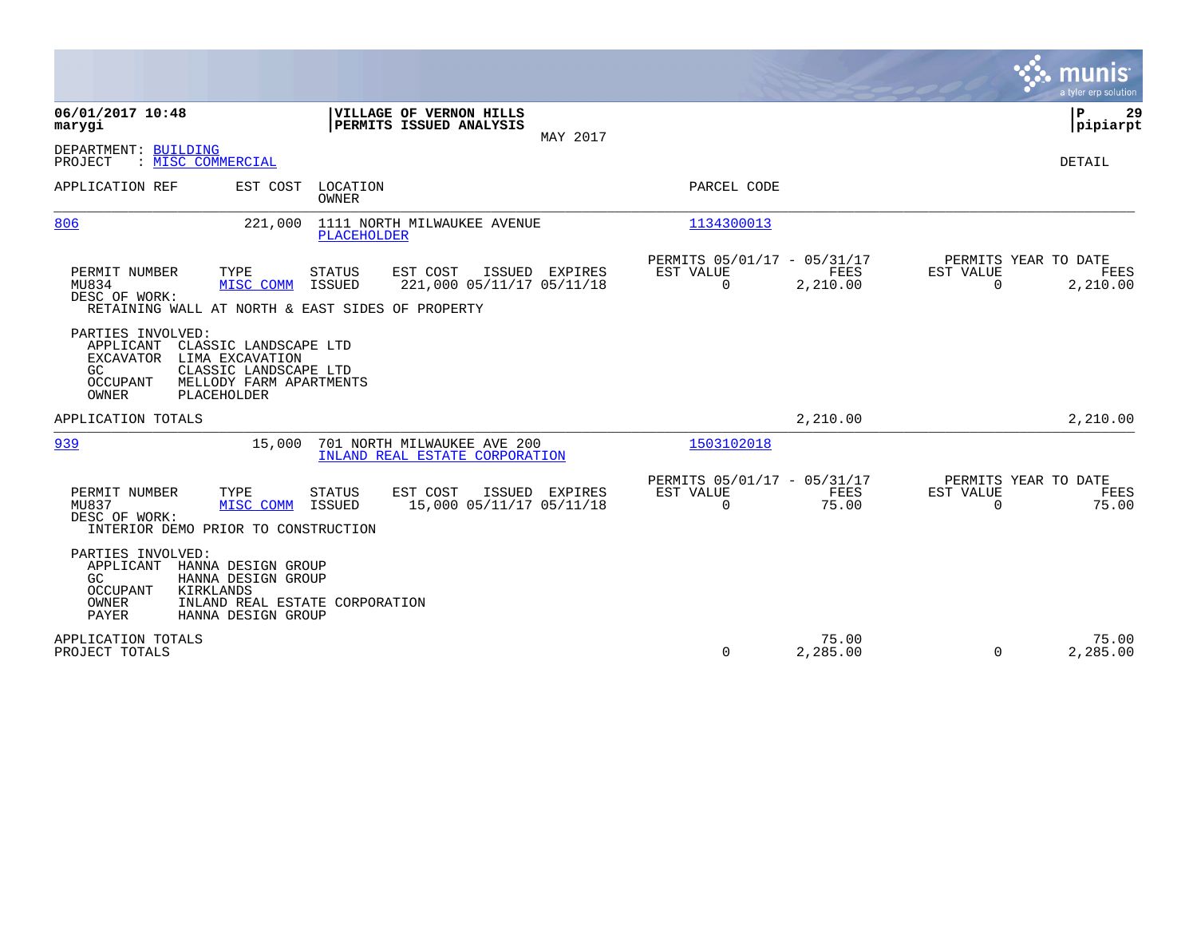|                                                                                                                                                                                                               |                                                                                           | munis<br>a tyler erp solution                                               |
|---------------------------------------------------------------------------------------------------------------------------------------------------------------------------------------------------------------|-------------------------------------------------------------------------------------------|-----------------------------------------------------------------------------|
| 06/01/2017 10:48<br>VILLAGE OF VERNON HILLS<br>PERMITS ISSUED ANALYSIS<br>marygi                                                                                                                              |                                                                                           | 29<br>ΙP<br> pipiarpt                                                       |
| MAY 2017<br>DEPARTMENT: BUILDING<br>PROJECT<br>: MISC COMMERCIAL                                                                                                                                              |                                                                                           | DETAIL                                                                      |
| APPLICATION REF<br>EST COST<br>LOCATION<br><b>OWNER</b>                                                                                                                                                       | PARCEL CODE                                                                               |                                                                             |
| 806<br>1111 NORTH MILWAUKEE AVENUE<br>221,000<br>PLACEHOLDER                                                                                                                                                  | 1134300013                                                                                |                                                                             |
| PERMIT NUMBER<br>TYPE<br>EST COST<br>ISSUED EXPIRES<br><b>STATUS</b><br>MU834<br><b>ISSUED</b><br>221,000 05/11/17 05/11/18<br>MISC COMM<br>DESC OF WORK:<br>RETAINING WALL AT NORTH & EAST SIDES OF PROPERTY | PERMITS 05/01/17 - 05/31/17<br><b>EST VALUE</b><br><b>FEES</b><br>$\mathbf 0$<br>2,210.00 | PERMITS YEAR TO DATE<br>EST VALUE<br><b>FEES</b><br>$\mathbf 0$<br>2,210.00 |
| PARTIES INVOLVED:<br>APPLICANT<br>CLASSIC LANDSCAPE LTD<br>EXCAVATOR LIMA EXCAVATION<br>CLASSIC LANDSCAPE LTD<br>GC.<br>MELLODY FARM APARTMENTS<br><b>OCCUPANT</b><br>OWNER<br>PLACEHOLDER                    |                                                                                           |                                                                             |
| APPLICATION TOTALS                                                                                                                                                                                            | 2,210.00                                                                                  | 2,210.00                                                                    |
| 939<br>701 NORTH MILWAUKEE AVE 200<br>15,000<br>INLAND REAL ESTATE CORPORATION                                                                                                                                | 1503102018                                                                                |                                                                             |
| TYPE<br>EST COST<br>PERMIT NUMBER<br><b>STATUS</b><br>ISSUED EXPIRES<br>MU837<br>MISC COMM<br>ISSUED<br>15,000 05/11/17 05/11/18<br>DESC OF WORK:<br>INTERIOR DEMO PRIOR TO CONSTRUCTION                      | PERMITS 05/01/17 - 05/31/17<br>FEES<br>EST VALUE<br>$\mathbf 0$<br>75.00                  | PERMITS YEAR TO DATE<br>EST VALUE<br>FEES<br>$\Omega$<br>75.00              |
| PARTIES INVOLVED:<br>APPLICANT<br>HANNA DESIGN GROUP<br>HANNA DESIGN GROUP<br>GC.<br><b>OCCUPANT</b><br>KIRKLANDS<br><b>OWNER</b><br>INLAND REAL ESTATE CORPORATION<br><b>PAYER</b><br>HANNA DESIGN GROUP     |                                                                                           |                                                                             |
| APPLICATION TOTALS<br>PROJECT TOTALS                                                                                                                                                                          | 75.00<br>0<br>2,285.00                                                                    | 75.00<br>2,285.00<br>$\Omega$                                               |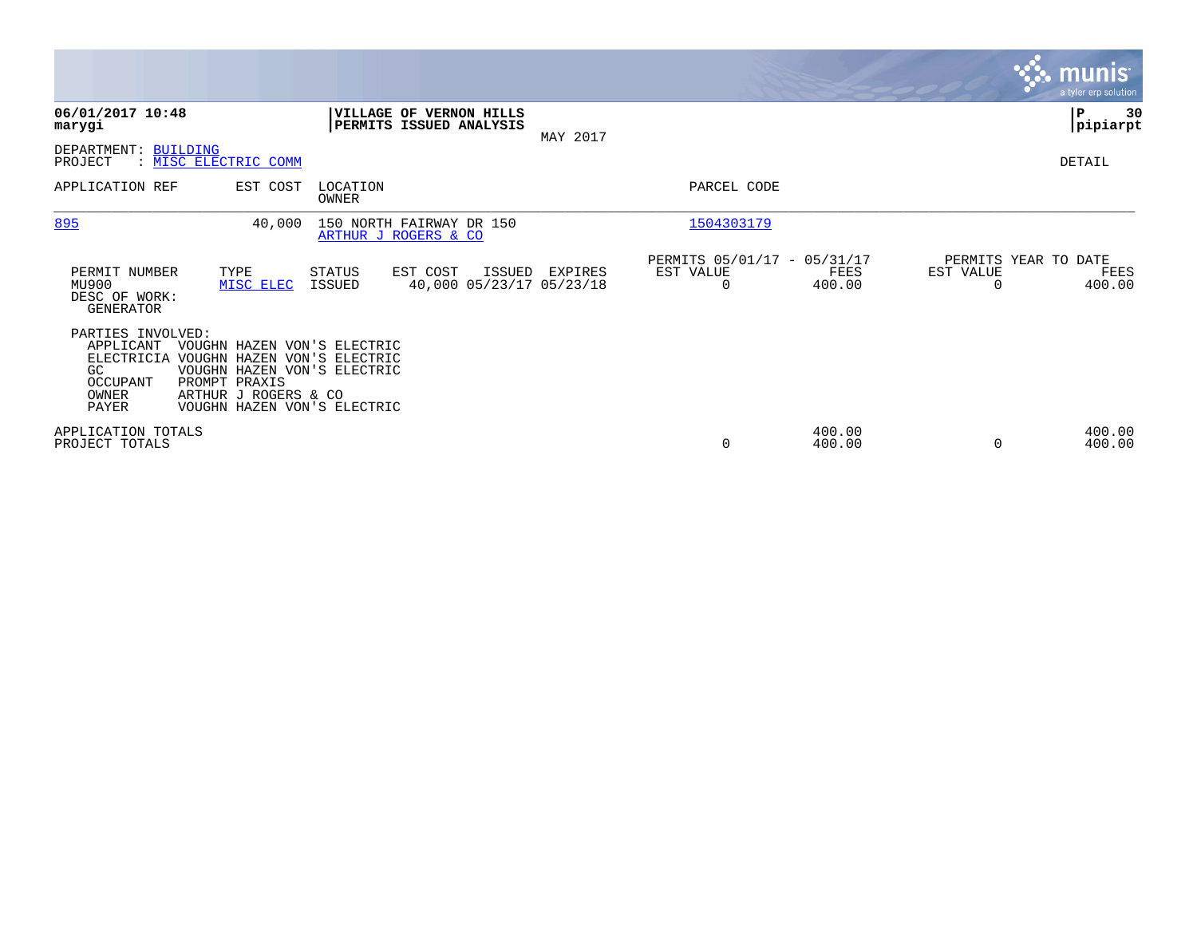|                                                                                  |                                                                                                                                                                   |                         |                                                           |          |                                               |                  |           | munis<br>a tyler erp solution          |
|----------------------------------------------------------------------------------|-------------------------------------------------------------------------------------------------------------------------------------------------------------------|-------------------------|-----------------------------------------------------------|----------|-----------------------------------------------|------------------|-----------|----------------------------------------|
| 06/01/2017 10:48<br>marygi                                                       |                                                                                                                                                                   |                         | <b>VILLAGE OF VERNON HILLS</b><br>PERMITS ISSUED ANALYSIS | MAY 2017 |                                               |                  |           | 30<br>l P<br> pipiarpt                 |
| DEPARTMENT: BUILDING<br>PROJECT                                                  | : MISC ELECTRIC COMM                                                                                                                                              |                         |                                                           |          |                                               |                  |           | DETAIL                                 |
| APPLICATION REF                                                                  | EST COST                                                                                                                                                          | LOCATION<br>OWNER       |                                                           |          | PARCEL CODE                                   |                  |           |                                        |
| 895                                                                              | 40,000                                                                                                                                                            |                         | 150 NORTH FAIRWAY DR 150<br>ARTHUR J ROGERS & CO          |          | 1504303179                                    |                  |           |                                        |
| PERMIT NUMBER<br>MU900<br>DESC OF WORK:<br><b>GENERATOR</b>                      | TYPE<br>MISC ELEC                                                                                                                                                 | <b>STATUS</b><br>ISSUED | EST COST<br>ISSUED<br>40,000 05/23/17 05/23/18            | EXPIRES  | PERMITS 05/01/17 - 05/31/17<br>EST VALUE<br>0 | FEES<br>400.00   | EST VALUE | PERMITS YEAR TO DATE<br>FEES<br>400.00 |
| PARTIES INVOLVED:<br>APPLICANT<br>ELECTRICIA<br>GC<br>OCCUPANT<br>OWNER<br>PAYER | VOUGHN HAZEN VON'S ELECTRIC<br>VOUGHN HAZEN VON'S ELECTRIC<br>VOUGHN HAZEN VON'S ELECTRIC<br>PROMPT PRAXIS<br>ARTHUR J ROGERS & CO<br>VOUGHN HAZEN VON'S ELECTRIC |                         |                                                           |          |                                               |                  |           |                                        |
| APPLICATION TOTALS<br>PROJECT TOTALS                                             |                                                                                                                                                                   |                         |                                                           |          | 0                                             | 400.00<br>400.00 | $\Omega$  | 400.00<br>400.00                       |

 $\mathcal{L}^{\text{max}}$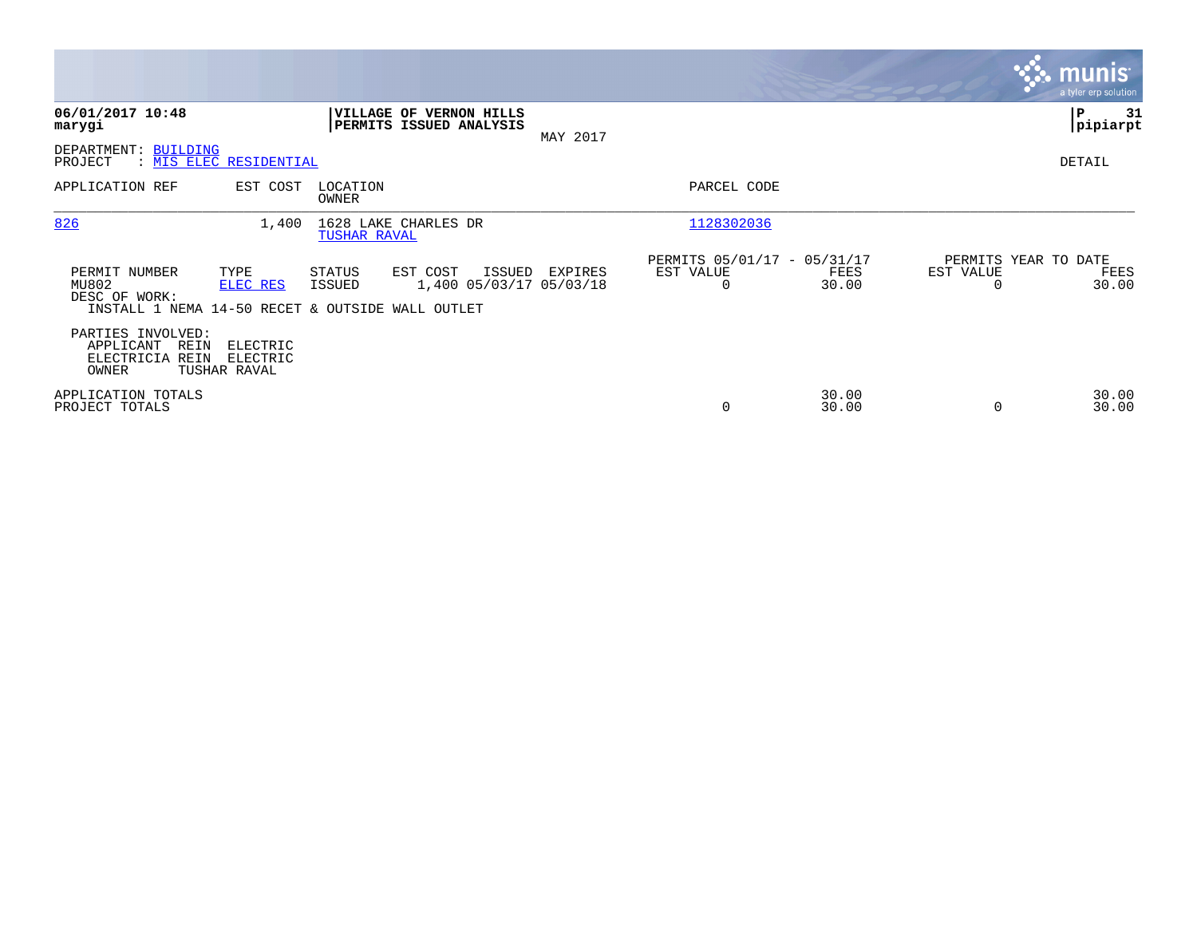|                                                                                                     |                               |                                                    |          |                                               |                |           | <b>ः munis</b> '<br>a tyler erp solution |
|-----------------------------------------------------------------------------------------------------|-------------------------------|----------------------------------------------------|----------|-----------------------------------------------|----------------|-----------|------------------------------------------|
| 06/01/2017 10:48<br>marygi                                                                          |                               | VILLAGE OF VERNON HILLS<br>PERMITS ISSUED ANALYSIS | MAY 2017 |                                               |                |           | ∣P<br>31<br> pipiarpt                    |
| DEPARTMENT: BUILDING<br>PROJECT<br>: MIS ELEC RESIDENTIAL                                           |                               |                                                    |          |                                               |                |           | DETAIL                                   |
| APPLICATION REF                                                                                     | EST COST<br>LOCATION<br>OWNER |                                                    |          | PARCEL CODE                                   |                |           |                                          |
| 826                                                                                                 | 1,400<br>TUSHAR RAVAL         | 1628 LAKE CHARLES DR                               |          | 1128302036                                    |                |           |                                          |
| PERMIT NUMBER<br>TYPE<br>MU802<br>DESC OF WORK:<br>INSTALL 1 NEMA 14-50 RECET & OUTSIDE WALL OUTLET | STATUS<br>ELEC RES<br>ISSUED  | EST COST<br>ISSUED<br>1,400 05/03/17 05/03/18      | EXPIRES  | PERMITS 05/01/17 - 05/31/17<br>EST VALUE<br>0 | FEES<br>30.00  | EST VALUE | PERMITS YEAR TO DATE<br>FEES<br>30.00    |
| PARTIES INVOLVED:<br>APPLICANT<br>REIN<br>ELECTRICIA<br>REIN<br>TUSHAR RAVAL<br>OWNER               | ELECTRIC<br>ELECTRIC          |                                                    |          |                                               |                |           |                                          |
| APPLICATION TOTALS<br>PROJECT TOTALS                                                                |                               |                                                    |          | 0                                             | 30.00<br>30.00 |           | 30.00<br>30.00                           |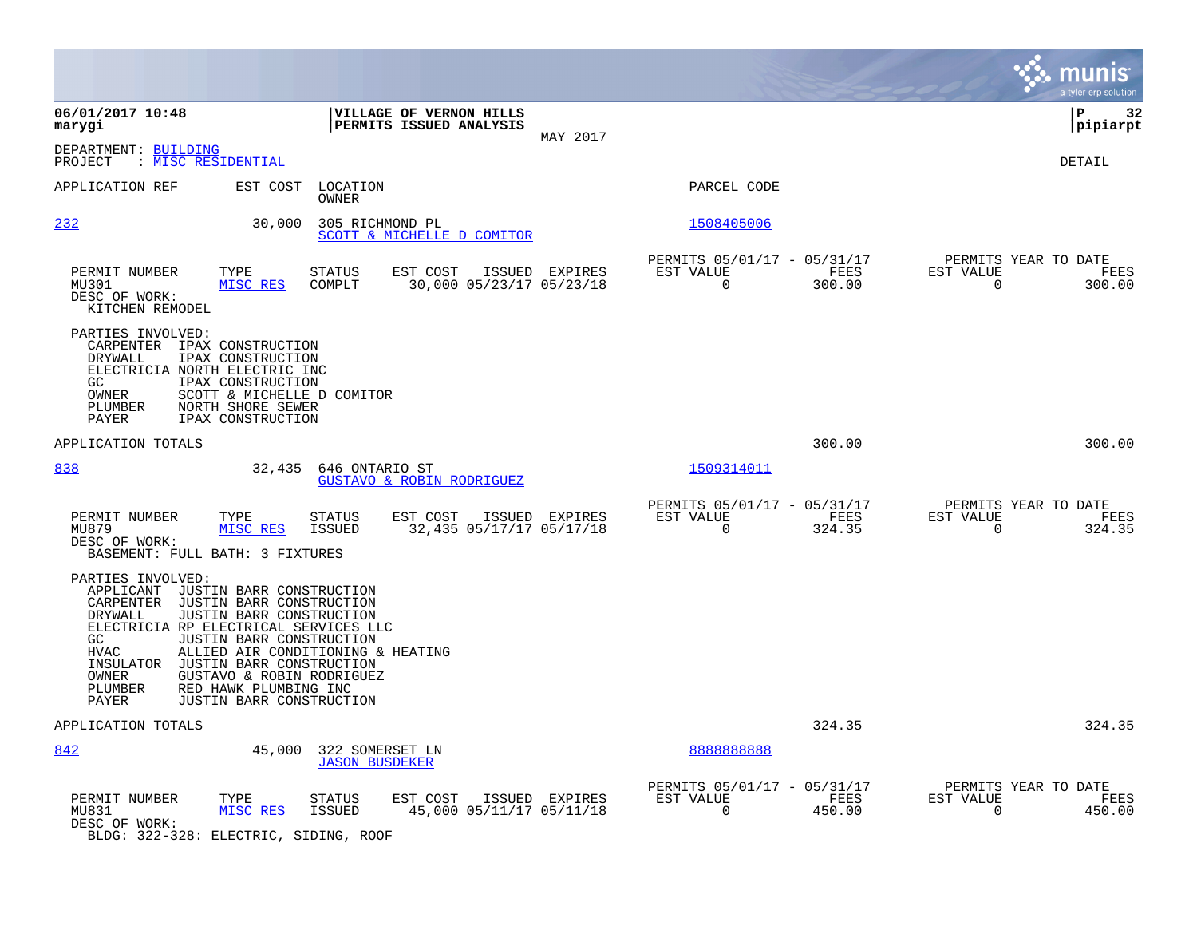|                                                                                                                                                                                                                                                                                                                                                                                           |                                                                        |                |                                                         |                |                                                  | munis<br>a tyler erp solution |
|-------------------------------------------------------------------------------------------------------------------------------------------------------------------------------------------------------------------------------------------------------------------------------------------------------------------------------------------------------------------------------------------|------------------------------------------------------------------------|----------------|---------------------------------------------------------|----------------|--------------------------------------------------|-------------------------------|
| 06/01/2017 10:48<br>marygi                                                                                                                                                                                                                                                                                                                                                                | VILLAGE OF VERNON HILLS<br>PERMITS ISSUED ANALYSIS                     | MAY 2017       |                                                         |                |                                                  | P<br>32<br> pipiarpt          |
| DEPARTMENT: BUILDING<br>: MISC RESIDENTIAL<br>PROJECT                                                                                                                                                                                                                                                                                                                                     |                                                                        |                |                                                         |                |                                                  | <b>DETAIL</b>                 |
| APPLICATION REF<br>EST COST                                                                                                                                                                                                                                                                                                                                                               | LOCATION<br><b>OWNER</b>                                               |                | PARCEL CODE                                             |                |                                                  |                               |
| 232<br>30,000                                                                                                                                                                                                                                                                                                                                                                             | 305 RICHMOND PL<br>SCOTT & MICHELLE D COMITOR                          |                | 1508405006                                              |                |                                                  |                               |
| PERMIT NUMBER<br>TYPE<br>MISC RES<br>MU301<br>DESC OF WORK:<br>KITCHEN REMODEL                                                                                                                                                                                                                                                                                                            | <b>STATUS</b><br>EST COST<br>COMPLT<br>30,000 05/23/17 05/23/18        | ISSUED EXPIRES | PERMITS 05/01/17 - 05/31/17<br>EST VALUE<br>0           | FEES<br>300.00 | PERMITS YEAR TO DATE<br>EST VALUE<br>$\mathbf 0$ | FEES<br>300.00                |
| PARTIES INVOLVED:<br>CARPENTER IPAX CONSTRUCTION<br>DRYWALL<br>IPAX CONSTRUCTION<br>ELECTRICIA NORTH ELECTRIC INC<br>GC<br>IPAX CONSTRUCTION<br>SCOTT & MICHELLE D COMITOR<br>OWNER<br>NORTH SHORE SEWER<br>PLUMBER<br>PAYER<br>IPAX CONSTRUCTION                                                                                                                                         |                                                                        |                |                                                         |                |                                                  |                               |
| APPLICATION TOTALS                                                                                                                                                                                                                                                                                                                                                                        |                                                                        |                |                                                         | 300.00         |                                                  | 300.00                        |
| 838<br>32,435                                                                                                                                                                                                                                                                                                                                                                             | 646 ONTARIO ST<br>GUSTAVO & ROBIN RODRIGUEZ                            |                | 1509314011                                              |                |                                                  |                               |
| PERMIT NUMBER<br>TYPE<br>MISC RES<br>MU879<br>DESC OF WORK:<br>BASEMENT: FULL BATH: 3 FIXTURES                                                                                                                                                                                                                                                                                            | <b>STATUS</b><br>EST COST<br><b>ISSUED</b><br>32,435 05/17/17 05/17/18 | ISSUED EXPIRES | PERMITS 05/01/17 - 05/31/17<br>EST VALUE<br>$\mathbf 0$ | FEES<br>324.35 | PERMITS YEAR TO DATE<br>EST VALUE<br>$\mathbf 0$ | FEES<br>324.35                |
| PARTIES INVOLVED:<br>APPLICANT JUSTIN BARR CONSTRUCTION<br>CARPENTER<br>JUSTIN BARR CONSTRUCTION<br>DRYWALL<br>JUSTIN BARR CONSTRUCTION<br>ELECTRICIA RP ELECTRICAL SERVICES LLC<br>JUSTIN BARR CONSTRUCTION<br>GC<br><b>HVAC</b><br>JUSTIN BARR CONSTRUCTION<br>INSULATOR<br>GUSTAVO & ROBIN RODRIGUEZ<br>OWNER<br>PLUMBER<br>RED HAWK PLUMBING INC<br>JUSTIN BARR CONSTRUCTION<br>PAYER | ALLIED AIR CONDITIONING & HEATING                                      |                |                                                         |                |                                                  |                               |
| APPLICATION TOTALS                                                                                                                                                                                                                                                                                                                                                                        |                                                                        |                |                                                         | 324.35         |                                                  | 324.35                        |
| 842<br>45,000                                                                                                                                                                                                                                                                                                                                                                             | 322 SOMERSET LN<br><b>JASON BUSDEKER</b>                               |                | 8888888888                                              |                |                                                  |                               |
| PERMIT NUMBER<br>TYPE<br>MU831<br>MISC RES<br>DESC OF WORK:<br>BLDG: 322-328: ELECTRIC, SIDING, ROOF                                                                                                                                                                                                                                                                                      | <b>STATUS</b><br>EST COST<br>45,000 05/11/17 05/11/18<br>ISSUED        | ISSUED EXPIRES | PERMITS 05/01/17 - 05/31/17<br>EST VALUE<br>$\mathbf 0$ | FEES<br>450.00 | PERMITS YEAR TO DATE<br>EST VALUE<br>$\mathbf 0$ | FEES<br>450.00                |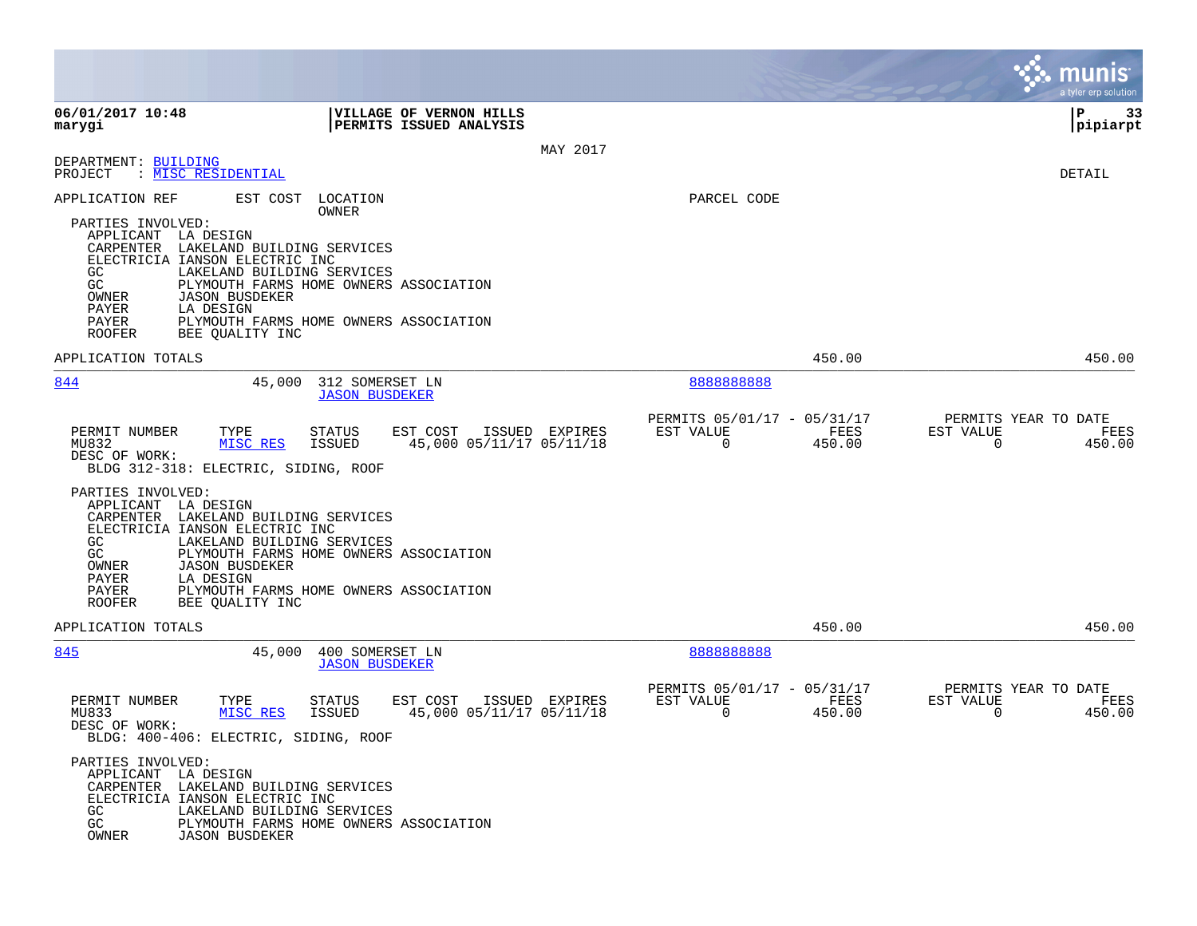|                                                                                                                                                                                                                                                                                                                                                                       |                                                                                                                                                                       |                                                      | munis<br>a tyler erp solution                                                     |
|-----------------------------------------------------------------------------------------------------------------------------------------------------------------------------------------------------------------------------------------------------------------------------------------------------------------------------------------------------------------------|-----------------------------------------------------------------------------------------------------------------------------------------------------------------------|------------------------------------------------------|-----------------------------------------------------------------------------------|
| 06/01/2017 10:48<br>marygi                                                                                                                                                                                                                                                                                                                                            | VILLAGE OF VERNON HILLS<br>PERMITS ISSUED ANALYSIS                                                                                                                    |                                                      | l P<br>33<br> pipiarpt                                                            |
| DEPARTMENT: BUILDING<br>: MISC RESIDENTIAL<br>PROJECT                                                                                                                                                                                                                                                                                                                 | MAY 2017                                                                                                                                                              |                                                      | DETAIL                                                                            |
| APPLICATION REF<br>EST COST<br>PARTIES INVOLVED:<br>APPLICANT LA DESIGN<br>CARPENTER LAKELAND BUILDING SERVICES<br>ELECTRICIA IANSON ELECTRIC INC<br>LAKELAND BUILDING SERVICES<br>GC.<br>GC<br><b>JASON BUSDEKER</b><br>OWNER<br>PAYER<br>LA DESIGN<br>PAYER<br>ROOFER<br>BEE QUALITY INC                                                                            | LOCATION<br><b>OWNER</b><br>PLYMOUTH FARMS HOME OWNERS ASSOCIATION<br>PLYMOUTH FARMS HOME OWNERS ASSOCIATION                                                          | PARCEL CODE                                          |                                                                                   |
| APPLICATION TOTALS                                                                                                                                                                                                                                                                                                                                                    |                                                                                                                                                                       |                                                      | 450.00<br>450.00                                                                  |
| 844<br>45,000                                                                                                                                                                                                                                                                                                                                                         | 312 SOMERSET LN<br><b>JASON BUSDEKER</b>                                                                                                                              | 888888888                                            |                                                                                   |
| PERMIT NUMBER<br>TYPE<br>MU832<br>MISC RES<br>DESC OF WORK:<br>BLDG 312-318: ELECTRIC, SIDING, ROOF<br>PARTIES INVOLVED:<br>APPLICANT LA DESIGN<br>CARPENTER<br>LAKELAND BUILDING SERVICES<br>ELECTRICIA IANSON ELECTRIC INC<br>GC.<br>LAKELAND BUILDING SERVICES<br>GC<br><b>JASON BUSDEKER</b><br>OWNER<br>PAYER<br>LA DESIGN<br>PAYER<br>ROOFER<br>BEE QUALITY INC | <b>STATUS</b><br>EST COST<br>ISSUED EXPIRES<br>ISSUED<br>45,000 05/11/17 05/11/18<br>PLYMOUTH FARMS HOME OWNERS ASSOCIATION<br>PLYMOUTH FARMS HOME OWNERS ASSOCIATION | PERMITS 05/01/17 - 05/31/17<br>EST VALUE<br>$\Omega$ | PERMITS YEAR TO DATE<br>FEES<br>EST VALUE<br>FEES<br>450.00<br>$\Omega$<br>450.00 |
| APPLICATION TOTALS                                                                                                                                                                                                                                                                                                                                                    |                                                                                                                                                                       |                                                      | 450.00<br>450.00                                                                  |
| 845<br>45,000                                                                                                                                                                                                                                                                                                                                                         | 400 SOMERSET LN<br><b>JASON BUSDEKER</b>                                                                                                                              | 8888888888                                           |                                                                                   |
| PERMIT NUMBER<br>TYPE<br>MU833<br>MISC RES<br>DESC OF WORK:<br>BLDG: 400-406: ELECTRIC, SIDING, ROOF<br>PARTIES INVOLVED:                                                                                                                                                                                                                                             | EST COST<br>ISSUED EXPIRES<br>STATUS<br>45,000 05/11/17 05/11/18<br>ISSUED                                                                                            | PERMITS 05/01/17 - 05/31/17<br>EST VALUE<br>$\Omega$ | PERMITS YEAR TO DATE<br>FEES<br>EST VALUE<br>FEES<br>450.00<br>0<br>450.00        |
| APPLICANT LA DESIGN<br>CARPENTER LAKELAND BUILDING SERVICES<br>ELECTRICIA IANSON ELECTRIC INC<br>GC<br>LAKELAND BUILDING SERVICES<br>GC<br>OWNER<br><b>JASON BUSDEKER</b>                                                                                                                                                                                             | PLYMOUTH FARMS HOME OWNERS ASSOCIATION                                                                                                                                |                                                      |                                                                                   |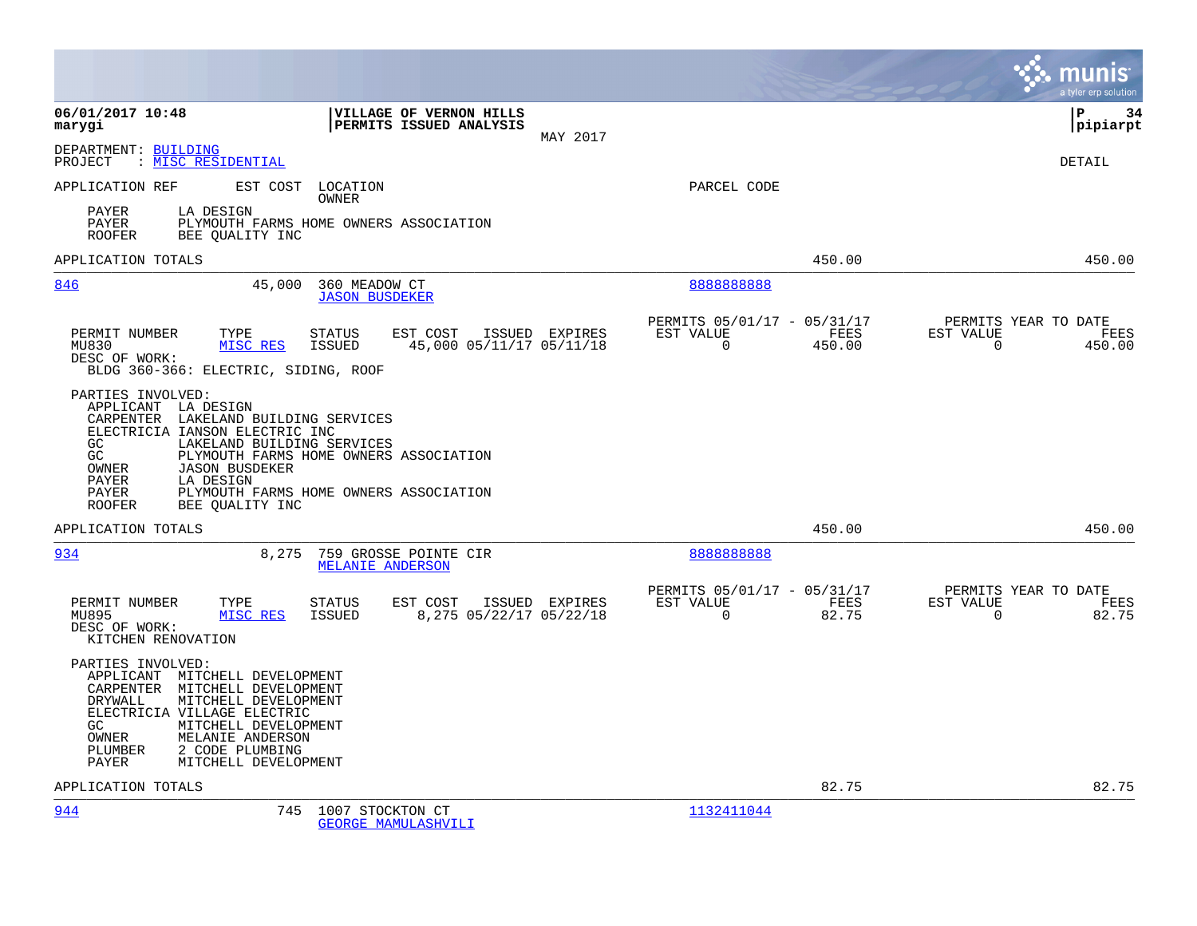|                                                                                                                                                                                                                                                                                                                                                        |                                                                          | munis<br>a tyler erp solution                                        |
|--------------------------------------------------------------------------------------------------------------------------------------------------------------------------------------------------------------------------------------------------------------------------------------------------------------------------------------------------------|--------------------------------------------------------------------------|----------------------------------------------------------------------|
| 06/01/2017 10:48<br>VILLAGE OF VERNON HILLS<br>PERMITS ISSUED ANALYSIS<br>marygi<br>MAY 2017                                                                                                                                                                                                                                                           |                                                                          | l P<br>34<br> pipiarpt                                               |
| DEPARTMENT: BUILDING<br>: MISC RESIDENTIAL<br>PROJECT                                                                                                                                                                                                                                                                                                  |                                                                          | DETAIL                                                               |
| EST COST<br>APPLICATION REF<br>LOCATION<br>OWNER                                                                                                                                                                                                                                                                                                       | PARCEL CODE                                                              |                                                                      |
| <b>PAYER</b><br>LA DESIGN<br><b>PAYER</b><br>PLYMOUTH FARMS HOME OWNERS ASSOCIATION<br><b>ROOFER</b><br>BEE QUALITY INC                                                                                                                                                                                                                                |                                                                          |                                                                      |
| APPLICATION TOTALS                                                                                                                                                                                                                                                                                                                                     | 450.00                                                                   | 450.00                                                               |
| 846<br>45,000<br>360 MEADOW CT<br><b>JASON BUSDEKER</b>                                                                                                                                                                                                                                                                                                | 888888888                                                                |                                                                      |
| PERMIT NUMBER<br>TYPE<br><b>STATUS</b><br>EST COST ISSUED EXPIRES<br>MU830<br>45,000 05/11/17 05/11/18<br>MISC RES<br>ISSUED<br>DESC OF WORK:<br>BLDG 360-366: ELECTRIC, SIDING, ROOF                                                                                                                                                                  | PERMITS 05/01/17 - 05/31/17<br>EST VALUE<br>FEES<br>$\Omega$<br>450.00   | PERMITS YEAR TO DATE<br>EST VALUE<br>FEES<br>$\Omega$<br>450.00      |
| PARTIES INVOLVED:<br>APPLICANT LA DESIGN<br>CARPENTER LAKELAND BUILDING SERVICES<br>ELECTRICIA IANSON ELECTRIC INC<br>GC.<br>LAKELAND BUILDING SERVICES<br>GC<br>PLYMOUTH FARMS HOME OWNERS ASSOCIATION<br>OWNER<br><b>JASON BUSDEKER</b><br>LA DESIGN<br>PAYER<br>PLYMOUTH FARMS HOME OWNERS ASSOCIATION<br>PAYER<br><b>ROOFER</b><br>BEE QUALITY INC |                                                                          |                                                                      |
| APPLICATION TOTALS                                                                                                                                                                                                                                                                                                                                     | 450.00                                                                   | 450.00                                                               |
| 934<br>8,275<br>759 GROSSE POINTE CIR<br><b>MELANIE ANDERSON</b>                                                                                                                                                                                                                                                                                       | 888888888                                                                |                                                                      |
| PERMIT NUMBER<br>TYPE<br>STATUS<br>EST COST<br>ISSUED EXPIRES<br>8,275 05/22/17 05/22/18<br>MU895<br>MISC RES<br>ISSUED<br>DESC OF WORK:<br>KITCHEN RENOVATION                                                                                                                                                                                         | PERMITS 05/01/17 - 05/31/17<br>FEES<br>EST VALUE<br>$\mathbf 0$<br>82.75 | PERMITS YEAR TO DATE<br>EST VALUE<br>FEES<br>82.75<br>$\overline{0}$ |
| PARTIES INVOLVED:<br>APPLICANT MITCHELL DEVELOPMENT<br>CARPENTER MITCHELL DEVELOPMENT<br>MITCHELL DEVELOPMENT<br>DRYWALL<br>ELECTRICIA VILLAGE ELECTRIC<br>MITCHELL DEVELOPMENT<br>GC.<br>MELANIE ANDERSON<br>OWNER<br>PLUMBER<br>2 CODE PLUMBING<br>PAYER<br>MITCHELL DEVELOPMENT                                                                     |                                                                          |                                                                      |
| APPLICATION TOTALS                                                                                                                                                                                                                                                                                                                                     | 82.75                                                                    | 82.75                                                                |
| 944<br>745<br>1007 STOCKTON CT<br><b>GEORGE MAMULASHVILI</b>                                                                                                                                                                                                                                                                                           | 1132411044                                                               |                                                                      |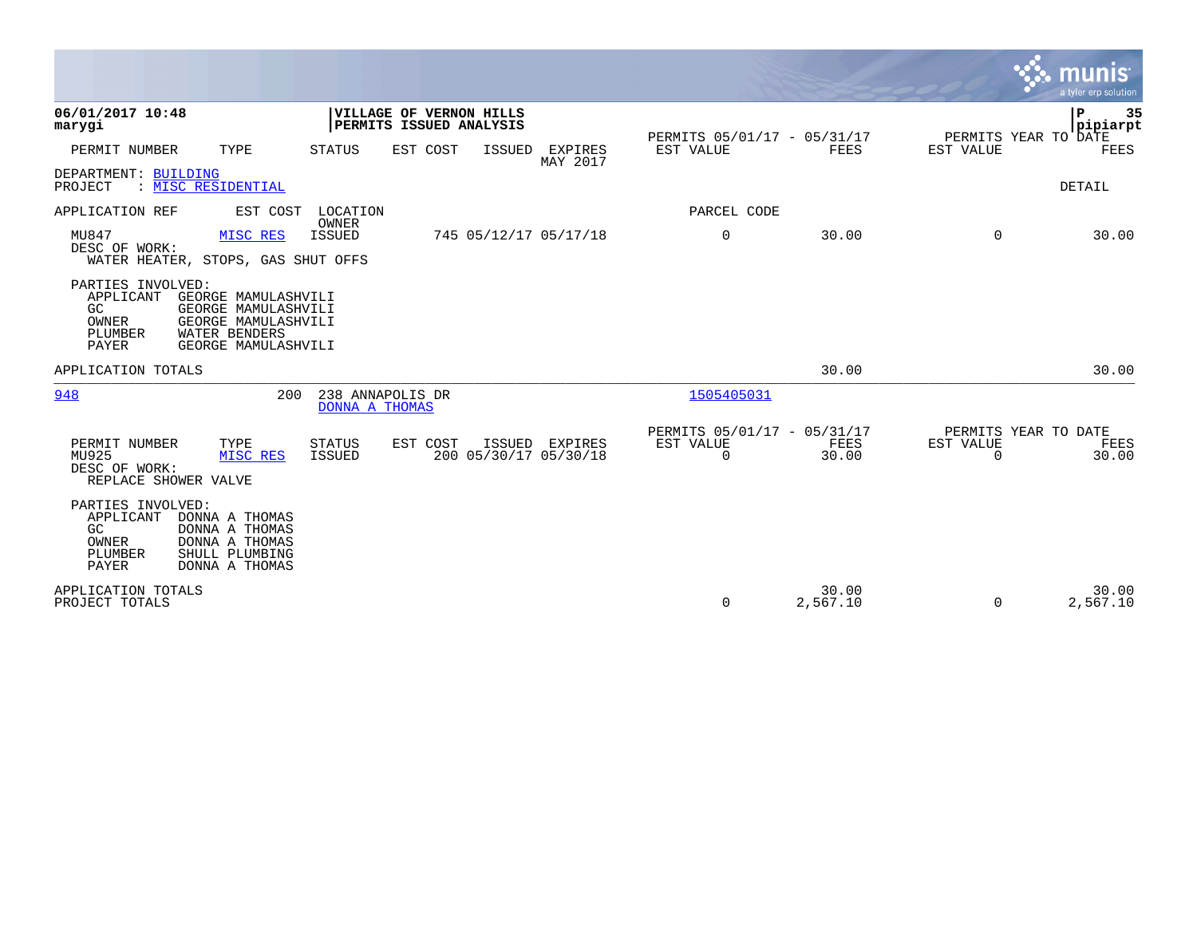|                                                                                                                                                                                              |                                                    |                                             |                                                         |                   |                                               | <u>ኛሉ</u> munis<br>a tyler erp solution |
|----------------------------------------------------------------------------------------------------------------------------------------------------------------------------------------------|----------------------------------------------------|---------------------------------------------|---------------------------------------------------------|-------------------|-----------------------------------------------|-----------------------------------------|
| 06/01/2017 10:48<br>marygi                                                                                                                                                                   | VILLAGE OF VERNON HILLS<br>PERMITS ISSUED ANALYSIS |                                             | PERMITS 05/01/17 - 05/31/17                             |                   | PERMITS YEAR TO DATE                          | lР<br>35<br> pipiarpt                   |
| PERMIT NUMBER<br>TYPE                                                                                                                                                                        | EST COST<br><b>STATUS</b>                          | <b>ISSUED</b><br><b>EXPIRES</b><br>MAY 2017 | EST VALUE                                               | <b>FEES</b>       | EST VALUE                                     | FEES                                    |
| DEPARTMENT: BUILDING<br>PROJECT<br>: MISC RESIDENTIAL                                                                                                                                        |                                                    |                                             |                                                         |                   |                                               | DETAIL                                  |
| APPLICATION REF<br>EST COST                                                                                                                                                                  | LOCATION<br><b>OWNER</b>                           |                                             | PARCEL CODE                                             |                   |                                               |                                         |
| MU847<br>MISC RES<br>DESC OF WORK:<br>WATER HEATER, STOPS, GAS SHUT OFFS                                                                                                                     | <b>ISSUED</b>                                      | 745 05/12/17 05/17/18                       | $\mathbf 0$                                             | 30.00             | $\Omega$                                      | 30.00                                   |
| PARTIES INVOLVED:<br>APPLICANT<br>GEORGE MAMULASHVILI<br>GC<br>GEORGE MAMULASHVILI<br>OWNER<br>GEORGE MAMULASHVILI<br><b>WATER BENDERS</b><br>PLUMBER<br><b>PAYER</b><br>GEORGE MAMULASHVILI |                                                    |                                             |                                                         |                   |                                               |                                         |
| APPLICATION TOTALS                                                                                                                                                                           |                                                    |                                             |                                                         | 30.00             |                                               | 30.00                                   |
| 948                                                                                                                                                                                          | 200<br>238 ANNAPOLIS DR<br><b>DONNA A THOMAS</b>   |                                             | 1505405031                                              |                   |                                               |                                         |
| PERMIT NUMBER<br>TYPE<br>MU925<br>MISC RES<br>DESC OF WORK:<br>REPLACE SHOWER VALVE                                                                                                          | <b>STATUS</b><br>EST COST<br><b>ISSUED</b>         | ISSUED<br>EXPIRES<br>200 05/30/17 05/30/18  | PERMITS 05/01/17 - 05/31/17<br>EST VALUE<br>$\mathbf 0$ | FEES<br>30.00     | PERMITS YEAR TO DATE<br>EST VALUE<br>$\Omega$ | FEES<br>30.00                           |
| PARTIES INVOLVED:<br>APPLICANT<br>DONNA A THOMAS<br>GC<br>DONNA A THOMAS<br>DONNA A THOMAS<br>OWNER<br>PLUMBER<br>SHULL PLUMBING<br><b>PAYER</b><br>DONNA A THOMAS                           |                                                    |                                             |                                                         |                   |                                               |                                         |
| APPLICATION TOTALS<br>PROJECT TOTALS                                                                                                                                                         |                                                    |                                             | 0                                                       | 30.00<br>2,567.10 | $\Omega$                                      | 30.00<br>2,567.10                       |

and the contract of the contract of the contract of the contract of the contract of the contract of the contract of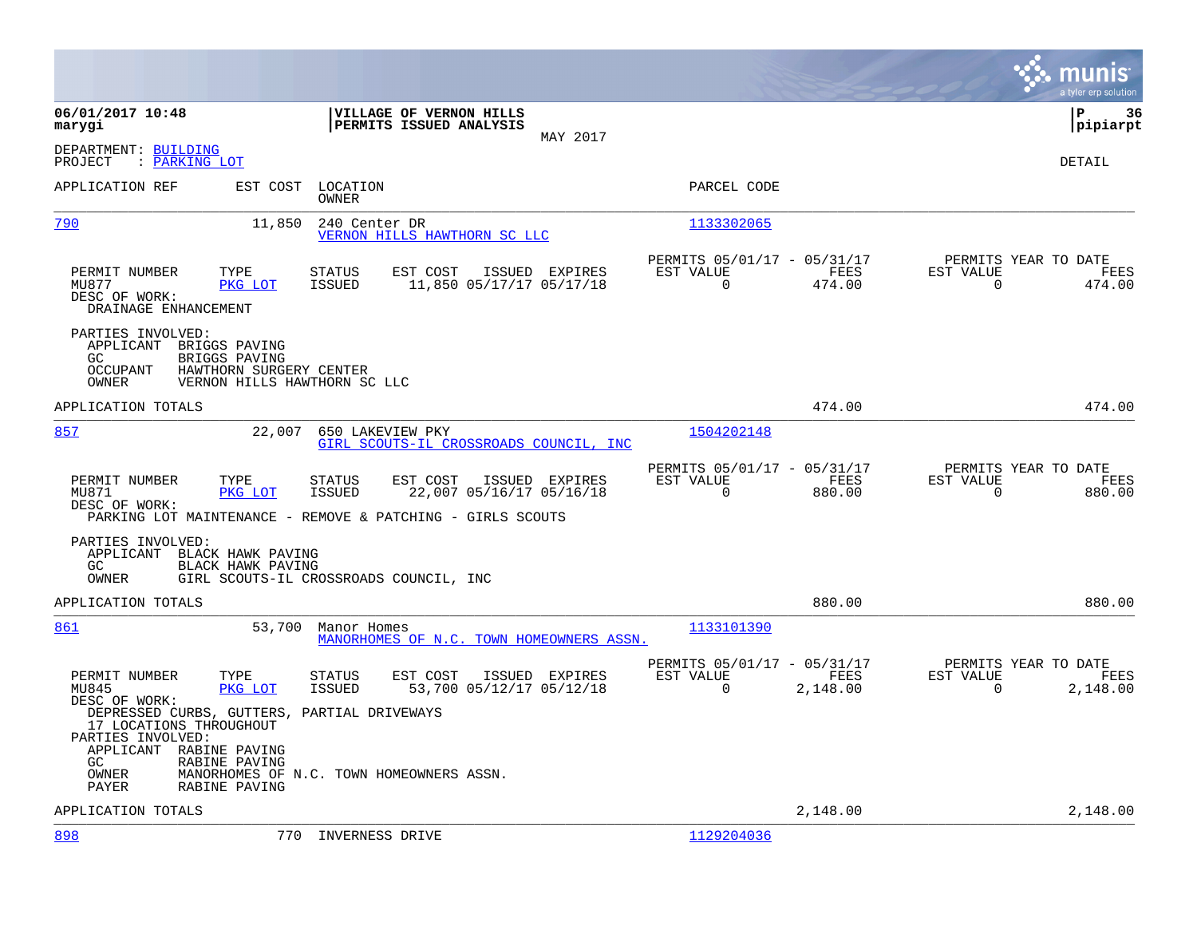|                                                                                                                                    |                                                                                                                                                        |                                                                               | munis<br>a tyler erp solution                                        |
|------------------------------------------------------------------------------------------------------------------------------------|--------------------------------------------------------------------------------------------------------------------------------------------------------|-------------------------------------------------------------------------------|----------------------------------------------------------------------|
| 06/01/2017 10:48<br>marygi                                                                                                         | VILLAGE OF VERNON HILLS<br>PERMITS ISSUED ANALYSIS<br>MAY 2017                                                                                         |                                                                               | lР<br>36<br> pipiarpt                                                |
| DEPARTMENT: BUILDING<br>: PARKING LOT<br>PROJECT                                                                                   |                                                                                                                                                        |                                                                               | DETAIL                                                               |
| APPLICATION REF                                                                                                                    | EST COST<br>LOCATION<br>OWNER                                                                                                                          | PARCEL CODE                                                                   |                                                                      |
| 790                                                                                                                                | 11,850<br>240 Center DR<br>VERNON HILLS HAWTHORN SC LLC                                                                                                | 1133302065                                                                    |                                                                      |
| TYPE<br>PERMIT NUMBER<br>MU877<br>PKG LOT<br>DESC OF WORK:<br>DRAINAGE ENHANCEMENT                                                 | <b>STATUS</b><br>EST COST<br>ISSUED EXPIRES<br>11,850 05/17/17 05/17/18<br><b>ISSUED</b>                                                               | PERMITS 05/01/17 - 05/31/17<br>EST VALUE<br>FEES<br>474.00<br>0               | PERMITS YEAR TO DATE<br>EST VALUE<br>FEES<br>$\mathbf 0$<br>474.00   |
| PARTIES INVOLVED:<br>APPLICANT BRIGGS PAVING<br>GC<br>BRIGGS PAVING<br>$OCCUPANT$<br>OWNER                                         | HAWTHORN SURGERY CENTER<br>VERNON HILLS HAWTHORN SC LLC                                                                                                |                                                                               |                                                                      |
| APPLICATION TOTALS                                                                                                                 |                                                                                                                                                        | 474.00                                                                        | 474.00                                                               |
| 857                                                                                                                                | 22,007<br>650 LAKEVIEW PKY<br>GIRL SCOUTS-IL CROSSROADS COUNCIL, INC                                                                                   | 1504202148                                                                    |                                                                      |
| TYPE<br>PERMIT NUMBER<br>PKG LOT<br>MU871<br>DESC OF WORK:                                                                         | EST COST<br>ISSUED EXPIRES<br><b>STATUS</b><br><b>ISSUED</b><br>22,007 05/16/17 05/16/18<br>PARKING LOT MAINTENANCE - REMOVE & PATCHING - GIRLS SCOUTS | PERMITS 05/01/17 - 05/31/17<br>EST VALUE<br><b>FEES</b><br>$\Omega$<br>880.00 | PERMITS YEAR TO DATE<br>EST VALUE<br>FEES<br>$\Omega$<br>880.00      |
| PARTIES INVOLVED:<br>APPLICANT BLACK HAWK PAVING<br>GC<br>BLACK HAWK PAVING<br>OWNER                                               | GIRL SCOUTS-IL CROSSROADS COUNCIL, INC                                                                                                                 |                                                                               |                                                                      |
| APPLICATION TOTALS                                                                                                                 |                                                                                                                                                        | 880.00                                                                        | 880.00                                                               |
| 861                                                                                                                                | 53,700<br>Manor Homes<br>MANORHOMES OF N.C. TOWN HOMEOWNERS ASSN.                                                                                      | 1133101390                                                                    |                                                                      |
| PERMIT NUMBER<br>TYPE<br>MU845<br>PKG LOT<br>DESC OF WORK:                                                                         | EST COST<br>ISSUED EXPIRES<br><b>STATUS</b><br><b>ISSUED</b><br>53,700 05/12/17 05/12/18                                                               | PERMITS 05/01/17 - 05/31/17<br>EST VALUE<br>FEES<br>$\Omega$<br>2,148.00      | PERMITS YEAR TO DATE<br>EST VALUE<br>FEES<br>$\mathbf 0$<br>2,148.00 |
| 17 LOCATIONS THROUGHOUT<br>PARTIES INVOLVED:<br>APPLICANT RABINE PAVING<br>GC.<br>RABINE PAVING<br>OWNER<br>PAYER<br>RABINE PAVING | DEPRESSED CURBS, GUTTERS, PARTIAL DRIVEWAYS<br>MANORHOMES OF N.C. TOWN HOMEOWNERS ASSN.                                                                |                                                                               |                                                                      |
| APPLICATION TOTALS                                                                                                                 |                                                                                                                                                        | 2,148.00                                                                      | 2,148.00                                                             |
| 898                                                                                                                                | 770<br>INVERNESS DRIVE                                                                                                                                 | 1129204036                                                                    |                                                                      |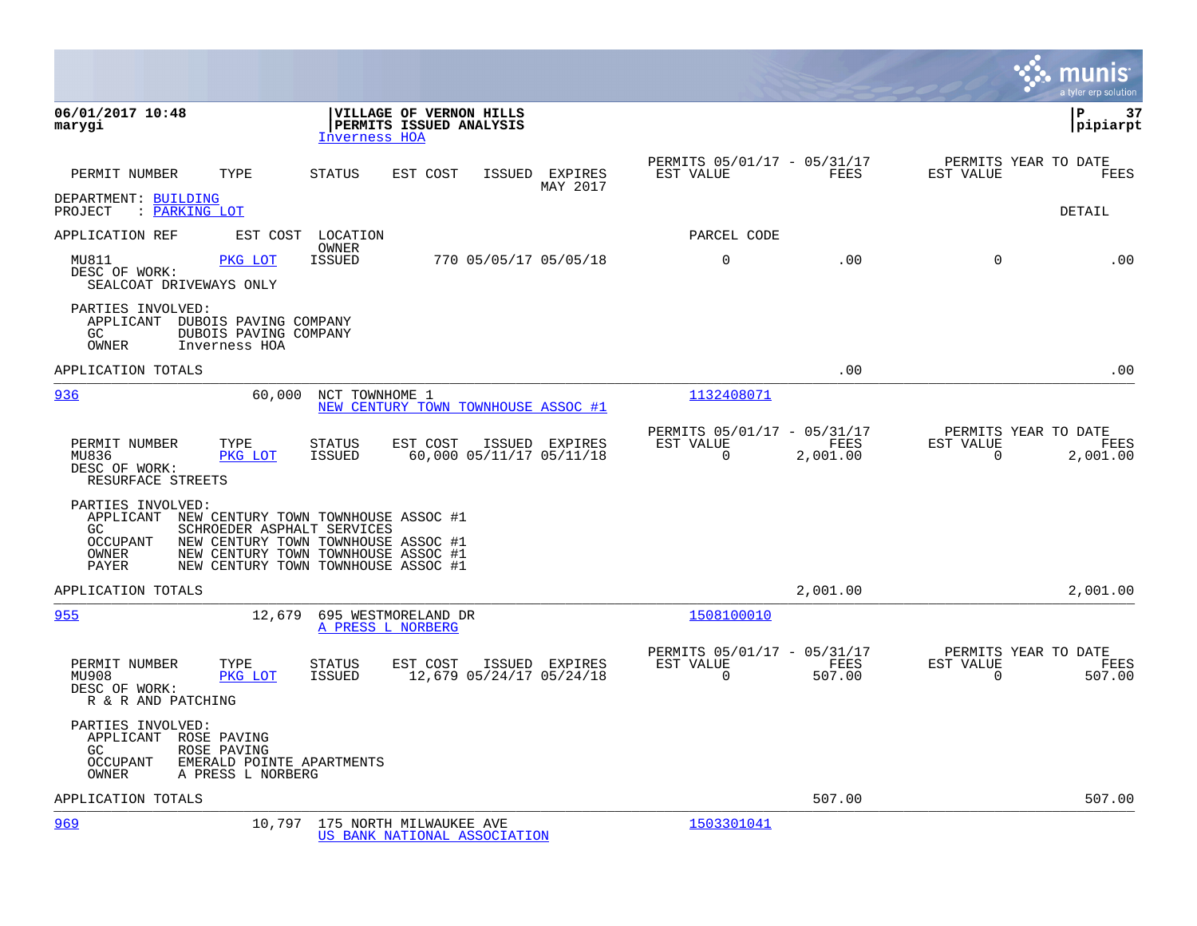|                                                                                                                                                                                                                                                                         |                                                                             | a tyler erp solution                                                 |
|-------------------------------------------------------------------------------------------------------------------------------------------------------------------------------------------------------------------------------------------------------------------------|-----------------------------------------------------------------------------|----------------------------------------------------------------------|
| 06/01/2017 10:48<br>VILLAGE OF VERNON HILLS<br>PERMITS ISSUED ANALYSIS<br>marygi<br>Inverness HOA                                                                                                                                                                       |                                                                             | 37<br>l P<br> pipiarpt                                               |
| TYPE<br>PERMIT NUMBER<br>STATUS<br>EST COST<br>ISSUED EXPIRES<br>MAY 2017                                                                                                                                                                                               | PERMITS 05/01/17 - 05/31/17<br>EST VALUE<br>FEES                            | PERMITS YEAR TO DATE<br>EST VALUE<br>FEES                            |
| DEPARTMENT: BUILDING<br>: PARKING LOT<br>PROJECT                                                                                                                                                                                                                        |                                                                             | DETAIL                                                               |
| APPLICATION REF<br>EST COST LOCATION<br>OWNER                                                                                                                                                                                                                           | PARCEL CODE                                                                 |                                                                      |
| <b>ISSUED</b><br>MU811<br>PKG LOT<br>770 05/05/17 05/05/18<br>DESC OF WORK:<br>SEALCOAT DRIVEWAYS ONLY                                                                                                                                                                  | $\mathbf 0$<br>.00                                                          | $\Omega$<br>.00                                                      |
| PARTIES INVOLVED:<br>APPLICANT DUBOIS PAVING COMPANY<br>GC<br>DUBOIS PAVING COMPANY<br><b>OWNER</b><br>Inverness HOA                                                                                                                                                    |                                                                             |                                                                      |
| APPLICATION TOTALS                                                                                                                                                                                                                                                      | .00                                                                         | .00                                                                  |
| 936<br>60,000<br>NCT TOWNHOME 1<br>NEW CENTURY TOWN TOWNHOUSE ASSOC #1                                                                                                                                                                                                  | 1132408071                                                                  |                                                                      |
| PERMIT NUMBER<br>TYPE<br>STATUS<br>EST COST<br>ISSUED EXPIRES<br>PKG LOT<br><b>ISSUED</b><br>60,000 05/11/17 05/11/18<br>MU836<br>DESC OF WORK:<br>RESURFACE STREETS                                                                                                    | PERMITS 05/01/17 - 05/31/17<br>EST VALUE<br>FEES<br>$\mathbf 0$<br>2,001.00 | PERMITS YEAR TO DATE<br>EST VALUE<br>FEES<br>$\mathbf 0$<br>2,001.00 |
| PARTIES INVOLVED:<br>APPLICANT NEW CENTURY TOWN TOWNHOUSE ASSOC #1<br>GC<br>SCHROEDER ASPHALT SERVICES<br>NEW CENTURY TOWN TOWNHOUSE ASSOC #1<br><b>OCCUPANT</b><br>OWNER<br>NEW CENTURY TOWN TOWNHOUSE ASSOC #1<br><b>PAYER</b><br>NEW CENTURY TOWN TOWNHOUSE ASSOC #1 |                                                                             |                                                                      |
| APPLICATION TOTALS                                                                                                                                                                                                                                                      | 2,001.00                                                                    | 2,001.00                                                             |
| 955<br>12,679<br>695 WESTMORELAND DR<br>A PRESS L NORBERG                                                                                                                                                                                                               | 1508100010                                                                  |                                                                      |
| PERMIT NUMBER<br>TYPE<br>EST COST<br>ISSUED EXPIRES<br>STATUS<br>MU908<br>PKG LOT<br><b>ISSUED</b><br>12,679 05/24/17 05/24/18<br>DESC OF WORK:<br>R & R AND PATCHING                                                                                                   | PERMITS 05/01/17 - 05/31/17<br>EST VALUE<br>FEES<br>$\Omega$<br>507.00      | PERMITS YEAR TO DATE<br>EST VALUE<br>FEES<br>0<br>507.00             |
| PARTIES INVOLVED:<br>APPLICANT<br>ROSE PAVING<br>GC.<br>ROSE PAVING<br>EMERALD POINTE APARTMENTS<br>OCCUPANT<br>OWNER<br>A PRESS L NORBERG                                                                                                                              |                                                                             |                                                                      |
| APPLICATION TOTALS                                                                                                                                                                                                                                                      | 507.00                                                                      | 507.00                                                               |
| 969<br>10,797<br>175 NORTH MILWAUKEE AVE<br>US BANK NATIONAL ASSOCIATION                                                                                                                                                                                                | 1503301041                                                                  |                                                                      |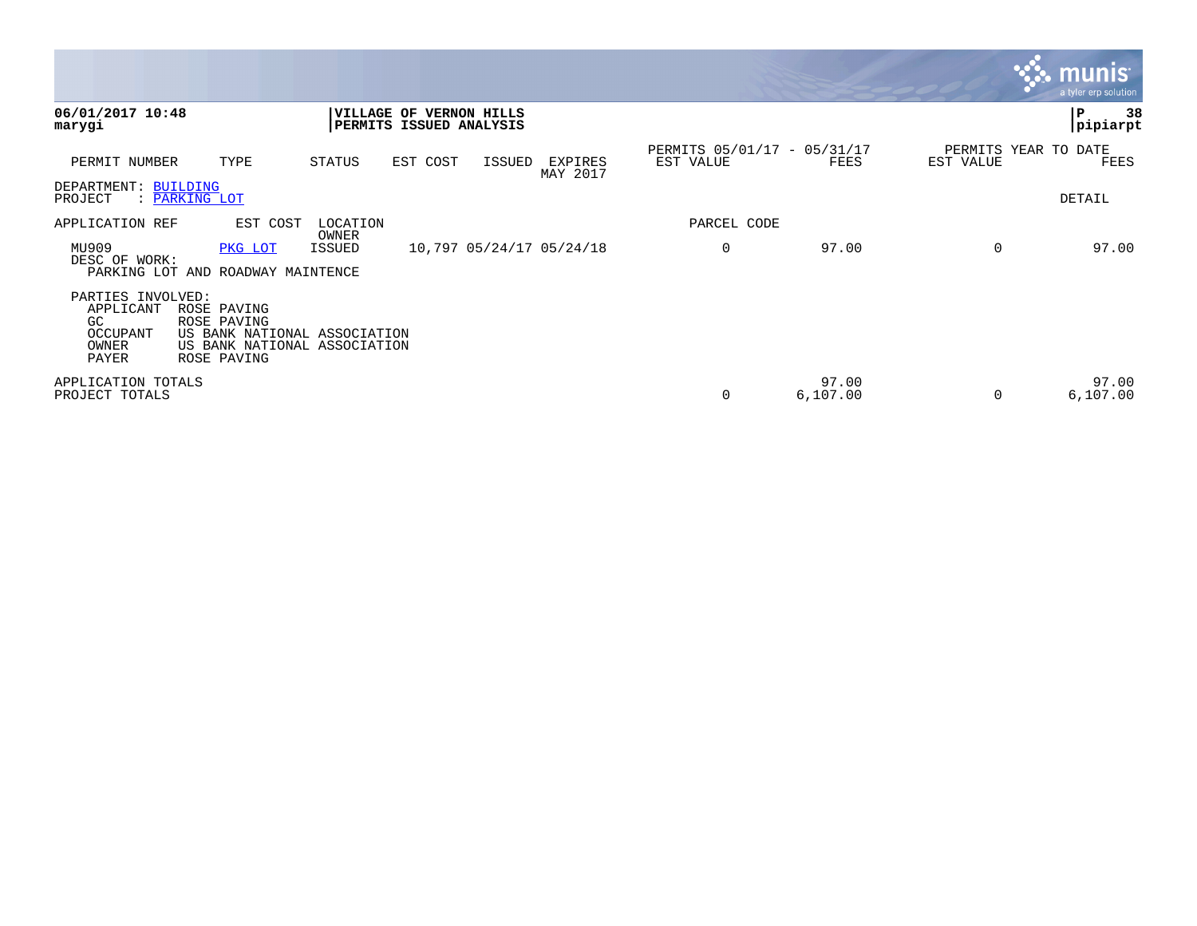|                                                                    |                                                                                                           |                   |                                                    |        |                          |                                          |                    |           | $\overline{\mathsf{m} \mathsf{u}}$ nıs'<br>a tyler erp solution |
|--------------------------------------------------------------------|-----------------------------------------------------------------------------------------------------------|-------------------|----------------------------------------------------|--------|--------------------------|------------------------------------------|--------------------|-----------|-----------------------------------------------------------------|
| 06/01/2017 10:48<br>marygi                                         |                                                                                                           |                   | VILLAGE OF VERNON HILLS<br>PERMITS ISSUED ANALYSIS |        |                          |                                          |                    |           | 38<br> P<br> pipiarpt                                           |
| PERMIT NUMBER                                                      | TYPE                                                                                                      | STATUS            | EST COST                                           | ISSUED | EXPIRES<br>MAY 2017      | PERMITS 05/01/17 - 05/31/17<br>EST VALUE | FEES               | EST VALUE | PERMITS YEAR TO DATE<br>FEES                                    |
| DEPARTMENT: BUILDING<br>PROJECT                                    | : PARKING LOT                                                                                             |                   |                                                    |        |                          |                                          |                    |           | DETAIL                                                          |
| APPLICATION REF                                                    | EST COST                                                                                                  | LOCATION<br>OWNER |                                                    |        |                          | PARCEL CODE                              |                    |           |                                                                 |
| MU909<br>DESC OF WORK:                                             | PKG LOT<br>PARKING LOT AND ROADWAY MAINTENCE                                                              | ISSUED            |                                                    |        | 10,797 05/24/17 05/24/18 | $\mathbf 0$                              | 97.00              | $\Omega$  | 97.00                                                           |
| PARTIES INVOLVED:<br>APPLICANT<br>GC<br>OCCUPANT<br>OWNER<br>PAYER | ROSE PAVING<br>ROSE PAVING<br>US BANK NATIONAL ASSOCIATION<br>US BANK NATIONAL ASSOCIATION<br>ROSE PAVING |                   |                                                    |        |                          |                                          |                    |           |                                                                 |
| APPLICATION TOTALS<br>PROJECT TOTALS                               |                                                                                                           |                   |                                                    |        |                          | 0                                        | 97.00<br>6, 107.00 | 0         | 97.00<br>6, 107.00                                              |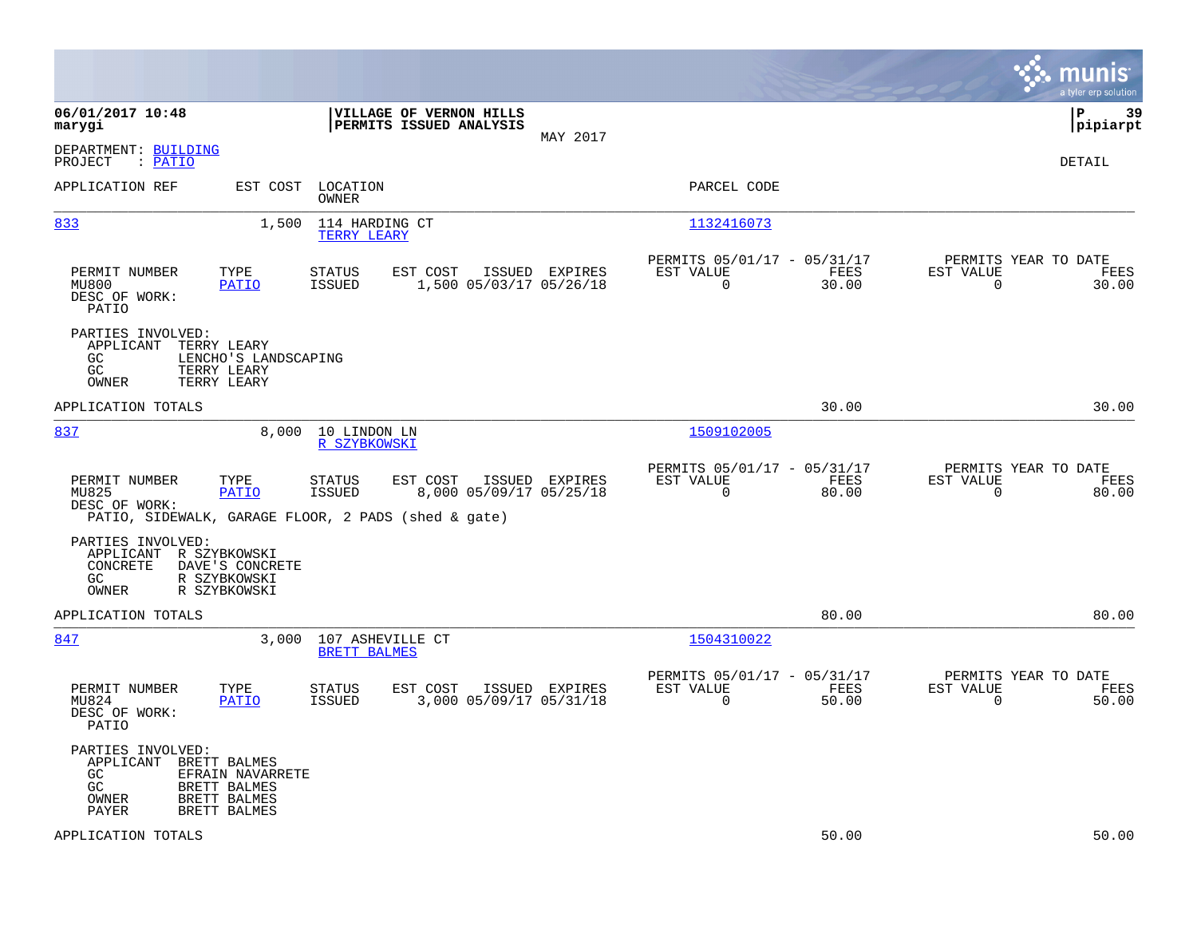|                                                                                                                                                  |                                                                                         |                                                                       | munis<br>a tyler erp solution                                     |
|--------------------------------------------------------------------------------------------------------------------------------------------------|-----------------------------------------------------------------------------------------|-----------------------------------------------------------------------|-------------------------------------------------------------------|
| 06/01/2017 10:48<br>marygi                                                                                                                       | VILLAGE OF VERNON HILLS<br>PERMITS ISSUED ANALYSIS<br>MAY 2017                          |                                                                       | lР<br>39<br> pipiarpt                                             |
| DEPARTMENT: BUILDING<br>PROJECT<br>: PATIO                                                                                                       |                                                                                         |                                                                       | DETAIL                                                            |
| APPLICATION REF<br>EST COST                                                                                                                      | LOCATION<br>OWNER                                                                       | PARCEL CODE                                                           |                                                                   |
| 833                                                                                                                                              | 1,500<br>114 HARDING CT<br>TERRY LEARY                                                  | 1132416073                                                            |                                                                   |
| TYPE<br>PERMIT NUMBER<br>MU800<br><b>PATIO</b><br>DESC OF WORK:<br>PATIO                                                                         | EST COST<br>ISSUED EXPIRES<br><b>STATUS</b><br><b>ISSUED</b><br>1,500 05/03/17 05/26/18 | PERMITS 05/01/17 - 05/31/17<br>EST VALUE<br>FEES<br>0<br>30.00        | PERMITS YEAR TO DATE<br>EST VALUE<br>FEES<br>$\mathbf 0$<br>30.00 |
| PARTIES INVOLVED:<br>APPLICANT<br>TERRY LEARY<br>GC.<br>LENCHO'S LANDSCAPING<br>GC<br>TERRY LEARY<br>TERRY LEARY<br>OWNER                        |                                                                                         |                                                                       |                                                                   |
| APPLICATION TOTALS                                                                                                                               |                                                                                         | 30.00                                                                 | 30.00                                                             |
| 837                                                                                                                                              | 8,000<br>10 LINDON LN<br>R SZYBKOWSKI                                                   | 1509102005                                                            |                                                                   |
| PERMIT NUMBER<br>TYPE<br>MU825<br><b>PATIO</b><br>DESC OF WORK:                                                                                  | <b>STATUS</b><br>EST COST<br>ISSUED EXPIRES<br>8,000 05/09/17 05/25/18<br><b>ISSUED</b> | PERMITS 05/01/17 - 05/31/17<br>EST VALUE<br>FEES<br>$\Omega$<br>80.00 | PERMITS YEAR TO DATE<br>EST VALUE<br>FEES<br>$\Omega$<br>80.00    |
| PARTIES INVOLVED:<br>APPLICANT R SZYBKOWSKI<br>CONCRETE<br>DAVE'S CONCRETE                                                                       | PATIO, SIDEWALK, GARAGE FLOOR, 2 PADS (shed & gate)                                     |                                                                       |                                                                   |
| GC.<br>R SZYBKOWSKI<br>R SZYBKOWSKI<br>OWNER                                                                                                     |                                                                                         |                                                                       |                                                                   |
| APPLICATION TOTALS                                                                                                                               |                                                                                         | 80.00                                                                 | 80.00                                                             |
| 847                                                                                                                                              | 3,000<br>107 ASHEVILLE CT<br><b>BRETT BALMES</b>                                        | 1504310022                                                            |                                                                   |
| PERMIT NUMBER<br>TYPE<br><b>PATIO</b><br>MU824<br>DESC OF WORK:<br>PATIO                                                                         | <b>STATUS</b><br>EST COST<br>ISSUED EXPIRES<br>ISSUED<br>3,000 05/09/17 05/31/18        | PERMITS 05/01/17 - 05/31/17<br>EST VALUE<br>FEES<br>0<br>50.00        | PERMITS YEAR TO DATE<br>EST VALUE<br>FEES<br>$\mathbf 0$<br>50.00 |
| PARTIES INVOLVED:<br>APPLICANT<br>BRETT BALMES<br>GC<br>EFRAIN NAVARRETE<br>GC<br>BRETT BALMES<br>BRETT BALMES<br>OWNER<br>PAYER<br>BRETT BALMES |                                                                                         |                                                                       |                                                                   |
| APPLICATION TOTALS                                                                                                                               |                                                                                         | 50.00                                                                 | 50.00                                                             |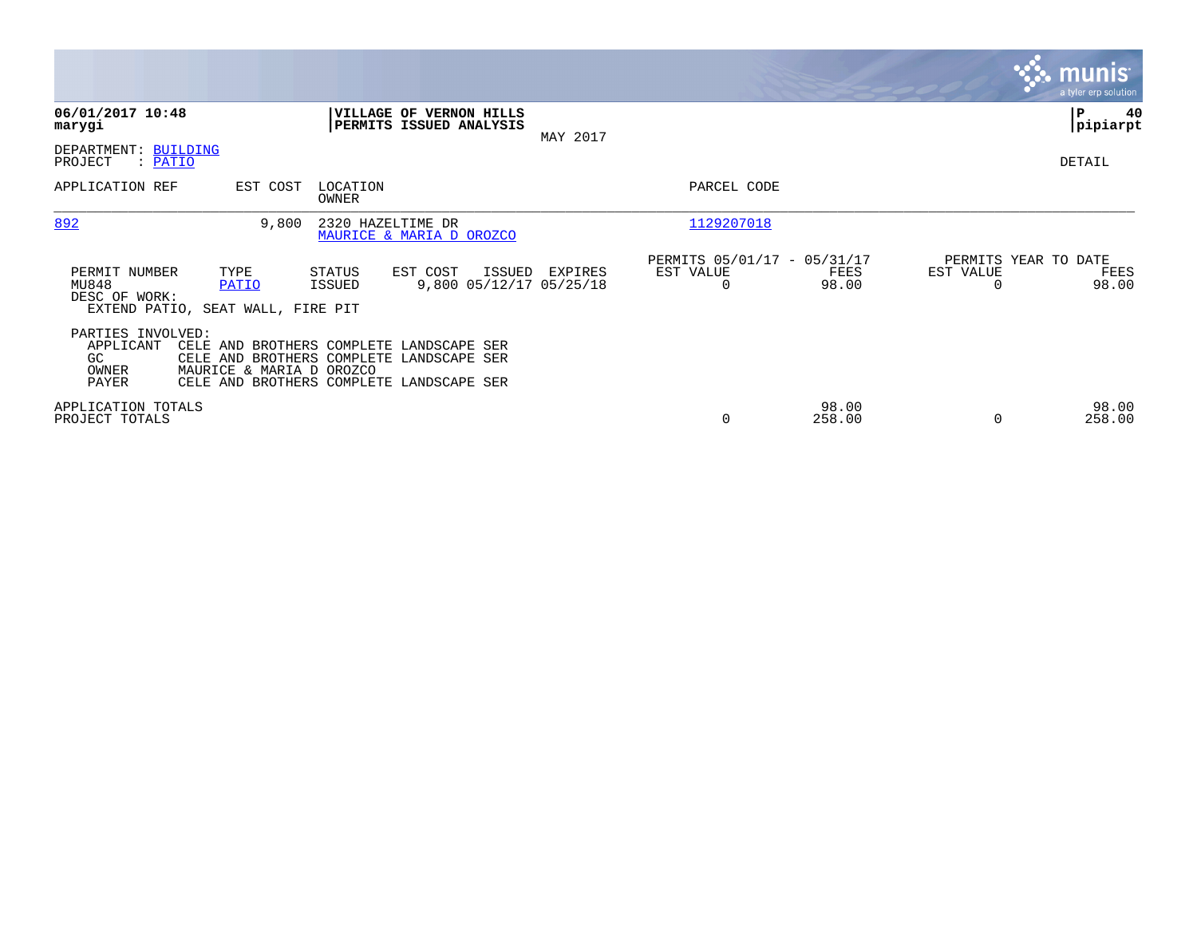|                                                         |                                                                                                                                                              |                   |                                                    |          |                                                      |                 |                                   | munis'<br>a tyler erp solution |
|---------------------------------------------------------|--------------------------------------------------------------------------------------------------------------------------------------------------------------|-------------------|----------------------------------------------------|----------|------------------------------------------------------|-----------------|-----------------------------------|--------------------------------|
| 06/01/2017 10:48<br>marygi                              |                                                                                                                                                              |                   | VILLAGE OF VERNON HILLS<br>PERMITS ISSUED ANALYSIS | MAY 2017 |                                                      |                 |                                   | 40<br>P<br> pipiarpt           |
| DEPARTMENT: BUILDING<br>PROJECT<br>: PATIO              |                                                                                                                                                              |                   |                                                    |          |                                                      |                 |                                   | DETAIL                         |
| APPLICATION REF                                         | EST COST                                                                                                                                                     | LOCATION<br>OWNER |                                                    |          | PARCEL CODE                                          |                 |                                   |                                |
| 892                                                     | 9,800                                                                                                                                                        | 2320 HAZELTIME DR | MAURICE & MARIA D OROZCO                           |          | 1129207018                                           |                 |                                   |                                |
| PERMIT NUMBER<br>MU848<br>DESC OF WORK:                 | TYPE<br>PATIO<br>EXTEND PATIO, SEAT WALL, FIRE PIT                                                                                                           | STATUS<br>ISSUED  | EST COST<br>ISSUED<br>9,800 05/12/17 05/25/18      | EXPIRES  | PERMITS 05/01/17 - 05/31/17<br>EST VALUE<br>$\Omega$ | FEES<br>98.00   | PERMITS YEAR TO DATE<br>EST VALUE | FEES<br>98.00                  |
| PARTIES INVOLVED:<br>APPLICANT<br>GC.<br>OWNER<br>PAYER | CELE AND BROTHERS COMPLETE LANDSCAPE SER<br>CELE AND BROTHERS COMPLETE LANDSCAPE SER<br>MAURICE & MARIA D OROZCO<br>CELE AND BROTHERS COMPLETE LANDSCAPE SER |                   |                                                    |          |                                                      |                 |                                   |                                |
| APPLICATION TOTALS<br>PROJECT TOTALS                    |                                                                                                                                                              |                   |                                                    |          | 0                                                    | 98.00<br>258.00 | $\Omega$                          | 98.00<br>258.00                |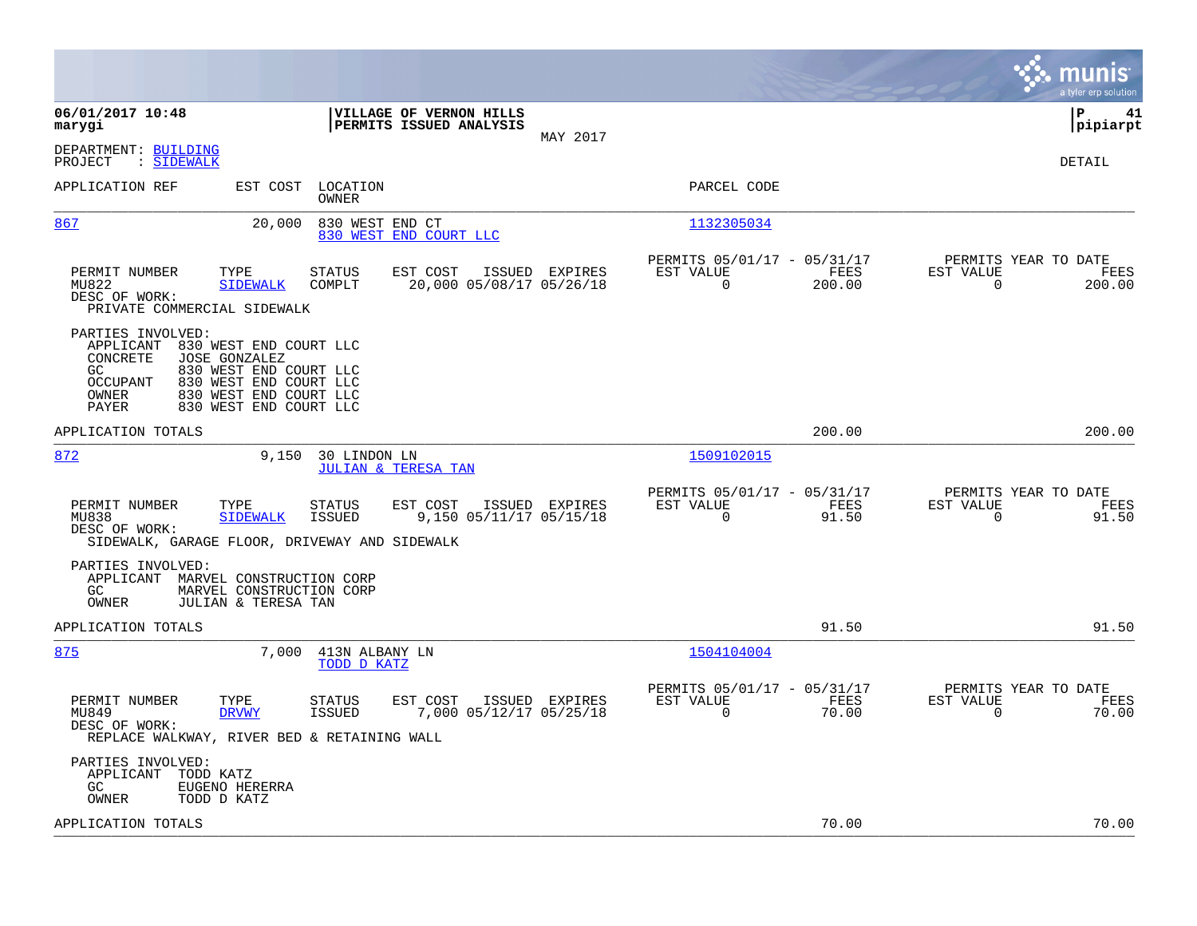|                                                                                                                                                                                                                                           |                                                                           | munis<br>a tyler erp solution                                      |
|-------------------------------------------------------------------------------------------------------------------------------------------------------------------------------------------------------------------------------------------|---------------------------------------------------------------------------|--------------------------------------------------------------------|
| 06/01/2017 10:48<br>VILLAGE OF VERNON HILLS<br>PERMITS ISSUED ANALYSIS<br>marygi<br>MAY 2017                                                                                                                                              |                                                                           | lР<br>41<br> pipiarpt                                              |
| DEPARTMENT: BUILDING<br>: SIDEWALK<br>PROJECT                                                                                                                                                                                             |                                                                           | DETAIL                                                             |
| APPLICATION REF<br>EST COST LOCATION<br>OWNER                                                                                                                                                                                             | PARCEL CODE                                                               |                                                                    |
| 867<br>20,000<br>830 WEST END CT<br>830 WEST END COURT LLC                                                                                                                                                                                | 1132305034                                                                |                                                                    |
| PERMIT NUMBER<br>TYPE<br>EST COST<br><b>STATUS</b><br>ISSUED EXPIRES<br>MU822<br><b>SIDEWALK</b><br>COMPLT<br>20,000 05/08/17 05/26/18<br>DESC OF WORK:<br>PRIVATE COMMERCIAL SIDEWALK                                                    | PERMITS 05/01/17 - 05/31/17<br>EST VALUE<br>FEES<br>$\mathbf 0$<br>200.00 | PERMITS YEAR TO DATE<br>EST VALUE<br>FEES<br>$\mathbf 0$<br>200.00 |
| PARTIES INVOLVED:<br>830 WEST END COURT LLC<br>APPLICANT<br>CONCRETE<br><b>JOSE GONZALEZ</b><br>830 WEST END COURT LLC<br>GC.<br>830 WEST END COURT LLC<br>OCCUPANT<br>OWNER<br>830 WEST END COURT LLC<br>830 WEST END COURT LLC<br>PAYER |                                                                           |                                                                    |
| APPLICATION TOTALS                                                                                                                                                                                                                        | 200.00                                                                    | 200.00                                                             |
| 872<br>9,150<br>30 LINDON LN<br><b>JULIAN &amp; TERESA TAN</b>                                                                                                                                                                            | 1509102015                                                                |                                                                    |
| PERMIT NUMBER<br>TYPE<br><b>STATUS</b><br>EST COST<br>ISSUED EXPIRES<br><b>SIDEWALK</b><br><b>ISSUED</b><br>9,150 05/11/17 05/15/18<br>MU838<br>DESC OF WORK:<br>SIDEWALK, GARAGE FLOOR, DRIVEWAY AND SIDEWALK                            | PERMITS 05/01/17 - 05/31/17<br>EST VALUE<br>FEES<br>$\mathbf 0$<br>91.50  | PERMITS YEAR TO DATE<br>EST VALUE<br>FEES<br>$\mathbf 0$<br>91.50  |
| PARTIES INVOLVED:<br>APPLICANT MARVEL CONSTRUCTION CORP<br>MARVEL CONSTRUCTION CORP<br>GC.<br>OWNER<br>JULIAN & TERESA TAN                                                                                                                |                                                                           |                                                                    |
| APPLICATION TOTALS                                                                                                                                                                                                                        | 91.50                                                                     | 91.50                                                              |
| 875<br>7,000<br>413N ALBANY LN<br>TODD D KATZ                                                                                                                                                                                             | 1504104004                                                                |                                                                    |
| EST COST<br>ISSUED EXPIRES<br>PERMIT NUMBER<br>TYPE<br><b>STATUS</b><br>MU849<br><b>DRVWY</b><br><b>ISSUED</b><br>7,000 05/12/17 05/25/18<br>DESC OF WORK:<br>REPLACE WALKWAY, RIVER BED & RETAINING WALL                                 | PERMITS 05/01/17 - 05/31/17<br>EST VALUE<br>FEES<br>$\mathbf 0$<br>70.00  | PERMITS YEAR TO DATE<br>EST VALUE<br>FEES<br>70.00<br>$\Omega$     |
| PARTIES INVOLVED:<br>APPLICANT<br>TODD KATZ<br>GC<br>EUGENO HERERRA<br>OWNER<br>TODD D KATZ                                                                                                                                               |                                                                           |                                                                    |
| APPLICATION TOTALS                                                                                                                                                                                                                        | 70.00                                                                     | 70.00                                                              |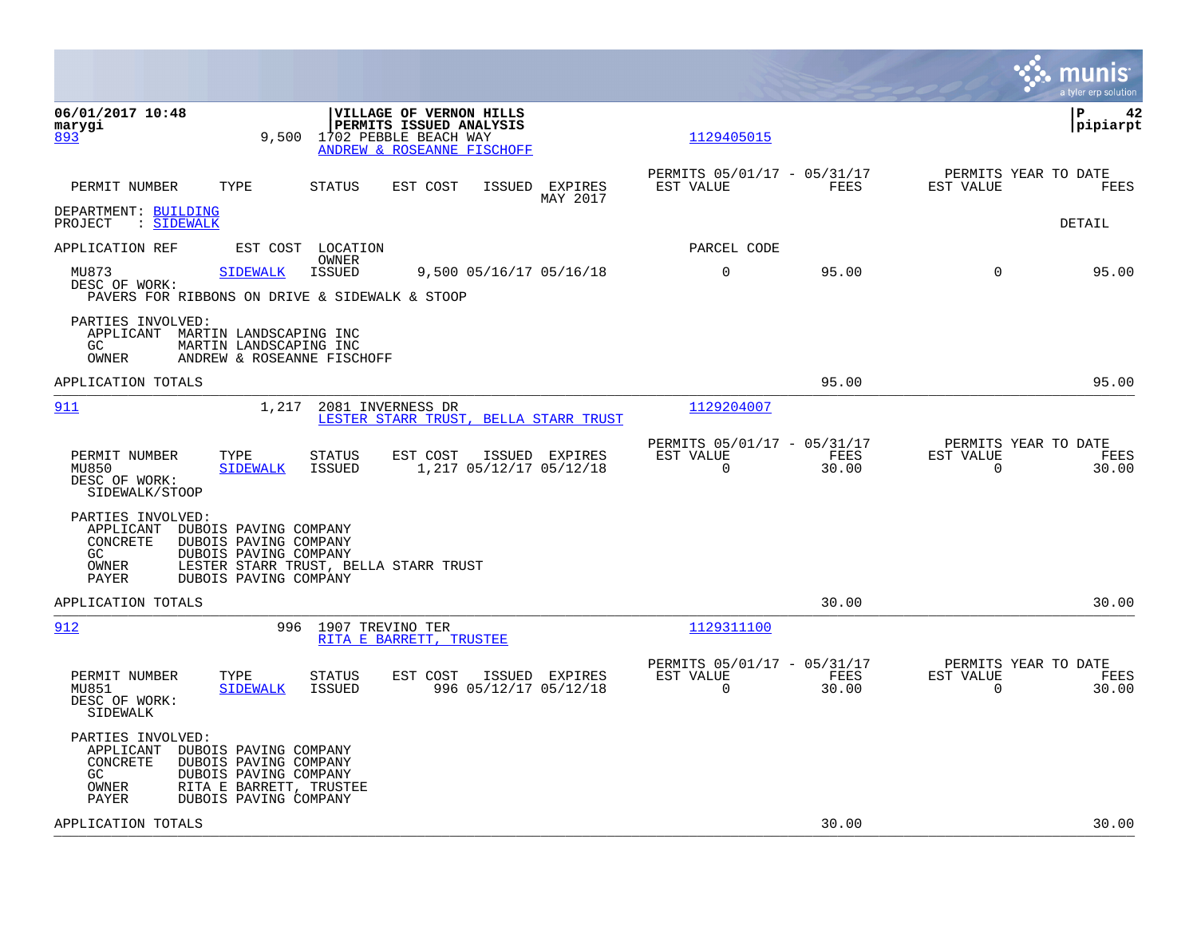|                                                                                                                                                                                                                  |                                                                                                           |                                                         |               | munis<br>a tyler erp solution                                     |
|------------------------------------------------------------------------------------------------------------------------------------------------------------------------------------------------------------------|-----------------------------------------------------------------------------------------------------------|---------------------------------------------------------|---------------|-------------------------------------------------------------------|
| 06/01/2017 10:48<br>marygi<br>9,500<br>893                                                                                                                                                                       | VILLAGE OF VERNON HILLS<br>PERMITS ISSUED ANALYSIS<br>1702 PEBBLE BEACH WAY<br>ANDREW & ROSEANNE FISCHOFF | 1129405015                                              |               | l P<br>42<br> pipiarpt                                            |
| TYPE<br>PERMIT NUMBER<br><b>STATUS</b>                                                                                                                                                                           | EST COST<br>ISSUED EXPIRES<br>MAY 2017                                                                    | PERMITS 05/01/17 - 05/31/17<br>EST VALUE                | FEES          | PERMITS YEAR TO DATE<br>EST VALUE<br>FEES                         |
| DEPARTMENT: BUILDING<br>: SIDEWALK<br>PROJECT                                                                                                                                                                    |                                                                                                           |                                                         |               | DETAIL                                                            |
| APPLICATION REF<br>EST COST<br>LOCATION<br>OWNER                                                                                                                                                                 |                                                                                                           | PARCEL CODE                                             |               |                                                                   |
| MU873<br><b>SIDEWALK</b><br><b>ISSUED</b><br>DESC OF WORK:<br>PAVERS FOR RIBBONS ON DRIVE & SIDEWALK & STOOP                                                                                                     | 9,500 05/16/17 05/16/18                                                                                   | 0                                                       | 95.00         | 0<br>95.00                                                        |
| PARTIES INVOLVED:<br>APPLICANT<br>MARTIN LANDSCAPING INC<br>GC<br>MARTIN LANDSCAPING INC<br>OWNER<br>ANDREW & ROSEANNE FISCHOFF                                                                                  |                                                                                                           |                                                         |               |                                                                   |
| APPLICATION TOTALS                                                                                                                                                                                               |                                                                                                           |                                                         | 95.00         | 95.00                                                             |
| 911<br>1,217                                                                                                                                                                                                     | 2081 INVERNESS DR<br>LESTER STARR TRUST,<br>BELLA STARR TRUST                                             | 1129204007                                              |               |                                                                   |
| TYPE<br>PERMIT NUMBER<br><b>STATUS</b><br>MU850<br><b>SIDEWALK</b><br><b>ISSUED</b><br>DESC OF WORK:<br>SIDEWALK/STOOP                                                                                           | ISSUED EXPIRES<br>EST COST<br>1,217 05/12/17 05/12/18                                                     | PERMITS 05/01/17 - 05/31/17<br>EST VALUE<br>$\Omega$    | FEES<br>30.00 | PERMITS YEAR TO DATE<br>EST VALUE<br>FEES<br>$\Omega$<br>30.00    |
| PARTIES INVOLVED:<br>DUBOIS PAVING COMPANY<br>APPLICANT<br>CONCRETE<br>DUBOIS PAVING COMPANY<br>GC.<br>DUBOIS PAVING COMPANY<br>LESTER STARR TRUST, BELLA STARR TRUST<br>OWNER<br>DUBOIS PAVING COMPANY<br>PAYER |                                                                                                           |                                                         |               |                                                                   |
| APPLICATION TOTALS                                                                                                                                                                                               |                                                                                                           |                                                         | 30.00         | 30.00                                                             |
| 912<br>996                                                                                                                                                                                                       | 1907 TREVINO TER<br>RITA E BARRETT, TRUSTEE                                                               | 1129311100                                              |               |                                                                   |
| PERMIT NUMBER<br>TYPE<br><b>STATUS</b><br>MU851<br><b>SIDEWALK</b><br><b>ISSUED</b><br>DESC OF WORK:<br>SIDEWALK                                                                                                 | EST COST<br>ISSUED EXPIRES<br>996 05/12/17 05/12/18                                                       | PERMITS 05/01/17 - 05/31/17<br>EST VALUE<br>$\mathbf 0$ | FEES<br>30.00 | PERMITS YEAR TO DATE<br>EST VALUE<br>FEES<br>$\mathbf 0$<br>30.00 |
| PARTIES INVOLVED:<br>APPLICANT<br>DUBOIS PAVING COMPANY<br>CONCRETE<br>DUBOIS PAVING COMPANY<br>GC<br>DUBOIS PAVING COMPANY<br>OWNER<br>RITA E BARRETT, TRUSTEE<br>PAYER<br>DUBOIS PAVING COMPANY                |                                                                                                           |                                                         |               |                                                                   |
| APPLICATION TOTALS                                                                                                                                                                                               |                                                                                                           |                                                         | 30.00         | 30.00                                                             |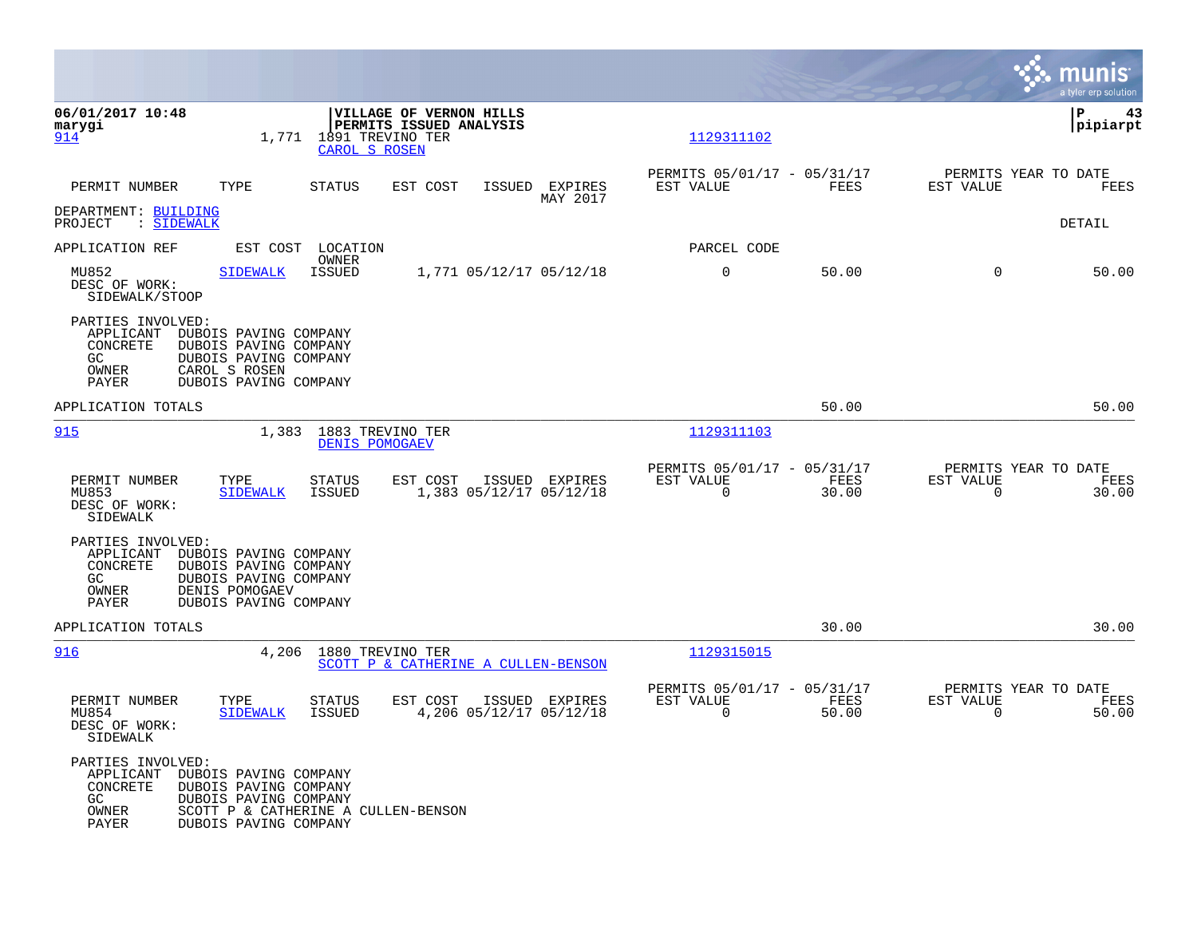|                                                                     |                                                                                                                                         |                                    |                                                    |        |                                           |                                                      |               |                                                  | munis<br>a tyler erp solution |
|---------------------------------------------------------------------|-----------------------------------------------------------------------------------------------------------------------------------------|------------------------------------|----------------------------------------------------|--------|-------------------------------------------|------------------------------------------------------|---------------|--------------------------------------------------|-------------------------------|
| 06/01/2017 10:48<br>marygi<br>914                                   | 1,771                                                                                                                                   | 1891 TREVINO TER<br>CAROL S ROSEN  | VILLAGE OF VERNON HILLS<br>PERMITS ISSUED ANALYSIS |        |                                           | 1129311102                                           |               |                                                  | IΡ<br>43<br>pipiarpt          |
| PERMIT NUMBER                                                       | TYPE                                                                                                                                    | <b>STATUS</b>                      | EST COST                                           | ISSUED | EXPIRES<br>MAY 2017                       | PERMITS 05/01/17 - 05/31/17<br>EST VALUE             | FEES          | PERMITS YEAR TO DATE<br>EST VALUE                | FEES                          |
| DEPARTMENT: BUILDING<br>PROJECT<br>: <u>SIDEWALK</u>                |                                                                                                                                         |                                    |                                                    |        |                                           |                                                      |               |                                                  | DETAIL                        |
| APPLICATION REF                                                     |                                                                                                                                         | EST COST LOCATION<br>OWNER         |                                                    |        |                                           | PARCEL CODE                                          |               |                                                  |                               |
| MU852<br>DESC OF WORK:<br>SIDEWALK/STOOP                            | SIDEWALK                                                                                                                                | ISSUED                             |                                                    |        | 1,771 05/12/17 05/12/18                   | $\mathsf 0$                                          | 50.00         | $\mathbf 0$                                      | 50.00                         |
| PARTIES INVOLVED:<br>APPLICANT<br>CONCRETE<br>GC<br>OWNER<br>PAYER  | DUBOIS PAVING COMPANY<br>DUBOIS PAVING COMPANY<br>DUBOIS PAVING COMPANY<br>CAROL S ROSEN<br>DUBOIS PAVING COMPANY                       |                                    |                                                    |        |                                           |                                                      |               |                                                  |                               |
| APPLICATION TOTALS                                                  |                                                                                                                                         |                                    |                                                    |        |                                           |                                                      | 50.00         |                                                  | 50.00                         |
| 915                                                                 | 1,383                                                                                                                                   | 1883 TREVINO TER<br>DENIS POMOGAEV |                                                    |        |                                           | 1129311103                                           |               |                                                  |                               |
| PERMIT NUMBER<br>MU853<br>DESC OF WORK:<br>SIDEWALK                 | TYPE<br><b>SIDEWALK</b>                                                                                                                 | <b>STATUS</b><br>ISSUED            | EST COST                                           |        | ISSUED EXPIRES<br>1,383 05/12/17 05/12/18 | PERMITS 05/01/17 - 05/31/17<br>EST VALUE<br>$\Omega$ | FEES<br>30.00 | PERMITS YEAR TO DATE<br>EST VALUE<br>$\Omega$    | FEES<br>30.00                 |
| PARTIES INVOLVED:<br>APPLICANT<br>CONCRETE<br>GC.<br>OWNER<br>PAYER | DUBOIS PAVING COMPANY<br>DUBOIS PAVING COMPANY<br>DUBOIS PAVING COMPANY<br>DENIS POMOGAEV<br>DUBOIS PAVING COMPANY                      |                                    |                                                    |        |                                           |                                                      |               |                                                  |                               |
| APPLICATION TOTALS                                                  |                                                                                                                                         |                                    |                                                    |        |                                           |                                                      | 30.00         |                                                  | 30.00                         |
| 916                                                                 | 4,206                                                                                                                                   | 1880 TREVINO TER                   | SCOTT P & CATHERINE A CULLEN-BENSON                |        |                                           | 1129315015                                           |               |                                                  |                               |
| PERMIT NUMBER<br>MU854<br>DESC OF WORK:<br>SIDEWALK                 | TYPE<br><b>SIDEWALK</b>                                                                                                                 | <b>STATUS</b><br>ISSUED            | EST COST                                           |        | ISSUED EXPIRES<br>4,206 05/12/17 05/12/18 | PERMITS 05/01/17 - 05/31/17<br>EST VALUE<br>0        | FEES<br>50.00 | PERMITS YEAR TO DATE<br>EST VALUE<br>$\mathbf 0$ | FEES<br>50.00                 |
| PARTIES INVOLVED:<br>APPLICANT<br>CONCRETE<br>GC<br>OWNER<br>PAYER  | DUBOIS PAVING COMPANY<br>DUBOIS PAVING COMPANY<br>DUBOIS PAVING COMPANY<br>SCOTT P & CATHERINE A CULLEN-BENSON<br>DUBOIS PAVING COMPANY |                                    |                                                    |        |                                           |                                                      |               |                                                  |                               |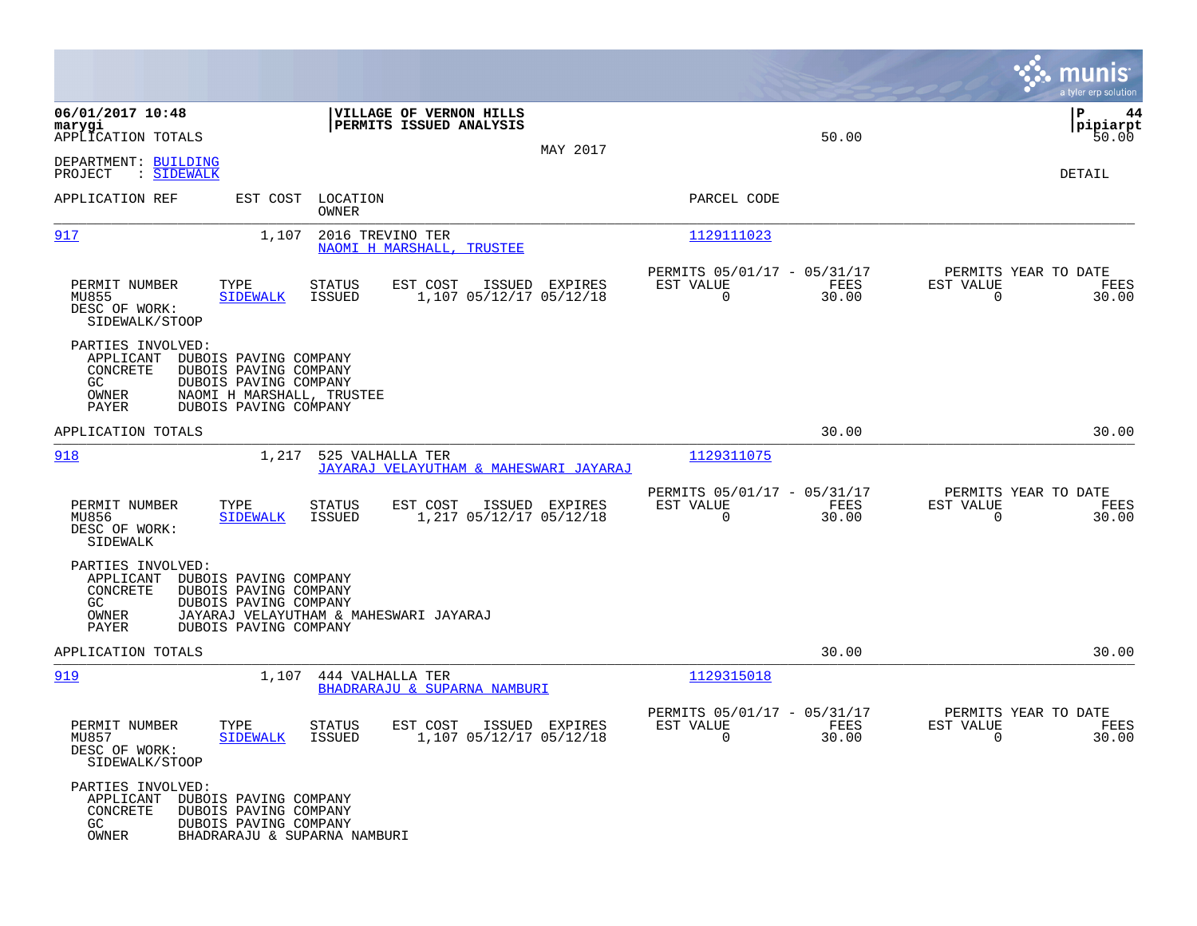|                                                                    |                                                                                                                               |                         |                                                    |                |                                                            |               |                                                     | munis<br>a tyler erp solution  |
|--------------------------------------------------------------------|-------------------------------------------------------------------------------------------------------------------------------|-------------------------|----------------------------------------------------|----------------|------------------------------------------------------------|---------------|-----------------------------------------------------|--------------------------------|
| 06/01/2017 10:48<br>marygi<br>APPLICATION TOTALS                   |                                                                                                                               |                         | VILLAGE OF VERNON HILLS<br>PERMITS ISSUED ANALYSIS | MAY 2017       |                                                            | 50.00         |                                                     | ΙP<br>44<br> pipiarpt<br>50.00 |
| DEPARTMENT: BUILDING<br>PROJECT<br>: SIDEWALK                      |                                                                                                                               |                         |                                                    |                |                                                            |               |                                                     | DETAIL                         |
| APPLICATION REF                                                    | EST COST                                                                                                                      | LOCATION<br>OWNER       |                                                    |                | PARCEL CODE                                                |               |                                                     |                                |
| 917                                                                | 1,107                                                                                                                         | 2016 TREVINO TER        | NAOMI H MARSHALL, TRUSTEE                          |                | 1129111023                                                 |               |                                                     |                                |
| PERMIT NUMBER<br>MU855<br>DESC OF WORK:<br>SIDEWALK/STOOP          | TYPE<br>SIDEWALK                                                                                                              | STATUS<br>ISSUED        | EST COST<br>1,107 05/12/17 05/12/18                | ISSUED EXPIRES | PERMITS 05/01/17 - 05/31/17<br>EST VALUE<br>0              | FEES<br>30.00 | PERMITS YEAR TO DATE<br>EST VALUE<br>$\mathbf 0$    | FEES<br>30.00                  |
| PARTIES INVOLVED:<br>APPLICANT<br>CONCRETE<br>GC<br>OWNER<br>PAYER | DUBOIS PAVING COMPANY<br>DUBOIS PAVING COMPANY<br>DUBOIS PAVING COMPANY<br>NAOMI H MARSHALL, TRUSTEE<br>DUBOIS PAVING COMPANY |                         |                                                    |                |                                                            |               |                                                     |                                |
| APPLICATION TOTALS                                                 |                                                                                                                               |                         |                                                    |                |                                                            | 30.00         |                                                     | 30.00                          |
| 918                                                                | 1,217                                                                                                                         | 525 VALHALLA TER        | JAYARAJ VELAYUTHAM & MAHESWARI JAYARAJ             |                | 1129311075                                                 |               |                                                     |                                |
| PERMIT NUMBER<br>MU856<br>DESC OF WORK:<br>SIDEWALK                | TYPE<br>SIDEWALK                                                                                                              | STATUS<br>ISSUED        | EST COST<br>1,217 05/12/17 05/12/18                | ISSUED EXPIRES | PERMITS 05/01/17 - 05/31/17<br>EST VALUE<br>0              | FEES<br>30.00 | PERMITS YEAR TO DATE<br>EST VALUE<br>0              | FEES<br>30.00                  |
| PARTIES INVOLVED:<br>APPLICANT<br>CONCRETE<br>GC<br>OWNER<br>PAYER | DUBOIS PAVING COMPANY<br>DUBOIS PAVING COMPANY<br>DUBOIS PAVING COMPANY<br>DUBOIS PAVING COMPANY                              |                         | JAYARAJ VELAYUTHAM & MAHESWARI JAYARAJ             |                |                                                            |               |                                                     |                                |
| APPLICATION TOTALS                                                 |                                                                                                                               |                         |                                                    |                |                                                            | 30.00         |                                                     | 30.00                          |
| <u>919</u>                                                         | 1,107                                                                                                                         | 444 VALHALLA TER        | BHADRARAJU & SUPARNA NAMBURI                       |                | 1129315018                                                 |               |                                                     |                                |
| PERMIT NUMBER<br>MU857<br>DESC OF WORK:<br>SIDEWALK/STOOP          | TYPE<br><b>SIDEWALK</b>                                                                                                       | <b>STATUS</b><br>ISSUED | EST COST<br>1,107 05/12/17 05/12/18                | ISSUED EXPIRES | PERMITS 05/01/17 - 05/31/17<br>EST VALUE<br>$\overline{0}$ | FEES<br>30.00 | PERMITS YEAR TO DATE<br>EST VALUE<br>$\overline{0}$ | FEES<br>30.00                  |
| PARTIES INVOLVED:<br>APPLICANT<br>CONCRETE<br>GC<br>OWNER          | DUBOIS PAVING COMPANY<br>DUBOIS PAVING COMPANY<br>DUBOIS PAVING COMPANY<br>BHADRARAJU & SUPARNA NAMBURI                       |                         |                                                    |                |                                                            |               |                                                     |                                |

 $\mathcal{L}^{\text{max}}$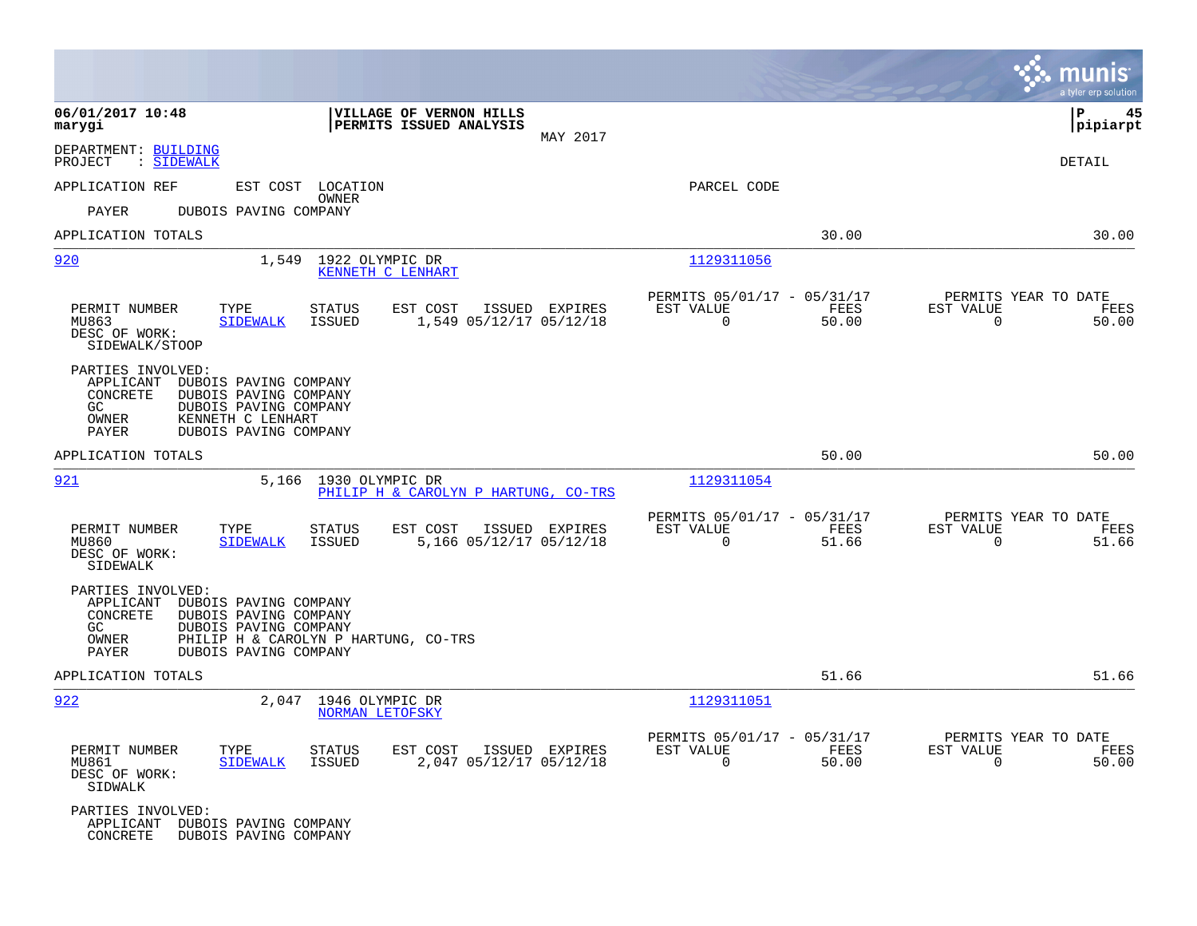|                                                                                                                                                                                             |                                                                                         |                                                         | munis<br>a tyler erp solution                                                      |
|---------------------------------------------------------------------------------------------------------------------------------------------------------------------------------------------|-----------------------------------------------------------------------------------------|---------------------------------------------------------|------------------------------------------------------------------------------------|
| 06/01/2017 10:48<br>marygi                                                                                                                                                                  | VILLAGE OF VERNON HILLS<br>PERMITS ISSUED ANALYSIS                                      | MAY 2017                                                | ΙP<br>45<br> pipiarpt                                                              |
| DEPARTMENT: BUILDING<br>: SIDEWALK<br>PROJECT                                                                                                                                               |                                                                                         |                                                         | DETAIL                                                                             |
| APPLICATION REF<br>EST COST LOCATION                                                                                                                                                        |                                                                                         | PARCEL CODE                                             |                                                                                    |
| PAYER<br>DUBOIS PAVING COMPANY                                                                                                                                                              | OWNER                                                                                   |                                                         |                                                                                    |
| APPLICATION TOTALS                                                                                                                                                                          |                                                                                         |                                                         | 30.00<br>30.00                                                                     |
| 920<br>1,549                                                                                                                                                                                | 1922 OLYMPIC DR<br>KENNETH C LENHART                                                    | 1129311056                                              |                                                                                    |
| TYPE<br>PERMIT NUMBER<br>MU863<br><b>SIDEWALK</b><br>DESC OF WORK:<br>SIDEWALK/STOOP                                                                                                        | EST COST<br>ISSUED EXPIRES<br>STATUS<br>ISSUED<br>1,549 05/12/17 05/12/18               | PERMITS 05/01/17 - 05/31/17<br>EST VALUE<br>$\mathbf 0$ | PERMITS YEAR TO DATE<br>FEES<br>EST VALUE<br>FEES<br>50.00<br>$\mathbf 0$<br>50.00 |
| PARTIES INVOLVED:<br>APPLICANT<br>DUBOIS PAVING COMPANY<br>CONCRETE<br>DUBOIS PAVING COMPANY<br>GC<br>DUBOIS PAVING COMPANY<br>OWNER<br>KENNETH C LENHART<br>PAYER<br>DUBOIS PAVING COMPANY |                                                                                         |                                                         |                                                                                    |
| APPLICATION TOTALS                                                                                                                                                                          |                                                                                         |                                                         | 50.00<br>50.00                                                                     |
| 921                                                                                                                                                                                         | 5,166 1930 OLYMPIC DR<br>PHILIP H & CAROLYN P HARTUNG, CO-TRS                           | 1129311054                                              |                                                                                    |
| PERMIT NUMBER<br>TYPE<br>MU860<br><b>SIDEWALK</b><br>DESC OF WORK:<br>SIDEWALK                                                                                                              | <b>STATUS</b><br>EST COST<br>ISSUED EXPIRES<br><b>ISSUED</b><br>5,166 05/12/17 05/12/18 | PERMITS 05/01/17 - 05/31/17<br>EST VALUE<br>0           | PERMITS YEAR TO DATE<br>FEES<br>EST VALUE<br>FEES<br>51.66<br>0<br>51.66           |
| PARTIES INVOLVED:<br>APPLICANT<br>DUBOIS PAVING COMPANY<br>CONCRETE<br>DUBOIS PAVING COMPANY<br>GC<br>DUBOIS PAVING COMPANY<br>OWNER<br>PAYER<br>DUBOIS PAVING COMPANY                      | PHILIP H & CAROLYN P HARTUNG, CO-TRS                                                    |                                                         |                                                                                    |
| APPLICATION TOTALS                                                                                                                                                                          |                                                                                         |                                                         | 51.66<br>51.66                                                                     |
| 922<br>2,047                                                                                                                                                                                | 1946 OLYMPIC DR<br><b>NORMAN LETOFSKY</b>                                               | 1129311051                                              |                                                                                    |
| PERMIT NUMBER<br>TYPE<br><b>SIDEWALK</b><br>MU861<br>DESC OF WORK:<br>SIDWALK                                                                                                               | <b>STATUS</b><br>ISSUED EXPIRES<br>EST COST<br><b>ISSUED</b><br>2,047 05/12/17 05/12/18 | PERMITS 05/01/17 - 05/31/17<br>EST VALUE<br>0           | PERMITS YEAR TO DATE<br>FEES<br>EST VALUE<br>FEES<br>50.00<br>$\Omega$<br>50.00    |
| PARTIES INVOLVED:<br>DUBOIS PAVING COMPANY<br>APPLICANT<br>CONCRETE<br>DUBOIS PAVING COMPANY                                                                                                |                                                                                         |                                                         |                                                                                    |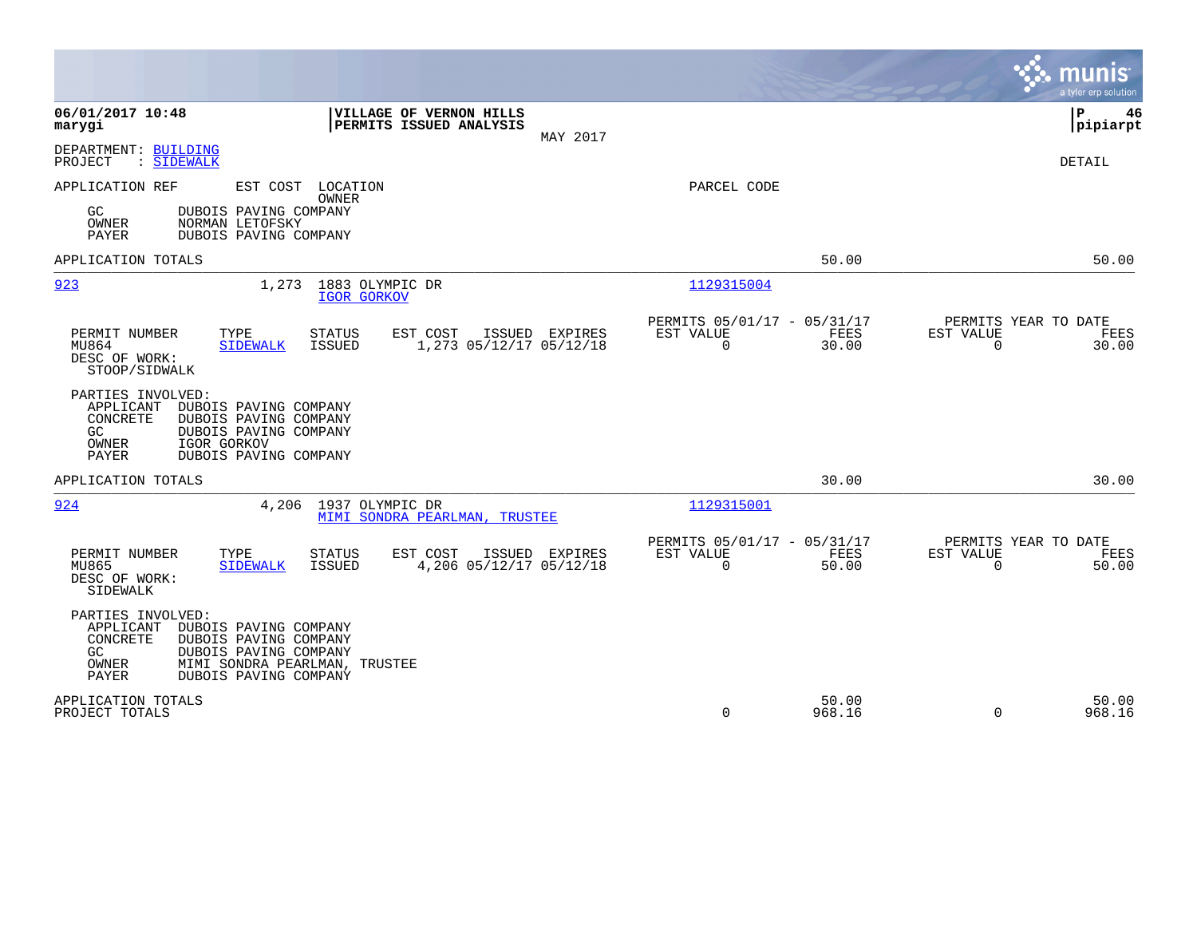|                                                                                                                                                                                                                | munis<br>a tyler erp solution                                                                                                                      |
|----------------------------------------------------------------------------------------------------------------------------------------------------------------------------------------------------------------|----------------------------------------------------------------------------------------------------------------------------------------------------|
| 06/01/2017 10:48<br>VILLAGE OF VERNON HILLS<br>PERMITS ISSUED ANALYSIS<br>marygi                                                                                                                               | P<br>46<br> pipiarpt<br>MAY 2017                                                                                                                   |
| DEPARTMENT: BUILDING<br>PROJECT<br>: SIDEWALK                                                                                                                                                                  | <b>DETAIL</b>                                                                                                                                      |
| APPLICATION REF<br>EST COST<br>LOCATION<br><b>OWNER</b><br>GC<br>DUBOIS PAVING COMPANY<br>OWNER<br>NORMAN LETOFSKY<br>DUBOIS PAVING COMPANY<br>PAYER                                                           | PARCEL CODE                                                                                                                                        |
| APPLICATION TOTALS                                                                                                                                                                                             | 50.00<br>50.00                                                                                                                                     |
| 923<br>1,273<br>1883 OLYMPIC DR<br>IGOR GORKOV                                                                                                                                                                 | 1129315004                                                                                                                                         |
| PERMIT NUMBER<br>TYPE<br><b>STATUS</b><br>EST COST<br>ISSUED<br>MU864<br>ISSUED<br>1,273 05/12/17 05/12/18<br><b>SIDEWALK</b><br>DESC OF WORK:<br>STOOP/SIDWALK                                                | PERMITS 05/01/17 - 05/31/17<br>PERMITS YEAR TO DATE<br>EXPIRES<br>EST VALUE<br>FEES<br>EST VALUE<br>FEES<br>$\Omega$<br>30.00<br>$\Omega$<br>30.00 |
| PARTIES INVOLVED:<br>APPLICANT<br>DUBOIS PAVING COMPANY<br>CONCRETE<br>DUBOIS PAVING COMPANY<br>GC<br>DUBOIS PAVING COMPANY<br>OWNER<br>IGOR GORKOV<br><b>PAYER</b><br>DUBOIS PAVING COMPANY                   |                                                                                                                                                    |
| APPLICATION TOTALS                                                                                                                                                                                             | 30.00<br>30.00                                                                                                                                     |
| 924<br>4,206<br>1937 OLYMPIC DR<br>MIMI SONDRA PEARLMAN, TRUSTEE                                                                                                                                               | 1129315001                                                                                                                                         |
| TYPE<br>PERMIT NUMBER<br><b>STATUS</b><br>EST COST<br>ISSUED EXPIRES<br>MU865<br><b>SIDEWALK</b><br>ISSUED<br>4,206 05/12/17 05/12/18<br>DESC OF WORK:<br>SIDEWALK                                             | PERMITS 05/01/17 - 05/31/17<br>PERMITS YEAR TO DATE<br>EST VALUE<br>FEES<br>EST VALUE<br>FEES<br>$\mathbf 0$<br>50.00<br>$\Omega$<br>50.00         |
| PARTIES INVOLVED:<br>APPLICANT<br>DUBOIS PAVING COMPANY<br>CONCRETE<br>DUBOIS PAVING COMPANY<br>GC<br>DUBOIS PAVING COMPANY<br>OWNER<br>MIMI SONDRA PEARLMAN, TRUSTEE<br><b>PAYER</b><br>DUBOIS PAVING COMPANY |                                                                                                                                                    |
| APPLICATION TOTALS<br>PROJECT TOTALS                                                                                                                                                                           | 50.00<br>50.00<br>$\mathbf 0$<br>$\mathbf 0$<br>968.16<br>968.16                                                                                   |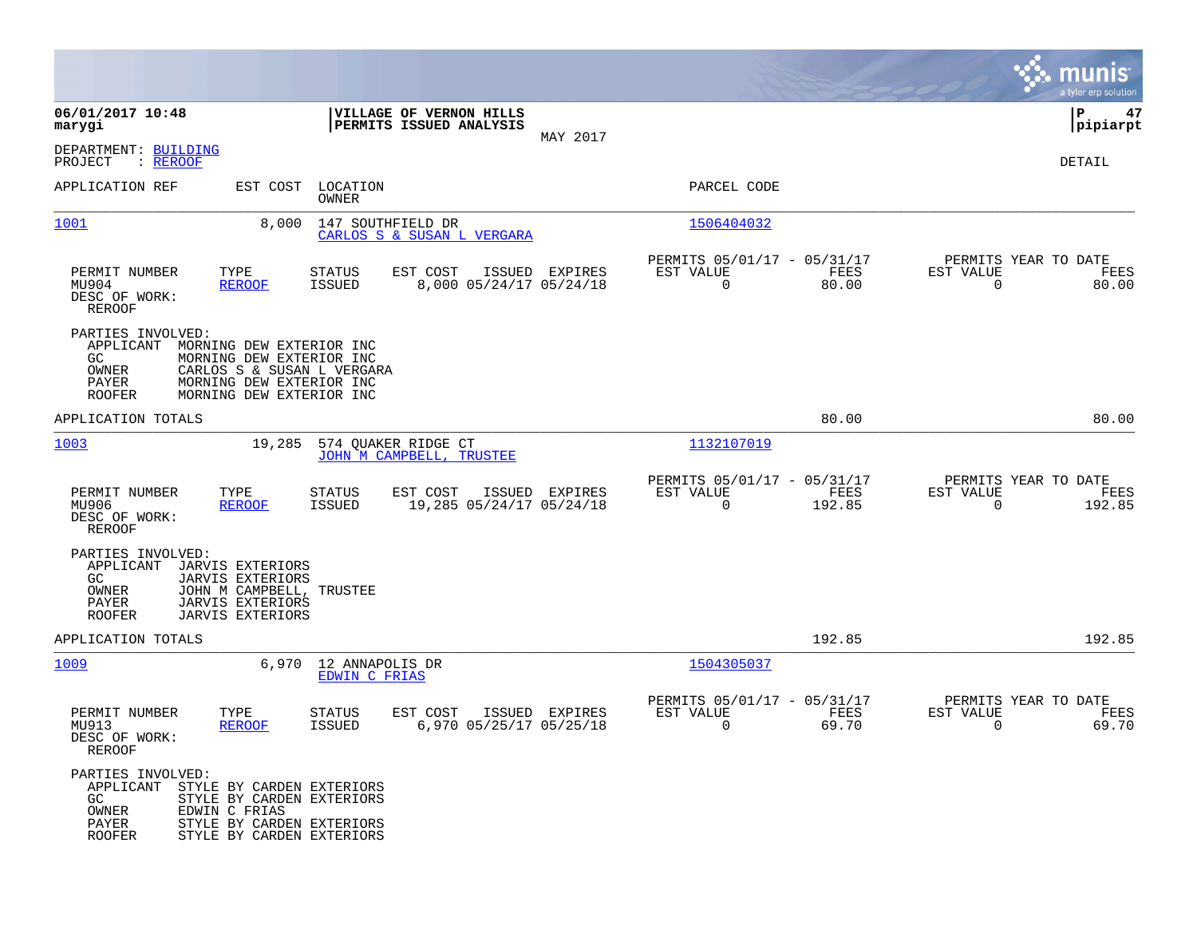|                                                                                                                                                                               |                                                                                                                                            |                                                                          | munis<br>a tyler erp solution                                     |
|-------------------------------------------------------------------------------------------------------------------------------------------------------------------------------|--------------------------------------------------------------------------------------------------------------------------------------------|--------------------------------------------------------------------------|-------------------------------------------------------------------|
| 06/01/2017 10:48<br>marygi                                                                                                                                                    | VILLAGE OF VERNON HILLS<br>PERMITS ISSUED ANALYSIS                                                                                         |                                                                          | 47<br>IΡ<br> pipiarpt                                             |
| DEPARTMENT: BUILDING<br>PROJECT<br>: <u>REROOF</u>                                                                                                                            | MAY 2017                                                                                                                                   |                                                                          | DETAIL                                                            |
| APPLICATION REF                                                                                                                                                               | LOCATION<br>EST COST<br>OWNER                                                                                                              | PARCEL CODE                                                              |                                                                   |
| 1001                                                                                                                                                                          | 8,000<br>147 SOUTHFIELD DR<br>CARLOS S & SUSAN L VERGARA                                                                                   | 1506404032                                                               |                                                                   |
| PERMIT NUMBER<br>TYPE<br>MU904<br><b>REROOF</b><br>DESC OF WORK:<br>REROOF                                                                                                    | STATUS<br>EST COST<br>ISSUED EXPIRES<br><b>ISSUED</b><br>8,000 05/24/17 05/24/18                                                           | PERMITS 05/01/17 - 05/31/17<br>FEES<br>EST VALUE<br>$\mathbf 0$<br>80.00 | PERMITS YEAR TO DATE<br>EST VALUE<br>FEES<br>$\mathbf 0$<br>80.00 |
| PARTIES INVOLVED:<br>APPLICANT<br>GC.<br>OWNER<br>PAYER<br><b>ROOFER</b>                                                                                                      | MORNING DEW EXTERIOR INC<br>MORNING DEW EXTERIOR INC<br>CARLOS S & SUSAN L VERGARA<br>MORNING DEW EXTERIOR INC<br>MORNING DEW EXTERIOR INC |                                                                          |                                                                   |
| APPLICATION TOTALS                                                                                                                                                            |                                                                                                                                            | 80.00                                                                    | 80.00                                                             |
| 1003                                                                                                                                                                          | 19,285<br>574 QUAKER RIDGE CT<br>JOHN M CAMPBELL, TRUSTEE                                                                                  | 1132107019                                                               |                                                                   |
| PERMIT NUMBER<br>TYPE<br>MU906<br><b>REROOF</b><br>DESC OF WORK:<br><b>REROOF</b>                                                                                             | <b>STATUS</b><br>EST COST<br>ISSUED EXPIRES<br>19,285 05/24/17 05/24/18<br>ISSUED                                                          | PERMITS 05/01/17 - 05/31/17<br>EST VALUE<br>FEES<br>192.85<br>$\Omega$   | PERMITS YEAR TO DATE<br>EST VALUE<br>FEES<br>$\Omega$<br>192.85   |
| PARTIES INVOLVED:<br>APPLICANT<br>JARVIS EXTERIORS<br><b>JARVIS EXTERIORS</b><br>GC.<br>OWNER<br><b>JARVIS EXTERIORS</b><br>PAYER<br><b>ROOFER</b><br><b>JARVIS EXTERIORS</b> | JOHN M CAMPBELL, TRUSTEE                                                                                                                   |                                                                          |                                                                   |
| APPLICATION TOTALS                                                                                                                                                            |                                                                                                                                            | 192.85                                                                   | 192.85                                                            |
| 1009                                                                                                                                                                          | 6,970 12 ANNAPOLIS DR<br>EDWIN C FRIAS                                                                                                     | 1504305037                                                               |                                                                   |
| PERMIT NUMBER<br>TYPE<br>MU913<br><b>REROOF</b><br>DESC OF WORK:<br>REROOF                                                                                                    | STATUS<br>EST COST<br>ISSUED EXPIRES<br>6,970 05/25/17 05/25/18<br><b>ISSUED</b>                                                           | PERMITS 05/01/17 - 05/31/17<br>EST VALUE<br>FEES<br>69.70<br>0           | PERMITS YEAR TO DATE<br>EST VALUE<br>FEES<br>0<br>69.70           |
| PARTIES INVOLVED:<br>APPLICANT STYLE BY CARDEN EXTERIORS<br>GC.<br>OWNER<br>EDWIN C FRIAS<br>PAYER<br><b>ROOFER</b>                                                           | STYLE BY CARDEN EXTERIORS<br>STYLE BY CARDEN EXTERIORS<br>STYLE BY CARDEN EXTERIORS                                                        |                                                                          |                                                                   |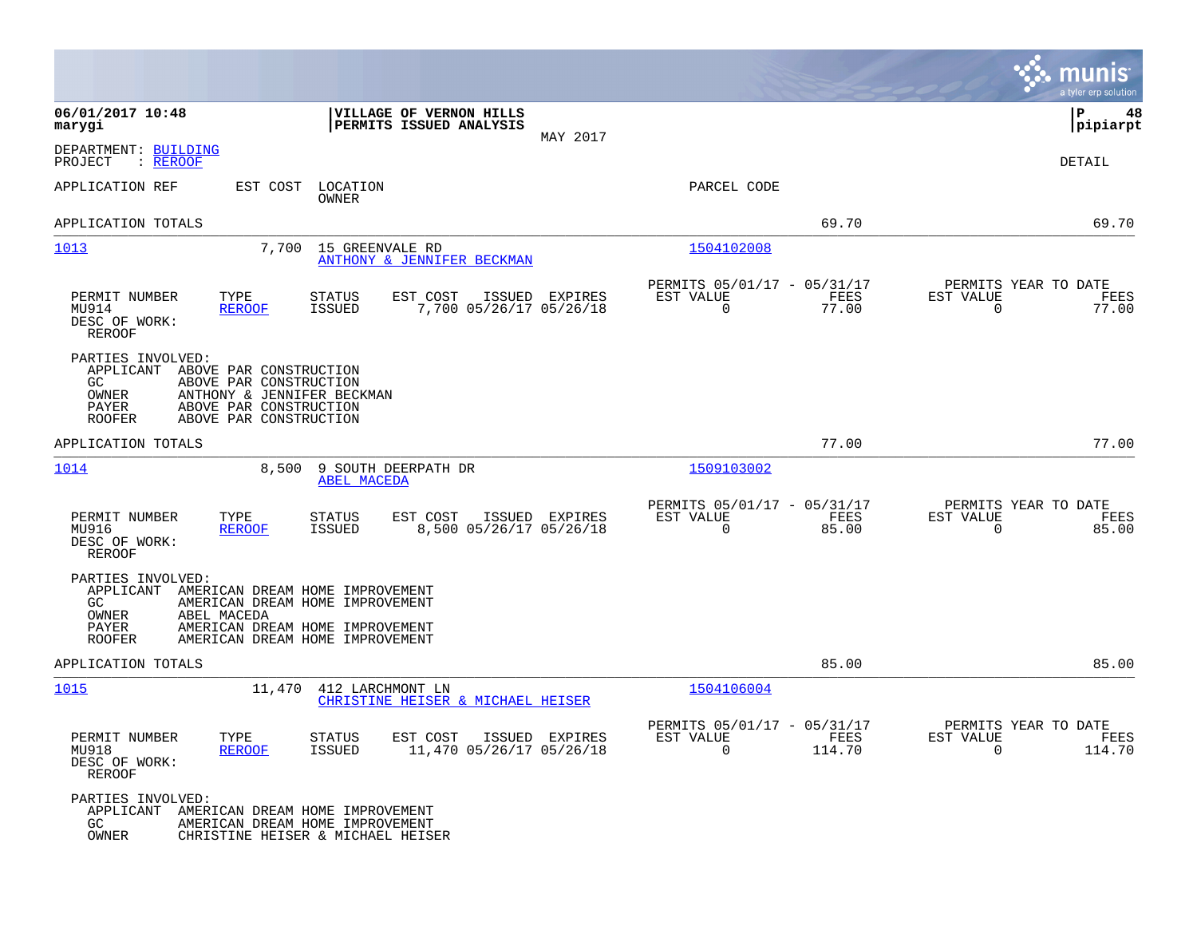|                                                                                                                                                                                                                |                                                                                                                                          |                                                                                  | munis<br>a tyler erp solution                                      |
|----------------------------------------------------------------------------------------------------------------------------------------------------------------------------------------------------------------|------------------------------------------------------------------------------------------------------------------------------------------|----------------------------------------------------------------------------------|--------------------------------------------------------------------|
| 06/01/2017 10:48<br>marygi                                                                                                                                                                                     | VILLAGE OF VERNON HILLS<br>PERMITS ISSUED ANALYSIS<br>MAY 2017                                                                           |                                                                                  | P<br>48<br> pipiarpt                                               |
| DEPARTMENT: BUILDING<br>: REROOF<br>PROJECT                                                                                                                                                                    |                                                                                                                                          |                                                                                  | <b>DETAIL</b>                                                      |
| APPLICATION REF<br>EST COST                                                                                                                                                                                    | LOCATION<br>OWNER                                                                                                                        | PARCEL CODE                                                                      |                                                                    |
| APPLICATION TOTALS                                                                                                                                                                                             |                                                                                                                                          | 69.70                                                                            | 69.70                                                              |
| 1013<br>7,700                                                                                                                                                                                                  | 15 GREENVALE RD<br><b>ANTHONY &amp; JENNIFER BECKMAN</b>                                                                                 | 1504102008                                                                       |                                                                    |
| PERMIT NUMBER<br>TYPE<br><b>REROOF</b><br>MU914<br>DESC OF WORK:<br><b>REROOF</b>                                                                                                                              | <b>STATUS</b><br>EST COST<br>ISSUED EXPIRES<br><b>ISSUED</b><br>7,700 05/26/17 05/26/18                                                  | PERMITS 05/01/17 - 05/31/17<br>FEES<br>EST VALUE<br>$\mathbf 0$<br>77.00         | PERMITS YEAR TO DATE<br>EST VALUE<br>FEES<br>$\mathbf 0$<br>77.00  |
| PARTIES INVOLVED:<br>APPLICANT<br>ABOVE PAR CONSTRUCTION<br>ABOVE PAR CONSTRUCTION<br>GC.<br>OWNER<br>ANTHONY & JENNIFER BECKMAN<br>ABOVE PAR CONSTRUCTION<br>PAYER<br><b>ROOFER</b><br>ABOVE PAR CONSTRUCTION |                                                                                                                                          |                                                                                  |                                                                    |
| APPLICATION TOTALS                                                                                                                                                                                             |                                                                                                                                          | 77.00                                                                            | 77.00                                                              |
| 1014<br>8,500                                                                                                                                                                                                  | 9 SOUTH DEERPATH DR<br><b>ABEL MACEDA</b>                                                                                                | 1509103002                                                                       |                                                                    |
| PERMIT NUMBER<br>TYPE<br>MU916<br><b>REROOF</b><br>DESC OF WORK:<br><b>REROOF</b>                                                                                                                              | <b>STATUS</b><br>EST COST<br>ISSUED EXPIRES<br><b>ISSUED</b><br>8,500 05/26/17 05/26/18                                                  | PERMITS 05/01/17 - 05/31/17<br>FEES<br>EST VALUE<br>$\mathbf 0$<br>85.00         | PERMITS YEAR TO DATE<br>EST VALUE<br>FEES<br>$\mathbf 0$<br>85.00  |
| PARTIES INVOLVED:<br>APPLICANT<br>GC<br>OWNER<br>ABEL MACEDA<br>PAYER<br><b>ROOFER</b>                                                                                                                         | AMERICAN DREAM HOME IMPROVEMENT<br>AMERICAN DREAM HOME IMPROVEMENT<br>AMERICAN DREAM HOME IMPROVEMENT<br>AMERICAN DREAM HOME IMPROVEMENT |                                                                                  |                                                                    |
| APPLICATION TOTALS                                                                                                                                                                                             |                                                                                                                                          | 85.00                                                                            | 85.00                                                              |
| 1015<br>11,470                                                                                                                                                                                                 | 412 LARCHMONT LN<br>CHRISTINE HEISER & MICHAEL HEISER                                                                                    | 1504106004                                                                       |                                                                    |
| PERMIT NUMBER<br>TYPE<br><b>REROOF</b><br>MU918<br>DESC OF WORK:<br><b>REROOF</b>                                                                                                                              | <b>STATUS</b><br>EST COST<br>ISSUED EXPIRES<br><b>ISSUED</b><br>11,470 05/26/17 05/26/18                                                 | PERMITS 05/01/17 - 05/31/17<br><b>FEES</b><br>EST VALUE<br>$\mathbf 0$<br>114.70 | PERMITS YEAR TO DATE<br>EST VALUE<br>FEES<br>$\mathbf 0$<br>114.70 |
| PARTIES INVOLVED:<br>APPLICANT<br>GC.<br>OWNER                                                                                                                                                                 | AMERICAN DREAM HOME IMPROVEMENT<br>AMERICAN DREAM HOME IMPROVEMENT<br>CHRISTINE HEISER & MICHAEL HEISER                                  |                                                                                  |                                                                    |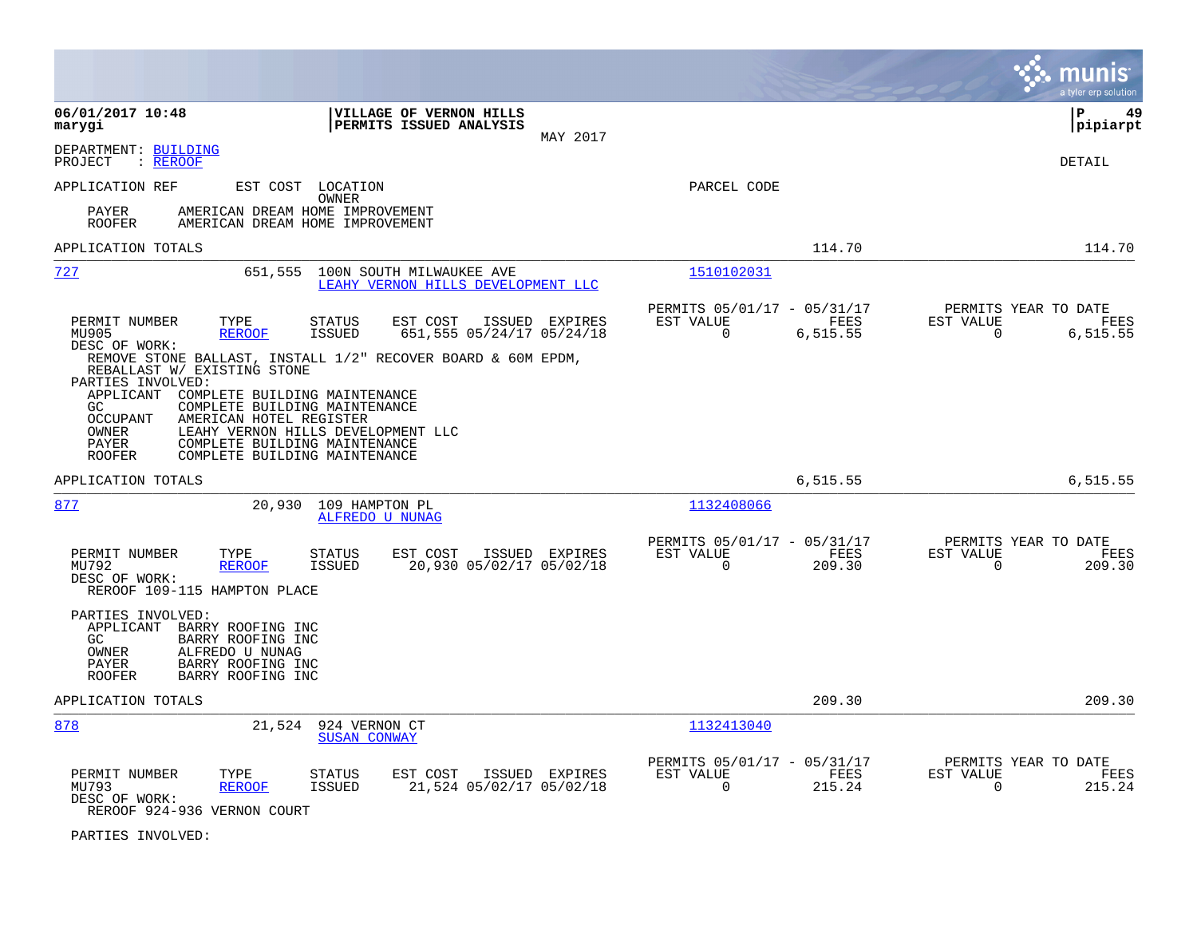|                                                                                                                                                                              |                                                                                                                                       |                                                                           | munis<br>a tyler erp solution                                           |
|------------------------------------------------------------------------------------------------------------------------------------------------------------------------------|---------------------------------------------------------------------------------------------------------------------------------------|---------------------------------------------------------------------------|-------------------------------------------------------------------------|
| 06/01/2017 10:48<br>marygi                                                                                                                                                   | VILLAGE OF VERNON HILLS<br>PERMITS ISSUED ANALYSIS<br>MAY 2017                                                                        |                                                                           | 49<br>∣P<br> pipiarpt                                                   |
| DEPARTMENT: BUILDING<br>: REROOF<br>PROJECT                                                                                                                                  |                                                                                                                                       |                                                                           | <b>DETAIL</b>                                                           |
| APPLICATION REF                                                                                                                                                              | EST COST LOCATION<br>OWNER                                                                                                            | PARCEL CODE                                                               |                                                                         |
| PAYER<br><b>ROOFER</b>                                                                                                                                                       | AMERICAN DREAM HOME IMPROVEMENT<br>AMERICAN DREAM HOME IMPROVEMENT                                                                    |                                                                           |                                                                         |
| APPLICATION TOTALS                                                                                                                                                           |                                                                                                                                       | 114.70                                                                    | 114.70                                                                  |
| 727<br>651,555                                                                                                                                                               | 100N SOUTH MILWAUKEE AVE<br>LEAHY VERNON HILLS DEVELOPMENT LLC                                                                        | 1510102031                                                                |                                                                         |
| PERMIT NUMBER<br>TYPE<br>MU905<br><b>REROOF</b><br>DESC OF WORK:                                                                                                             | <b>STATUS</b><br>EST COST<br>ISSUED EXPIRES<br>ISSUED<br>651,555 05/24/17 05/24/18                                                    | PERMITS 05/01/17 - 05/31/17<br>EST VALUE<br>FEES<br>$\Omega$<br>6,515.55  | PERMITS YEAR TO DATE<br>EST VALUE<br>FEES<br>$\overline{0}$<br>6,515.55 |
| REBALLAST W/ EXISTING STONE<br>PARTIES INVOLVED:                                                                                                                             | REMOVE STONE BALLAST, INSTALL 1/2" RECOVER BOARD & 60M EPDM,                                                                          |                                                                           |                                                                         |
| APPLICANT<br>COMPLETE BUILDING MAINTENANCE<br>GC.<br>OCCUPANT<br>AMERICAN HOTEL REGISTER<br>OWNER<br><b>PAYER</b><br><b>ROOFER</b>                                           | COMPLETE BUILDING MAINTENANCE<br>LEAHY VERNON HILLS DEVELOPMENT LLC<br>COMPLETE BUILDING MAINTENANCE<br>COMPLETE BUILDING MAINTENANCE |                                                                           |                                                                         |
| APPLICATION TOTALS                                                                                                                                                           |                                                                                                                                       | 6,515.55                                                                  | 6,515.55                                                                |
| 877<br>20,930                                                                                                                                                                | 109 HAMPTON PL<br>ALFREDO U NUNAG                                                                                                     | 1132408066                                                                |                                                                         |
| PERMIT NUMBER<br>TYPE<br>MU792<br><b>REROOF</b><br>DESC OF WORK:<br>REROOF 109-115 HAMPTON PLACE                                                                             | <b>STATUS</b><br>EST COST<br>ISSUED EXPIRES<br><b>ISSUED</b><br>20,930 05/02/17 05/02/18                                              | PERMITS 05/01/17 - 05/31/17<br>EST VALUE<br>FEES<br>$\mathbf 0$<br>209.30 | PERMITS YEAR TO DATE<br>EST VALUE<br>FEES<br>$\mathbf 0$<br>209.30      |
| PARTIES INVOLVED:<br>APPLICANT BARRY ROOFING INC<br>GC.<br>BARRY ROOFING INC<br>OWNER<br>ALFREDO U NUNAG<br>BARRY ROOFING INC<br>PAYER<br><b>ROOFER</b><br>BARRY ROOFING INC |                                                                                                                                       |                                                                           |                                                                         |
| APPLICATION TOTALS                                                                                                                                                           |                                                                                                                                       | 209.30                                                                    | 209.30                                                                  |
| 878                                                                                                                                                                          | 21,524 924 VERNON CT<br><b>SUSAN CONWAY</b>                                                                                           | 1132413040                                                                |                                                                         |
| TYPE<br>PERMIT NUMBER<br>MU793<br><b>REROOF</b><br>DESC OF WORK:<br>REROOF 924-936 VERNON COURT                                                                              | ISSUED EXPIRES<br><b>STATUS</b><br>EST COST<br><b>ISSUED</b><br>21,524 05/02/17 05/02/18                                              | PERMITS 05/01/17 - 05/31/17<br>EST VALUE<br><b>FEES</b><br>0<br>215.24    | PERMITS YEAR TO DATE<br>EST VALUE<br>FEES<br>0<br>215.24                |
| PARTIES INVOLVED:                                                                                                                                                            |                                                                                                                                       |                                                                           |                                                                         |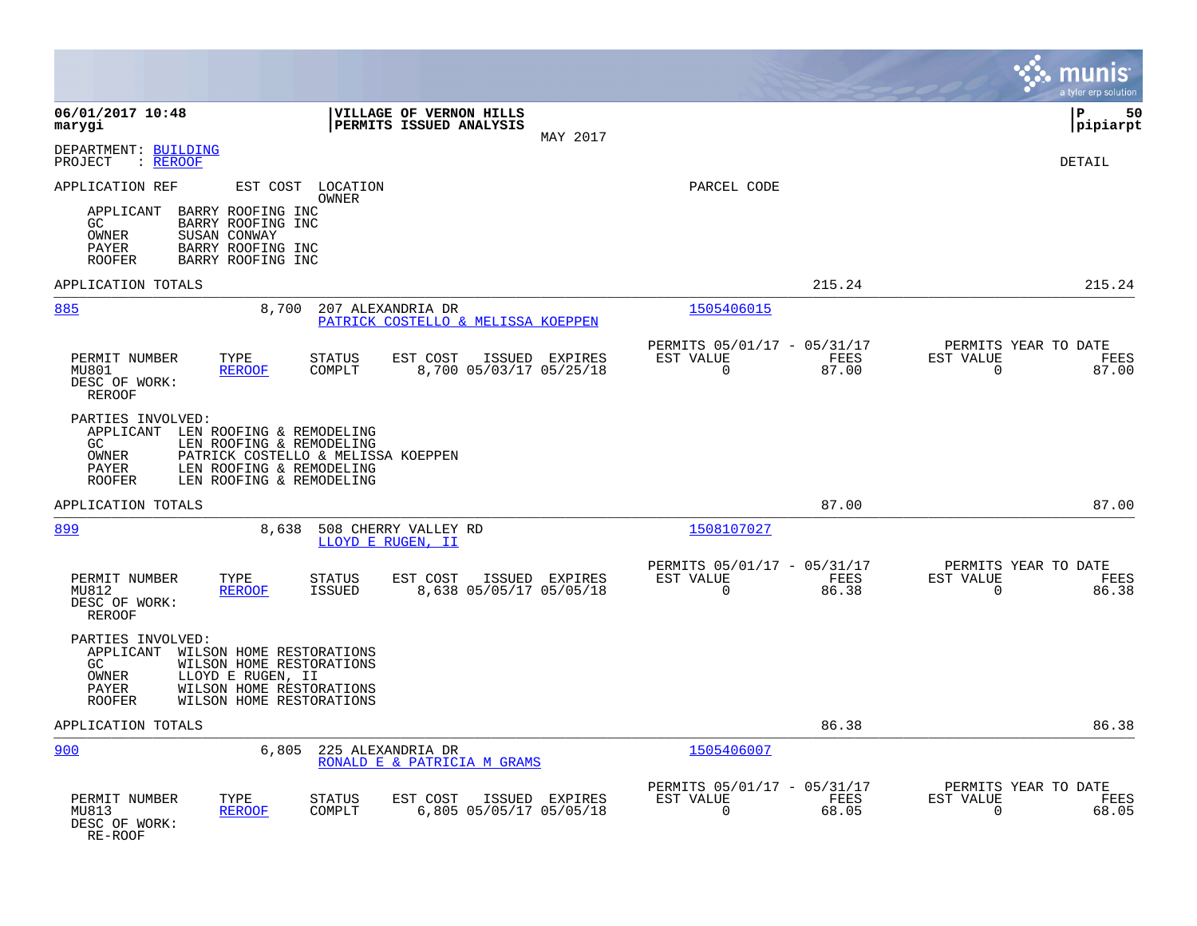|                                                                                                                                                                                                              |                                                                       |                |                                                      |               | munis                                            | a tyler erp solution |
|--------------------------------------------------------------------------------------------------------------------------------------------------------------------------------------------------------------|-----------------------------------------------------------------------|----------------|------------------------------------------------------|---------------|--------------------------------------------------|----------------------|
| 06/01/2017 10:48<br>marygi                                                                                                                                                                                   | VILLAGE OF VERNON HILLS<br>PERMITS ISSUED ANALYSIS                    | MAY 2017       |                                                      |               | l P                                              | 50<br> pipiarpt      |
| DEPARTMENT: BUILDING<br>PROJECT<br>: REROOF                                                                                                                                                                  |                                                                       |                |                                                      |               | DETAIL                                           |                      |
| APPLICATION REF<br>EST COST LOCATION                                                                                                                                                                         | OWNER                                                                 |                | PARCEL CODE                                          |               |                                                  |                      |
| APPLICANT<br>BARRY ROOFING INC<br>BARRY ROOFING INC<br>GC<br>OWNER<br>SUSAN CONWAY<br>PAYER<br>BARRY ROOFING INC<br><b>ROOFER</b><br>BARRY ROOFING INC                                                       |                                                                       |                |                                                      |               |                                                  |                      |
| APPLICATION TOTALS                                                                                                                                                                                           |                                                                       |                |                                                      | 215.24        |                                                  | 215.24               |
| 885<br>8,700                                                                                                                                                                                                 | 207 ALEXANDRIA DR<br>PATRICK COSTELLO & MELISSA KOEPPEN               |                | 1505406015                                           |               |                                                  |                      |
| PERMIT NUMBER<br>TYPE<br>MU801<br><b>REROOF</b><br>DESC OF WORK:<br><b>REROOF</b>                                                                                                                            | <b>STATUS</b><br>EST COST<br>COMPLT<br>8,700 05/03/17 05/25/18        | ISSUED EXPIRES | PERMITS 05/01/17 - 05/31/17<br>EST VALUE<br>$\Omega$ | FEES<br>87.00 | PERMITS YEAR TO DATE<br>EST VALUE<br>$\Omega$    | FEES<br>87.00        |
| PARTIES INVOLVED:<br>APPLICANT<br>LEN ROOFING & REMODELING<br>LEN ROOFING & REMODELING<br>GC<br><b>OWNER</b><br>PAYER<br>LEN ROOFING & REMODELING<br>LEN ROOFING & REMODELING<br><b>ROOFER</b>               | PATRICK COSTELLO & MELISSA KOEPPEN                                    |                |                                                      |               |                                                  |                      |
| APPLICATION TOTALS                                                                                                                                                                                           |                                                                       |                |                                                      | 87.00         |                                                  | 87.00                |
| 899<br>8,638                                                                                                                                                                                                 | 508 CHERRY VALLEY RD<br>LLOYD E RUGEN, II                             |                | 1508107027                                           |               |                                                  |                      |
| TYPE<br>PERMIT NUMBER<br>MU812<br><b>REROOF</b><br>DESC OF WORK:<br><b>REROOF</b>                                                                                                                            | <b>STATUS</b><br>EST COST<br>8,638 05/05/17 05/05/18<br><b>ISSUED</b> | ISSUED EXPIRES | PERMITS 05/01/17 - 05/31/17<br>EST VALUE<br>$\Omega$ | FEES<br>86.38 | PERMITS YEAR TO DATE<br>EST VALUE<br>$\Omega$    | FEES<br>86.38        |
| PARTIES INVOLVED:<br>APPLICANT<br>WILSON HOME RESTORATIONS<br>WILSON HOME RESTORATIONS<br>GC<br>OWNER<br>LLOYD E RUGEN, II<br>WILSON HOME RESTORATIONS<br>PAYER<br>WILSON HOME RESTORATIONS<br><b>ROOFER</b> |                                                                       |                |                                                      |               |                                                  |                      |
| APPLICATION TOTALS                                                                                                                                                                                           |                                                                       |                |                                                      | 86.38         |                                                  | 86.38                |
| 900<br>6,805                                                                                                                                                                                                 | 225 ALEXANDRIA DR<br>RONALD E & PATRICIA M GRAMS                      |                | 1505406007                                           |               |                                                  |                      |
| PERMIT NUMBER<br>TYPE<br>MU813<br><b>REROOF</b><br>DESC OF WORK:<br>RE-ROOF                                                                                                                                  | <b>STATUS</b><br>EST COST<br>6,805 05/05/17 05/05/18<br>COMPLT        | ISSUED EXPIRES | PERMITS 05/01/17 - 05/31/17<br>EST VALUE<br>0        | FEES<br>68.05 | PERMITS YEAR TO DATE<br>EST VALUE<br>$\mathbf 0$ | FEES<br>68.05        |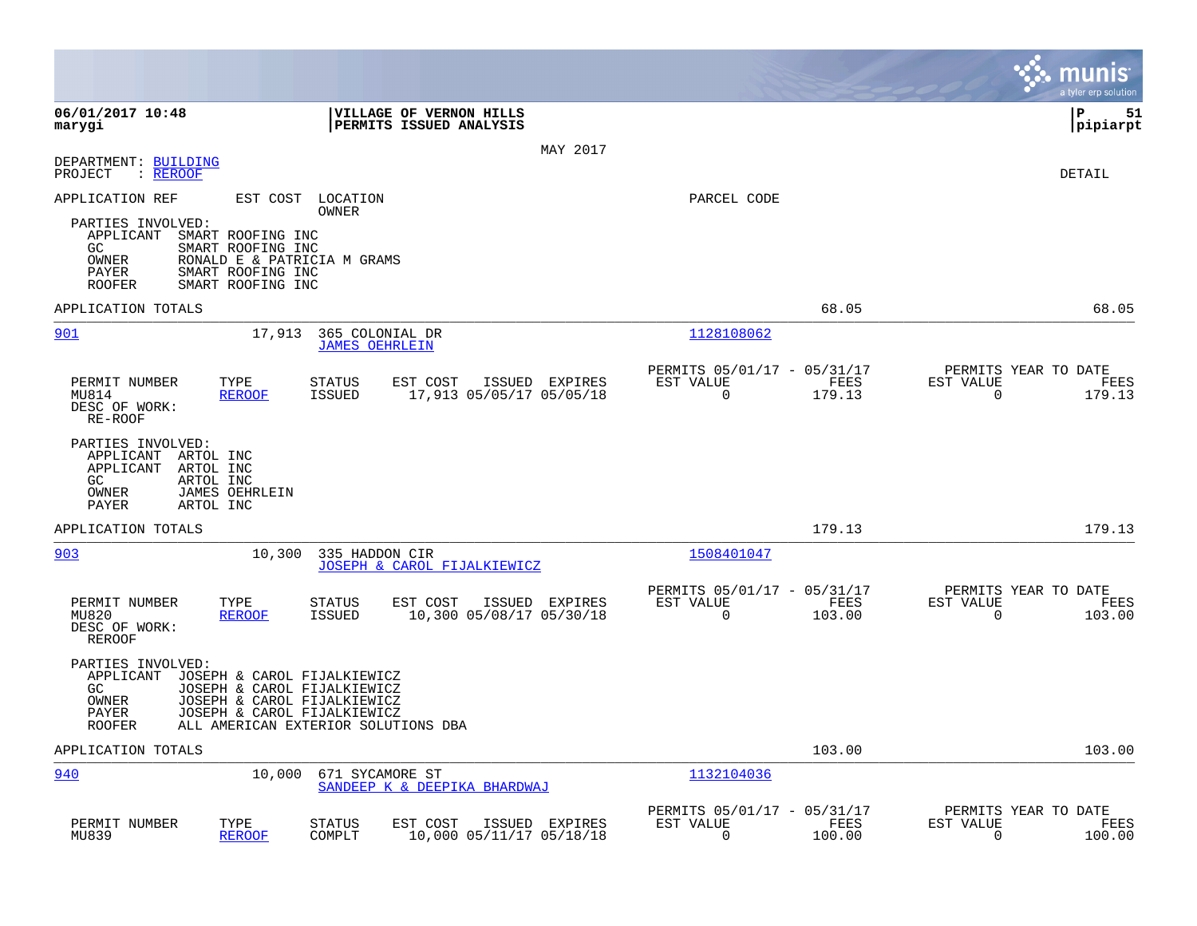|                                                                                                                                                                                                                                            |                                                                           | munis<br>a tyler erp solution                                      |
|--------------------------------------------------------------------------------------------------------------------------------------------------------------------------------------------------------------------------------------------|---------------------------------------------------------------------------|--------------------------------------------------------------------|
| 06/01/2017 10:48<br>VILLAGE OF VERNON HILLS<br>PERMITS ISSUED ANALYSIS<br>marygi                                                                                                                                                           |                                                                           | l P<br>51<br> pipiarpt                                             |
| MAY 2017                                                                                                                                                                                                                                   |                                                                           |                                                                    |
| DEPARTMENT: BUILDING<br>: <u>REROOF</u><br>PROJECT                                                                                                                                                                                         |                                                                           | DETAIL                                                             |
| APPLICATION REF<br>EST COST<br>LOCATION<br>OWNER                                                                                                                                                                                           | PARCEL CODE                                                               |                                                                    |
| PARTIES INVOLVED:<br>APPLICANT<br>SMART ROOFING INC<br>GC.<br>SMART ROOFING INC<br>OWNER<br>RONALD E & PATRICIA M GRAMS<br>SMART ROOFING INC<br>PAYER<br>SMART ROOFING INC<br><b>ROOFER</b>                                                |                                                                           |                                                                    |
| APPLICATION TOTALS                                                                                                                                                                                                                         | 68.05                                                                     | 68.05                                                              |
| 901<br>17,913<br>365 COLONIAL DR<br><b>JAMES OEHRLEIN</b>                                                                                                                                                                                  | 1128108062                                                                |                                                                    |
| PERMIT NUMBER<br>TYPE<br>STATUS<br>EST COST<br>ISSUED EXPIRES<br>17,913 05/05/17 05/05/18<br>MU814<br><b>REROOF</b><br><b>ISSUED</b><br>DESC OF WORK:<br>RE-ROOF                                                                           | PERMITS 05/01/17 - 05/31/17<br>EST VALUE<br>FEES<br>$\mathbf 0$<br>179.13 | PERMITS YEAR TO DATE<br>EST VALUE<br>FEES<br>$\mathbf 0$<br>179.13 |
| PARTIES INVOLVED:<br>APPLICANT<br>ARTOL INC<br>APPLICANT<br>ARTOL INC<br>GC<br>ARTOL INC<br>OWNER<br>JAMES OEHRLEIN<br>PAYER<br>ARTOL INC                                                                                                  |                                                                           |                                                                    |
| APPLICATION TOTALS                                                                                                                                                                                                                         | 179.13                                                                    | 179.13                                                             |
| 903<br>10,300<br>335 HADDON CIR<br>JOSEPH & CAROL FIJALKIEWICZ                                                                                                                                                                             | 1508401047                                                                |                                                                    |
| TYPE<br>PERMIT NUMBER<br>STATUS<br>EST COST<br>ISSUED EXPIRES<br>MU820<br><b>REROOF</b><br><b>ISSUED</b><br>10,300 05/08/17 05/30/18<br>DESC OF WORK:<br><b>REROOF</b>                                                                     | PERMITS 05/01/17 - 05/31/17<br>EST VALUE<br>FEES<br>$\mathbf 0$<br>103.00 | PERMITS YEAR TO DATE<br>EST VALUE<br>FEES<br>$\mathbf 0$<br>103.00 |
| PARTIES INVOLVED:<br>APPLICANT<br>JOSEPH & CAROL FIJALKIEWICZ<br>GC<br>JOSEPH & CAROL FIJALKIEWICZ<br>OWNER<br>JOSEPH & CAROL FIJALKIEWICZ<br>PAYER<br>JOSEPH & CAROL FIJALKIEWICZ<br><b>ROOFER</b><br>ALL AMERICAN EXTERIOR SOLUTIONS DBA |                                                                           |                                                                    |
| APPLICATION TOTALS                                                                                                                                                                                                                         | 103.00                                                                    | 103.00                                                             |
| 940<br>10,000<br>671 SYCAMORE ST<br>SANDEEP K & DEEPIKA BHARDWAJ                                                                                                                                                                           | 1132104036                                                                |                                                                    |
| PERMIT NUMBER<br>TYPE<br>EST COST<br><b>STATUS</b><br>ISSUED EXPIRES<br>MU839<br><b>REROOF</b><br>COMPLT<br>10,000 05/11/17 05/18/18                                                                                                       | PERMITS 05/01/17 - 05/31/17<br>EST VALUE<br>FEES<br>$\Omega$<br>100.00    | PERMITS YEAR TO DATE<br>EST VALUE<br>FEES<br>0<br>100.00           |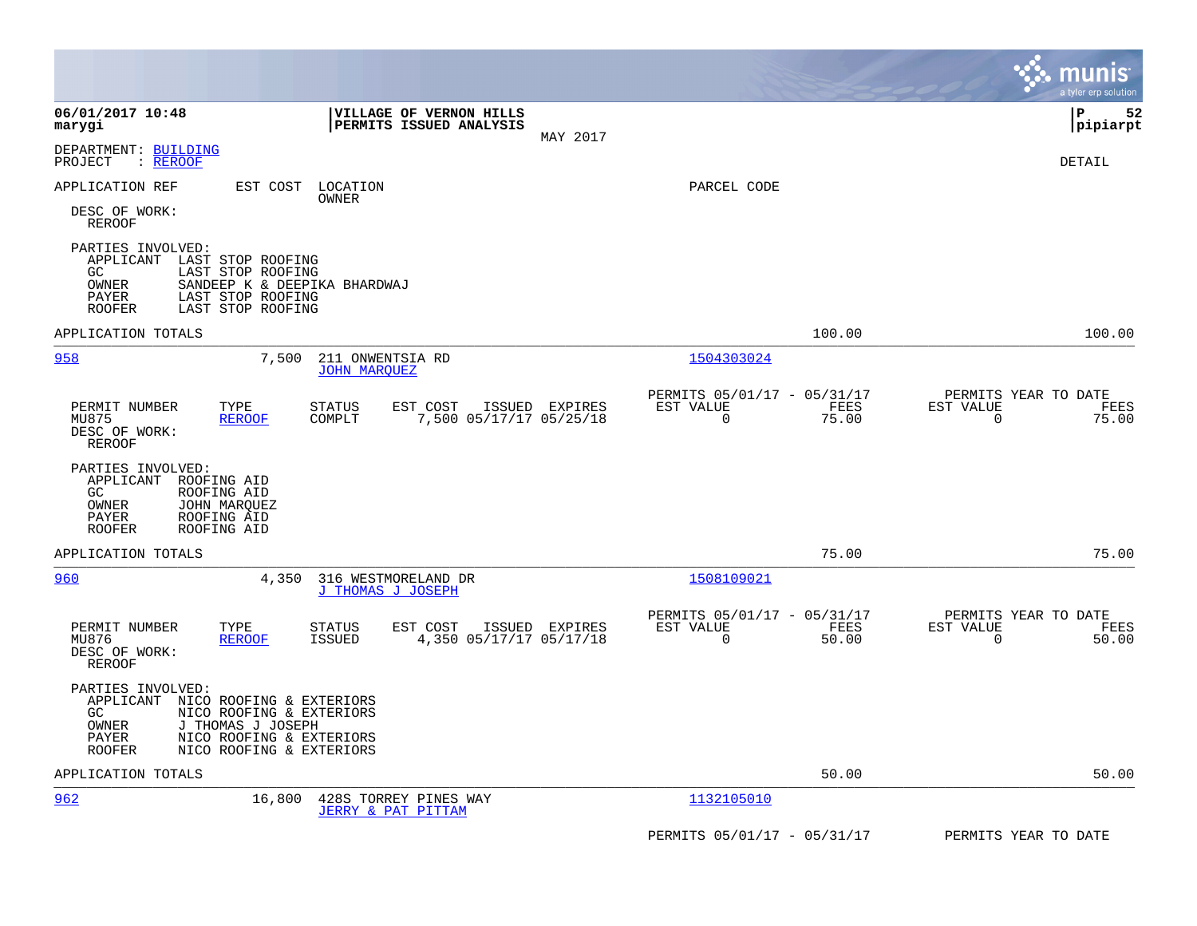|                                                                                                                                                                                                               |                                                                          | a tyler erp solution                                    |
|---------------------------------------------------------------------------------------------------------------------------------------------------------------------------------------------------------------|--------------------------------------------------------------------------|---------------------------------------------------------|
| 06/01/2017 10:48<br>VILLAGE OF VERNON HILLS<br>PERMITS ISSUED ANALYSIS<br>marygi<br>MAY 2017                                                                                                                  |                                                                          | l P<br>52<br> pipiarpt                                  |
| DEPARTMENT: BUILDING<br>: REROOF<br>PROJECT                                                                                                                                                                   |                                                                          | DETAIL                                                  |
| APPLICATION REF<br>EST COST<br>LOCATION<br>OWNER                                                                                                                                                              | PARCEL CODE                                                              |                                                         |
| DESC OF WORK:<br><b>REROOF</b>                                                                                                                                                                                |                                                                          |                                                         |
| PARTIES INVOLVED:<br>APPLICANT<br>LAST STOP ROOFING<br>LAST STOP ROOFING<br>GC.<br>OWNER<br>SANDEEP K & DEEPIKA BHARDWAJ<br>PAYER<br>LAST STOP ROOFING<br>LAST STOP ROOFING<br><b>ROOFER</b>                  |                                                                          |                                                         |
| APPLICATION TOTALS                                                                                                                                                                                            | 100.00                                                                   | 100.00                                                  |
| 958<br>7,500<br>211 ONWENTSIA RD<br><b>JOHN MARQUEZ</b>                                                                                                                                                       | 1504303024                                                               |                                                         |
| PERMIT NUMBER<br>TYPE<br>EST COST<br>ISSUED EXPIRES<br>STATUS<br>7,500 05/17/17 05/25/18<br>MU875<br>COMPLT<br><b>REROOF</b><br>DESC OF WORK:<br>REROOF                                                       | PERMITS 05/01/17 - 05/31/17<br>EST VALUE<br>FEES<br>$\mathbf 0$<br>75.00 | PERMITS YEAR TO DATE<br>EST VALUE<br>FEES<br>0<br>75.00 |
| PARTIES INVOLVED:<br>APPLICANT<br>ROOFING AID<br>GC<br>ROOFING AID<br>OWNER<br>JOHN MARQUEZ<br>PAYER<br>ROOFING AID<br><b>ROOFER</b><br>ROOFING AID                                                           |                                                                          |                                                         |
| APPLICATION TOTALS                                                                                                                                                                                            | 75.00                                                                    | 75.00                                                   |
| 960<br>4,350<br>316 WESTMORELAND DR<br>J THOMAS J JOSEPH                                                                                                                                                      | 1508109021                                                               |                                                         |
| PERMIT NUMBER<br>TYPE<br><b>STATUS</b><br>ISSUED EXPIRES<br>EST COST<br>4,350 05/17/17 05/17/18<br>MU876<br><b>REROOF</b><br>ISSUED<br>DESC OF WORK:<br>REROOF                                                | PERMITS 05/01/17 - 05/31/17<br>EST VALUE<br>FEES<br>50.00<br>0           | PERMITS YEAR TO DATE<br>EST VALUE<br>FEES<br>50.00<br>0 |
| PARTIES INVOLVED:<br>NICO ROOFING & EXTERIORS<br>APPLICANT<br>GC.<br>NICO ROOFING & EXTERIORS<br>OWNER<br>J THOMAS J JOSEPH<br>PAYER<br>NICO ROOFING & EXTERIORS<br><b>ROOFER</b><br>NICO ROOFING & EXTERIORS |                                                                          |                                                         |
| APPLICATION TOTALS                                                                                                                                                                                            | 50.00                                                                    | 50.00                                                   |
| 962<br>16,800<br>428S TORREY PINES WAY<br>JERRY & PAT PITTAM                                                                                                                                                  | 1132105010                                                               |                                                         |
|                                                                                                                                                                                                               | PERMITS 05/01/17 - 05/31/17                                              | PERMITS YEAR TO DATE                                    |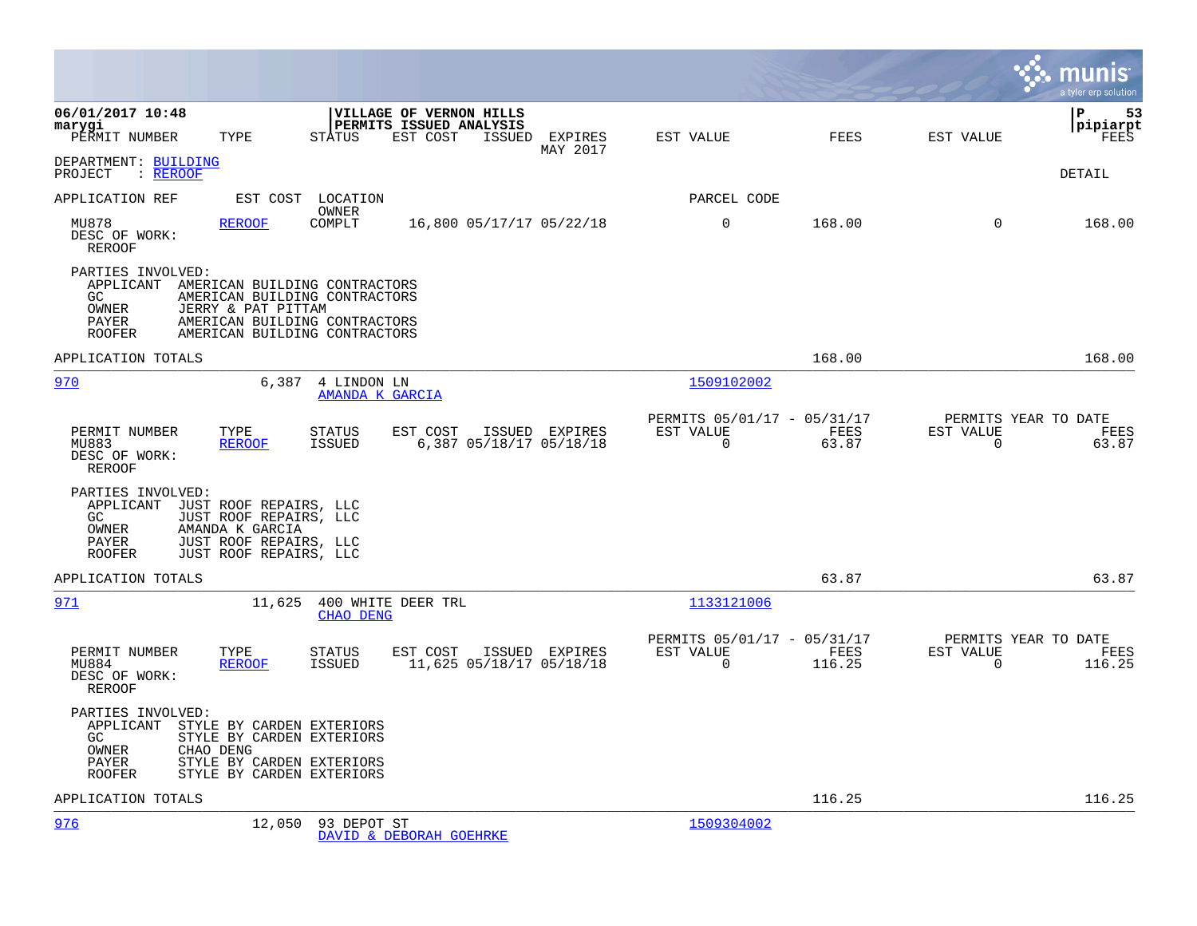|                                                                                      |                                                                                                                                                        |                                        |          |                                                    |                            |                                                         |                |                          | munis<br>a tyler erp solution          |
|--------------------------------------------------------------------------------------|--------------------------------------------------------------------------------------------------------------------------------------------------------|----------------------------------------|----------|----------------------------------------------------|----------------------------|---------------------------------------------------------|----------------|--------------------------|----------------------------------------|
| 06/01/2017 10:48<br>marygi<br>PERMIT NUMBER                                          | TYPE                                                                                                                                                   | STATUS                                 | EST COST | VILLAGE OF VERNON HILLS<br>PERMITS ISSUED ANALYSIS | ISSUED EXPIRES<br>MAY 2017 | EST VALUE                                               | FEES           | EST VALUE                | l P<br>53<br> pipiarpt<br>FEES         |
| DEPARTMENT: BUILDING<br>: REROOF<br>PROJECT                                          |                                                                                                                                                        |                                        |          |                                                    |                            |                                                         |                |                          | DETAIL                                 |
| APPLICATION REF                                                                      |                                                                                                                                                        | EST COST LOCATION                      |          |                                                    |                            | PARCEL CODE                                             |                |                          |                                        |
| MU878<br>DESC OF WORK:<br><b>REROOF</b>                                              | <b>REROOF</b>                                                                                                                                          | OWNER<br>COMPLT                        |          | 16,800 05/17/17 05/22/18                           |                            | $\mathbf 0$                                             | 168.00         | $\Omega$                 | 168.00                                 |
| PARTIES INVOLVED:<br>APPLICANT<br>GC<br>OWNER<br>PAYER<br><b>ROOFER</b>              | AMERICAN BUILDING CONTRACTORS<br>AMERICAN BUILDING CONTRACTORS<br>JERRY & PAT PITTAM<br>AMERICAN BUILDING CONTRACTORS<br>AMERICAN BUILDING CONTRACTORS |                                        |          |                                                    |                            |                                                         |                |                          |                                        |
| APPLICATION TOTALS                                                                   |                                                                                                                                                        |                                        |          |                                                    |                            |                                                         | 168.00         |                          | 168.00                                 |
| 970                                                                                  | 6,387                                                                                                                                                  | 4 LINDON LN<br>AMANDA K GARCIA         |          |                                                    |                            | 1509102002                                              |                |                          |                                        |
| PERMIT NUMBER<br>MU883<br>DESC OF WORK:<br><b>REROOF</b>                             | TYPE<br><b>REROOF</b>                                                                                                                                  | <b>STATUS</b><br>ISSUED                | EST COST | 6,387 05/18/17 05/18/18                            | ISSUED EXPIRES             | PERMITS 05/01/17 - 05/31/17<br>EST VALUE<br>$\mathbf 0$ | FEES<br>63.87  | EST VALUE<br>$\mathbf 0$ | PERMITS YEAR TO DATE<br>FEES<br>63.87  |
| PARTIES INVOLVED:<br>APPLICANT<br>GC.<br>OWNER<br>PAYER<br><b>ROOFER</b>             | JUST ROOF REPAIRS, LLC<br>JUST ROOF REPAIRS, LLC<br>AMANDA K GARCIA<br>JUST ROOF REPAIRS, LLC<br>JUST ROOF REPAIRS, LLC                                |                                        |          |                                                    |                            |                                                         |                |                          |                                        |
| APPLICATION TOTALS                                                                   |                                                                                                                                                        |                                        |          |                                                    |                            |                                                         | 63.87          |                          | 63.87                                  |
| 971                                                                                  | 11,625                                                                                                                                                 | 400 WHITE DEER TRL<br><b>CHAO DENG</b> |          |                                                    |                            | 1133121006                                              |                |                          |                                        |
| PERMIT NUMBER<br>MU884<br>DESC OF WORK:<br><b>REROOF</b>                             | TYPE<br><b>REROOF</b>                                                                                                                                  | STATUS<br><b>ISSUED</b>                | EST COST | 11,625 05/18/17 05/18/18                           | ISSUED EXPIRES             | PERMITS 05/01/17 - 05/31/17<br>EST VALUE<br>$\mathbf 0$ | FEES<br>116.25 | EST VALUE<br>$\mathbf 0$ | PERMITS YEAR TO DATE<br>FEES<br>116.25 |
| PARTIES INVOLVED:<br>APPLICANT<br>GC<br>OWNER<br>CHAO DENG<br>PAYER<br><b>ROOFER</b> | STYLE BY CARDEN EXTERIORS<br>STYLE BY CARDEN EXTERIORS<br>STYLE BY CARDEN EXTERIORS<br>STYLE BY CARDEN EXTERIORS                                       |                                        |          |                                                    |                            |                                                         |                |                          |                                        |
| APPLICATION TOTALS                                                                   |                                                                                                                                                        |                                        |          |                                                    |                            |                                                         | 116.25         |                          | 116.25                                 |
| 976                                                                                  | 12,050                                                                                                                                                 | 93 DEPOT ST<br>DAVID & DEBORAH GOEHRKE |          |                                                    |                            | 1509304002                                              |                |                          |                                        |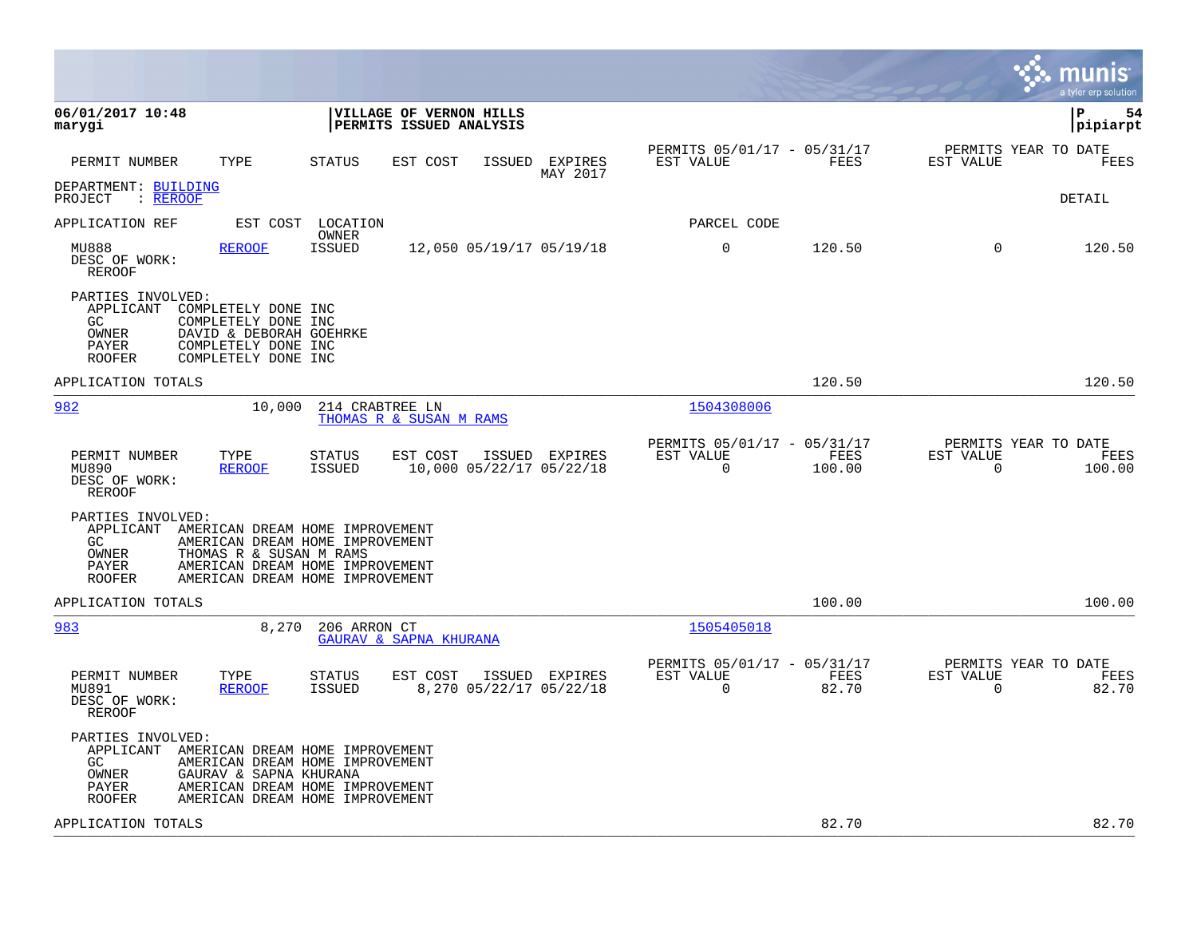|                                                                                                                                                                                                                                                |                                                                          | munis<br>a tyler erp solution                                     |
|------------------------------------------------------------------------------------------------------------------------------------------------------------------------------------------------------------------------------------------------|--------------------------------------------------------------------------|-------------------------------------------------------------------|
| 06/01/2017 10:48<br><b>VILLAGE OF VERNON HILLS</b><br>PERMITS ISSUED ANALYSIS<br>marygi                                                                                                                                                        |                                                                          | l P<br>54<br> pipiarpt                                            |
| PERMIT NUMBER<br>TYPE<br><b>STATUS</b><br>EST COST<br>ISSUED EXPIRES<br>MAY 2017                                                                                                                                                               | PERMITS 05/01/17 - 05/31/17<br>EST VALUE<br>FEES                         | PERMITS YEAR TO DATE<br>EST VALUE<br>FEES                         |
| DEPARTMENT: BUILDING<br>: REROOF<br>PROJECT                                                                                                                                                                                                    |                                                                          | DETAIL                                                            |
| APPLICATION REF<br>EST COST<br>LOCATION                                                                                                                                                                                                        | PARCEL CODE                                                              |                                                                   |
| OWNER<br><b>ISSUED</b><br>MU888<br><b>REROOF</b><br>12,050 05/19/17 05/19/18<br>DESC OF WORK:<br><b>REROOF</b>                                                                                                                                 | 0<br>120.50                                                              | 0<br>120.50                                                       |
| PARTIES INVOLVED:<br>APPLICANT<br>COMPLETELY DONE INC<br>GC.<br>COMPLETELY DONE INC<br>OWNER<br>DAVID & DEBORAH GOEHRKE<br>PAYER<br>COMPLETELY DONE INC<br>COMPLETELY DONE INC<br><b>ROOFER</b>                                                |                                                                          |                                                                   |
| APPLICATION TOTALS                                                                                                                                                                                                                             | 120.50                                                                   | 120.50                                                            |
| 982<br>10,000<br>214 CRABTREE LN<br>THOMAS R & SUSAN M RAMS                                                                                                                                                                                    | 1504308006                                                               |                                                                   |
| PERMIT NUMBER<br>TYPE<br><b>STATUS</b><br>EST COST<br>ISSUED EXPIRES<br>MU890<br><b>REROOF</b><br><b>ISSUED</b><br>10,000 05/22/17 05/22/18<br>DESC OF WORK:<br><b>REROOF</b>                                                                  | PERMITS 05/01/17 - 05/31/17<br>EST VALUE<br>FEES<br>$\Omega$<br>100.00   | PERMITS YEAR TO DATE<br>EST VALUE<br>FEES<br>$\Omega$<br>100.00   |
| PARTIES INVOLVED:<br>APPLICANT<br>AMERICAN DREAM HOME IMPROVEMENT<br>GC<br>AMERICAN DREAM HOME IMPROVEMENT<br>OWNER<br>THOMAS R & SUSAN M RAMS<br>AMERICAN DREAM HOME IMPROVEMENT<br>PAYER<br>AMERICAN DREAM HOME IMPROVEMENT<br><b>ROOFER</b> |                                                                          |                                                                   |
| APPLICATION TOTALS                                                                                                                                                                                                                             | 100.00                                                                   | 100.00                                                            |
| 983<br>8,270<br>206 ARRON CT<br>GAURAV & SAPNA KHURANA                                                                                                                                                                                         | 1505405018                                                               |                                                                   |
| TYPE<br><b>STATUS</b><br>EST COST<br>ISSUED EXPIRES<br>PERMIT NUMBER<br>MU891<br><b>ISSUED</b><br>8,270 05/22/17 05/22/18<br><b>REROOF</b><br>DESC OF WORK:<br>REROOF                                                                          | PERMITS 05/01/17 - 05/31/17<br>EST VALUE<br>FEES<br>$\mathbf 0$<br>82.70 | PERMITS YEAR TO DATE<br>EST VALUE<br>FEES<br>82.70<br>$\mathbf 0$ |
| PARTIES INVOLVED:<br>APPLICANT<br>AMERICAN DREAM HOME IMPROVEMENT<br>GC<br>AMERICAN DREAM HOME IMPROVEMENT<br>OWNER<br>GAURAV & SAPNA KHURANA<br>AMERICAN DREAM HOME IMPROVEMENT<br>PAYER<br>AMERICAN DREAM HOME IMPROVEMENT<br>ROOFER         |                                                                          |                                                                   |
| APPLICATION TOTALS                                                                                                                                                                                                                             | 82.70                                                                    | 82.70                                                             |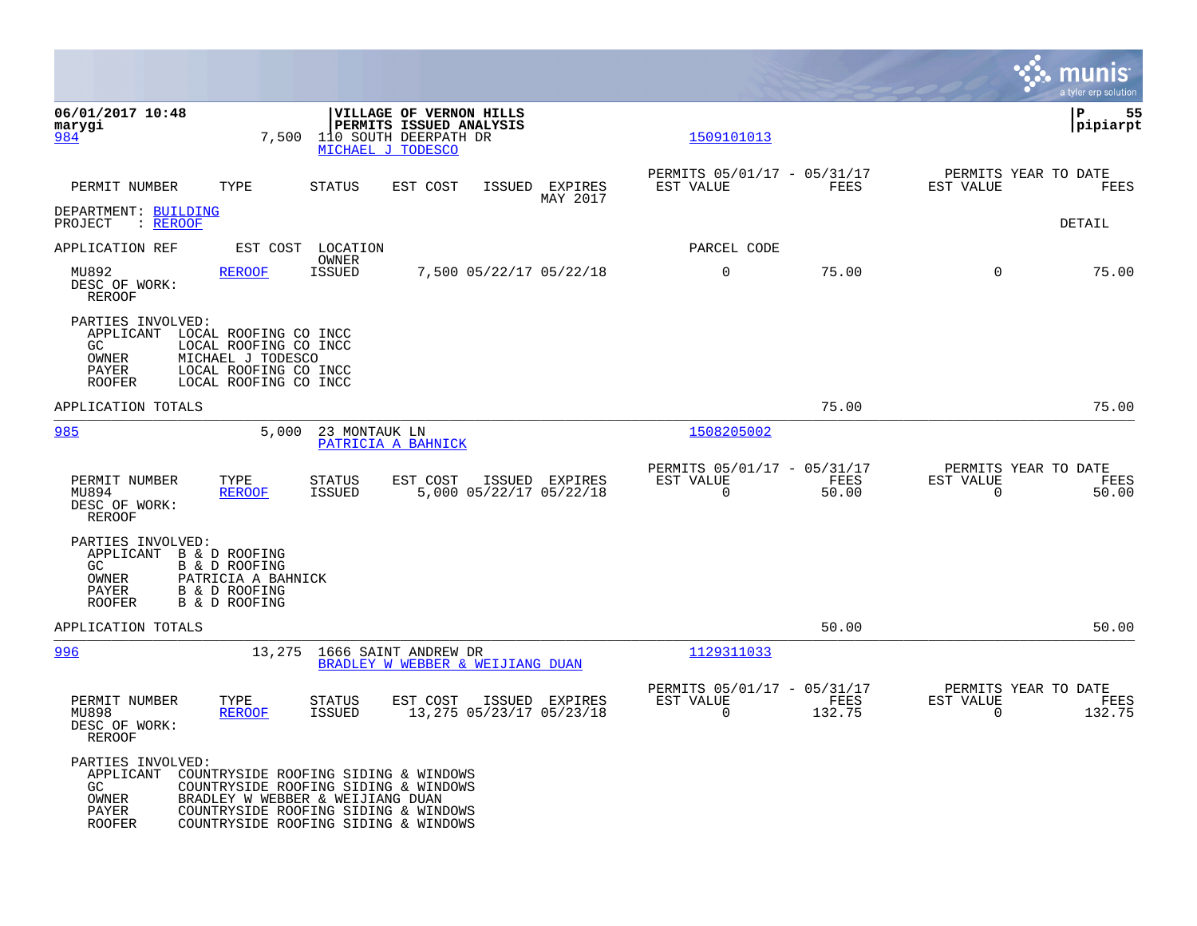|                                                                                                |                                                                                                                                                                                                  |                                |                                                                             |        |                     |                                                      |                |                                                  | munis<br>a tyler erp solution |
|------------------------------------------------------------------------------------------------|--------------------------------------------------------------------------------------------------------------------------------------------------------------------------------------------------|--------------------------------|-----------------------------------------------------------------------------|--------|---------------------|------------------------------------------------------|----------------|--------------------------------------------------|-------------------------------|
| 06/01/2017 10:48<br>marygi<br>984                                                              | 7,500                                                                                                                                                                                            | MICHAEL J TODESCO              | VILLAGE OF VERNON HILLS<br>PERMITS ISSUED ANALYSIS<br>110 SOUTH DEERPATH DR |        |                     | 1509101013                                           |                |                                                  | ΙP<br>55<br> pipiarpt         |
| PERMIT NUMBER                                                                                  | TYPE                                                                                                                                                                                             | <b>STATUS</b>                  | EST COST                                                                    | ISSUED | EXPIRES<br>MAY 2017 | PERMITS 05/01/17 - 05/31/17<br>EST VALUE             | <b>FEES</b>    | PERMITS YEAR TO DATE<br>EST VALUE                | <b>FEES</b>                   |
| DEPARTMENT: BUILDING<br>: <u>REROOF</u><br>PROJECT                                             |                                                                                                                                                                                                  |                                |                                                                             |        |                     |                                                      |                |                                                  | DETAIL                        |
| APPLICATION REF                                                                                | EST COST                                                                                                                                                                                         | LOCATION<br>OWNER              |                                                                             |        |                     | PARCEL CODE                                          |                |                                                  |                               |
| MU892<br>DESC OF WORK:<br>REROOF                                                               | <b>REROOF</b>                                                                                                                                                                                    | <b>ISSUED</b>                  | 7,500 05/22/17 05/22/18                                                     |        |                     | $\mathbf 0$                                          | 75.00          | $\Omega$                                         | 75.00                         |
| PARTIES INVOLVED:<br>APPLICANT LOCAL ROOFING CO INCC<br>GC.<br>OWNER<br>PAYER<br><b>ROOFER</b> | LOCAL ROOFING CO INCC<br>MICHAEL J TODESCO<br>LOCAL ROOFING CO INCC<br>LOCAL ROOFING CO INCC                                                                                                     |                                |                                                                             |        |                     |                                                      |                |                                                  |                               |
| APPLICATION TOTALS                                                                             |                                                                                                                                                                                                  |                                |                                                                             |        |                     |                                                      | 75.00          |                                                  | 75.00                         |
| 985                                                                                            | 5,000                                                                                                                                                                                            | 23 MONTAUK LN                  | PATRICIA A BAHNICK                                                          |        |                     | 1508205002                                           |                |                                                  |                               |
| PERMIT NUMBER<br>MU894<br>DESC OF WORK:<br>REROOF                                              | TYPE<br><b>REROOF</b>                                                                                                                                                                            | <b>STATUS</b><br><b>ISSUED</b> | EST COST<br>5,000 05/22/17 05/22/18                                         |        | ISSUED EXPIRES      | PERMITS 05/01/17 - 05/31/17<br>EST VALUE<br>$\Omega$ | FEES<br>50.00  | PERMITS YEAR TO DATE<br>EST VALUE<br>$\Omega$    | FEES<br>50.00                 |
| PARTIES INVOLVED:<br>APPLICANT B & D ROOFING<br>GC<br>OWNER<br>PAYER<br><b>ROOFER</b>          | B & D ROOFING<br>PATRICIA A BAHNICK<br>B & D ROOFING<br>B & D ROOFING                                                                                                                            |                                |                                                                             |        |                     |                                                      |                |                                                  |                               |
| APPLICATION TOTALS                                                                             |                                                                                                                                                                                                  |                                |                                                                             |        |                     |                                                      | 50.00          |                                                  | 50.00                         |
| 996                                                                                            | 13,275                                                                                                                                                                                           |                                | 1666 SAINT ANDREW DR<br>BRADLEY W WEBBER & WEIJIANG DUAN                    |        |                     | 1129311033                                           |                |                                                  |                               |
| PERMIT NUMBER<br>MU898<br>DESC OF WORK:<br>REROOF                                              | TYPE<br><b>REROOF</b>                                                                                                                                                                            | <b>STATUS</b><br>ISSUED        | EST COST<br>13,275 05/23/17 05/23/18                                        |        | ISSUED EXPIRES      | PERMITS 05/01/17 - 05/31/17<br>EST VALUE<br>0        | FEES<br>132.75 | PERMITS YEAR TO DATE<br>EST VALUE<br>$\mathbf 0$ | FEES<br>132.75                |
| PARTIES INVOLVED:<br>APPLICANT<br>GC<br>OWNER<br>PAYER<br><b>ROOFER</b>                        | COUNTRYSIDE ROOFING SIDING & WINDOWS<br>COUNTRYSIDE ROOFING SIDING & WINDOWS<br>BRADLEY W WEBBER & WEIJIANG DUAN<br>COUNTRYSIDE ROOFING SIDING & WINDOWS<br>COUNTRYSIDE ROOFING SIDING & WINDOWS |                                |                                                                             |        |                     |                                                      |                |                                                  |                               |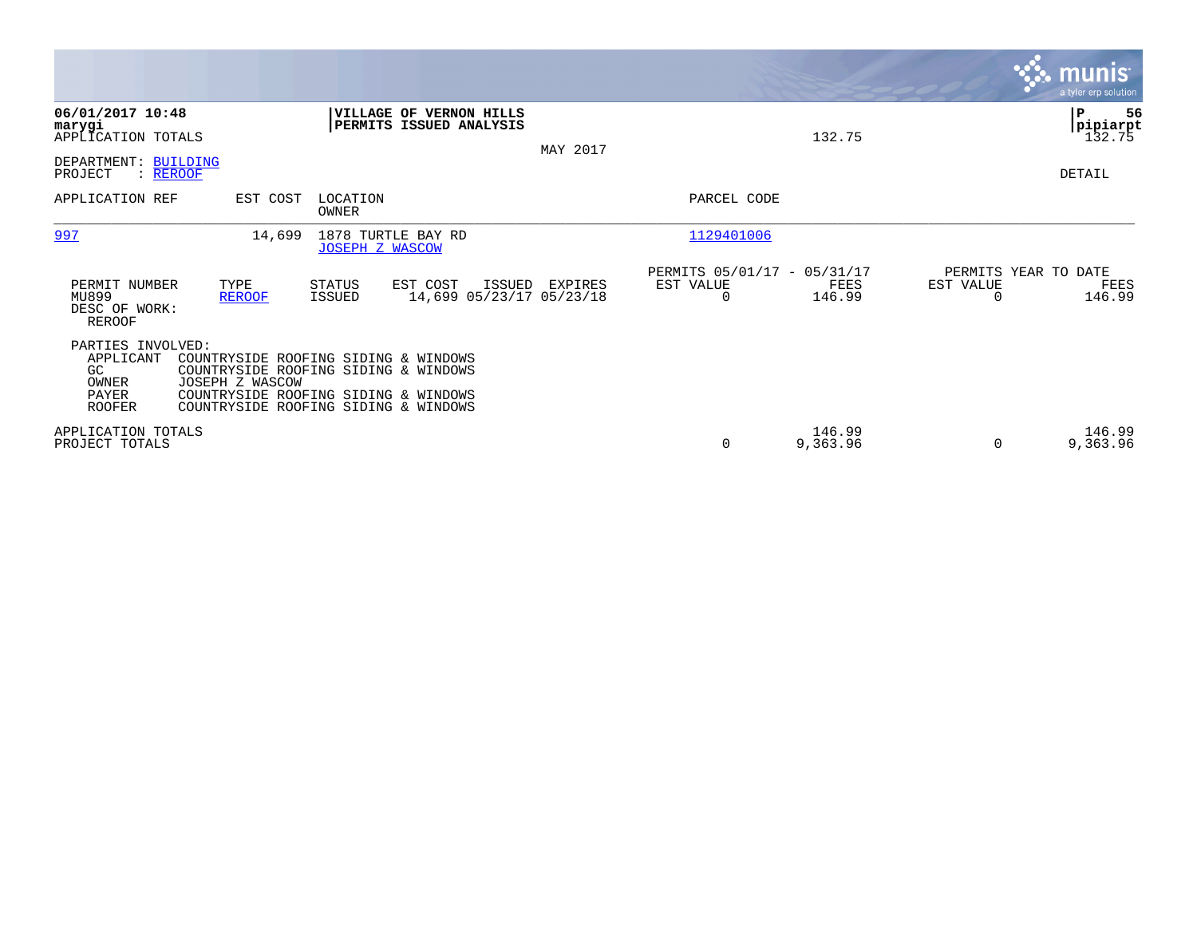|                                                                         |                                                                                                                                                                                 |                          |                                                    |          |                                               |                    |                                   | <b>munis</b><br>a tyler erp solution |
|-------------------------------------------------------------------------|---------------------------------------------------------------------------------------------------------------------------------------------------------------------------------|--------------------------|----------------------------------------------------|----------|-----------------------------------------------|--------------------|-----------------------------------|--------------------------------------|
| 06/01/2017 10:48<br>marygi<br>APPLICATION TOTALS                        |                                                                                                                                                                                 |                          | VILLAGE OF VERNON HILLS<br>PERMITS ISSUED ANALYSIS | MAY 2017 |                                               | 132.75             |                                   | 56<br> P<br> pipiarpt<br>132.75      |
| DEPARTMENT:<br>PROJECT<br>: REROOF                                      | <b>BUILDING</b>                                                                                                                                                                 |                          |                                                    |          |                                               |                    |                                   | DETAIL                               |
| APPLICATION REF                                                         | EST COST                                                                                                                                                                        | LOCATION<br><b>OWNER</b> |                                                    |          | PARCEL CODE                                   |                    |                                   |                                      |
| 997                                                                     | 14,699                                                                                                                                                                          | <b>JOSEPH Z WASCOW</b>   | 1878 TURTLE BAY RD                                 |          | 1129401006                                    |                    |                                   |                                      |
| PERMIT NUMBER<br>MU899<br>DESC OF WORK:<br>REROOF                       | TYPE<br><b>REROOF</b>                                                                                                                                                           | <b>STATUS</b><br>ISSUED  | EST COST<br>ISSUED<br>14,699 05/23/17 05/23/18     | EXPIRES  | PERMITS 05/01/17 - 05/31/17<br>EST VALUE<br>0 | FEES<br>146.99     | PERMITS YEAR TO DATE<br>EST VALUE | FEES<br>146.99                       |
| PARTIES INVOLVED:<br>APPLICANT<br>GC<br>OWNER<br>PAYER<br><b>ROOFER</b> | COUNTRYSIDE ROOFING SIDING & WINDOWS<br>COUNTRYSIDE ROOFING SIDING & WINDOWS<br>JOSEPH Z WASCOW<br>COUNTRYSIDE ROOFING SIDING & WINDOWS<br>COUNTRYSIDE ROOFING SIDING & WINDOWS |                          |                                                    |          |                                               |                    |                                   |                                      |
| APPLICATION TOTALS<br>PROJECT TOTALS                                    |                                                                                                                                                                                 |                          |                                                    |          | 0                                             | 146.99<br>9,363.96 | 0                                 | 146.99<br>9,363.96                   |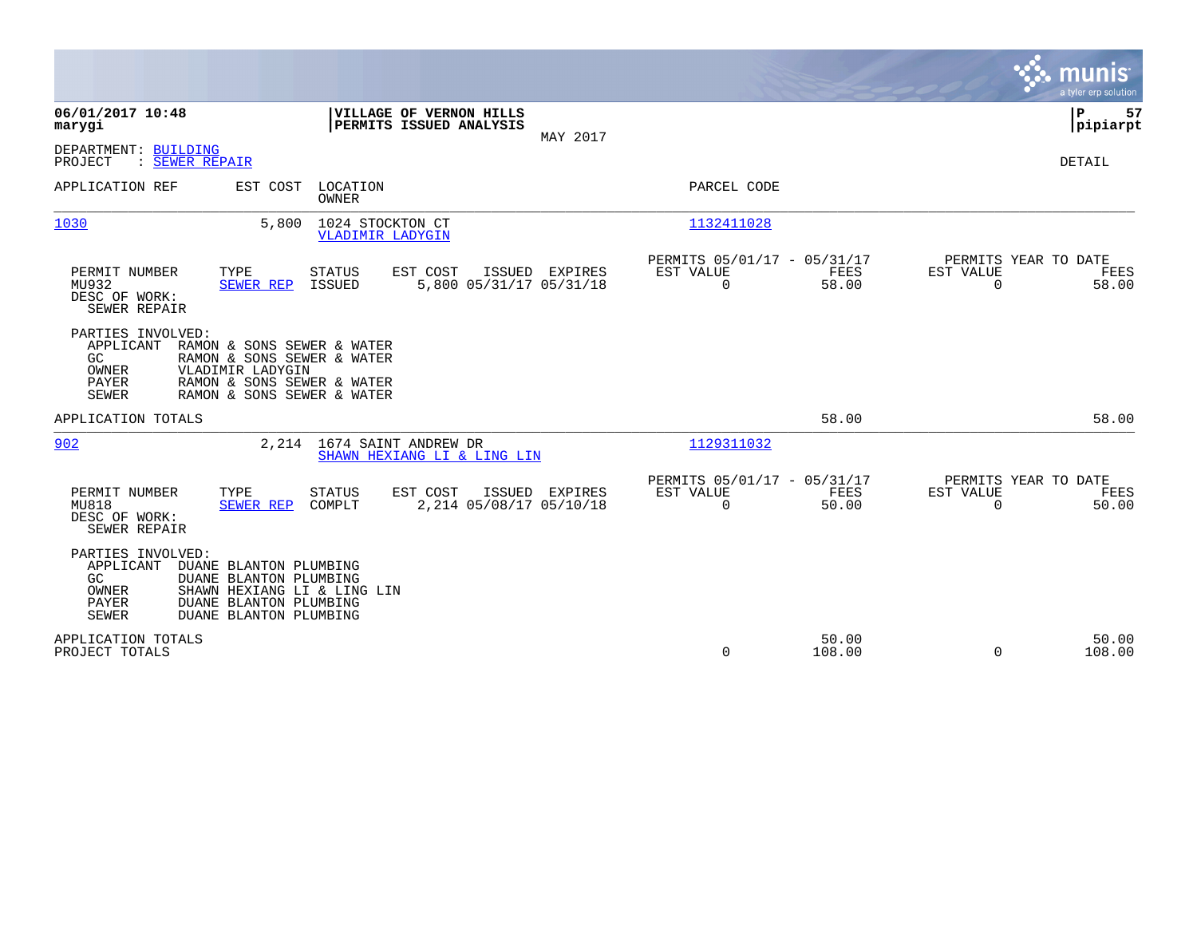|                                                                                                                                                                                                                     |                                                                |                |                                                         |                 |                          | munis<br>a tyler erp solution         |
|---------------------------------------------------------------------------------------------------------------------------------------------------------------------------------------------------------------------|----------------------------------------------------------------|----------------|---------------------------------------------------------|-----------------|--------------------------|---------------------------------------|
| 06/01/2017 10:48<br>marygi                                                                                                                                                                                          | VILLAGE OF VERNON HILLS<br>PERMITS ISSUED ANALYSIS             | MAY 2017       |                                                         |                 |                          | ΙP<br>57<br> pipiarpt                 |
| DEPARTMENT: BUILDING<br>: SEWER REPAIR<br>PROJECT                                                                                                                                                                   |                                                                |                |                                                         |                 |                          | DETAIL                                |
| APPLICATION REF<br>EST COST                                                                                                                                                                                         | LOCATION<br><b>OWNER</b>                                       |                | PARCEL CODE                                             |                 |                          |                                       |
| 1030<br>5,800                                                                                                                                                                                                       | 1024 STOCKTON CT<br>VLADIMIR LADYGIN                           |                | 1132411028                                              |                 |                          |                                       |
| PERMIT NUMBER<br>TYPE<br>MU932<br>SEWER REP<br>DESC OF WORK:<br>SEWER REPAIR                                                                                                                                        | <b>STATUS</b><br>EST COST<br>ISSUED<br>5,800 05/31/17 05/31/18 | ISSUED EXPIRES | PERMITS 05/01/17 - 05/31/17<br>EST VALUE<br>$\mathbf 0$ | FEES<br>58.00   | EST VALUE<br>$\mathbf 0$ | PERMITS YEAR TO DATE<br>FEES<br>58.00 |
| PARTIES INVOLVED:<br>APPLICANT<br>RAMON & SONS SEWER & WATER<br>GC.<br>RAMON & SONS SEWER & WATER<br>VLADIMIR LADYGIN<br>OWNER<br>PAYER<br>RAMON & SONS SEWER & WATER<br>RAMON & SONS SEWER & WATER<br><b>SEWER</b> |                                                                |                |                                                         |                 |                          |                                       |
| APPLICATION TOTALS                                                                                                                                                                                                  |                                                                |                |                                                         | 58.00           |                          | 58.00                                 |
| 902<br>2,214                                                                                                                                                                                                        | 1674 SAINT ANDREW DR<br>SHAWN HEXIANG LI & LING LIN            |                | 1129311032                                              |                 |                          |                                       |
| PERMIT NUMBER<br>TYPE<br>MU818<br>SEWER REP<br>DESC OF WORK:<br>SEWER REPAIR                                                                                                                                        | EST COST<br><b>STATUS</b><br>2,214 05/08/17 05/10/18<br>COMPLT | ISSUED EXPIRES | PERMITS 05/01/17 - 05/31/17<br>EST VALUE<br>$\mathbf 0$ | FEES<br>50.00   | EST VALUE<br>$\Omega$    | PERMITS YEAR TO DATE<br>FEES<br>50.00 |
| PARTIES INVOLVED:<br>APPLICANT<br>DUANE BLANTON PLUMBING<br>GC<br>DUANE BLANTON PLUMBING<br>OWNER<br>SHAWN HEXIANG LI & LING LIN<br>DUANE BLANTON PLUMBING<br>PAYER<br><b>SEWER</b><br>DUANE BLANTON PLUMBING       |                                                                |                |                                                         |                 |                          |                                       |
| APPLICATION TOTALS<br>PROJECT TOTALS                                                                                                                                                                                |                                                                |                | 0                                                       | 50.00<br>108.00 | $\mathbf 0$              | 50.00<br>108.00                       |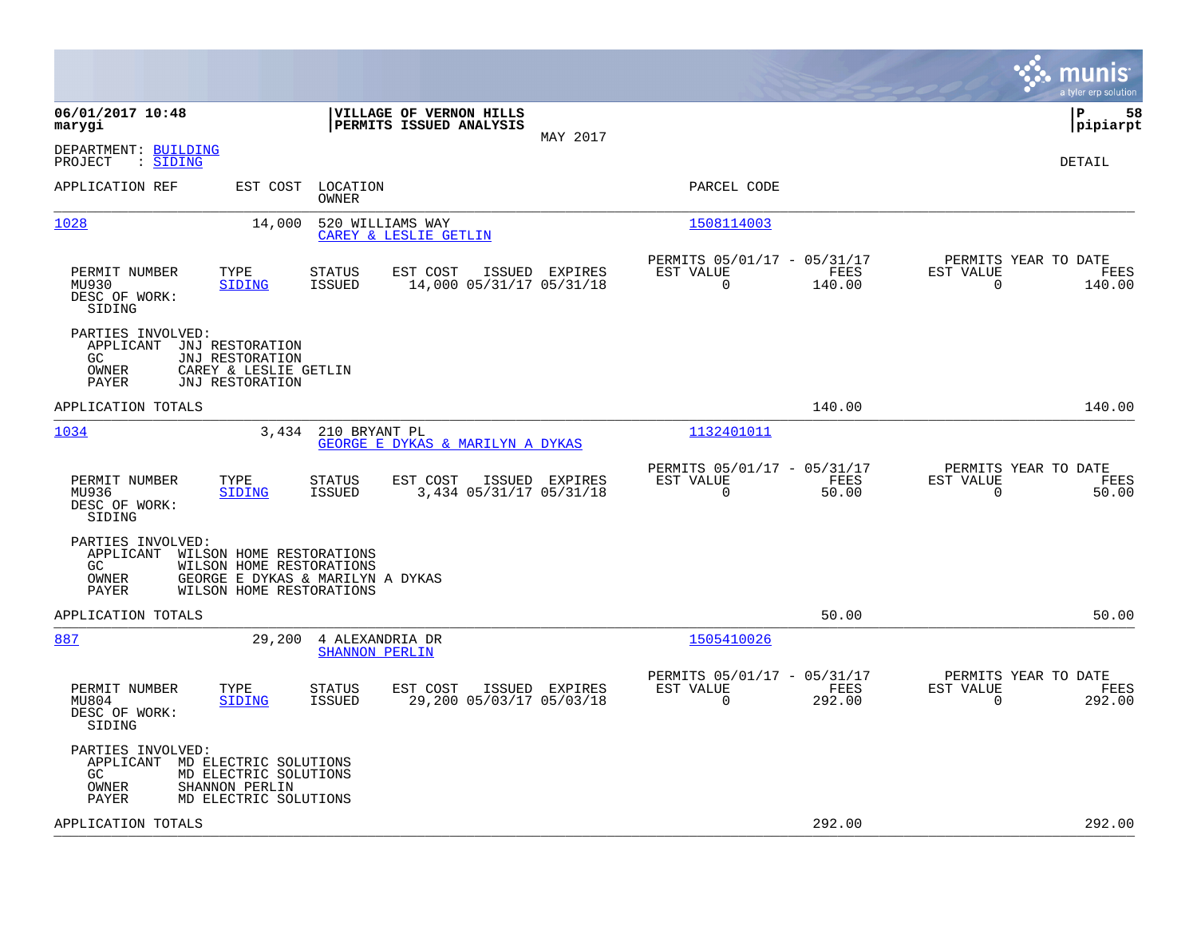|                                                                                                                                                                                 |                                            |                                                                | munis<br>a tyler erp solution                                                      |
|---------------------------------------------------------------------------------------------------------------------------------------------------------------------------------|--------------------------------------------|----------------------------------------------------------------|------------------------------------------------------------------------------------|
| 06/01/2017 10:48<br>PERMITS ISSUED ANALYSIS<br>marygi                                                                                                                           | VILLAGE OF VERNON HILLS<br>MAY 2017        |                                                                | lР<br>58<br> pipiarpt                                                              |
| DEPARTMENT: BUILDING<br>: SIDING<br>PROJECT                                                                                                                                     |                                            |                                                                | DETAIL                                                                             |
| LOCATION<br>APPLICATION REF<br>EST COST<br>OWNER                                                                                                                                |                                            | PARCEL CODE                                                    |                                                                                    |
| 1028<br>14,000<br>520 WILLIAMS WAY<br>CAREY & LESLIE GETLIN                                                                                                                     |                                            | 1508114003                                                     |                                                                                    |
| PERMIT NUMBER<br>TYPE<br><b>STATUS</b><br>EST COST<br>MU930<br><b>SIDING</b><br><b>ISSUED</b><br>DESC OF WORK:<br>SIDING                                                        | ISSUED EXPIRES<br>14,000 05/31/17 05/31/18 | PERMITS 05/01/17 - 05/31/17<br>EST VALUE<br>$\Omega$<br>140.00 | PERMITS YEAR TO DATE<br>FEES<br>EST VALUE<br>FEES<br>$\Omega$<br>140.00            |
| PARTIES INVOLVED:<br>APPLICANT<br>JNJ RESTORATION<br>JNJ RESTORATION<br>GC.<br>OWNER<br>CAREY & LESLIE GETLIN<br><b>PAYER</b><br>JNJ RESTORATION                                |                                            |                                                                |                                                                                    |
| APPLICATION TOTALS                                                                                                                                                              |                                            | 140.00                                                         | 140.00                                                                             |
| 1034<br>3,434<br>210 BRYANT PL                                                                                                                                                  | GEORGE E DYKAS & MARILYN A DYKAS           | 1132401011                                                     |                                                                                    |
| PERMIT NUMBER<br>TYPE<br>STATUS<br>EST COST<br>MU936<br><b>SIDING</b><br><b>ISSUED</b><br>DESC OF WORK:<br>SIDING                                                               | ISSUED EXPIRES<br>3,434 05/31/17 05/31/18  | PERMITS 05/01/17 - 05/31/17<br>EST VALUE<br>$\mathbf 0$        | PERMITS YEAR TO DATE<br>EST VALUE<br>FEES<br>FEES<br>50.00<br>$\mathbf 0$<br>50.00 |
| PARTIES INVOLVED:<br>APPLICANT<br>WILSON HOME RESTORATIONS<br>GC.<br>WILSON HOME RESTORATIONS<br>OWNER<br>GEORGE E DYKAS & MARILYN A DYKAS<br>PAYER<br>WILSON HOME RESTORATIONS |                                            |                                                                |                                                                                    |
| APPLICATION TOTALS                                                                                                                                                              |                                            |                                                                | 50.00<br>50.00                                                                     |
| 887<br>29,200<br>4 ALEXANDRIA DR<br><b>SHANNON PERLIN</b>                                                                                                                       |                                            | 1505410026                                                     |                                                                                    |
| PERMIT NUMBER<br>TYPE<br>STATUS<br>EST COST<br>MU804<br>SIDING<br><b>ISSUED</b><br>DESC OF WORK:<br>SIDING                                                                      | ISSUED EXPIRES<br>29,200 05/03/17 05/03/18 | PERMITS 05/01/17 - 05/31/17<br>EST VALUE<br>0<br>292.00        | PERMITS YEAR TO DATE<br>EST VALUE<br>FEES<br>FEES<br>0<br>292.00                   |
| PARTIES INVOLVED:<br>APPLICANT<br>MD ELECTRIC SOLUTIONS<br>GC.<br>MD ELECTRIC SOLUTIONS<br>SHANNON PERLIN<br>OWNER<br>PAYER<br>MD ELECTRIC SOLUTIONS                            |                                            |                                                                |                                                                                    |
| APPLICATION TOTALS                                                                                                                                                              |                                            | 292.00                                                         | 292.00                                                                             |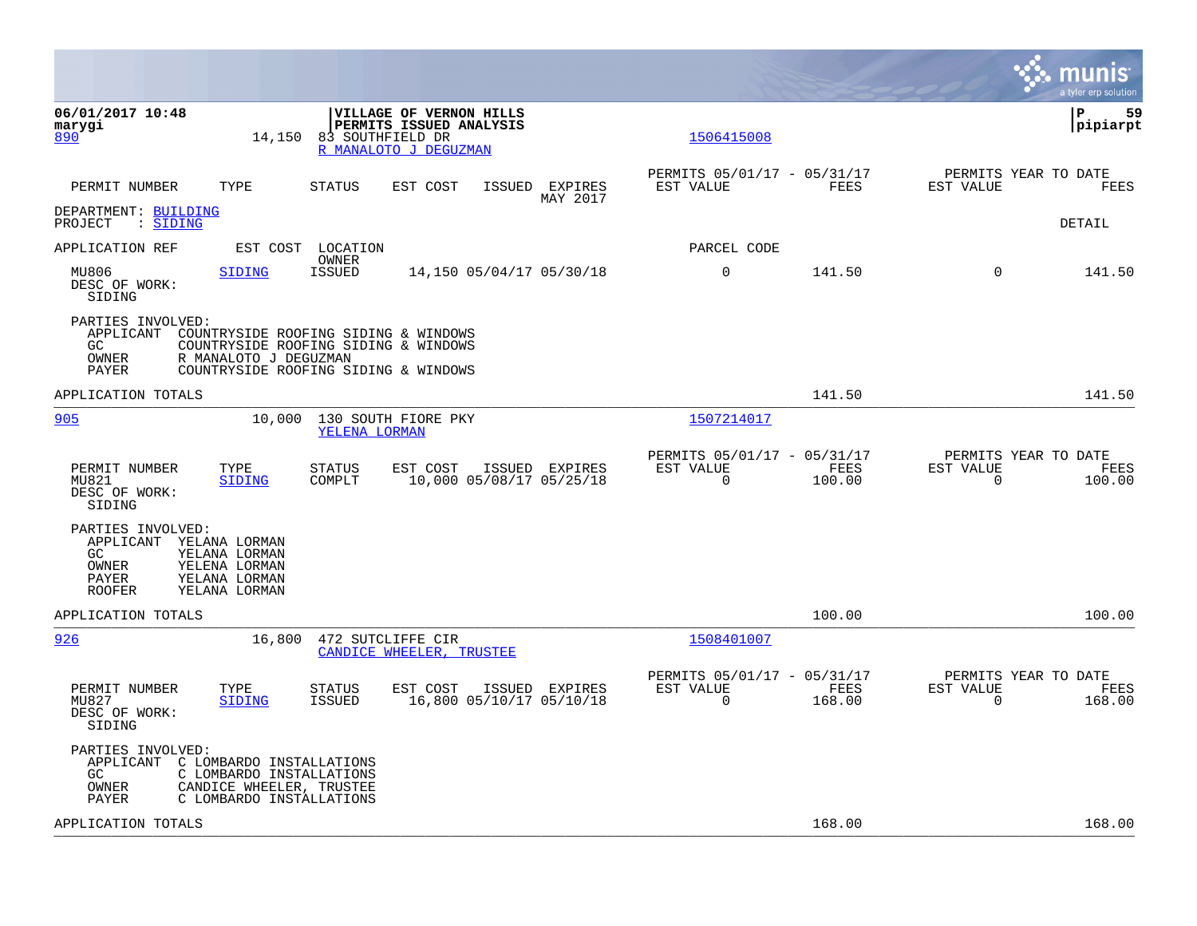|                                                                                                                                                            |                                                                                                                                               |                                                                             |                     |                                                         |                |                                                  | munis<br>a tyler erp solution |
|------------------------------------------------------------------------------------------------------------------------------------------------------------|-----------------------------------------------------------------------------------------------------------------------------------------------|-----------------------------------------------------------------------------|---------------------|---------------------------------------------------------|----------------|--------------------------------------------------|-------------------------------|
| 06/01/2017 10:48<br>marygi<br>890                                                                                                                          | 14,150<br>83 SOUTHFIELD DR                                                                                                                    | VILLAGE OF VERNON HILLS<br>PERMITS ISSUED ANALYSIS<br>R MANALOTO J DEGUZMAN |                     | 1506415008                                              |                |                                                  | ΙP<br>59<br> pipiarpt         |
| PERMIT NUMBER<br>TYPE                                                                                                                                      | <b>STATUS</b>                                                                                                                                 | EST COST<br>ISSUED                                                          | EXPIRES<br>MAY 2017 | PERMITS 05/01/17 - 05/31/17<br>EST VALUE                | <b>FEES</b>    | PERMITS YEAR TO DATE<br>EST VALUE                | FEES                          |
| DEPARTMENT: BUILDING<br>: SIDING<br>PROJECT                                                                                                                |                                                                                                                                               |                                                                             |                     |                                                         |                |                                                  | DETAIL                        |
| APPLICATION REF                                                                                                                                            | EST COST<br>LOCATION<br>OWNER                                                                                                                 |                                                                             |                     | PARCEL CODE                                             |                |                                                  |                               |
| MU806<br><b>SIDING</b><br>DESC OF WORK:<br>SIDING                                                                                                          | <b>ISSUED</b>                                                                                                                                 | 14,150 05/04/17 05/30/18                                                    |                     | 0                                                       | 141.50         | $\mathbf 0$                                      | 141.50                        |
| PARTIES INVOLVED:<br>APPLICANT<br>GC.<br>OWNER<br>PAYER                                                                                                    | COUNTRYSIDE ROOFING SIDING & WINDOWS<br>COUNTRYSIDE ROOFING SIDING & WINDOWS<br>R MANALOTO J DEGUZMAN<br>COUNTRYSIDE ROOFING SIDING & WINDOWS |                                                                             |                     |                                                         |                |                                                  |                               |
| APPLICATION TOTALS                                                                                                                                         |                                                                                                                                               |                                                                             |                     |                                                         | 141.50         |                                                  | 141.50                        |
| 905                                                                                                                                                        | 10,000<br>YELENA LORMAN                                                                                                                       | 130 SOUTH FIORE PKY                                                         |                     | 1507214017                                              |                |                                                  |                               |
| PERMIT NUMBER<br>TYPE<br>SIDING<br>MU821<br>DESC OF WORK:<br>SIDING                                                                                        | STATUS<br>COMPLT                                                                                                                              | EST COST<br>10,000 05/08/17 05/25/18                                        | ISSUED EXPIRES      | PERMITS 05/01/17 - 05/31/17<br>EST VALUE<br>$\Omega$    | FEES<br>100.00 | PERMITS YEAR TO DATE<br>EST VALUE<br>$\Omega$    | FEES<br>100.00                |
| PARTIES INVOLVED:<br>APPLICANT YELANA LORMAN<br>GC.<br>YELANA LORMAN<br>OWNER<br>YELENA LORMAN<br>PAYER<br>YELANA LORMAN<br><b>ROOFER</b><br>YELANA LORMAN |                                                                                                                                               |                                                                             |                     |                                                         |                |                                                  |                               |
| APPLICATION TOTALS                                                                                                                                         |                                                                                                                                               |                                                                             |                     |                                                         | 100.00         |                                                  | 100.00                        |
| 926                                                                                                                                                        | 16,800<br>472 SUTCLIFFE CIR                                                                                                                   | CANDICE WHEELER, TRUSTEE                                                    |                     | 1508401007                                              |                |                                                  |                               |
| PERMIT NUMBER<br>TYPE<br>MU827<br>SIDING<br>DESC OF WORK:<br>SIDING                                                                                        | STATUS<br>ISSUED                                                                                                                              | EST COST<br>16,800 05/10/17 05/10/18                                        | ISSUED EXPIRES      | PERMITS 05/01/17 - 05/31/17<br>EST VALUE<br>$\mathbf 0$ | FEES<br>168.00 | PERMITS YEAR TO DATE<br>EST VALUE<br>$\mathbf 0$ | FEES<br>168.00                |
| PARTIES INVOLVED:<br>APPLICANT C LOMBARDO INSTALLATIONS<br>GC<br>OWNER<br>PAYER                                                                            | C LOMBARDO INSTALLATIONS<br>CANDICE WHEELER, TRUSTEE<br>C LOMBARDO INSTALLATIONS                                                              |                                                                             |                     |                                                         |                |                                                  |                               |
| APPLICATION TOTALS                                                                                                                                         |                                                                                                                                               |                                                                             |                     |                                                         | 168.00         |                                                  | 168.00                        |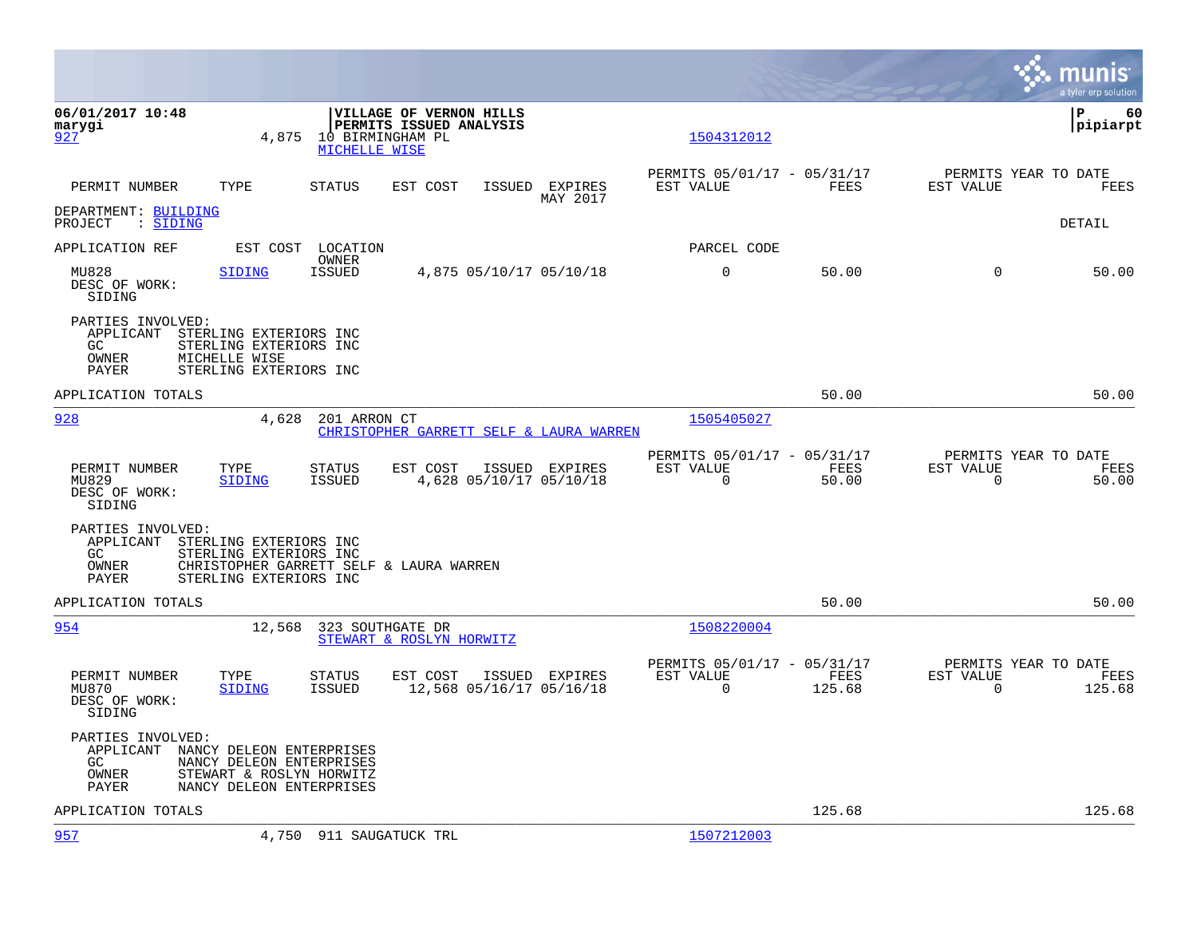|                                                         |                                                                                                                       |                                   |                                                    |                                            |                                                      |                |                                                  | munis<br>a tyler erp solution |
|---------------------------------------------------------|-----------------------------------------------------------------------------------------------------------------------|-----------------------------------|----------------------------------------------------|--------------------------------------------|------------------------------------------------------|----------------|--------------------------------------------------|-------------------------------|
| 06/01/2017 10:48<br>marygi<br>927                       | 4,875                                                                                                                 | 10 BIRMINGHAM PL<br>MICHELLE WISE | VILLAGE OF VERNON HILLS<br>PERMITS ISSUED ANALYSIS |                                            | 1504312012                                           |                |                                                  | l P<br>60<br> pipiarpt        |
| PERMIT NUMBER                                           | TYPE                                                                                                                  | <b>STATUS</b>                     | EST COST                                           | ISSUED EXPIRES<br>MAY 2017                 | PERMITS 05/01/17 - 05/31/17<br>EST VALUE             | FEES           | PERMITS YEAR TO DATE<br>EST VALUE                | <b>FEES</b>                   |
| DEPARTMENT: BUILDING<br>: SIDING<br>PROJECT             |                                                                                                                       |                                   |                                                    |                                            |                                                      |                |                                                  | DETAIL                        |
| APPLICATION REF                                         | EST COST                                                                                                              | LOCATION<br><b>OWNER</b>          |                                                    |                                            | PARCEL CODE                                          |                |                                                  |                               |
| MU828<br>DESC OF WORK:<br>SIDING                        | SIDING                                                                                                                | <b>ISSUED</b>                     |                                                    | 4,875 05/10/17 05/10/18                    | $\mathbf 0$                                          | 50.00          | $\Omega$                                         | 50.00                         |
| PARTIES INVOLVED:<br>APPLICANT<br>GC.<br>OWNER<br>PAYER | STERLING EXTERIORS INC<br>STERLING EXTERIORS INC<br>MICHELLE WISE<br>STERLING EXTERIORS INC                           |                                   |                                                    |                                            |                                                      |                |                                                  |                               |
| APPLICATION TOTALS                                      |                                                                                                                       |                                   |                                                    |                                            |                                                      | 50.00          |                                                  | 50.00                         |
| 928                                                     | 4,628                                                                                                                 | 201 ARRON CT                      |                                                    | CHRISTOPHER GARRETT SELF & LAURA WARREN    | 1505405027                                           |                |                                                  |                               |
| PERMIT NUMBER<br>MU829<br>DESC OF WORK:<br>SIDING       | TYPE<br><b>SIDING</b>                                                                                                 | <b>STATUS</b><br>ISSUED           | EST COST                                           | ISSUED EXPIRES<br>4,628 05/10/17 05/10/18  | PERMITS 05/01/17 - 05/31/17<br>EST VALUE<br>0        | FEES<br>50.00  | PERMITS YEAR TO DATE<br>EST VALUE<br>$\mathbf 0$ | FEES<br>50.00                 |
| PARTIES INVOLVED:<br>APPLICANT<br>GC.<br>OWNER<br>PAYER | STERLING EXTERIORS INC<br>STERLING EXTERIORS INC<br>CHRISTOPHER GARRETT SELF & LAURA WARREN<br>STERLING EXTERIORS INC |                                   |                                                    |                                            |                                                      |                |                                                  |                               |
| APPLICATION TOTALS                                      |                                                                                                                       |                                   |                                                    |                                            |                                                      | 50.00          |                                                  | 50.00                         |
| 954                                                     | 12,568                                                                                                                | 323 SOUTHGATE DR                  | STEWART & ROSLYN HORWITZ                           |                                            | 1508220004                                           |                |                                                  |                               |
| PERMIT NUMBER<br>MU870<br>DESC OF WORK:<br>SIDING       | TYPE<br><b>SIDING</b>                                                                                                 | <b>STATUS</b><br><b>ISSUED</b>    | EST COST                                           | ISSUED EXPIRES<br>12,568 05/16/17 05/16/18 | PERMITS 05/01/17 - 05/31/17<br>EST VALUE<br>$\Omega$ | FEES<br>125.68 | PERMITS YEAR TO DATE<br>EST VALUE<br>$\Omega$    | FEES<br>125.68                |
| PARTIES INVOLVED:<br>APPLICANT<br>GC.<br>OWNER<br>PAYER | NANCY DELEON ENTERPRISES<br>NANCY DELEON ENTERPRISES<br>STEWART & ROSLYN HORWITZ<br>NANCY DELEON ENTERPRISES          |                                   |                                                    |                                            |                                                      |                |                                                  |                               |
| APPLICATION TOTALS                                      |                                                                                                                       |                                   |                                                    |                                            |                                                      | 125.68         |                                                  | 125.68                        |
| 957                                                     |                                                                                                                       | 4,750 911 SAUGATUCK TRL           |                                                    |                                            | 1507212003                                           |                |                                                  |                               |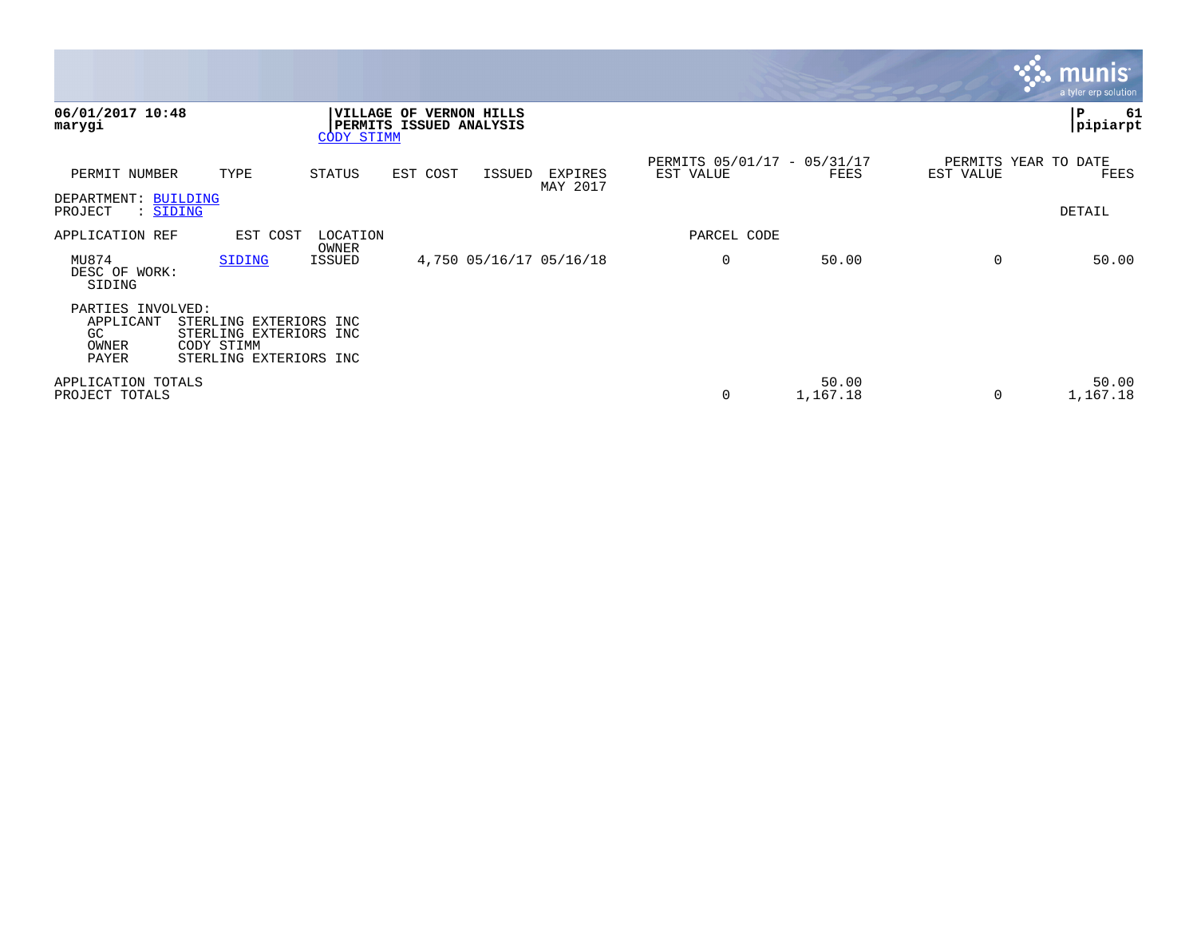|                                                        |                                                                                          |                                 |                                |                     |                         |                                          |                   |           | munis <sup>®</sup><br>a tyler erp solution |
|--------------------------------------------------------|------------------------------------------------------------------------------------------|---------------------------------|--------------------------------|---------------------|-------------------------|------------------------------------------|-------------------|-----------|--------------------------------------------|
| 06/01/2017 10:48<br>marygi                             |                                                                                          | <b>VILLAGE OF</b><br>CODY STIMM | <b>PERMITS ISSUED ANALYSIS</b> | <b>VERNON HILLS</b> |                         |                                          |                   |           | P<br>61<br><b>pipiarpt</b>                 |
| PERMIT NUMBER                                          | TYPE                                                                                     | STATUS                          | EST COST                       | ISSUED              | EXPIRES<br>MAY 2017     | PERMITS 05/01/17 - 05/31/17<br>EST VALUE | FEES              | EST VALUE | PERMITS YEAR TO DATE<br>FEES               |
| DEPARTMENT: BUILDING<br>PROJECT<br>: SIDING            |                                                                                          |                                 |                                |                     |                         |                                          |                   |           | DETAIL                                     |
| APPLICATION REF                                        | EST COST                                                                                 | LOCATION                        |                                |                     |                         | PARCEL CODE                              |                   |           |                                            |
| MU874<br>DESC OF WORK:<br>SIDING                       | SIDING                                                                                   | OWNER<br>ISSUED                 |                                |                     | 4,750 05/16/17 05/16/18 | 0                                        | 50.00             | $\Omega$  | 50.00                                      |
| PARTIES INVOLVED:<br>APPLICANT<br>GC<br>OWNER<br>PAYER | STERLING EXTERIORS INC<br>STERLING EXTERIORS INC<br>CODY STIMM<br>STERLING EXTERIORS INC |                                 |                                |                     |                         |                                          |                   |           |                                            |
| APPLICATION TOTALS<br>PROJECT TOTALS                   |                                                                                          |                                 |                                |                     |                         | 0                                        | 50.00<br>1,167.18 | $\Omega$  | 50.00<br>1,167.18                          |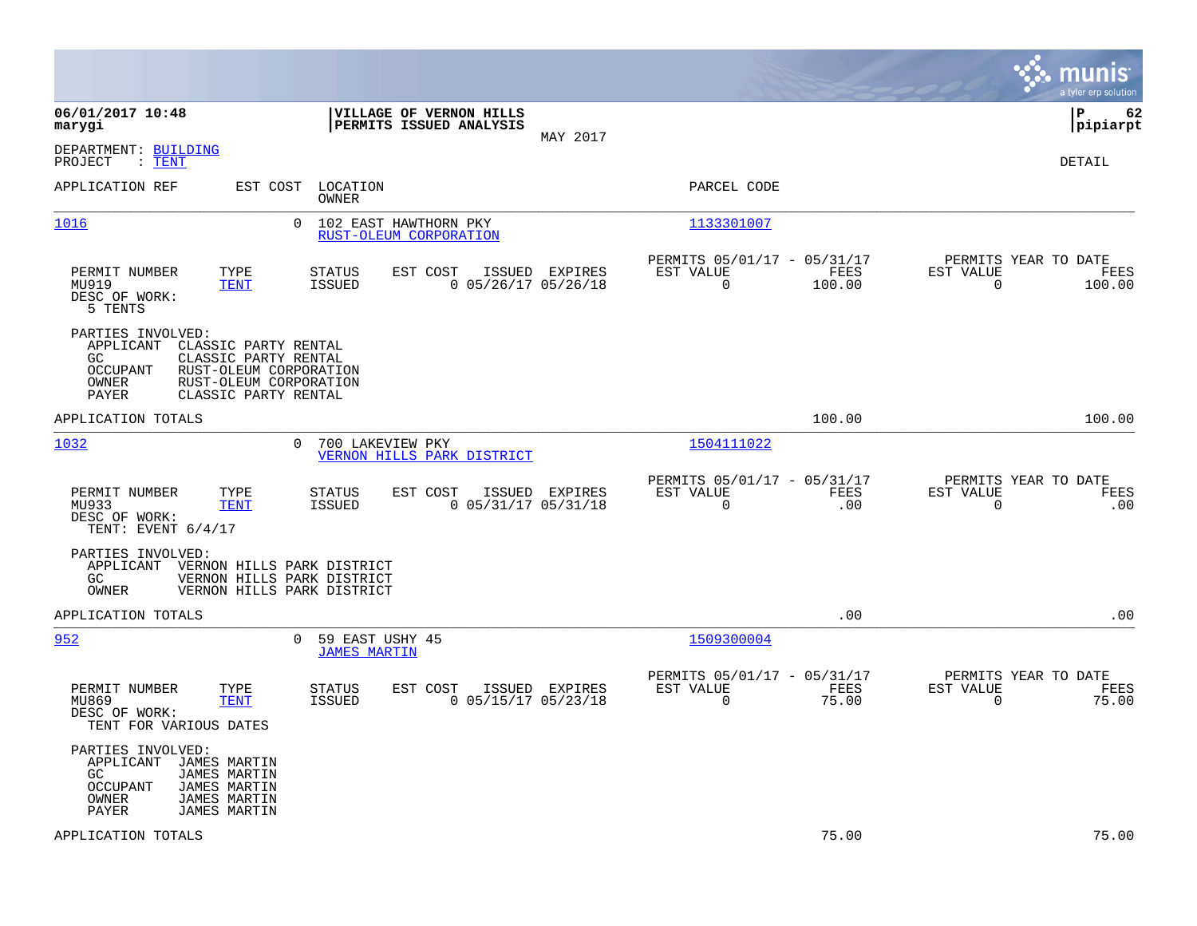|                                                                                                                                                                                                   | munis<br>a tyler erp solution                                                                                                             |
|---------------------------------------------------------------------------------------------------------------------------------------------------------------------------------------------------|-------------------------------------------------------------------------------------------------------------------------------------------|
| 06/01/2017 10:48<br>VILLAGE OF VERNON HILLS<br>PERMITS ISSUED ANALYSIS<br>marygi<br>MAY 2017                                                                                                      | lР<br>62<br> pipiarpt                                                                                                                     |
| DEPARTMENT: BUILDING<br>PROJECT<br>$\colon$ TENT                                                                                                                                                  | <b>DETAIL</b>                                                                                                                             |
| LOCATION<br>APPLICATION REF<br>EST COST<br>OWNER                                                                                                                                                  | PARCEL CODE                                                                                                                               |
| 1016<br>$\Omega$<br>102 EAST HAWTHORN PKY<br>RUST-OLEUM CORPORATION                                                                                                                               | 1133301007                                                                                                                                |
| PERMIT NUMBER<br>TYPE<br>EST COST<br>ISSUED EXPIRES<br>STATUS<br>MU919<br><b>TENT</b><br><b>ISSUED</b><br>$0$ 05/26/17 05/26/18<br>DESC OF WORK:<br>5 TENTS                                       | PERMITS 05/01/17 - 05/31/17<br>PERMITS YEAR TO DATE<br>EST VALUE<br>EST VALUE<br>FEES<br>FEES<br>$\mathbf 0$<br>100.00<br>0<br>100.00     |
| PARTIES INVOLVED:<br>APPLICANT<br>CLASSIC PARTY RENTAL<br>GC.<br>CLASSIC PARTY RENTAL<br>$OCCUPANT$<br>RUST-OLEUM CORPORATION<br>OWNER<br>RUST-OLEUM CORPORATION<br>PAYER<br>CLASSIC PARTY RENTAL |                                                                                                                                           |
| APPLICATION TOTALS                                                                                                                                                                                | 100.00<br>100.00                                                                                                                          |
| 1032<br>700 LAKEVIEW PKY<br>0<br>VERNON HILLS PARK DISTRICT                                                                                                                                       | 1504111022                                                                                                                                |
| PERMIT NUMBER<br>TYPE<br><b>STATUS</b><br>EST COST<br>ISSUED EXPIRES<br><b>ISSUED</b><br>$0$ 05/31/17 05/31/18<br>MU933<br><b>TENT</b><br>DESC OF WORK:<br>TENT: EVENT 6/4/17                     | PERMITS 05/01/17 - 05/31/17<br>PERMITS YEAR TO DATE<br>EST VALUE<br>FEES<br>EST VALUE<br>FEES<br>$\mathbf 0$<br>$\mathbf 0$<br>.00<br>.00 |
| PARTIES INVOLVED:<br>APPLICANT<br>VERNON HILLS PARK DISTRICT<br>GC<br>VERNON HILLS PARK DISTRICT<br>OWNER<br>VERNON HILLS PARK DISTRICT                                                           |                                                                                                                                           |
| APPLICATION TOTALS                                                                                                                                                                                | .00<br>.00                                                                                                                                |
| 59 EAST USHY 45<br>952<br>$\Omega$<br><b>JAMES MARTIN</b>                                                                                                                                         | 1509300004                                                                                                                                |
| PERMIT NUMBER<br>TYPE<br><b>STATUS</b><br>EST COST<br>ISSUED EXPIRES<br>MU869<br><b>TENT</b><br><b>ISSUED</b><br>$0$ 05/15/17 05/23/18<br>DESC OF WORK:<br>TENT FOR VARIOUS DATES                 | PERMITS 05/01/17 - 05/31/17<br>PERMITS YEAR TO DATE<br>EST VALUE<br>FEES<br>EST VALUE<br>FEES<br>0<br>75.00<br>0<br>75.00                 |
| PARTIES INVOLVED:<br>APPLICANT<br>JAMES MARTIN<br>GC.<br><b>JAMES MARTIN</b><br><b>OCCUPANT</b><br><b>JAMES MARTIN</b><br>OWNER<br><b>JAMES MARTIN</b><br>PAYER<br><b>JAMES MARTIN</b>            |                                                                                                                                           |
| APPLICATION TOTALS                                                                                                                                                                                | 75.00<br>75.00                                                                                                                            |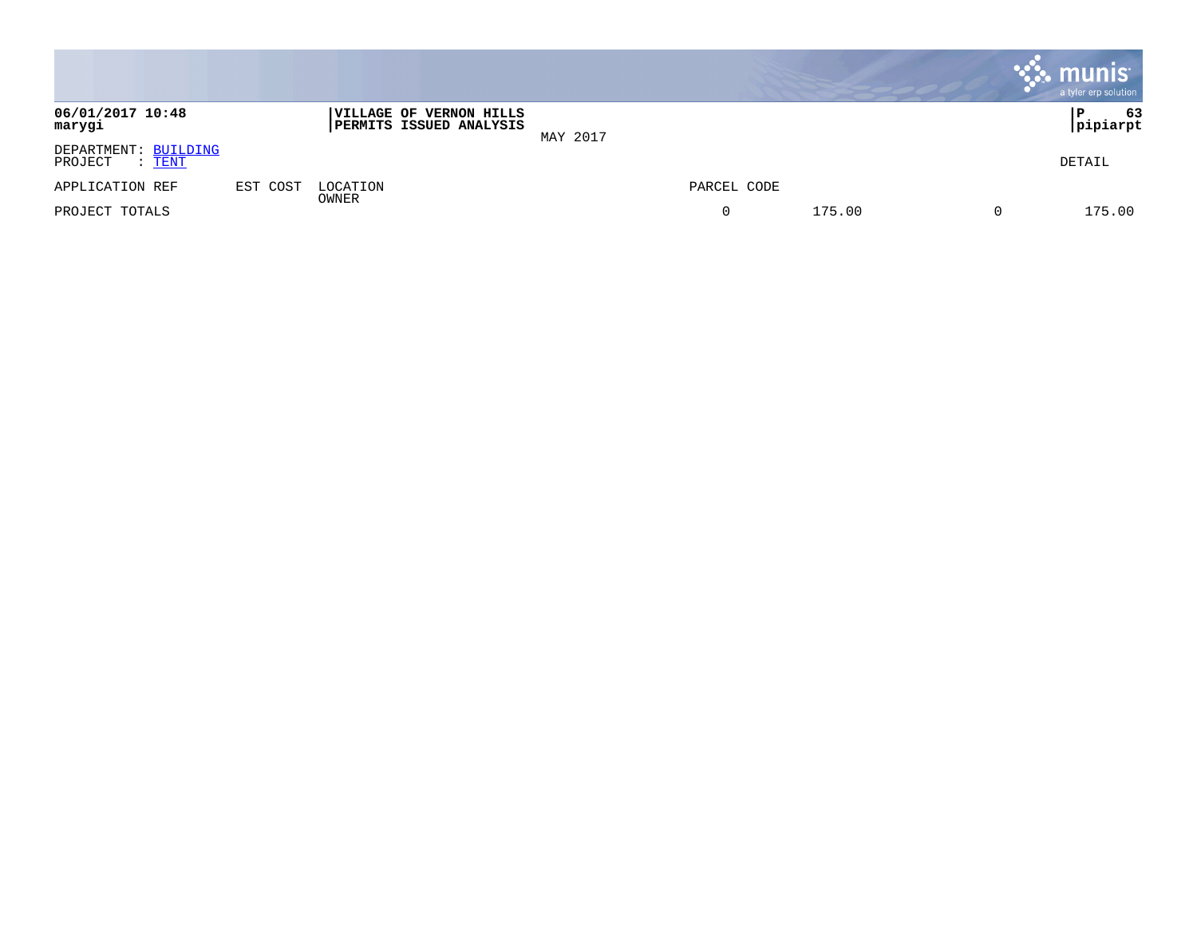|                                                  |          |                                                    |          |             |        |                | $\cdot$ munis $\cdot$<br>a tyler erp solution |
|--------------------------------------------------|----------|----------------------------------------------------|----------|-------------|--------|----------------|-----------------------------------------------|
| 06/01/2017 10:48<br>marygi                       |          | VILLAGE OF VERNON HILLS<br>PERMITS ISSUED ANALYSIS | MAY 2017 |             |        |                | 63<br>P<br> pipiarpt                          |
| DEPARTMENT: BUILDING<br>PROJECT<br>: <u>TENT</u> |          |                                                    |          |             |        |                | DETAIL                                        |
| APPLICATION REF                                  | EST COST | LOCATION                                           |          | PARCEL CODE |        |                |                                               |
| PROJECT TOTALS                                   |          | OWNER                                              |          | $\mathbf 0$ | 175.00 | $\overline{0}$ | 175.00                                        |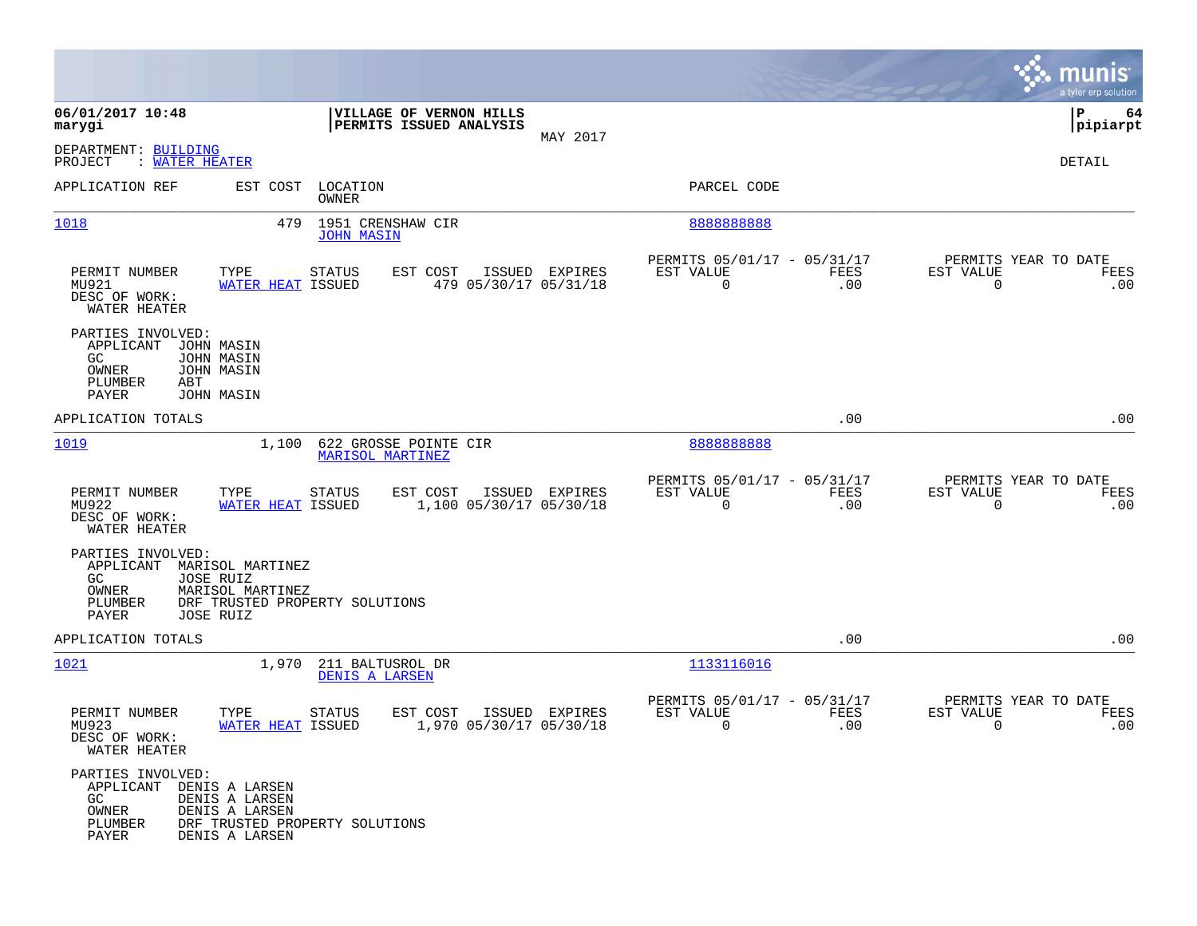|                                                                                  |                                                                                                         |                                                  |                                                    |                                           |                                                            |             |                                                  | munis<br>a tyler erp solution |
|----------------------------------------------------------------------------------|---------------------------------------------------------------------------------------------------------|--------------------------------------------------|----------------------------------------------------|-------------------------------------------|------------------------------------------------------------|-------------|--------------------------------------------------|-------------------------------|
| 06/01/2017 10:48<br>marygi                                                       |                                                                                                         |                                                  | VILLAGE OF VERNON HILLS<br>PERMITS ISSUED ANALYSIS |                                           |                                                            |             |                                                  | P<br>64<br> pipiarpt          |
| DEPARTMENT: BUILDING<br>PROJECT<br>: WATER HEATER                                |                                                                                                         |                                                  |                                                    | MAY 2017                                  |                                                            |             |                                                  | DETAIL                        |
| APPLICATION REF                                                                  | EST COST                                                                                                | LOCATION<br>OWNER                                |                                                    |                                           | PARCEL CODE                                                |             |                                                  |                               |
| 1018                                                                             | 479                                                                                                     | 1951 CRENSHAW CIR<br><b>JOHN MASIN</b>           |                                                    |                                           | 888888888                                                  |             |                                                  |                               |
| PERMIT NUMBER<br>MU921<br>DESC OF WORK:<br>WATER HEATER                          | TYPE<br><b>WATER HEAT ISSUED</b>                                                                        | <b>STATUS</b>                                    | EST COST                                           | ISSUED EXPIRES<br>479 05/30/17 05/31/18   | PERMITS 05/01/17 - 05/31/17<br>EST VALUE<br>$\overline{0}$ | FEES<br>.00 | PERMITS YEAR TO DATE<br>EST VALUE<br>$\mathbf 0$ | FEES<br>.00                   |
| PARTIES INVOLVED:<br>APPLICANT<br>GC.<br>OWNER<br>PLUMBER<br>ABT<br>PAYER        | JOHN MASIN<br>JOHN MASIN<br>JOHN MASIN<br>JOHN MASIN                                                    |                                                  |                                                    |                                           |                                                            |             |                                                  |                               |
| APPLICATION TOTALS                                                               |                                                                                                         |                                                  |                                                    |                                           |                                                            | .00         |                                                  | .00                           |
| 1019                                                                             | 1,100                                                                                                   | 622 GROSSE POINTE CIR<br><b>MARISOL MARTINEZ</b> |                                                    |                                           | 888888888                                                  |             |                                                  |                               |
| PERMIT NUMBER<br>MU922<br>DESC OF WORK:<br>WATER HEATER                          | TYPE<br>WATER HEAT ISSUED                                                                               | STATUS                                           | EST COST                                           | ISSUED EXPIRES<br>1,100 05/30/17 05/30/18 | PERMITS 05/01/17 - 05/31/17<br>EST VALUE<br>$\mathbf 0$    | FEES<br>.00 | PERMITS YEAR TO DATE<br>EST VALUE<br>$\mathbf 0$ | FEES<br>.00                   |
| PARTIES INVOLVED:<br>APPLICANT<br>GC.<br>OWNER<br>PLUMBER<br>PAYER               | MARISOL MARTINEZ<br>JOSE RUIZ<br>MARISOL MARTINEZ<br>DRF TRUSTED PROPERTY SOLUTIONS<br><b>JOSE RUIZ</b> |                                                  |                                                    |                                           |                                                            |             |                                                  |                               |
| APPLICATION TOTALS                                                               |                                                                                                         |                                                  |                                                    |                                           |                                                            | .00         |                                                  | .00                           |
| 1021                                                                             |                                                                                                         | 1,970 211 BALTUSROL DR<br>DENIS A LARSEN         |                                                    |                                           | 1133116016                                                 |             |                                                  |                               |
| PERMIT NUMBER<br>MU923<br>DESC OF WORK:<br>WATER HEATER                          | TYPE<br>WATER HEAT ISSUED                                                                               | <b>STATUS</b>                                    | EST COST                                           | ISSUED EXPIRES<br>1,970 05/30/17 05/30/18 | PERMITS 05/01/17 - 05/31/17<br>EST VALUE<br>0              | FEES<br>.00 | PERMITS YEAR TO DATE<br>EST VALUE<br>0           | FEES<br>.00                   |
| PARTIES INVOLVED:<br>APPLICANT DENIS A LARSEN<br>GC<br>OWNER<br>PLUMBER<br>PAYER | DENIS A LARSEN<br>DENIS A LARSEN<br>DRF TRUSTED PROPERTY SOLUTIONS<br>DENIS A LARSEN                    |                                                  |                                                    |                                           |                                                            |             |                                                  |                               |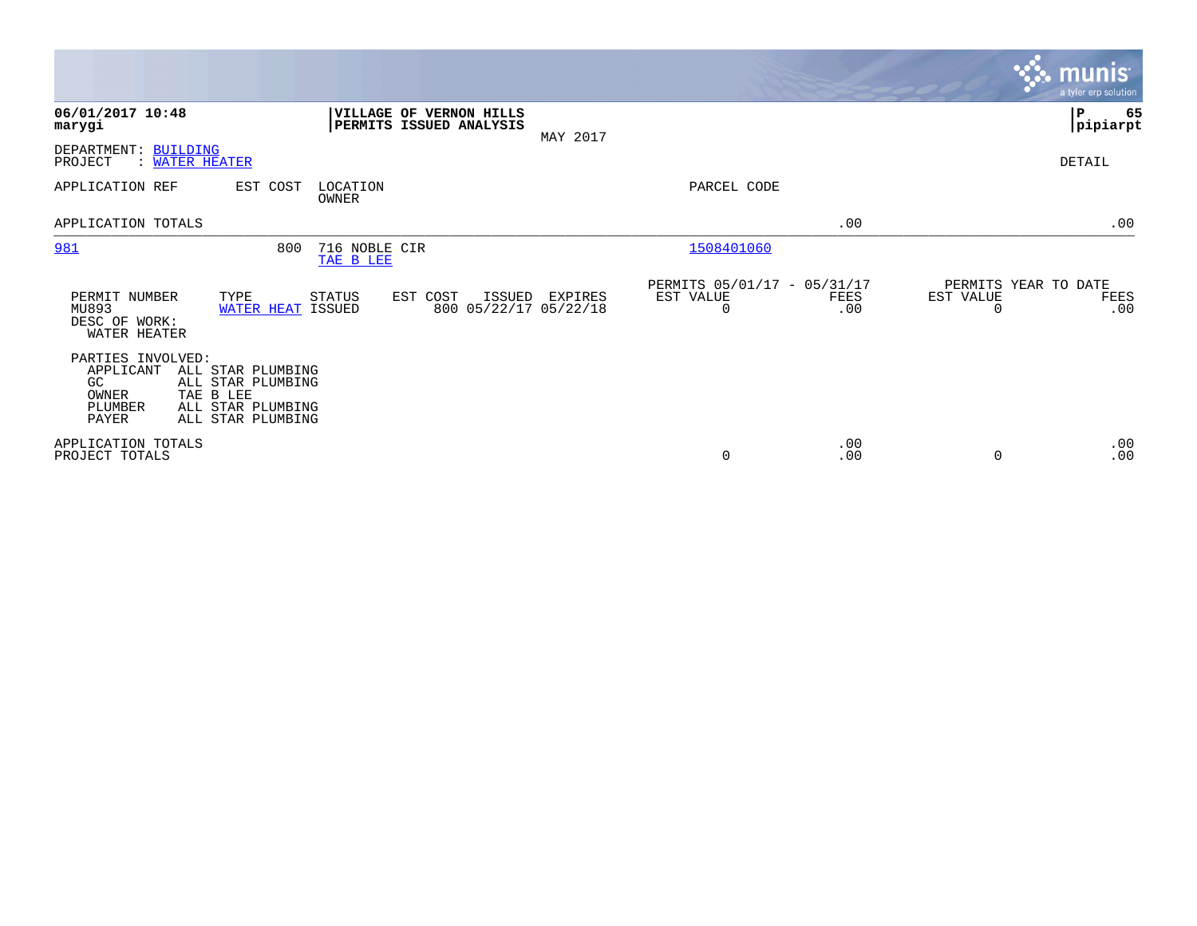|                                                                                                                                                                    |                                                       |                                                          |             | <b>munis</b><br>a tyler erp solution                  |
|--------------------------------------------------------------------------------------------------------------------------------------------------------------------|-------------------------------------------------------|----------------------------------------------------------|-------------|-------------------------------------------------------|
| 06/01/2017 10:48<br>marygi                                                                                                                                         | VILLAGE OF VERNON HILLS<br>PERMITS ISSUED ANALYSIS    | MAY 2017                                                 |             | P<br>65<br> pipiarpt                                  |
| DEPARTMENT: BUILDING<br>PROJECT<br><b>WATER HEATER</b>                                                                                                             |                                                       |                                                          |             | DETAIL                                                |
| APPLICATION REF<br>EST COST                                                                                                                                        | LOCATION<br>OWNER                                     | PARCEL CODE                                              |             |                                                       |
| APPLICATION TOTALS                                                                                                                                                 |                                                       |                                                          | .00         | .00                                                   |
| 981<br>800                                                                                                                                                         | 716 NOBLE CIR<br>TAE B LEE                            | 1508401060                                               |             |                                                       |
| PERMIT NUMBER<br>TYPE<br>MU893<br>WATER HEAT ISSUED<br>DESC OF WORK:<br>WATER HEATER                                                                               | STATUS<br>EST COST<br>ISSUED<br>800 05/22/17 05/22/18 | PERMITS 05/01/17 - 05/31/17<br>EST VALUE<br>EXPIRES<br>0 | FEES<br>.00 | PERMITS YEAR TO DATE<br>EST VALUE<br>FEES<br>.00<br>0 |
| PARTIES INVOLVED:<br>APPLICANT<br>ALL STAR PLUMBING<br>GC<br>ALL STAR PLUMBING<br>TAE B LEE<br>OWNER<br>PLUMBER<br>ALL STAR PLUMBING<br>PAYER<br>ALL STAR PLUMBING |                                                       |                                                          |             |                                                       |
| APPLICATION TOTALS<br>PROJECT TOTALS                                                                                                                               |                                                       | 0                                                        | .00<br>.00  | .00<br>.00<br>$\Omega$                                |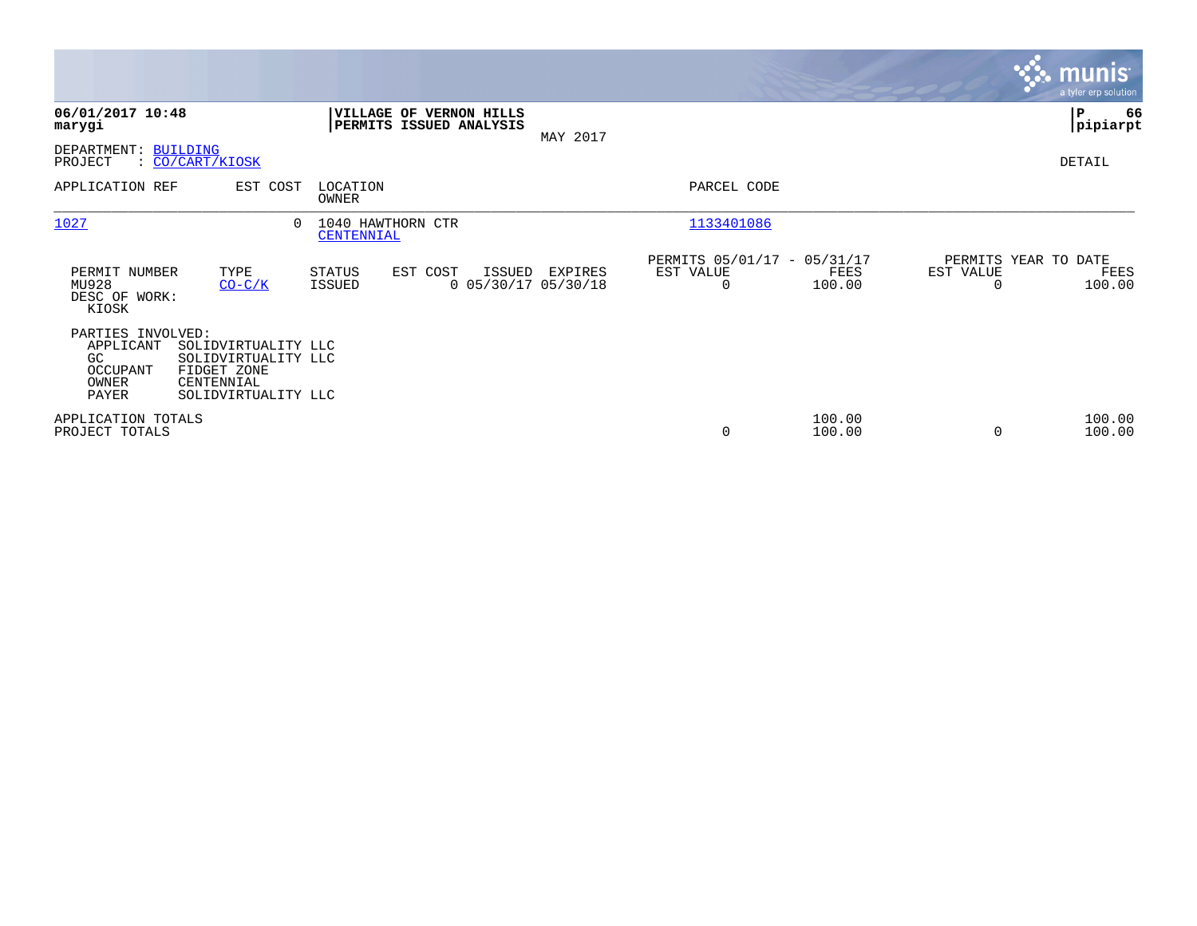|                                                                            |                                                                                                |                   |                                                    |        |                                  |                                                         |                  |                                               | <b>munis</b><br>a tyler erp solution |
|----------------------------------------------------------------------------|------------------------------------------------------------------------------------------------|-------------------|----------------------------------------------------|--------|----------------------------------|---------------------------------------------------------|------------------|-----------------------------------------------|--------------------------------------|
| 06/01/2017 10:48<br>marygi                                                 |                                                                                                |                   | VILLAGE OF VERNON HILLS<br>PERMITS ISSUED ANALYSIS |        | MAY 2017                         |                                                         |                  |                                               | ∣P<br>66<br> pipiarpt                |
| DEPARTMENT: BUILDING<br>PROJECT                                            | : CO/CART/KIOSK                                                                                |                   |                                                    |        |                                  |                                                         |                  |                                               | DETAIL                               |
| APPLICATION REF                                                            | EST COST                                                                                       | LOCATION<br>OWNER |                                                    |        |                                  | PARCEL CODE                                             |                  |                                               |                                      |
| 1027                                                                       | $\Omega$                                                                                       | CENTENNIAL        | 1040 HAWTHORN CTR                                  |        |                                  | 1133401086                                              |                  |                                               |                                      |
| PERMIT NUMBER<br>MU928<br>DESC OF WORK:<br>KIOSK                           | TYPE<br>$CO-C/K$                                                                               | STATUS<br>ISSUED  | EST COST                                           | ISSUED | EXPIRES<br>$0$ 05/30/17 05/30/18 | PERMITS 05/01/17 - 05/31/17<br>EST VALUE<br>$\mathbf 0$ | FEES<br>100.00   | PERMITS YEAR TO DATE<br>EST VALUE<br>$\Omega$ | FEES<br>100.00                       |
| PARTIES INVOLVED:<br>APPLICANT<br>GC.<br><b>OCCUPANT</b><br>OWNER<br>PAYER | SOLIDVIRTUALITY LLC<br>SOLIDVIRTUALITY LLC<br>FIDGET ZONE<br>CENTENNIAL<br>SOLIDVIRTUALITY LLC |                   |                                                    |        |                                  |                                                         |                  |                                               |                                      |
| APPLICATION TOTALS<br>PROJECT TOTALS                                       |                                                                                                |                   |                                                    |        |                                  | 0                                                       | 100.00<br>100.00 | $\Omega$                                      | 100.00<br>100.00                     |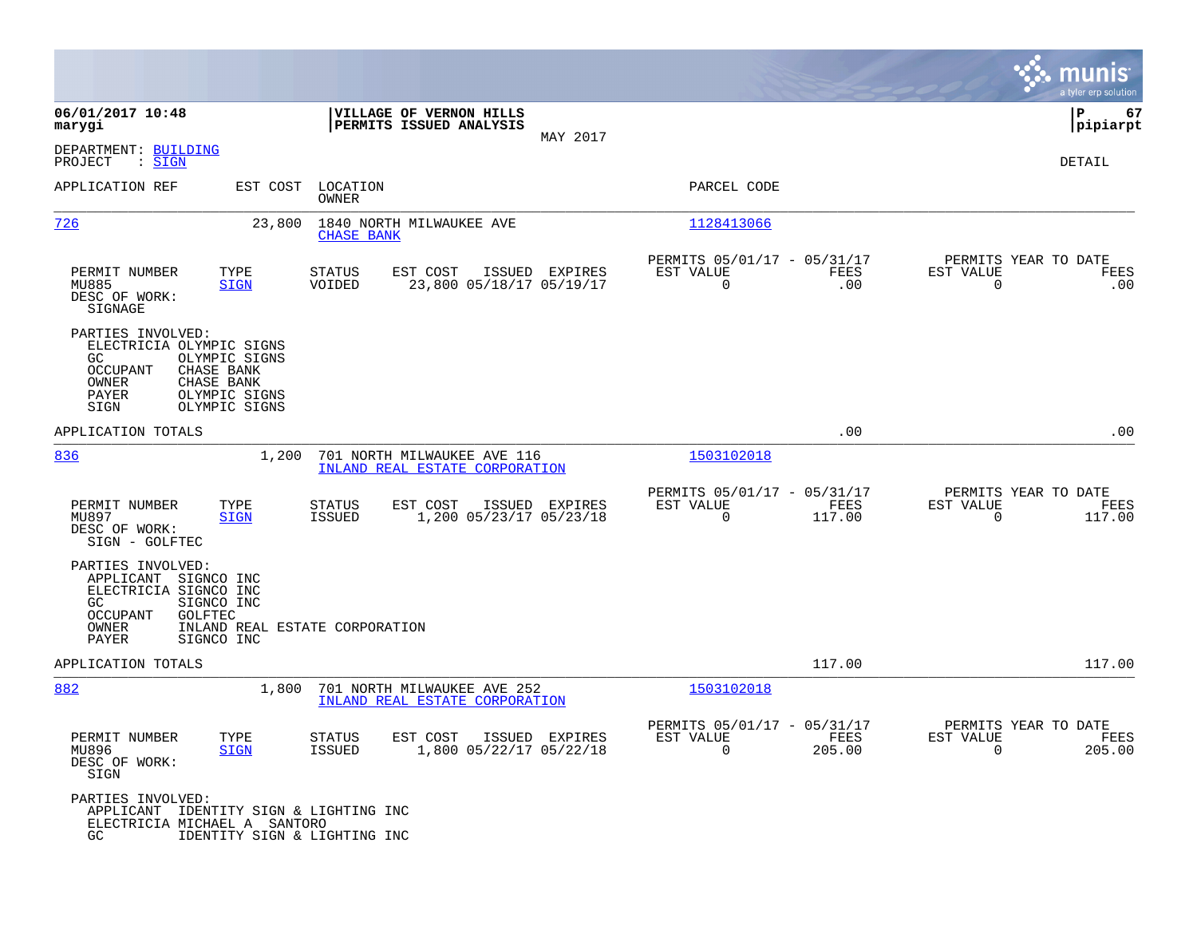|                                                                                                                                                                           |                                                                                   |                                                                           | munis<br>a tyler erp solution                                   |
|---------------------------------------------------------------------------------------------------------------------------------------------------------------------------|-----------------------------------------------------------------------------------|---------------------------------------------------------------------------|-----------------------------------------------------------------|
| 06/01/2017 10:48<br>marygi                                                                                                                                                | VILLAGE OF VERNON HILLS<br>PERMITS ISSUED ANALYSIS                                |                                                                           | 67<br>ΙP<br> pipiarpt                                           |
| DEPARTMENT: BUILDING<br>PROJECT<br>: <u>SIGN</u>                                                                                                                          | MAY 2017                                                                          |                                                                           | DETAIL                                                          |
| APPLICATION REF                                                                                                                                                           | EST COST LOCATION<br>OWNER                                                        | PARCEL CODE                                                               |                                                                 |
| 726<br>23,800                                                                                                                                                             | 1840 NORTH MILWAUKEE AVE<br><b>CHASE BANK</b>                                     | 1128413066                                                                |                                                                 |
| PERMIT NUMBER<br>TYPE<br>MU885<br><b>SIGN</b><br>DESC OF WORK:<br>SIGNAGE                                                                                                 | EST COST<br>ISSUED EXPIRES<br><b>STATUS</b><br>VOIDED<br>23,800 05/18/17 05/19/17 | PERMITS 05/01/17 - 05/31/17<br>EST VALUE<br>FEES<br>0<br>.00              | PERMITS YEAR TO DATE<br>EST VALUE<br>FEES<br>$\mathbf 0$<br>.00 |
| PARTIES INVOLVED:<br>ELECTRICIA OLYMPIC SIGNS<br>GC.<br>OLYMPIC SIGNS<br>CHASE BANK<br>OCCUPANT<br>CHASE BANK<br>OWNER<br>OLYMPIC SIGNS<br>PAYER<br>OLYMPIC SIGNS<br>SIGN |                                                                                   |                                                                           |                                                                 |
| APPLICATION TOTALS                                                                                                                                                        |                                                                                   | .00                                                                       | .00                                                             |
| 836<br>1,200                                                                                                                                                              | 701 NORTH MILWAUKEE AVE 116<br>INLAND REAL ESTATE CORPORATION                     | 1503102018                                                                |                                                                 |
| PERMIT NUMBER<br>TYPE<br>MU897<br><b>SIGN</b><br>DESC OF WORK:<br>SIGN - GOLFTEC                                                                                          | EST COST<br>ISSUED EXPIRES<br><b>STATUS</b><br>1,200 05/23/17 05/23/18<br>ISSUED  | PERMITS 05/01/17 - 05/31/17<br>EST VALUE<br>FEES<br>$\mathbf 0$<br>117.00 | PERMITS YEAR TO DATE<br>EST VALUE<br>FEES<br>117.00<br>$\Omega$ |
| PARTIES INVOLVED:<br>APPLICANT SIGNCO INC<br>ELECTRICIA SIGNCO INC<br>GC.<br>SIGNCO INC<br>OCCUPANT<br><b>GOLFTEC</b><br>OWNER<br>PAYER<br>SIGNCO INC                     | INLAND REAL ESTATE CORPORATION                                                    |                                                                           |                                                                 |
| APPLICATION TOTALS                                                                                                                                                        |                                                                                   | 117.00                                                                    | 117.00                                                          |
| 882<br>1,800                                                                                                                                                              | 701 NORTH MILWAUKEE AVE 252<br>INLAND REAL ESTATE CORPORATION                     | 1503102018                                                                |                                                                 |
| PERMIT NUMBER<br>TYPE<br>MU896<br><b>SIGN</b><br>DESC OF WORK:<br>SIGN                                                                                                    | EST COST ISSUED EXPIRES<br>STATUS<br>1,800 05/22/17 05/22/18<br>ISSUED            | PERMITS 05/01/17 - 05/31/17<br>EST VALUE<br>FEES<br>$\Omega$<br>205.00    | PERMITS YEAR TO DATE<br>EST VALUE<br>FEES<br>$\Omega$<br>205.00 |
| PARTIES INVOLVED:<br>APPLICANT IDENTITY SIGN & LIGHTING INC<br>ELECTRICIA MICHAEL A SANTORO<br>GC<br>IDENTITY SIGN & LIGHTING INC                                         |                                                                                   |                                                                           |                                                                 |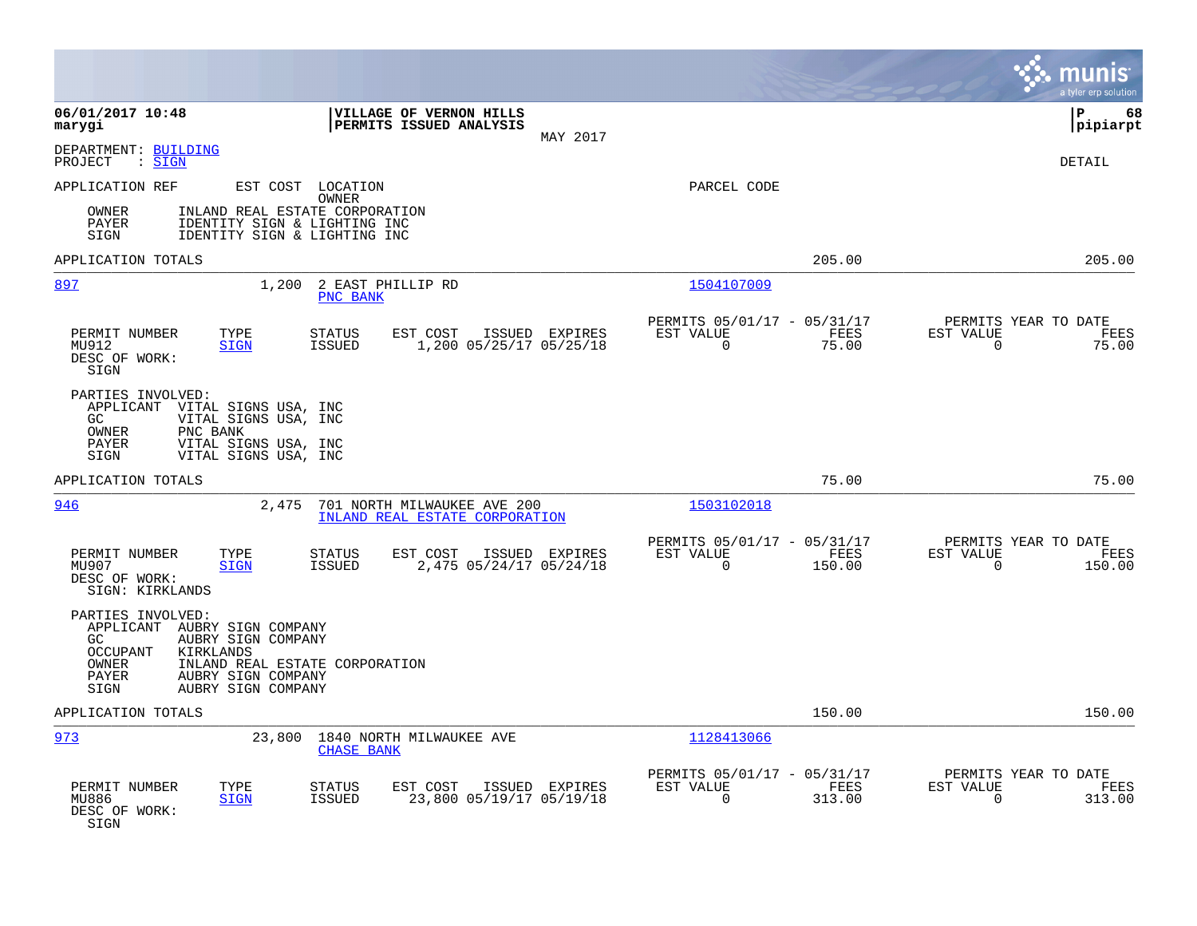|                                                                                                                                                                                                                        |                                                                           | munis<br>a tyler erp solution                                         |
|------------------------------------------------------------------------------------------------------------------------------------------------------------------------------------------------------------------------|---------------------------------------------------------------------------|-----------------------------------------------------------------------|
| 06/01/2017 10:48<br>VILLAGE OF VERNON HILLS<br>PERMITS ISSUED ANALYSIS<br>marygi<br>MAY 2017                                                                                                                           |                                                                           | l P<br>68<br> pipiarpt                                                |
| DEPARTMENT: BUILDING<br>$:$ SIGN<br>PROJECT                                                                                                                                                                            |                                                                           | <b>DETAIL</b>                                                         |
| APPLICATION REF<br>EST COST LOCATION<br>OWNER                                                                                                                                                                          | PARCEL CODE                                                               |                                                                       |
| INLAND REAL ESTATE CORPORATION<br>OWNER<br>IDENTITY SIGN & LIGHTING INC<br>PAYER<br>IDENTITY SIGN & LIGHTING INC<br>SIGN                                                                                               |                                                                           |                                                                       |
| APPLICATION TOTALS                                                                                                                                                                                                     | 205.00                                                                    | 205.00                                                                |
| 2 EAST PHILLIP RD<br>897<br>1,200<br>PNC BANK                                                                                                                                                                          | 1504107009                                                                |                                                                       |
| PERMIT NUMBER<br>TYPE<br>STATUS<br>EST COST<br>ISSUED EXPIRES<br>1,200 05/25/17 05/25/18<br>MU912<br><b>SIGN</b><br><b>ISSUED</b><br>DESC OF WORK:<br>SIGN                                                             | PERMITS 05/01/17 - 05/31/17<br>FEES<br>EST VALUE<br>$\Omega$<br>75.00     | PERMITS YEAR TO DATE<br>EST VALUE<br>FEES<br>$\overline{0}$<br>75.00  |
| PARTIES INVOLVED:<br>APPLICANT<br>VITAL SIGNS USA, INC<br>VITAL SIGNS USA, INC<br>GC.<br>PNC BANK<br><b>OWNER</b><br>VITAL SIGNS USA, INC<br>PAYER<br>SIGN<br>VITAL SIGNS USA, INC                                     |                                                                           |                                                                       |
| APPLICATION TOTALS                                                                                                                                                                                                     | 75.00                                                                     | 75.00                                                                 |
| 946<br>2,475<br>701 NORTH MILWAUKEE AVE 200<br>INLAND REAL ESTATE CORPORATION                                                                                                                                          | 1503102018                                                                |                                                                       |
| PERMIT NUMBER<br>TYPE<br><b>STATUS</b><br>EST COST<br>ISSUED EXPIRES<br>MU907<br><b>SIGN</b><br><b>ISSUED</b><br>2,475 05/24/17 05/24/18<br>DESC OF WORK:<br>SIGN: KIRKLANDS                                           | PERMITS 05/01/17 - 05/31/17<br>EST VALUE<br>FEES<br>$\mathbf 0$<br>150.00 | PERMITS YEAR TO DATE<br>EST VALUE<br>FEES<br>$\overline{0}$<br>150.00 |
| PARTIES INVOLVED:<br>APPLICANT AUBRY SIGN COMPANY<br>AUBRY SIGN COMPANY<br>GC.<br><b>OCCUPANT</b><br>KIRKLANDS<br>OWNER<br>INLAND REAL ESTATE CORPORATION<br>AUBRY SIGN COMPANY<br>PAYER<br>SIGN<br>AUBRY SIGN COMPANY |                                                                           |                                                                       |
| APPLICATION TOTALS                                                                                                                                                                                                     | 150.00                                                                    | 150.00                                                                |
| 973<br>23,800 1840 NORTH MILWAUKEE AVE<br><b>CHASE BANK</b>                                                                                                                                                            | 1128413066                                                                |                                                                       |
| PERMIT NUMBER<br>TYPE<br>STATUS<br>EST COST<br>ISSUED EXPIRES<br>23,800 05/19/17 05/19/18<br>MU886<br><b>SIGN</b><br><b>ISSUED</b><br>DESC OF WORK:<br>SIGN                                                            | PERMITS 05/01/17 - 05/31/17<br>EST VALUE<br>FEES<br>$\Omega$<br>313.00    | PERMITS YEAR TO DATE<br>EST VALUE<br>FEES<br>313.00<br>0              |